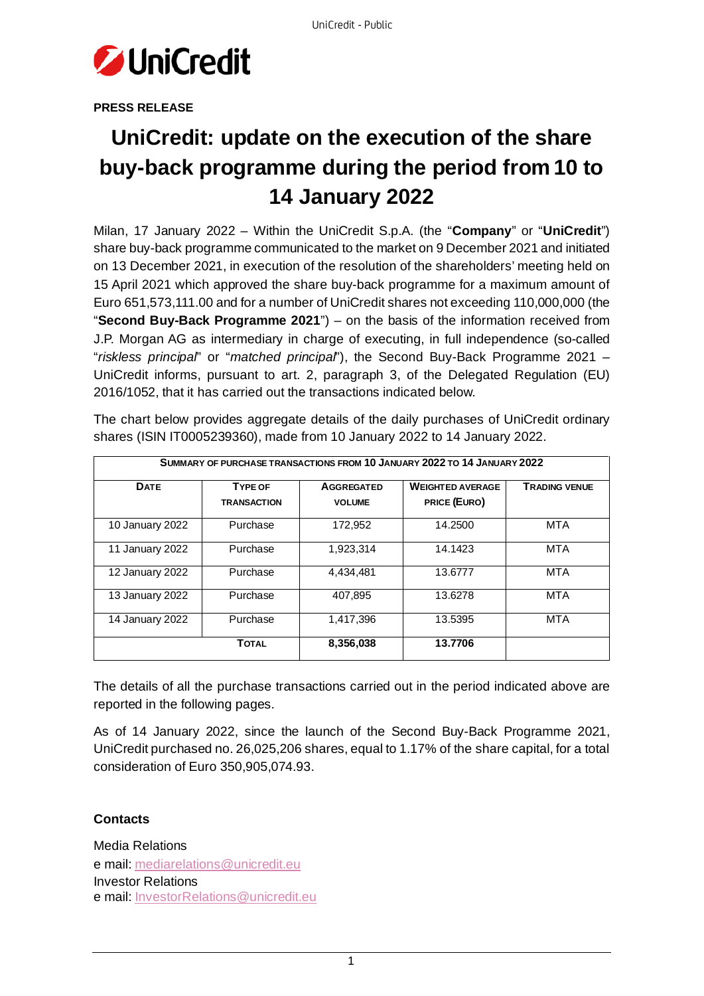

**PRESS RELEASE**

## **UniCredit: update on the execution of the share buy-back programme during the period from 10 to 14 January 2022**

Milan, 17 January 2022 – Within the UniCredit S.p.A. (the "**Company**" or "**UniCredit**") share buy-back programme communicated to the market on 9 December 2021 and initiated on 13 December 2021, in execution of the resolution of the shareholders' meeting held on 15 April 2021 which approved the share buy-back programme for a maximum amount of Euro 651,573,111.00 and for a number of UniCredit shares not exceeding 110,000,000 (the "**Second Buy-Back Programme 2021**") – on the basis of the information received from J.P. Morgan AG as intermediary in charge of executing, in full independence (so-called "*riskless principal*" or "*matched principal*"), the Second Buy-Back Programme 2021 – UniCredit informs, pursuant to art. 2, paragraph 3, of the Delegated Regulation (EU) 2016/1052, that it has carried out the transactions indicated below.

| SUMMARY OF PURCHASE TRANSACTIONS FROM 10 JANUARY 2022 TO 14 JANUARY 2022 |                                      |                                    |                                                |                      |
|--------------------------------------------------------------------------|--------------------------------------|------------------------------------|------------------------------------------------|----------------------|
| <b>DATE</b>                                                              | <b>TYPE OF</b><br><b>TRANSACTION</b> | <b>AGGREGATED</b><br><b>VOLUME</b> | <b>WEIGHTED AVERAGE</b><br><b>PRICE (EURO)</b> | <b>TRADING VENUE</b> |
| 10 January 2022                                                          | Purchase                             | 172.952                            | 14.2500                                        | MTA                  |
| 11 January 2022                                                          | Purchase                             | 1,923,314                          | 14.1423                                        | MTA                  |
| 12 January 2022                                                          | Purchase                             | 4,434,481                          | 13.6777                                        | MTA                  |
| 13 January 2022                                                          | Purchase                             | 407,895                            | 13.6278                                        | MTA                  |
| 14 January 2022                                                          | Purchase                             | 1,417,396                          | 13.5395                                        | MTA                  |
|                                                                          | <b>TOTAL</b>                         | 8,356,038                          | 13.7706                                        |                      |

The chart below provides aggregate details of the daily purchases of UniCredit ordinary shares (ISIN IT0005239360), made from 10 January 2022 to 14 January 2022.

The details of all the purchase transactions carried out in the period indicated above are reported in the following pages.

As of 14 January 2022, since the launch of the Second Buy-Back Programme 2021, UniCredit purchased no. 26,025,206 shares, equal to 1.17% of the share capital, for a total consideration of Euro 350,905,074.93.

## **Contacts**

Media Relations e mail: mediarelations@unicredit.eu Investor Relations e mail: InvestorRelations@unicredit.eu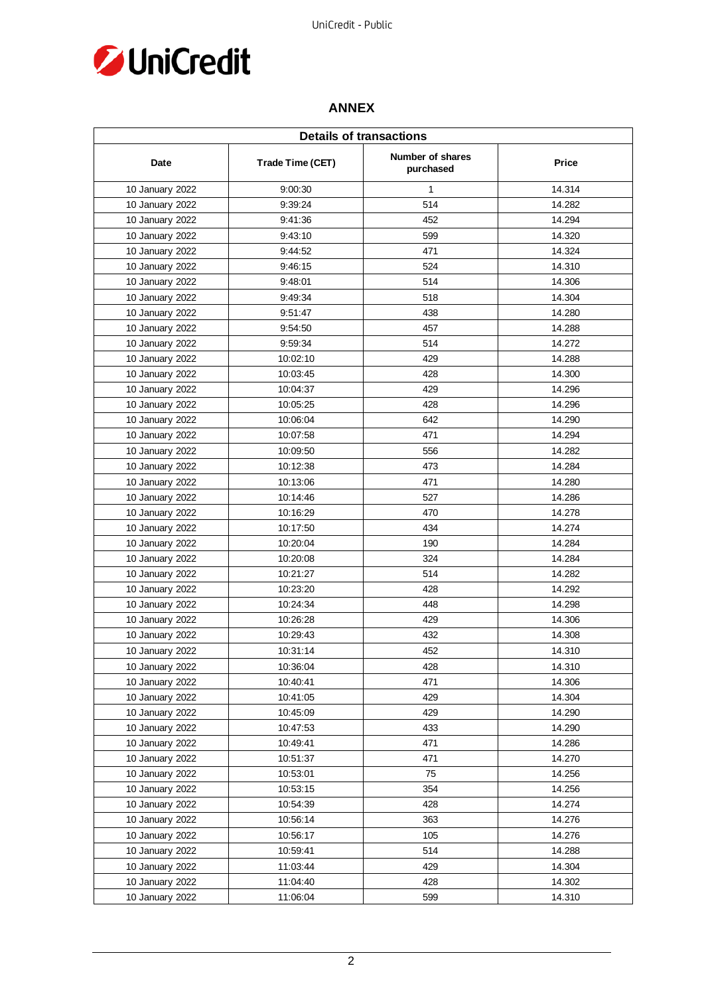

## **ANNEX**

|                 | <b>Details of transactions</b> |                                      |        |  |
|-----------------|--------------------------------|--------------------------------------|--------|--|
| Date            | Trade Time (CET)               | <b>Number of shares</b><br>purchased | Price  |  |
| 10 January 2022 | 9:00:30                        | $\mathbf{1}$                         | 14.314 |  |
| 10 January 2022 | 9:39:24                        | 514                                  | 14.282 |  |
| 10 January 2022 | 9:41:36                        | 452                                  | 14.294 |  |
| 10 January 2022 | 9:43:10                        | 599                                  | 14.320 |  |
| 10 January 2022 | 9:44:52                        | 471                                  | 14.324 |  |
| 10 January 2022 | 9:46:15                        | 524                                  | 14.310 |  |
| 10 January 2022 | 9:48:01                        | 514                                  | 14.306 |  |
| 10 January 2022 | 9:49:34                        | 518                                  | 14.304 |  |
| 10 January 2022 | 9:51:47                        | 438                                  | 14.280 |  |
| 10 January 2022 | 9:54:50                        | 457                                  | 14.288 |  |
| 10 January 2022 | 9:59:34                        | 514                                  | 14.272 |  |
| 10 January 2022 | 10:02:10                       | 429                                  | 14.288 |  |
| 10 January 2022 | 10:03:45                       | 428                                  | 14.300 |  |
| 10 January 2022 | 10:04:37                       | 429                                  | 14.296 |  |
| 10 January 2022 | 10:05:25                       | 428                                  | 14.296 |  |
| 10 January 2022 | 10:06:04                       | 642                                  | 14.290 |  |
| 10 January 2022 | 10:07:58                       | 471                                  | 14.294 |  |
| 10 January 2022 | 10:09:50                       | 556                                  | 14.282 |  |
| 10 January 2022 | 10:12:38                       | 473                                  | 14.284 |  |
| 10 January 2022 | 10:13:06                       | 471                                  | 14.280 |  |
| 10 January 2022 | 10:14:46                       | 527                                  | 14.286 |  |
| 10 January 2022 | 10:16:29                       | 470                                  | 14.278 |  |
| 10 January 2022 | 10:17:50                       | 434                                  | 14.274 |  |
| 10 January 2022 | 10:20:04                       | 190                                  | 14.284 |  |
| 10 January 2022 | 10:20:08                       | 324                                  | 14.284 |  |
| 10 January 2022 | 10:21:27                       | 514                                  | 14.282 |  |
| 10 January 2022 | 10:23:20                       | 428                                  | 14.292 |  |
| 10 January 2022 | 10:24:34                       | 448                                  | 14.298 |  |
| 10 January 2022 | 10:26:28                       | 429                                  | 14.306 |  |
| 10 January 2022 | 10:29:43                       | 432                                  | 14.308 |  |
| 10 January 2022 | 10:31:14                       | 452                                  | 14.310 |  |
| 10 January 2022 | 10:36:04                       | 428                                  | 14.310 |  |
| 10 January 2022 | 10:40:41                       | 471                                  | 14.306 |  |
| 10 January 2022 | 10:41:05                       | 429                                  | 14.304 |  |
| 10 January 2022 | 10:45:09                       | 429                                  | 14.290 |  |
| 10 January 2022 | 10:47:53                       | 433                                  | 14.290 |  |
| 10 January 2022 | 10:49:41                       | 471                                  | 14.286 |  |
| 10 January 2022 | 10:51:37                       | 471                                  | 14.270 |  |
| 10 January 2022 | 10:53:01                       | 75                                   | 14.256 |  |
| 10 January 2022 | 10:53:15                       | 354                                  | 14.256 |  |
| 10 January 2022 | 10:54:39                       | 428                                  | 14.274 |  |
| 10 January 2022 | 10:56:14                       | 363                                  | 14.276 |  |
| 10 January 2022 | 10:56:17                       | 105                                  | 14.276 |  |
| 10 January 2022 | 10:59:41                       | 514                                  | 14.288 |  |
| 10 January 2022 | 11:03:44                       | 429                                  | 14.304 |  |
| 10 January 2022 | 11:04:40                       | 428                                  | 14.302 |  |
| 10 January 2022 | 11:06:04                       | 599                                  | 14.310 |  |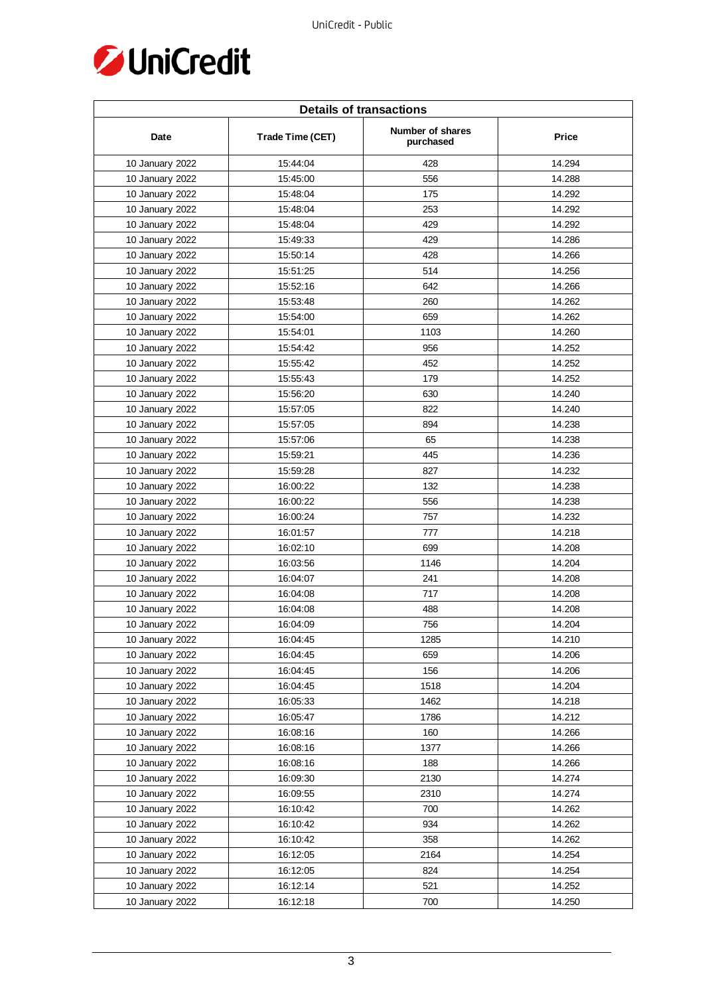

| <b>Details of transactions</b> |                  |                               |        |  |
|--------------------------------|------------------|-------------------------------|--------|--|
| Date                           | Trade Time (CET) | Number of shares<br>purchased | Price  |  |
| 10 January 2022                | 15:44:04         | 428                           | 14.294 |  |
| 10 January 2022                | 15:45:00         | 556                           | 14.288 |  |
| 10 January 2022                | 15:48:04         | 175                           | 14.292 |  |
| 10 January 2022                | 15:48:04         | 253                           | 14.292 |  |
| 10 January 2022                | 15:48:04         | 429                           | 14.292 |  |
| 10 January 2022                | 15:49:33         | 429                           | 14.286 |  |
| 10 January 2022                | 15:50:14         | 428                           | 14.266 |  |
| 10 January 2022                | 15:51:25         | 514                           | 14.256 |  |
| 10 January 2022                | 15:52:16         | 642                           | 14.266 |  |
| 10 January 2022                | 15:53:48         | 260                           | 14.262 |  |
| 10 January 2022                | 15:54:00         | 659                           | 14.262 |  |
| 10 January 2022                | 15:54:01         | 1103                          | 14.260 |  |
| 10 January 2022                | 15:54:42         | 956                           | 14.252 |  |
| 10 January 2022                | 15:55:42         | 452                           | 14.252 |  |
| 10 January 2022                | 15:55:43         | 179                           | 14.252 |  |
| 10 January 2022                | 15:56:20         | 630                           | 14.240 |  |
| 10 January 2022                | 15:57:05         | 822                           | 14.240 |  |
| 10 January 2022                | 15:57:05         | 894                           | 14.238 |  |
| 10 January 2022                | 15:57:06         | 65                            | 14.238 |  |
| 10 January 2022                | 15:59:21         | 445                           | 14.236 |  |
| 10 January 2022                | 15:59:28         | 827                           | 14.232 |  |
| 10 January 2022                | 16:00:22         | 132                           | 14.238 |  |
| 10 January 2022                | 16:00:22         | 556                           | 14.238 |  |
| 10 January 2022                | 16:00:24         | 757                           | 14.232 |  |
| 10 January 2022                | 16:01:57         | 777                           | 14.218 |  |
| 10 January 2022                | 16:02:10         | 699                           | 14.208 |  |
| 10 January 2022                | 16:03:56         | 1146                          | 14.204 |  |
| 10 January 2022                | 16:04:07         | 241                           | 14.208 |  |
| 10 January 2022                | 16:04:08         | 717                           | 14.208 |  |
| 10 January 2022                | 16:04:08         | 488                           | 14.208 |  |
| 10 January 2022                | 16:04:09         | 756                           | 14.204 |  |
| 10 January 2022                | 16:04:45         | 1285                          | 14.210 |  |
| 10 January 2022                | 16:04:45         | 659                           | 14.206 |  |
| 10 January 2022                | 16:04:45         | 156                           | 14.206 |  |
| 10 January 2022                | 16:04:45         | 1518                          | 14.204 |  |
| 10 January 2022                | 16:05:33         | 1462                          | 14.218 |  |
| 10 January 2022                | 16:05:47         | 1786                          | 14.212 |  |
| 10 January 2022                | 16:08:16         | 160                           | 14.266 |  |
| 10 January 2022                | 16:08:16         | 1377                          | 14.266 |  |
| 10 January 2022                | 16:08:16         | 188                           | 14.266 |  |
| 10 January 2022                | 16:09:30         | 2130                          | 14.274 |  |
| 10 January 2022                | 16:09:55         | 2310                          | 14.274 |  |
| 10 January 2022                | 16:10:42         | 700                           | 14.262 |  |
| 10 January 2022                | 16:10:42         | 934                           | 14.262 |  |
| 10 January 2022                | 16:10:42         | 358                           | 14.262 |  |
| 10 January 2022                | 16:12:05         | 2164                          | 14.254 |  |
| 10 January 2022                | 16:12:05         | 824                           | 14.254 |  |
| 10 January 2022                | 16:12:14         | 521                           | 14.252 |  |
| 10 January 2022                | 16:12:18         | 700                           | 14.250 |  |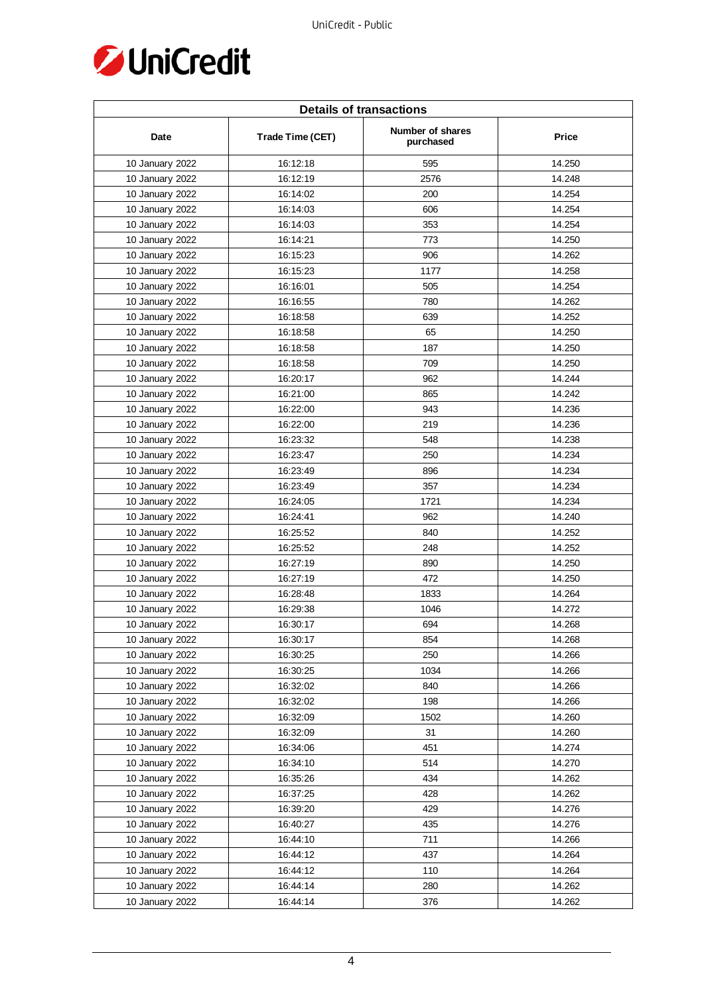

| <b>Details of transactions</b> |                  |                               |              |  |
|--------------------------------|------------------|-------------------------------|--------------|--|
| Date                           | Trade Time (CET) | Number of shares<br>purchased | <b>Price</b> |  |
| 10 January 2022                | 16:12:18         | 595                           | 14.250       |  |
| 10 January 2022                | 16:12:19         | 2576                          | 14.248       |  |
| 10 January 2022                | 16:14:02         | 200                           | 14.254       |  |
| 10 January 2022                | 16:14:03         | 606                           | 14.254       |  |
| 10 January 2022                | 16:14:03         | 353                           | 14.254       |  |
| 10 January 2022                | 16:14:21         | 773                           | 14.250       |  |
| 10 January 2022                | 16:15:23         | 906                           | 14.262       |  |
| 10 January 2022                | 16:15:23         | 1177                          | 14.258       |  |
| 10 January 2022                | 16:16:01         | 505                           | 14.254       |  |
| 10 January 2022                | 16:16:55         | 780                           | 14.262       |  |
| 10 January 2022                | 16:18:58         | 639                           | 14.252       |  |
| 10 January 2022                | 16:18:58         | 65                            | 14.250       |  |
| 10 January 2022                | 16:18:58         | 187                           | 14.250       |  |
| 10 January 2022                | 16:18:58         | 709                           | 14.250       |  |
| 10 January 2022                | 16:20:17         | 962                           | 14.244       |  |
| 10 January 2022                | 16:21:00         | 865                           | 14.242       |  |
| 10 January 2022                | 16:22:00         | 943                           | 14.236       |  |
| 10 January 2022                | 16:22:00         | 219                           | 14.236       |  |
| 10 January 2022                | 16:23:32         | 548                           | 14.238       |  |
| 10 January 2022                | 16:23:47         | 250                           | 14.234       |  |
| 10 January 2022                | 16:23:49         | 896                           | 14.234       |  |
| 10 January 2022                | 16:23:49         | 357                           | 14.234       |  |
| 10 January 2022                | 16:24:05         | 1721                          | 14.234       |  |
| 10 January 2022                | 16:24:41         | 962                           | 14.240       |  |
| 10 January 2022                | 16:25:52         | 840                           | 14.252       |  |
| 10 January 2022                | 16:25:52         | 248                           | 14.252       |  |
| 10 January 2022                | 16:27:19         | 890                           | 14.250       |  |
| 10 January 2022                | 16:27:19         | 472                           | 14.250       |  |
| 10 January 2022                | 16:28:48         | 1833                          | 14.264       |  |
| 10 January 2022                | 16:29:38         | 1046                          | 14.272       |  |
| 10 January 2022                | 16:30:17         | 694                           | 14.268       |  |
| 10 January 2022                | 16:30:17         | 854                           | 14.268       |  |
| 10 January 2022                | 16:30:25         | 250                           | 14.266       |  |
| 10 January 2022                | 16:30:25         | 1034                          | 14.266       |  |
| 10 January 2022                | 16:32:02         | 840                           | 14.266       |  |
| 10 January 2022                | 16:32:02         | 198                           | 14.266       |  |
| 10 January 2022                | 16:32:09         | 1502                          | 14.260       |  |
| 10 January 2022                | 16:32:09         | 31                            | 14.260       |  |
| 10 January 2022                | 16:34:06         | 451                           | 14.274       |  |
| 10 January 2022                | 16:34:10         | 514                           | 14.270       |  |
| 10 January 2022                | 16:35:26         | 434                           | 14.262       |  |
| 10 January 2022                | 16:37:25         | 428                           | 14.262       |  |
| 10 January 2022                | 16:39:20         | 429                           | 14.276       |  |
| 10 January 2022                | 16:40:27         | 435                           | 14.276       |  |
| 10 January 2022                | 16:44:10         | 711                           | 14.266       |  |
| 10 January 2022                | 16:44:12         | 437                           | 14.264       |  |
| 10 January 2022                | 16:44:12         | 110                           | 14.264       |  |
| 10 January 2022                | 16:44:14         | 280                           | 14.262       |  |
| 10 January 2022                | 16:44:14         | 376                           | 14.262       |  |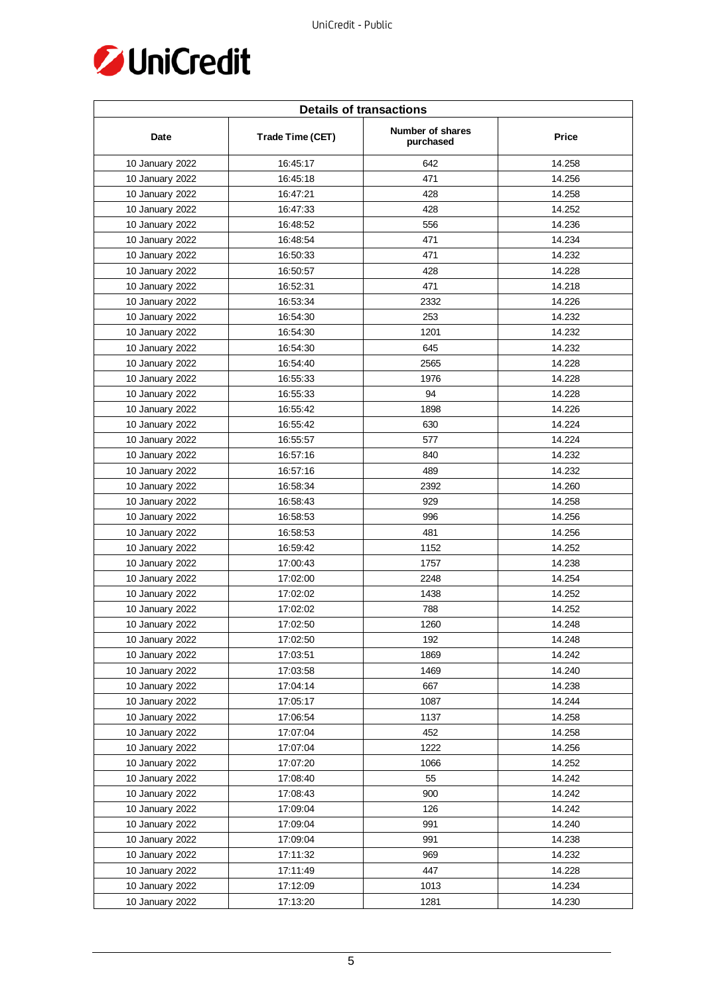

| <b>Details of transactions</b> |                  |                               |              |  |
|--------------------------------|------------------|-------------------------------|--------------|--|
| Date                           | Trade Time (CET) | Number of shares<br>purchased | <b>Price</b> |  |
| 10 January 2022                | 16:45:17         | 642                           | 14.258       |  |
| 10 January 2022                | 16:45:18         | 471                           | 14.256       |  |
| 10 January 2022                | 16:47:21         | 428                           | 14.258       |  |
| 10 January 2022                | 16:47:33         | 428                           | 14.252       |  |
| 10 January 2022                | 16:48:52         | 556                           | 14.236       |  |
| 10 January 2022                | 16:48:54         | 471                           | 14.234       |  |
| 10 January 2022                | 16:50:33         | 471                           | 14.232       |  |
| 10 January 2022                | 16:50:57         | 428                           | 14.228       |  |
| 10 January 2022                | 16:52:31         | 471                           | 14.218       |  |
| 10 January 2022                | 16:53:34         | 2332                          | 14.226       |  |
| 10 January 2022                | 16:54:30         | 253                           | 14.232       |  |
| 10 January 2022                | 16:54:30         | 1201                          | 14.232       |  |
| 10 January 2022                | 16:54:30         | 645                           | 14.232       |  |
| 10 January 2022                | 16:54:40         | 2565                          | 14.228       |  |
| 10 January 2022                | 16:55:33         | 1976                          | 14.228       |  |
| 10 January 2022                | 16:55:33         | 94                            | 14.228       |  |
| 10 January 2022                | 16:55:42         | 1898                          | 14.226       |  |
| 10 January 2022                | 16:55:42         | 630                           | 14.224       |  |
| 10 January 2022                | 16:55:57         | 577                           | 14.224       |  |
| 10 January 2022                | 16:57:16         | 840                           | 14.232       |  |
| 10 January 2022                | 16:57:16         | 489                           | 14.232       |  |
| 10 January 2022                | 16:58:34         | 2392                          | 14.260       |  |
| 10 January 2022                | 16:58:43         | 929                           | 14.258       |  |
| 10 January 2022                | 16:58:53         | 996                           | 14.256       |  |
| 10 January 2022                | 16:58:53         | 481                           | 14.256       |  |
| 10 January 2022                | 16:59:42         | 1152                          | 14.252       |  |
| 10 January 2022                | 17:00:43         | 1757                          | 14.238       |  |
| 10 January 2022                | 17:02:00         | 2248                          | 14.254       |  |
| 10 January 2022                | 17:02:02         | 1438                          | 14.252       |  |
| 10 January 2022                | 17:02:02         | 788                           | 14.252       |  |
| 10 January 2022                | 17:02:50         | 1260                          | 14.248       |  |
| 10 January 2022                | 17:02:50         | 192                           | 14.248       |  |
| 10 January 2022                | 17:03:51         | 1869                          | 14.242       |  |
| 10 January 2022                | 17:03:58         | 1469                          | 14.240       |  |
| 10 January 2022                | 17:04:14         | 667                           | 14.238       |  |
| 10 January 2022                | 17:05:17         | 1087                          | 14.244       |  |
| 10 January 2022                | 17:06:54         | 1137                          | 14.258       |  |
| 10 January 2022                | 17:07:04         | 452                           | 14.258       |  |
| 10 January 2022                | 17:07:04         | 1222                          | 14.256       |  |
| 10 January 2022                | 17:07:20         | 1066                          | 14.252       |  |
| 10 January 2022                | 17:08:40         | 55                            | 14.242       |  |
| 10 January 2022                | 17:08:43         | 900                           | 14.242       |  |
| 10 January 2022                | 17:09:04         | 126                           | 14.242       |  |
| 10 January 2022                | 17:09:04         | 991                           | 14.240       |  |
| 10 January 2022                | 17:09:04         | 991                           | 14.238       |  |
| 10 January 2022                | 17:11:32         | 969                           | 14.232       |  |
| 10 January 2022                | 17:11:49         | 447                           | 14.228       |  |
| 10 January 2022                | 17:12:09         | 1013                          | 14.234       |  |
| 10 January 2022                | 17:13:20         | 1281                          | 14.230       |  |
|                                |                  |                               |              |  |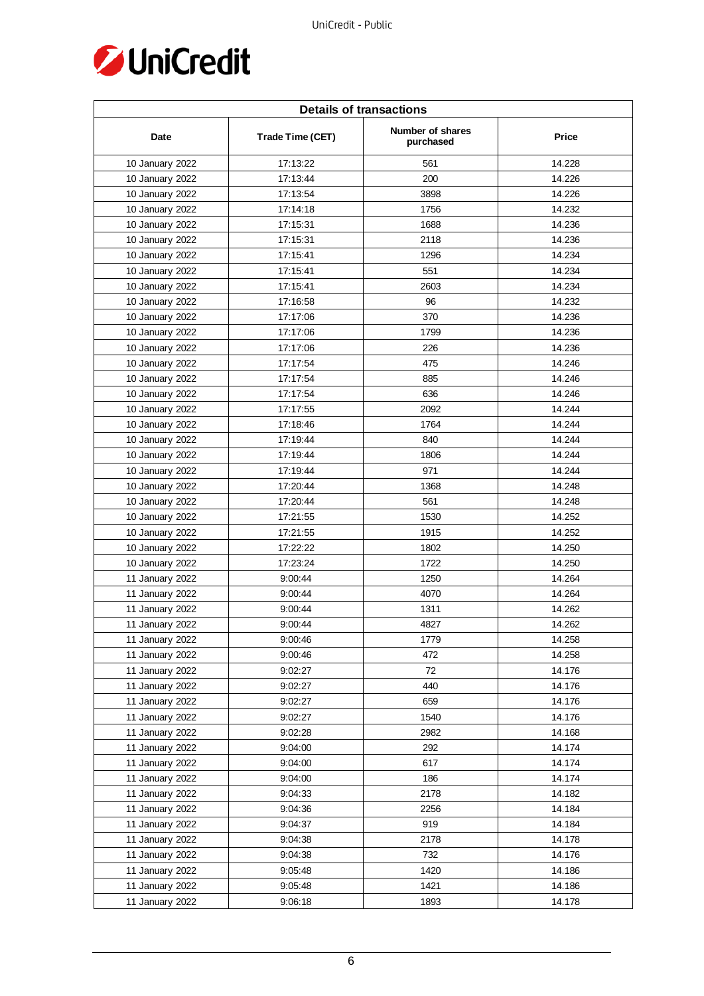

| <b>Details of transactions</b> |                  |                               |        |  |
|--------------------------------|------------------|-------------------------------|--------|--|
| Date                           | Trade Time (CET) | Number of shares<br>purchased | Price  |  |
| 10 January 2022                | 17:13:22         | 561                           | 14.228 |  |
| 10 January 2022                | 17:13:44         | 200                           | 14.226 |  |
| 10 January 2022                | 17:13:54         | 3898                          | 14.226 |  |
| 10 January 2022                | 17:14:18         | 1756                          | 14.232 |  |
| 10 January 2022                | 17:15:31         | 1688                          | 14.236 |  |
| 10 January 2022                | 17:15:31         | 2118                          | 14.236 |  |
| 10 January 2022                | 17:15:41         | 1296                          | 14.234 |  |
| 10 January 2022                | 17:15:41         | 551                           | 14.234 |  |
| 10 January 2022                | 17:15:41         | 2603                          | 14.234 |  |
| 10 January 2022                | 17:16:58         | 96                            | 14.232 |  |
| 10 January 2022                | 17:17:06         | 370                           | 14.236 |  |
| 10 January 2022                | 17:17:06         | 1799                          | 14.236 |  |
| 10 January 2022                | 17:17:06         | 226                           | 14.236 |  |
| 10 January 2022                | 17:17:54         | 475                           | 14.246 |  |
| 10 January 2022                | 17:17:54         | 885                           | 14.246 |  |
| 10 January 2022                | 17:17:54         | 636                           | 14.246 |  |
| 10 January 2022                | 17:17:55         | 2092                          | 14.244 |  |
| 10 January 2022                | 17:18:46         | 1764                          | 14.244 |  |
| 10 January 2022                | 17:19:44         | 840                           | 14.244 |  |
| 10 January 2022                | 17:19:44         | 1806                          | 14.244 |  |
| 10 January 2022                | 17:19:44         | 971                           | 14.244 |  |
| 10 January 2022                | 17:20:44         | 1368                          | 14.248 |  |
| 10 January 2022                | 17:20:44         | 561                           | 14.248 |  |
| 10 January 2022                | 17:21:55         | 1530                          | 14.252 |  |
| 10 January 2022                | 17:21:55         | 1915                          | 14.252 |  |
| 10 January 2022                | 17:22:22         | 1802                          | 14.250 |  |
| 10 January 2022                | 17:23:24         | 1722                          | 14.250 |  |
| 11 January 2022                | 9:00:44          | 1250                          | 14.264 |  |
| 11 January 2022                | 9:00:44          | 4070                          | 14.264 |  |
| 11 January 2022                | 9:00:44          | 1311                          | 14.262 |  |
| 11 January 2022                | 9:00:44          | 4827                          | 14.262 |  |
| 11 January 2022                | 9:00:46          | 1779                          | 14.258 |  |
| 11 January 2022                | 9:00:46          | 472                           | 14.258 |  |
| 11 January 2022                | 9:02:27          | 72                            | 14.176 |  |
| 11 January 2022                | 9:02:27          | 440                           | 14.176 |  |
| 11 January 2022                | 9:02:27          | 659                           | 14.176 |  |
| 11 January 2022                | 9:02:27          | 1540                          | 14.176 |  |
| 11 January 2022                | 9:02:28          | 2982                          | 14.168 |  |
| 11 January 2022                | 9:04:00          | 292                           | 14.174 |  |
| 11 January 2022                | 9:04:00          | 617                           | 14.174 |  |
| 11 January 2022                | 9:04:00          | 186                           | 14.174 |  |
| 11 January 2022                | 9:04:33          | 2178                          | 14.182 |  |
| 11 January 2022                | 9:04:36          | 2256                          | 14.184 |  |
| 11 January 2022                | 9:04:37          | 919                           | 14.184 |  |
| 11 January 2022                | 9:04:38          | 2178                          | 14.178 |  |
| 11 January 2022                | 9:04:38          | 732                           | 14.176 |  |
| 11 January 2022                | 9:05:48          | 1420                          | 14.186 |  |
| 11 January 2022                | 9:05:48          | 1421                          | 14.186 |  |
| 11 January 2022                | 9:06:18          | 1893                          | 14.178 |  |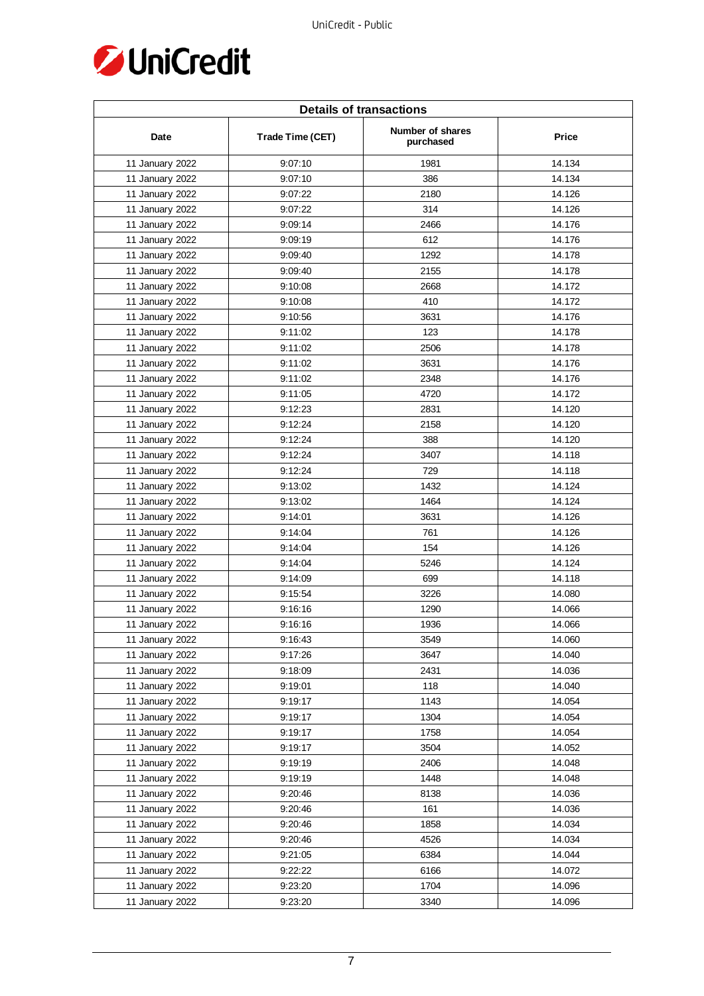

| <b>Details of transactions</b> |                  |                               |              |  |
|--------------------------------|------------------|-------------------------------|--------------|--|
| Date                           | Trade Time (CET) | Number of shares<br>purchased | <b>Price</b> |  |
| 11 January 2022                | 9:07:10          | 1981                          | 14.134       |  |
| 11 January 2022                | 9:07:10          | 386                           | 14.134       |  |
| 11 January 2022                | 9:07:22          | 2180                          | 14.126       |  |
| 11 January 2022                | 9:07:22          | 314                           | 14.126       |  |
| 11 January 2022                | 9:09:14          | 2466                          | 14.176       |  |
| 11 January 2022                | 9:09:19          | 612                           | 14.176       |  |
| 11 January 2022                | 9:09:40          | 1292                          | 14.178       |  |
| 11 January 2022                | 9:09:40          | 2155                          | 14.178       |  |
| 11 January 2022                | 9:10:08          | 2668                          | 14.172       |  |
| 11 January 2022                | 9:10:08          | 410                           | 14.172       |  |
| 11 January 2022                | 9:10:56          | 3631                          | 14.176       |  |
| 11 January 2022                | 9:11:02          | 123                           | 14.178       |  |
| 11 January 2022                | 9:11:02          | 2506                          | 14.178       |  |
| 11 January 2022                | 9:11:02          | 3631                          | 14.176       |  |
| 11 January 2022                | 9:11:02          | 2348                          | 14.176       |  |
| 11 January 2022                | 9:11:05          | 4720                          | 14.172       |  |
| 11 January 2022                | 9:12:23          | 2831                          | 14.120       |  |
| 11 January 2022                | 9:12:24          | 2158                          | 14.120       |  |
| 11 January 2022                | 9:12:24          | 388                           | 14.120       |  |
| 11 January 2022                | 9:12:24          | 3407                          | 14.118       |  |
| 11 January 2022                | 9:12:24          | 729                           | 14.118       |  |
| 11 January 2022                | 9:13:02          | 1432                          | 14.124       |  |
| 11 January 2022                | 9:13:02          | 1464                          | 14.124       |  |
| 11 January 2022                | 9:14:01          | 3631                          | 14.126       |  |
| 11 January 2022                | 9:14:04          | 761                           | 14.126       |  |
| 11 January 2022                | 9:14:04          | 154                           | 14.126       |  |
| 11 January 2022                | 9:14:04          | 5246                          | 14.124       |  |
| 11 January 2022                | 9:14:09          | 699                           | 14.118       |  |
| 11 January 2022                | 9:15:54          | 3226                          | 14.080       |  |
| 11 January 2022                | 9:16:16          | 1290                          | 14.066       |  |
| 11 January 2022                | 9:16:16          | 1936                          | 14.066       |  |
| 11 January 2022                | 9:16:43          | 3549                          | 14.060       |  |
| 11 January 2022                | 9:17:26          | 3647                          | 14.040       |  |
| 11 January 2022                | 9:18:09          | 2431                          | 14.036       |  |
| 11 January 2022                | 9:19:01          | 118                           | 14.040       |  |
| 11 January 2022                | 9:19:17          | 1143                          | 14.054       |  |
| 11 January 2022                | 9:19:17          | 1304                          | 14.054       |  |
| 11 January 2022                | 9:19:17          | 1758                          | 14.054       |  |
| 11 January 2022                | 9:19:17          | 3504                          | 14.052       |  |
| 11 January 2022                | 9:19:19          | 2406                          | 14.048       |  |
| 11 January 2022                | 9:19:19          | 1448                          | 14.048       |  |
| 11 January 2022                | 9:20:46          | 8138                          | 14.036       |  |
| 11 January 2022                | 9:20:46          | 161                           | 14.036       |  |
| 11 January 2022                | 9:20:46          | 1858                          | 14.034       |  |
| 11 January 2022                | 9:20:46          | 4526                          | 14.034       |  |
| 11 January 2022                | 9:21:05          | 6384                          | 14.044       |  |
| 11 January 2022                | 9:22:22          | 6166                          | 14.072       |  |
| 11 January 2022                | 9:23:20          | 1704                          | 14.096       |  |
| 11 January 2022                | 9:23:20          | 3340                          | 14.096       |  |
|                                |                  |                               |              |  |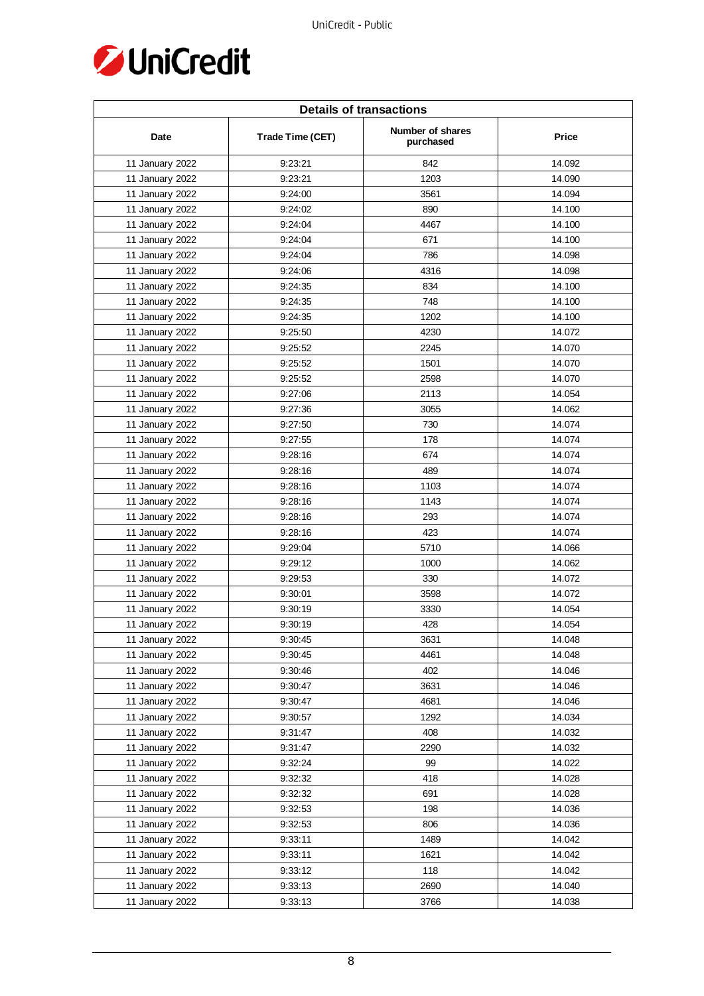

| <b>Details of transactions</b> |                  |                               |        |  |
|--------------------------------|------------------|-------------------------------|--------|--|
| Date                           | Trade Time (CET) | Number of shares<br>purchased | Price  |  |
| 11 January 2022                | 9:23:21          | 842                           | 14.092 |  |
| 11 January 2022                | 9:23:21          | 1203                          | 14.090 |  |
| 11 January 2022                | 9:24:00          | 3561                          | 14.094 |  |
| 11 January 2022                | 9:24:02          | 890                           | 14.100 |  |
| 11 January 2022                | 9:24:04          | 4467                          | 14.100 |  |
| 11 January 2022                | 9:24:04          | 671                           | 14.100 |  |
| 11 January 2022                | 9:24:04          | 786                           | 14.098 |  |
| 11 January 2022                | 9:24:06          | 4316                          | 14.098 |  |
| 11 January 2022                | 9:24:35          | 834                           | 14.100 |  |
| 11 January 2022                | 9:24:35          | 748                           | 14.100 |  |
| 11 January 2022                | 9:24:35          | 1202                          | 14.100 |  |
| 11 January 2022                | 9:25:50          | 4230                          | 14.072 |  |
| 11 January 2022                | 9:25:52          | 2245                          | 14.070 |  |
| 11 January 2022                | 9:25:52          | 1501                          | 14.070 |  |
| 11 January 2022                | 9:25:52          | 2598                          | 14.070 |  |
| 11 January 2022                | 9:27:06          | 2113                          | 14.054 |  |
| 11 January 2022                | 9:27:36          | 3055                          | 14.062 |  |
| 11 January 2022                | 9:27:50          | 730                           | 14.074 |  |
| 11 January 2022                | 9:27:55          | 178                           | 14.074 |  |
| 11 January 2022                | 9:28:16          | 674                           | 14.074 |  |
| 11 January 2022                | 9:28:16          | 489                           | 14.074 |  |
| 11 January 2022                | 9:28:16          | 1103                          | 14.074 |  |
| 11 January 2022                | 9:28:16          | 1143                          | 14.074 |  |
| 11 January 2022                | 9:28:16          | 293                           | 14.074 |  |
| 11 January 2022                | 9:28:16          | 423                           | 14.074 |  |
| 11 January 2022                | 9:29:04          | 5710                          | 14.066 |  |
| 11 January 2022                | 9:29:12          | 1000                          | 14.062 |  |
| 11 January 2022                | 9:29:53          | 330                           | 14.072 |  |
| 11 January 2022                | 9:30:01          | 3598                          | 14.072 |  |
| 11 January 2022                | 9:30:19          | 3330                          | 14.054 |  |
| 11 January 2022                | 9:30:19          | 428                           | 14.054 |  |
| 11 January 2022                | 9:30:45          | 3631                          | 14.048 |  |
| 11 January 2022                | 9:30:45          | 4461                          | 14.048 |  |
| 11 January 2022                | 9:30:46          | 402                           | 14.046 |  |
| 11 January 2022                | 9:30:47          | 3631                          | 14.046 |  |
| 11 January 2022                | 9:30:47          | 4681                          | 14.046 |  |
| 11 January 2022                | 9:30:57          | 1292                          | 14.034 |  |
| 11 January 2022                | 9:31:47          | 408                           | 14.032 |  |
| 11 January 2022                | 9:31:47          | 2290                          | 14.032 |  |
| 11 January 2022                | 9:32:24          | 99                            | 14.022 |  |
| 11 January 2022                | 9:32:32          | 418                           | 14.028 |  |
| 11 January 2022                | 9:32:32          | 691                           | 14.028 |  |
| 11 January 2022                | 9:32:53          | 198                           | 14.036 |  |
| 11 January 2022                | 9:32:53          | 806                           | 14.036 |  |
| 11 January 2022                | 9:33:11          | 1489                          | 14.042 |  |
| 11 January 2022                | 9:33:11          | 1621                          | 14.042 |  |
| 11 January 2022                | 9:33:12          | 118                           | 14.042 |  |
| 11 January 2022                | 9:33:13          | 2690                          | 14.040 |  |
| 11 January 2022                | 9:33:13          | 3766                          | 14.038 |  |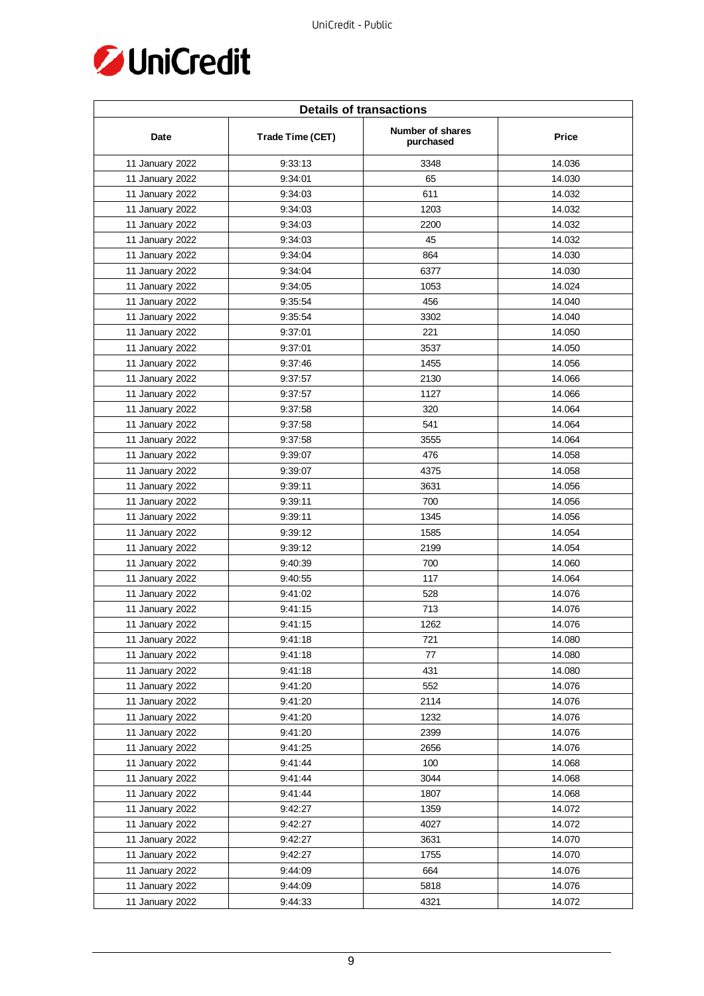

| <b>Details of transactions</b> |                  |                               |        |  |
|--------------------------------|------------------|-------------------------------|--------|--|
| Date                           | Trade Time (CET) | Number of shares<br>purchased | Price  |  |
| 11 January 2022                | 9:33:13          | 3348                          | 14.036 |  |
| 11 January 2022                | 9:34:01          | 65                            | 14.030 |  |
| 11 January 2022                | 9:34:03          | 611                           | 14.032 |  |
| 11 January 2022                | 9:34:03          | 1203                          | 14.032 |  |
| 11 January 2022                | 9:34:03          | 2200                          | 14.032 |  |
| 11 January 2022                | 9:34:03          | 45                            | 14.032 |  |
| 11 January 2022                | 9:34:04          | 864                           | 14.030 |  |
| 11 January 2022                | 9:34:04          | 6377                          | 14.030 |  |
| 11 January 2022                | 9:34:05          | 1053                          | 14.024 |  |
| 11 January 2022                | 9:35:54          | 456                           | 14.040 |  |
| 11 January 2022                | 9:35:54          | 3302                          | 14.040 |  |
| 11 January 2022                | 9:37:01          | 221                           | 14.050 |  |
| 11 January 2022                | 9:37:01          | 3537                          | 14.050 |  |
| 11 January 2022                | 9:37:46          | 1455                          | 14.056 |  |
| 11 January 2022                | 9:37:57          | 2130                          | 14.066 |  |
| 11 January 2022                | 9:37:57          | 1127                          | 14.066 |  |
| 11 January 2022                | 9:37:58          | 320                           | 14.064 |  |
| 11 January 2022                | 9:37:58          | 541                           | 14.064 |  |
| 11 January 2022                | 9:37:58          | 3555                          | 14.064 |  |
| 11 January 2022                | 9:39:07          | 476                           | 14.058 |  |
| 11 January 2022                | 9:39:07          | 4375                          | 14.058 |  |
| 11 January 2022                | 9:39:11          | 3631                          | 14.056 |  |
| 11 January 2022                | 9:39:11          | 700                           | 14.056 |  |
| 11 January 2022                | 9:39:11          | 1345                          | 14.056 |  |
| 11 January 2022                | 9:39:12          | 1585                          | 14.054 |  |
| 11 January 2022                | 9:39:12          | 2199                          | 14.054 |  |
| 11 January 2022                | 9:40:39          | 700                           | 14.060 |  |
| 11 January 2022                | 9:40:55          | 117                           | 14.064 |  |
| 11 January 2022                | 9:41:02          | 528                           | 14.076 |  |
| 11 January 2022                | 9:41:15          | 713                           | 14.076 |  |
| 11 January 2022                | 9:41:15          | 1262                          | 14.076 |  |
| 11 January 2022                | 9:41:18          | 721                           | 14.080 |  |
| 11 January 2022                | 9:41:18          | 77                            | 14.080 |  |
| 11 January 2022                | 9:41:18          | 431                           | 14.080 |  |
| 11 January 2022                | 9:41:20          | 552                           | 14.076 |  |
| 11 January 2022                | 9:41:20          | 2114                          | 14.076 |  |
| 11 January 2022                | 9:41:20          | 1232                          | 14.076 |  |
| 11 January 2022                | 9:41:20          | 2399                          | 14.076 |  |
| 11 January 2022                | 9:41:25          | 2656                          | 14.076 |  |
| 11 January 2022                | 9:41:44          | 100                           | 14.068 |  |
| 11 January 2022                | 9:41:44          | 3044                          | 14.068 |  |
| 11 January 2022                | 9:41:44          | 1807                          | 14.068 |  |
| 11 January 2022                | 9:42:27          | 1359                          | 14.072 |  |
| 11 January 2022                | 9:42:27          | 4027                          | 14.072 |  |
| 11 January 2022                | 9:42:27          | 3631                          | 14.070 |  |
| 11 January 2022                | 9:42:27          | 1755                          | 14.070 |  |
| 11 January 2022                | 9:44:09          | 664                           | 14.076 |  |
| 11 January 2022                | 9:44:09          | 5818                          | 14.076 |  |
| 11 January 2022                | 9:44:33          | 4321                          | 14.072 |  |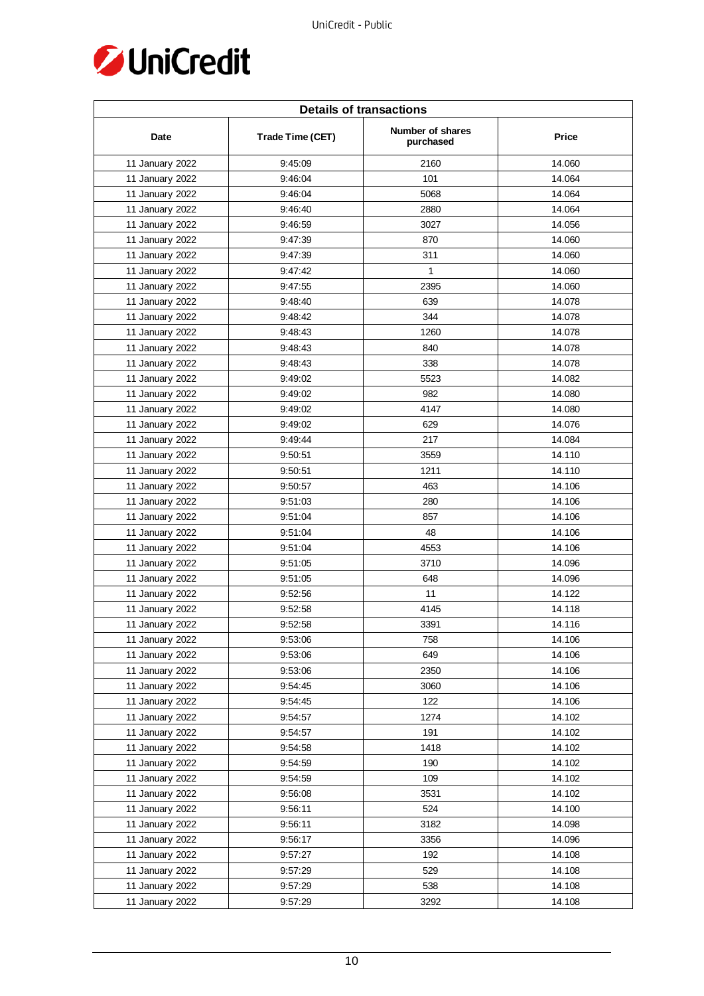

| <b>Details of transactions</b> |                  |                               |              |  |
|--------------------------------|------------------|-------------------------------|--------------|--|
| Date                           | Trade Time (CET) | Number of shares<br>purchased | <b>Price</b> |  |
| 11 January 2022                | 9:45:09          | 2160                          | 14.060       |  |
| 11 January 2022                | 9:46:04          | 101                           | 14.064       |  |
| 11 January 2022                | 9:46:04          | 5068                          | 14.064       |  |
| 11 January 2022                | 9:46:40          | 2880                          | 14.064       |  |
| 11 January 2022                | 9:46:59          | 3027                          | 14.056       |  |
| 11 January 2022                | 9:47:39          | 870                           | 14.060       |  |
| 11 January 2022                | 9:47:39          | 311                           | 14.060       |  |
| 11 January 2022                | 9:47:42          | 1                             | 14.060       |  |
| 11 January 2022                | 9:47:55          | 2395                          | 14.060       |  |
| 11 January 2022                | 9:48:40          | 639                           | 14.078       |  |
| 11 January 2022                | 9:48:42          | 344                           | 14.078       |  |
| 11 January 2022                | 9:48:43          | 1260                          | 14.078       |  |
| 11 January 2022                | 9:48:43          | 840                           | 14.078       |  |
| 11 January 2022                | 9:48:43          | 338                           | 14.078       |  |
| 11 January 2022                | 9:49:02          | 5523                          | 14.082       |  |
| 11 January 2022                | 9:49:02          | 982                           | 14.080       |  |
| 11 January 2022                | 9:49:02          | 4147                          | 14.080       |  |
| 11 January 2022                | 9:49:02          | 629                           | 14.076       |  |
| 11 January 2022                | 9:49:44          | 217                           | 14.084       |  |
| 11 January 2022                | 9:50:51          | 3559                          | 14.110       |  |
| 11 January 2022                | 9:50:51          | 1211                          | 14.110       |  |
| 11 January 2022                | 9:50:57          | 463                           | 14.106       |  |
| 11 January 2022                | 9:51:03          | 280                           | 14.106       |  |
| 11 January 2022                | 9:51:04          | 857                           | 14.106       |  |
| 11 January 2022                | 9:51:04          | 48                            | 14.106       |  |
| 11 January 2022                | 9:51:04          | 4553                          | 14.106       |  |
| 11 January 2022                | 9:51:05          | 3710                          | 14.096       |  |
| 11 January 2022                | 9:51:05          | 648                           | 14.096       |  |
| 11 January 2022                | 9:52:56          | 11                            | 14.122       |  |
| 11 January 2022                | 9:52:58          | 4145                          | 14.118       |  |
| 11 January 2022                | 9:52:58          | 3391                          | 14.116       |  |
| 11 January 2022                | 9:53:06          | 758                           | 14.106       |  |
| 11 January 2022                | 9:53:06          | 649                           | 14.106       |  |
| 11 January 2022                | 9:53:06          | 2350                          | 14.106       |  |
| 11 January 2022                | 9:54:45          | 3060                          | 14.106       |  |
| 11 January 2022                | 9:54:45          | 122                           | 14.106       |  |
| 11 January 2022                | 9:54:57          | 1274                          | 14.102       |  |
| 11 January 2022                | 9:54:57          | 191                           | 14.102       |  |
| 11 January 2022                | 9:54:58          | 1418                          | 14.102       |  |
| 11 January 2022                | 9:54:59          | 190                           | 14.102       |  |
| 11 January 2022                | 9:54:59          | 109                           | 14.102       |  |
| 11 January 2022                | 9:56:08          | 3531                          | 14.102       |  |
| 11 January 2022                | 9:56:11          | 524                           | 14.100       |  |
| 11 January 2022                | 9:56:11          | 3182                          | 14.098       |  |
| 11 January 2022                | 9:56:17          | 3356                          | 14.096       |  |
| 11 January 2022                | 9:57:27          | 192                           | 14.108       |  |
| 11 January 2022                | 9:57:29          | 529                           | 14.108       |  |
| 11 January 2022                | 9:57:29          | 538                           | 14.108       |  |
| 11 January 2022                | 9:57:29          | 3292                          | 14.108       |  |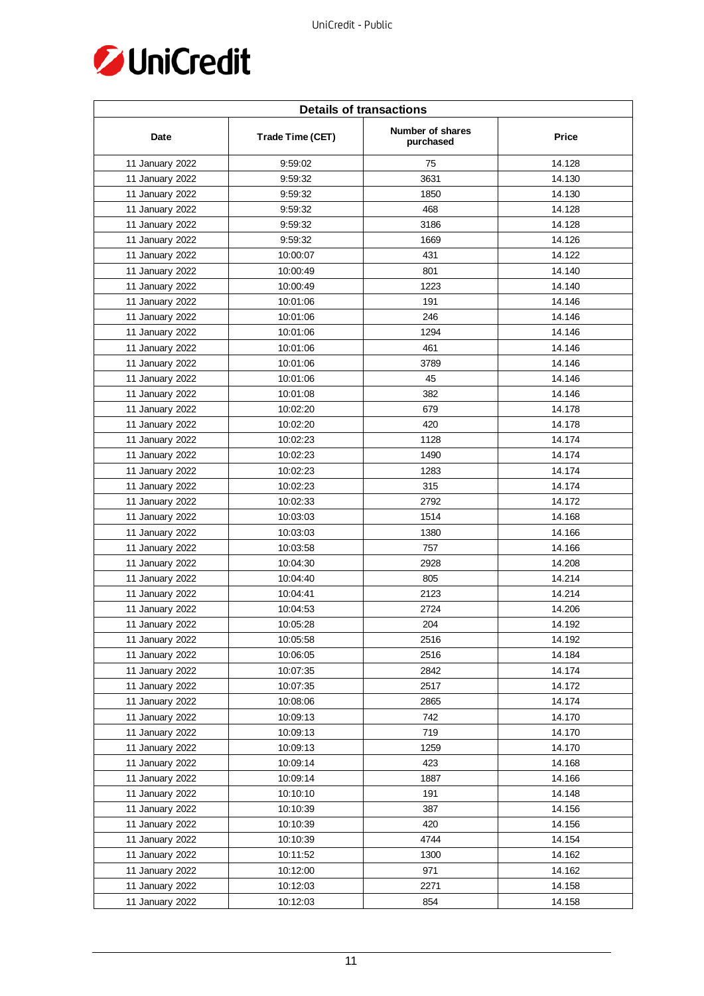

| <b>Details of transactions</b> |                  |                               |              |  |
|--------------------------------|------------------|-------------------------------|--------------|--|
| Date                           | Trade Time (CET) | Number of shares<br>purchased | <b>Price</b> |  |
| 11 January 2022                | 9:59:02          | 75                            | 14.128       |  |
| 11 January 2022                | 9:59:32          | 3631                          | 14.130       |  |
| 11 January 2022                | 9:59:32          | 1850                          | 14.130       |  |
| 11 January 2022                | 9:59:32          | 468                           | 14.128       |  |
| 11 January 2022                | 9:59:32          | 3186                          | 14.128       |  |
| 11 January 2022                | 9:59:32          | 1669                          | 14.126       |  |
| 11 January 2022                | 10:00:07         | 431                           | 14.122       |  |
| 11 January 2022                | 10:00:49         | 801                           | 14.140       |  |
| 11 January 2022                | 10:00:49         | 1223                          | 14.140       |  |
| 11 January 2022                | 10:01:06         | 191                           | 14.146       |  |
| 11 January 2022                | 10:01:06         | 246                           | 14.146       |  |
| 11 January 2022                | 10:01:06         | 1294                          | 14.146       |  |
| 11 January 2022                | 10:01:06         | 461                           | 14.146       |  |
| 11 January 2022                | 10:01:06         | 3789                          | 14.146       |  |
| 11 January 2022                | 10:01:06         | 45                            | 14.146       |  |
| 11 January 2022                | 10:01:08         | 382                           | 14.146       |  |
| 11 January 2022                | 10:02:20         | 679                           | 14.178       |  |
| 11 January 2022                | 10:02:20         | 420                           | 14.178       |  |
| 11 January 2022                | 10:02:23         | 1128                          | 14.174       |  |
| 11 January 2022                | 10:02:23         | 1490                          | 14.174       |  |
| 11 January 2022                | 10:02:23         | 1283                          | 14.174       |  |
| 11 January 2022                | 10:02:23         | 315                           | 14.174       |  |
| 11 January 2022                | 10:02:33         | 2792                          | 14.172       |  |
| 11 January 2022                | 10:03:03         | 1514                          | 14.168       |  |
| 11 January 2022                | 10:03:03         | 1380                          | 14.166       |  |
| 11 January 2022                | 10:03:58         | 757                           | 14.166       |  |
| 11 January 2022                | 10:04:30         | 2928                          | 14.208       |  |
| 11 January 2022                | 10:04:40         | 805                           | 14.214       |  |
| 11 January 2022                | 10:04:41         | 2123                          | 14.214       |  |
| 11 January 2022                | 10:04:53         | 2724                          | 14.206       |  |
| 11 January 2022                | 10:05:28         | 204                           | 14.192       |  |
| 11 January 2022                | 10:05:58         | 2516                          | 14.192       |  |
| 11 January 2022                | 10:06:05         | 2516                          | 14.184       |  |
| 11 January 2022                | 10:07:35         | 2842                          | 14.174       |  |
| 11 January 2022                | 10:07:35         | 2517                          | 14.172       |  |
| 11 January 2022                | 10:08:06         | 2865                          | 14.174       |  |
| 11 January 2022                | 10:09:13         | 742                           | 14.170       |  |
| 11 January 2022                | 10:09:13         | 719                           | 14.170       |  |
| 11 January 2022                | 10:09:13         | 1259                          | 14.170       |  |
| 11 January 2022                | 10:09:14         | 423                           | 14.168       |  |
| 11 January 2022                | 10:09:14         | 1887                          | 14.166       |  |
| 11 January 2022                | 10:10:10         | 191                           | 14.148       |  |
| 11 January 2022                | 10:10:39         | 387                           | 14.156       |  |
| 11 January 2022                | 10:10:39         | 420                           | 14.156       |  |
| 11 January 2022                | 10:10:39         | 4744                          | 14.154       |  |
| 11 January 2022                | 10:11:52         | 1300                          | 14.162       |  |
| 11 January 2022                | 10:12:00         | 971                           | 14.162       |  |
| 11 January 2022                | 10:12:03         | 2271                          | 14.158       |  |
| 11 January 2022                | 10:12:03         | 854                           | 14.158       |  |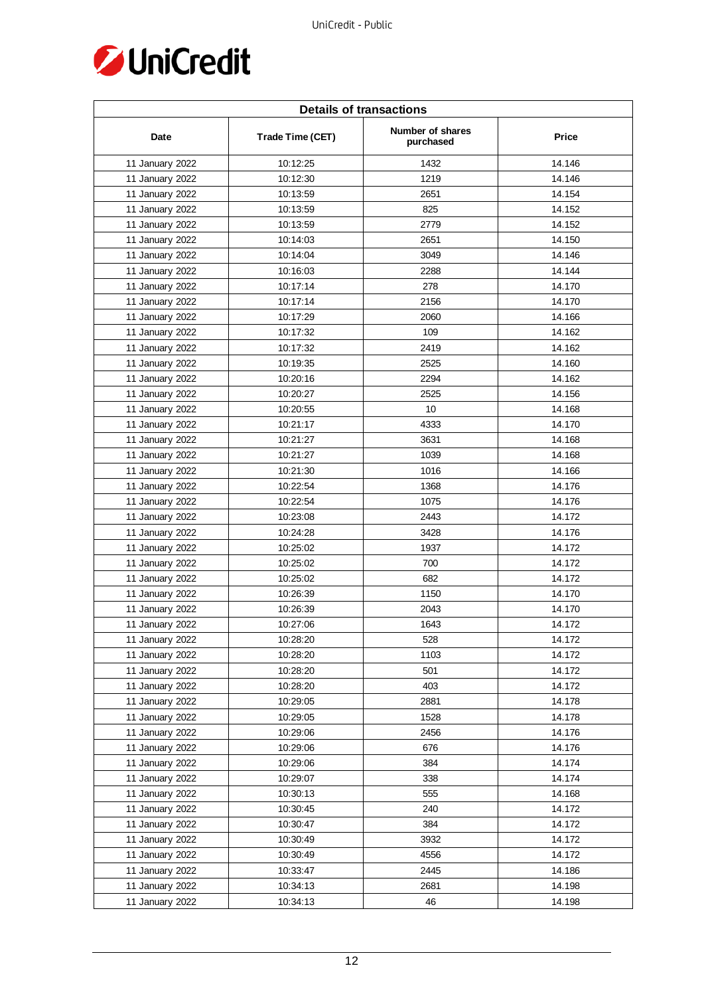

| <b>Details of transactions</b> |                  |                                      |              |  |
|--------------------------------|------------------|--------------------------------------|--------------|--|
| Date                           | Trade Time (CET) | <b>Number of shares</b><br>purchased | <b>Price</b> |  |
| 11 January 2022                | 10:12:25         | 1432                                 | 14.146       |  |
| 11 January 2022                | 10:12:30         | 1219                                 | 14.146       |  |
| 11 January 2022                | 10:13:59         | 2651                                 | 14.154       |  |
| 11 January 2022                | 10:13:59         | 825                                  | 14.152       |  |
| 11 January 2022                | 10:13:59         | 2779                                 | 14.152       |  |
| 11 January 2022                | 10:14:03         | 2651                                 | 14.150       |  |
| 11 January 2022                | 10:14:04         | 3049                                 | 14.146       |  |
| 11 January 2022                | 10:16:03         | 2288                                 | 14.144       |  |
| 11 January 2022                | 10:17:14         | 278                                  | 14.170       |  |
| 11 January 2022                | 10:17:14         | 2156                                 | 14.170       |  |
| 11 January 2022                | 10:17:29         | 2060                                 | 14.166       |  |
| 11 January 2022                | 10:17:32         | 109                                  | 14.162       |  |
| 11 January 2022                | 10:17:32         | 2419                                 | 14.162       |  |
| 11 January 2022                | 10:19:35         | 2525                                 | 14.160       |  |
| 11 January 2022                | 10:20:16         | 2294                                 | 14.162       |  |
| 11 January 2022                | 10:20:27         | 2525                                 | 14.156       |  |
| 11 January 2022                | 10:20:55         | 10                                   | 14.168       |  |
| 11 January 2022                | 10:21:17         | 4333                                 | 14.170       |  |
| 11 January 2022                | 10:21:27         | 3631                                 | 14.168       |  |
| 11 January 2022                | 10:21:27         | 1039                                 | 14.168       |  |
| 11 January 2022                | 10:21:30         | 1016                                 | 14.166       |  |
| 11 January 2022                | 10:22:54         | 1368                                 | 14.176       |  |
| 11 January 2022                | 10:22:54         | 1075                                 | 14.176       |  |
| 11 January 2022                | 10:23:08         | 2443                                 | 14.172       |  |
| 11 January 2022                | 10:24:28         | 3428                                 | 14.176       |  |
| 11 January 2022                | 10:25:02         | 1937                                 | 14.172       |  |
| 11 January 2022                | 10:25:02         | 700                                  | 14.172       |  |
| 11 January 2022                | 10:25:02         | 682                                  | 14.172       |  |
| 11 January 2022                | 10:26:39         | 1150                                 | 14.170       |  |
| 11 January 2022                | 10:26:39         | 2043                                 | 14.170       |  |
| 11 January 2022                | 10:27:06         | 1643                                 | 14.172       |  |
| 11 January 2022                | 10:28:20         | 528                                  | 14.172       |  |
| 11 January 2022                | 10:28:20         | 1103                                 | 14.172       |  |
| 11 January 2022                | 10:28:20         | 501                                  | 14.172       |  |
| 11 January 2022                | 10:28:20         | 403                                  | 14.172       |  |
| 11 January 2022                | 10:29:05         | 2881                                 | 14.178       |  |
| 11 January 2022                | 10:29:05         | 1528                                 | 14.178       |  |
| 11 January 2022                | 10:29:06         | 2456                                 | 14.176       |  |
| 11 January 2022                | 10:29:06         | 676                                  | 14.176       |  |
| 11 January 2022                | 10:29:06         | 384                                  | 14.174       |  |
| 11 January 2022                | 10:29:07         | 338                                  | 14.174       |  |
| 11 January 2022                | 10:30:13         | 555                                  | 14.168       |  |
| 11 January 2022                | 10:30:45         | 240                                  | 14.172       |  |
| 11 January 2022                | 10:30:47         | 384                                  | 14.172       |  |
| 11 January 2022                | 10:30:49         | 3932                                 | 14.172       |  |
| 11 January 2022                | 10:30:49         | 4556                                 | 14.172       |  |
| 11 January 2022                | 10:33:47         | 2445                                 | 14.186       |  |
| 11 January 2022                | 10:34:13         | 2681                                 | 14.198       |  |
| 11 January 2022                | 10:34:13         | 46                                   | 14.198       |  |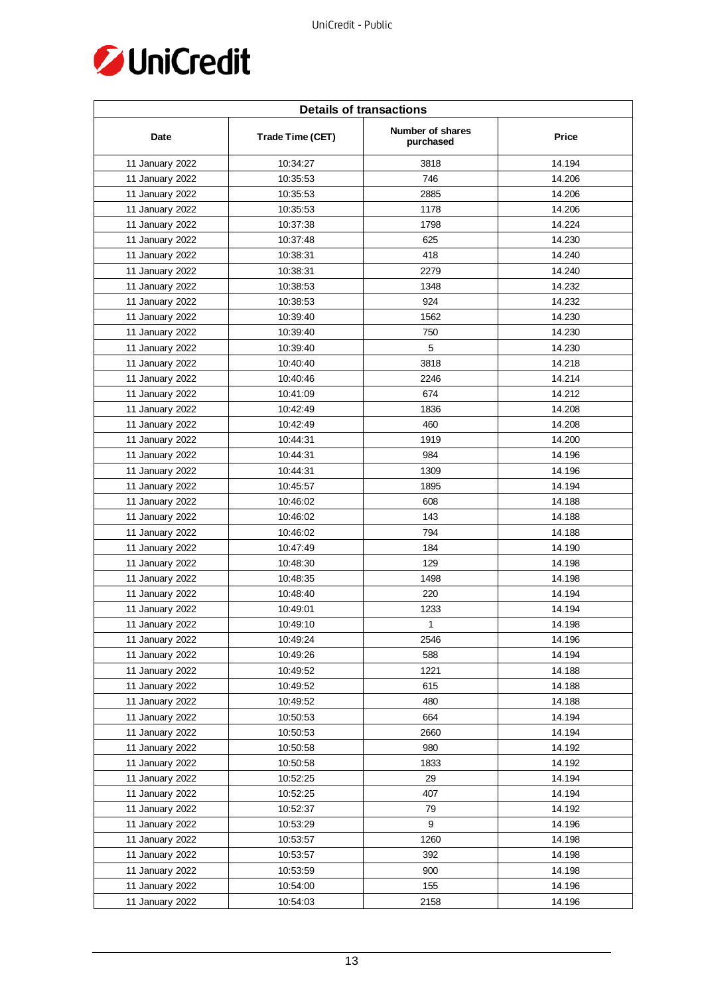

| <b>Details of transactions</b> |                  |                               |        |  |
|--------------------------------|------------------|-------------------------------|--------|--|
| Date                           | Trade Time (CET) | Number of shares<br>purchased | Price  |  |
| 11 January 2022                | 10:34:27         | 3818                          | 14.194 |  |
| 11 January 2022                | 10:35:53         | 746                           | 14.206 |  |
| 11 January 2022                | 10:35:53         | 2885                          | 14.206 |  |
| 11 January 2022                | 10:35:53         | 1178                          | 14.206 |  |
| 11 January 2022                | 10:37:38         | 1798                          | 14.224 |  |
| 11 January 2022                | 10:37:48         | 625                           | 14.230 |  |
| 11 January 2022                | 10:38:31         | 418                           | 14.240 |  |
| 11 January 2022                | 10:38:31         | 2279                          | 14.240 |  |
| 11 January 2022                | 10:38:53         | 1348                          | 14.232 |  |
| 11 January 2022                | 10:38:53         | 924                           | 14.232 |  |
| 11 January 2022                | 10:39:40         | 1562                          | 14.230 |  |
| 11 January 2022                | 10:39:40         | 750                           | 14.230 |  |
| 11 January 2022                | 10:39:40         | 5                             | 14.230 |  |
| 11 January 2022                | 10:40:40         | 3818                          | 14.218 |  |
| 11 January 2022                | 10:40:46         | 2246                          | 14.214 |  |
| 11 January 2022                | 10:41:09         | 674                           | 14.212 |  |
| 11 January 2022                | 10:42:49         | 1836                          | 14.208 |  |
| 11 January 2022                | 10:42:49         | 460                           | 14.208 |  |
| 11 January 2022                | 10:44:31         | 1919                          | 14.200 |  |
| 11 January 2022                | 10:44:31         | 984                           | 14.196 |  |
| 11 January 2022                | 10:44:31         | 1309                          | 14.196 |  |
| 11 January 2022                | 10:45:57         | 1895                          | 14.194 |  |
| 11 January 2022                | 10:46:02         | 608                           | 14.188 |  |
| 11 January 2022                | 10:46:02         | 143                           | 14.188 |  |
| 11 January 2022                | 10:46:02         | 794                           | 14.188 |  |
| 11 January 2022                | 10:47:49         | 184                           | 14.190 |  |
| 11 January 2022                | 10:48:30         | 129                           | 14.198 |  |
| 11 January 2022                | 10:48:35         | 1498                          | 14.198 |  |
| 11 January 2022                | 10:48:40         | 220                           | 14.194 |  |
| 11 January 2022                | 10:49:01         | 1233                          | 14.194 |  |
| 11 January 2022                | 10:49:10         | $\mathbf{1}$                  | 14.198 |  |
| 11 January 2022                | 10:49:24         | 2546                          | 14.196 |  |
| 11 January 2022                | 10:49:26         | 588                           | 14.194 |  |
| 11 January 2022                | 10:49:52         | 1221                          | 14.188 |  |
| 11 January 2022                | 10:49:52         | 615                           | 14.188 |  |
| 11 January 2022                | 10:49:52         | 480                           | 14.188 |  |
| 11 January 2022                | 10:50:53         | 664                           | 14.194 |  |
| 11 January 2022                | 10:50:53         | 2660                          | 14.194 |  |
| 11 January 2022                | 10:50:58         | 980                           | 14.192 |  |
| 11 January 2022                | 10:50:58         | 1833                          | 14.192 |  |
| 11 January 2022                | 10:52:25         | 29                            | 14.194 |  |
| 11 January 2022                | 10:52:25         | 407                           | 14.194 |  |
| 11 January 2022                | 10:52:37         | 79                            | 14.192 |  |
| 11 January 2022                | 10:53:29         | 9                             | 14.196 |  |
| 11 January 2022                | 10:53:57         | 1260                          | 14.198 |  |
| 11 January 2022                | 10:53:57         | 392                           | 14.198 |  |
| 11 January 2022                | 10:53:59         | 900                           | 14.198 |  |
| 11 January 2022                | 10:54:00         | 155                           | 14.196 |  |
| 11 January 2022                | 10:54:03         | 2158                          | 14.196 |  |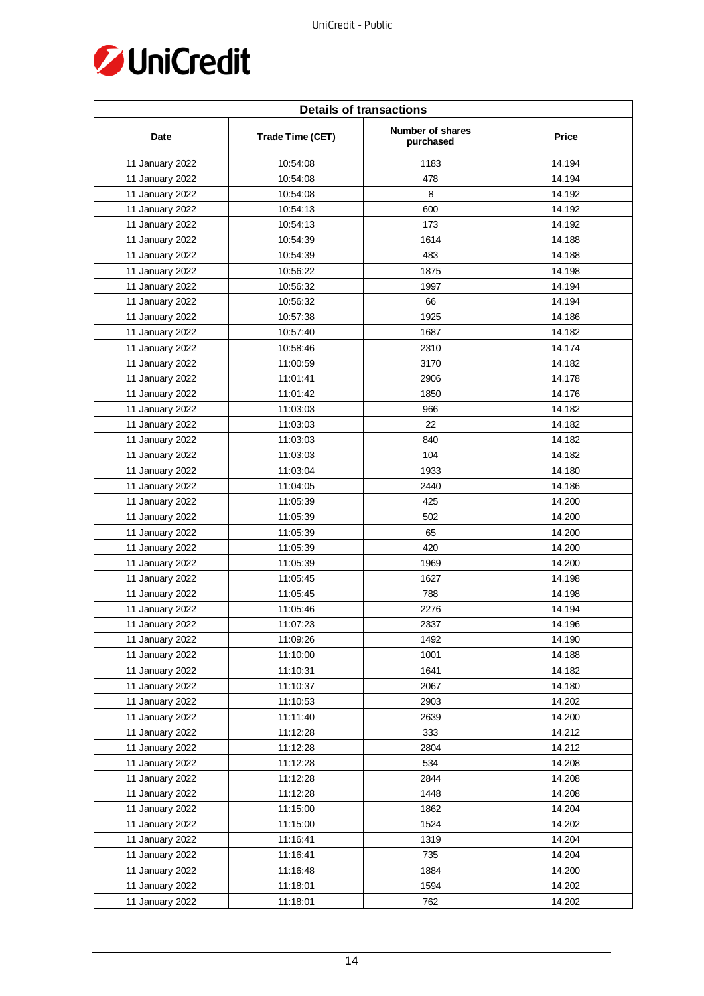

| <b>Details of transactions</b> |                  |                               |              |  |
|--------------------------------|------------------|-------------------------------|--------------|--|
| Date                           | Trade Time (CET) | Number of shares<br>purchased | <b>Price</b> |  |
| 11 January 2022                | 10:54:08         | 1183                          | 14.194       |  |
| 11 January 2022                | 10:54:08         | 478                           | 14.194       |  |
| 11 January 2022                | 10:54:08         | 8                             | 14.192       |  |
| 11 January 2022                | 10:54:13         | 600                           | 14.192       |  |
| 11 January 2022                | 10:54:13         | 173                           | 14.192       |  |
| 11 January 2022                | 10:54:39         | 1614                          | 14.188       |  |
| 11 January 2022                | 10:54:39         | 483                           | 14.188       |  |
| 11 January 2022                | 10:56:22         | 1875                          | 14.198       |  |
| 11 January 2022                | 10:56:32         | 1997                          | 14.194       |  |
| 11 January 2022                | 10:56:32         | 66                            | 14.194       |  |
| 11 January 2022                | 10:57:38         | 1925                          | 14.186       |  |
| 11 January 2022                | 10:57:40         | 1687                          | 14.182       |  |
| 11 January 2022                | 10:58:46         | 2310                          | 14.174       |  |
| 11 January 2022                | 11:00:59         | 3170                          | 14.182       |  |
| 11 January 2022                | 11:01:41         | 2906                          | 14.178       |  |
| 11 January 2022                | 11:01:42         | 1850                          | 14.176       |  |
| 11 January 2022                | 11:03:03         | 966                           | 14.182       |  |
| 11 January 2022                | 11:03:03         | 22                            | 14.182       |  |
| 11 January 2022                | 11:03:03         | 840                           | 14.182       |  |
| 11 January 2022                | 11:03:03         | 104                           | 14.182       |  |
| 11 January 2022                | 11:03:04         | 1933                          | 14.180       |  |
| 11 January 2022                | 11:04:05         | 2440                          | 14.186       |  |
| 11 January 2022                | 11:05:39         | 425                           | 14.200       |  |
| 11 January 2022                | 11:05:39         | 502                           | 14.200       |  |
| 11 January 2022                | 11:05:39         | 65                            | 14.200       |  |
| 11 January 2022                | 11:05:39         | 420                           | 14.200       |  |
| 11 January 2022                | 11:05:39         | 1969                          | 14.200       |  |
| 11 January 2022                | 11:05:45         | 1627                          | 14.198       |  |
| 11 January 2022                | 11:05:45         | 788                           | 14.198       |  |
| 11 January 2022                | 11:05:46         | 2276                          | 14.194       |  |
| 11 January 2022                | 11:07:23         | 2337                          | 14.196       |  |
| 11 January 2022                | 11:09:26         | 1492                          | 14.190       |  |
| 11 January 2022                | 11:10:00         | 1001                          | 14.188       |  |
| 11 January 2022                | 11:10:31         | 1641                          | 14.182       |  |
| 11 January 2022                | 11:10:37         | 2067                          | 14.180       |  |
| 11 January 2022                | 11:10:53         | 2903                          | 14.202       |  |
| 11 January 2022                | 11:11:40         | 2639                          | 14.200       |  |
| 11 January 2022                | 11:12:28         | 333                           | 14.212       |  |
| 11 January 2022                | 11:12:28         | 2804                          | 14.212       |  |
| 11 January 2022                | 11:12:28         | 534                           | 14.208       |  |
| 11 January 2022                | 11:12:28         | 2844                          | 14.208       |  |
| 11 January 2022                | 11:12:28         | 1448                          | 14.208       |  |
| 11 January 2022                | 11:15:00         | 1862                          | 14.204       |  |
| 11 January 2022                | 11:15:00         | 1524                          | 14.202       |  |
| 11 January 2022                | 11:16:41         | 1319                          | 14.204       |  |
| 11 January 2022                | 11:16:41         | 735                           | 14.204       |  |
| 11 January 2022                | 11:16:48         | 1884                          | 14.200       |  |
| 11 January 2022                | 11:18:01         | 1594                          | 14.202       |  |
| 11 January 2022                | 11:18:01         | 762                           | 14.202       |  |
|                                |                  |                               |              |  |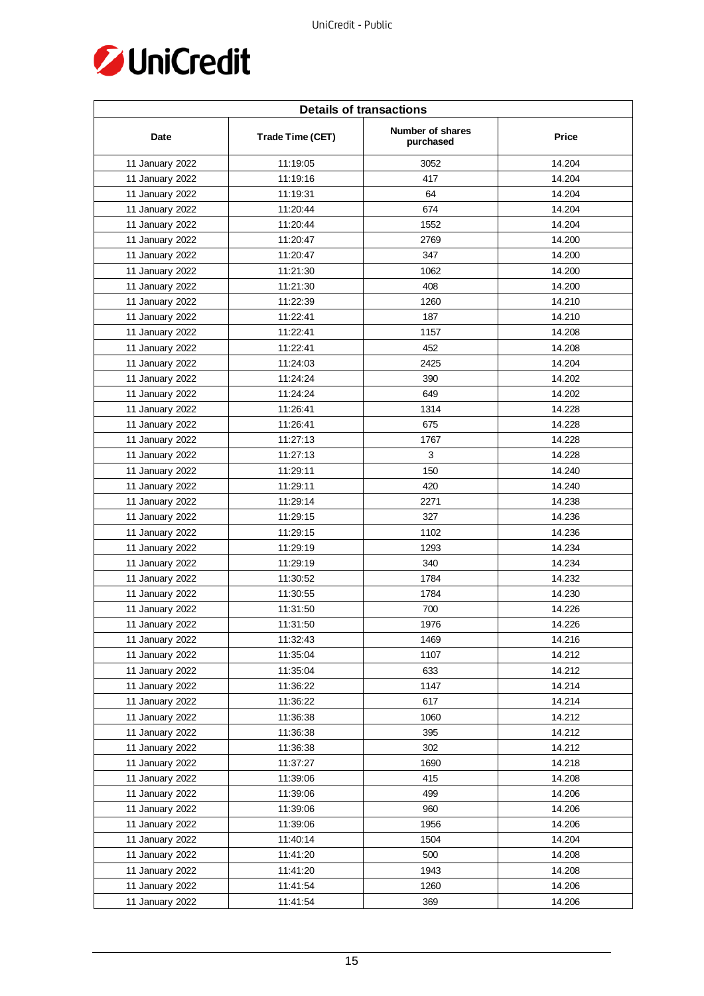

| <b>Details of transactions</b> |                  |                               |              |  |
|--------------------------------|------------------|-------------------------------|--------------|--|
| Date                           | Trade Time (CET) | Number of shares<br>purchased | <b>Price</b> |  |
| 11 January 2022                | 11:19:05         | 3052                          | 14.204       |  |
| 11 January 2022                | 11:19:16         | 417                           | 14.204       |  |
| 11 January 2022                | 11:19:31         | 64                            | 14.204       |  |
| 11 January 2022                | 11:20:44         | 674                           | 14.204       |  |
| 11 January 2022                | 11:20:44         | 1552                          | 14.204       |  |
| 11 January 2022                | 11:20:47         | 2769                          | 14.200       |  |
| 11 January 2022                | 11:20:47         | 347                           | 14.200       |  |
| 11 January 2022                | 11:21:30         | 1062                          | 14.200       |  |
| 11 January 2022                | 11:21:30         | 408                           | 14.200       |  |
| 11 January 2022                | 11:22:39         | 1260                          | 14.210       |  |
| 11 January 2022                | 11:22:41         | 187                           | 14.210       |  |
| 11 January 2022                | 11:22:41         | 1157                          | 14.208       |  |
| 11 January 2022                | 11:22:41         | 452                           | 14.208       |  |
| 11 January 2022                | 11:24:03         | 2425                          | 14.204       |  |
| 11 January 2022                | 11:24:24         | 390                           | 14.202       |  |
| 11 January 2022                | 11:24:24         | 649                           | 14.202       |  |
| 11 January 2022                | 11:26:41         | 1314                          | 14.228       |  |
| 11 January 2022                | 11:26:41         | 675                           | 14.228       |  |
| 11 January 2022                | 11:27:13         | 1767                          | 14.228       |  |
| 11 January 2022                | 11:27:13         | 3                             | 14.228       |  |
| 11 January 2022                | 11:29:11         | 150                           | 14.240       |  |
| 11 January 2022                | 11:29:11         | 420                           | 14.240       |  |
| 11 January 2022                | 11:29:14         | 2271                          | 14.238       |  |
| 11 January 2022                | 11:29:15         | 327                           | 14.236       |  |
| 11 January 2022                | 11:29:15         | 1102                          | 14.236       |  |
| 11 January 2022                | 11:29:19         | 1293                          | 14.234       |  |
| 11 January 2022                | 11:29:19         | 340                           | 14.234       |  |
| 11 January 2022                | 11:30:52         | 1784                          | 14.232       |  |
| 11 January 2022                | 11:30:55         | 1784                          | 14.230       |  |
| 11 January 2022                | 11:31:50         | 700                           | 14.226       |  |
| 11 January 2022                | 11:31:50         | 1976                          | 14.226       |  |
| 11 January 2022                | 11:32:43         | 1469                          | 14.216       |  |
| 11 January 2022                | 11:35:04         | 1107                          | 14.212       |  |
| 11 January 2022                | 11:35:04         | 633                           | 14.212       |  |
| 11 January 2022                | 11:36:22         | 1147                          | 14.214       |  |
| 11 January 2022                | 11:36:22         | 617                           | 14.214       |  |
| 11 January 2022                | 11:36:38         | 1060                          | 14.212       |  |
| 11 January 2022                | 11:36:38         | 395                           | 14.212       |  |
| 11 January 2022                | 11:36:38         | 302                           | 14.212       |  |
| 11 January 2022                | 11:37:27         | 1690                          | 14.218       |  |
| 11 January 2022                | 11:39:06         | 415                           | 14.208       |  |
| 11 January 2022                | 11:39:06         | 499                           | 14.206       |  |
| 11 January 2022                | 11:39:06         | 960                           | 14.206       |  |
| 11 January 2022                | 11:39:06         | 1956                          | 14.206       |  |
| 11 January 2022                | 11:40:14         | 1504                          | 14.204       |  |
| 11 January 2022                | 11:41:20         | 500                           | 14.208       |  |
| 11 January 2022                | 11:41:20         | 1943                          | 14.208       |  |
| 11 January 2022                | 11:41:54         | 1260                          | 14.206       |  |
| 11 January 2022                | 11:41:54         | 369                           | 14.206       |  |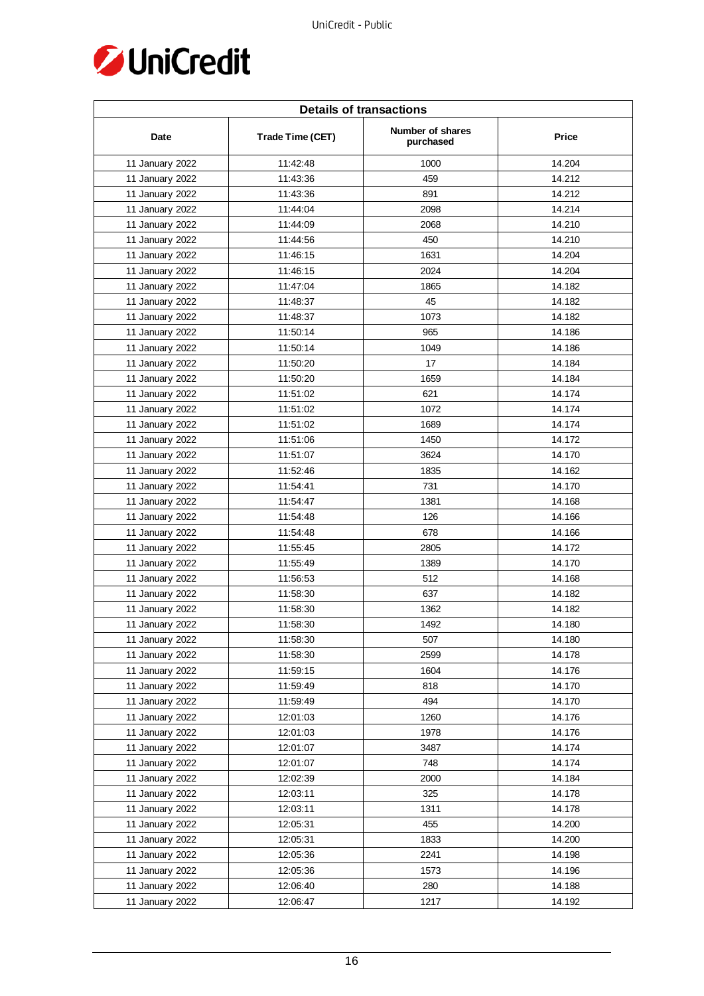

| <b>Details of transactions</b> |                  |                               |        |  |
|--------------------------------|------------------|-------------------------------|--------|--|
| Date                           | Trade Time (CET) | Number of shares<br>purchased | Price  |  |
| 11 January 2022                | 11:42:48         | 1000                          | 14.204 |  |
| 11 January 2022                | 11:43:36         | 459                           | 14.212 |  |
| 11 January 2022                | 11:43:36         | 891                           | 14.212 |  |
| 11 January 2022                | 11:44:04         | 2098                          | 14.214 |  |
| 11 January 2022                | 11:44:09         | 2068                          | 14.210 |  |
| 11 January 2022                | 11:44:56         | 450                           | 14.210 |  |
| 11 January 2022                | 11:46:15         | 1631                          | 14.204 |  |
| 11 January 2022                | 11:46:15         | 2024                          | 14.204 |  |
| 11 January 2022                | 11:47:04         | 1865                          | 14.182 |  |
| 11 January 2022                | 11:48:37         | 45                            | 14.182 |  |
| 11 January 2022                | 11:48:37         | 1073                          | 14.182 |  |
| 11 January 2022                | 11:50:14         | 965                           | 14.186 |  |
| 11 January 2022                | 11:50:14         | 1049                          | 14.186 |  |
| 11 January 2022                | 11:50:20         | 17                            | 14.184 |  |
| 11 January 2022                | 11:50:20         | 1659                          | 14.184 |  |
| 11 January 2022                | 11:51:02         | 621                           | 14.174 |  |
| 11 January 2022                | 11:51:02         | 1072                          | 14.174 |  |
| 11 January 2022                | 11:51:02         | 1689                          | 14.174 |  |
| 11 January 2022                | 11:51:06         | 1450                          | 14.172 |  |
| 11 January 2022                | 11:51:07         | 3624                          | 14.170 |  |
| 11 January 2022                | 11:52:46         | 1835                          | 14.162 |  |
| 11 January 2022                | 11:54:41         | 731                           | 14.170 |  |
| 11 January 2022                | 11:54:47         | 1381                          | 14.168 |  |
| 11 January 2022                | 11:54:48         | 126                           | 14.166 |  |
| 11 January 2022                | 11:54:48         | 678                           | 14.166 |  |
| 11 January 2022                | 11:55:45         | 2805                          | 14.172 |  |
| 11 January 2022                | 11:55:49         | 1389                          | 14.170 |  |
| 11 January 2022                | 11:56:53         | 512                           | 14.168 |  |
| 11 January 2022                | 11:58:30         | 637                           | 14.182 |  |
| 11 January 2022                | 11:58:30         | 1362                          | 14.182 |  |
| 11 January 2022                | 11:58:30         | 1492                          | 14.180 |  |
| 11 January 2022                | 11:58:30         | 507                           | 14.180 |  |
| 11 January 2022                | 11:58:30         | 2599                          | 14.178 |  |
| 11 January 2022                | 11:59:15         | 1604                          | 14.176 |  |
| 11 January 2022                | 11:59:49         | 818                           | 14.170 |  |
| 11 January 2022                | 11:59:49         | 494                           | 14.170 |  |
| 11 January 2022                | 12:01:03         | 1260                          | 14.176 |  |
| 11 January 2022                | 12:01:03         | 1978                          | 14.176 |  |
| 11 January 2022                | 12:01:07         | 3487                          | 14.174 |  |
| 11 January 2022                | 12:01:07         | 748                           | 14.174 |  |
| 11 January 2022                | 12:02:39         | 2000                          | 14.184 |  |
| 11 January 2022                | 12:03:11         | 325                           | 14.178 |  |
| 11 January 2022                | 12:03:11         | 1311                          | 14.178 |  |
| 11 January 2022                | 12:05:31         | 455                           | 14.200 |  |
| 11 January 2022                | 12:05:31         | 1833                          | 14.200 |  |
| 11 January 2022                | 12:05:36         | 2241                          | 14.198 |  |
| 11 January 2022                | 12:05:36         | 1573                          | 14.196 |  |
| 11 January 2022                | 12:06:40         | 280                           | 14.188 |  |
| 11 January 2022                | 12:06:47         | 1217                          | 14.192 |  |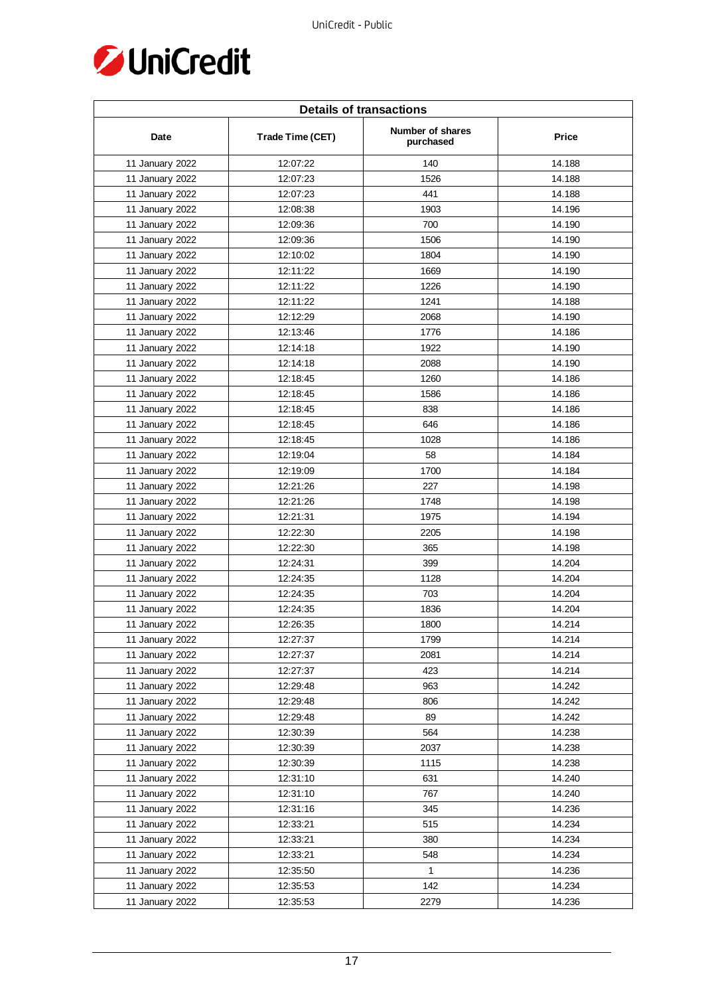

| <b>Details of transactions</b> |                  |                               |              |  |
|--------------------------------|------------------|-------------------------------|--------------|--|
| Date                           | Trade Time (CET) | Number of shares<br>purchased | <b>Price</b> |  |
| 11 January 2022                | 12:07:22         | 140                           | 14.188       |  |
| 11 January 2022                | 12:07:23         | 1526                          | 14.188       |  |
| 11 January 2022                | 12:07:23         | 441                           | 14.188       |  |
| 11 January 2022                | 12:08:38         | 1903                          | 14.196       |  |
| 11 January 2022                | 12:09:36         | 700                           | 14.190       |  |
| 11 January 2022                | 12:09:36         | 1506                          | 14.190       |  |
| 11 January 2022                | 12:10:02         | 1804                          | 14.190       |  |
| 11 January 2022                | 12:11:22         | 1669                          | 14.190       |  |
| 11 January 2022                | 12:11:22         | 1226                          | 14.190       |  |
| 11 January 2022                | 12:11:22         | 1241                          | 14.188       |  |
| 11 January 2022                | 12:12:29         | 2068                          | 14.190       |  |
| 11 January 2022                | 12:13:46         | 1776                          | 14.186       |  |
| 11 January 2022                | 12:14:18         | 1922                          | 14.190       |  |
| 11 January 2022                | 12:14:18         | 2088                          | 14.190       |  |
| 11 January 2022                | 12:18:45         | 1260                          | 14.186       |  |
| 11 January 2022                | 12:18:45         | 1586                          | 14.186       |  |
| 11 January 2022                | 12:18:45         | 838                           | 14.186       |  |
| 11 January 2022                | 12:18:45         | 646                           | 14.186       |  |
| 11 January 2022                | 12:18:45         | 1028                          | 14.186       |  |
| 11 January 2022                | 12:19:04         | 58                            | 14.184       |  |
| 11 January 2022                | 12:19:09         | 1700                          | 14.184       |  |
| 11 January 2022                | 12:21:26         | 227                           | 14.198       |  |
| 11 January 2022                | 12:21:26         | 1748                          | 14.198       |  |
| 11 January 2022                | 12:21:31         | 1975                          | 14.194       |  |
| 11 January 2022                | 12:22:30         | 2205                          | 14.198       |  |
| 11 January 2022                | 12:22:30         | 365                           | 14.198       |  |
| 11 January 2022                | 12:24:31         | 399                           | 14.204       |  |
| 11 January 2022                | 12:24:35         | 1128                          | 14.204       |  |
| 11 January 2022                | 12:24:35         | 703                           | 14.204       |  |
| 11 January 2022                | 12:24:35         | 1836                          | 14.204       |  |
| 11 January 2022                | 12:26:35         | 1800                          | 14.214       |  |
| 11 January 2022                | 12:27:37         | 1799                          | 14.214       |  |
| 11 January 2022                | 12:27:37         | 2081                          | 14.214       |  |
| 11 January 2022                | 12:27:37         | 423                           | 14.214       |  |
| 11 January 2022                | 12:29:48         | 963                           | 14.242       |  |
| 11 January 2022                | 12:29:48         | 806                           | 14.242       |  |
| 11 January 2022                | 12:29:48         | 89                            | 14.242       |  |
| 11 January 2022                | 12:30:39         | 564                           | 14.238       |  |
| 11 January 2022                | 12:30:39         | 2037                          | 14.238       |  |
| 11 January 2022                | 12:30:39         | 1115                          | 14.238       |  |
| 11 January 2022                | 12:31:10         | 631                           | 14.240       |  |
| 11 January 2022                | 12:31:10         | 767                           | 14.240       |  |
| 11 January 2022                | 12:31:16         | 345                           | 14.236       |  |
| 11 January 2022                | 12:33:21         | 515                           | 14.234       |  |
| 11 January 2022                | 12:33:21         | 380                           | 14.234       |  |
| 11 January 2022                | 12:33:21         | 548                           | 14.234       |  |
| 11 January 2022                | 12:35:50         | $\mathbf{1}$                  | 14.236       |  |
| 11 January 2022                | 12:35:53         | 142                           | 14.234       |  |
| 11 January 2022                | 12:35:53         | 2279                          | 14.236       |  |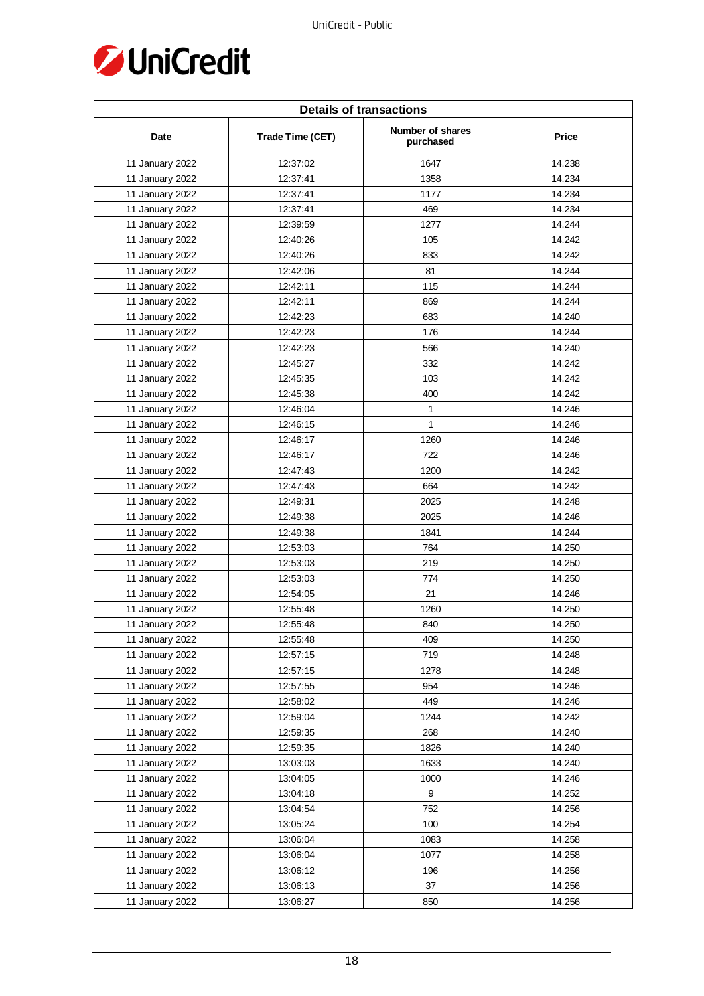

| <b>Details of transactions</b> |                  |                               |        |  |
|--------------------------------|------------------|-------------------------------|--------|--|
| Date                           | Trade Time (CET) | Number of shares<br>purchased | Price  |  |
| 11 January 2022                | 12:37:02         | 1647                          | 14.238 |  |
| 11 January 2022                | 12:37:41         | 1358                          | 14.234 |  |
| 11 January 2022                | 12:37:41         | 1177                          | 14.234 |  |
| 11 January 2022                | 12:37:41         | 469                           | 14.234 |  |
| 11 January 2022                | 12:39:59         | 1277                          | 14.244 |  |
| 11 January 2022                | 12:40:26         | 105                           | 14.242 |  |
| 11 January 2022                | 12:40:26         | 833                           | 14.242 |  |
| 11 January 2022                | 12:42:06         | 81                            | 14.244 |  |
| 11 January 2022                | 12:42:11         | 115                           | 14.244 |  |
| 11 January 2022                | 12:42:11         | 869                           | 14.244 |  |
| 11 January 2022                | 12:42:23         | 683                           | 14.240 |  |
| 11 January 2022                | 12:42:23         | 176                           | 14.244 |  |
| 11 January 2022                | 12:42:23         | 566                           | 14.240 |  |
| 11 January 2022                | 12:45:27         | 332                           | 14.242 |  |
| 11 January 2022                | 12:45:35         | 103                           | 14.242 |  |
| 11 January 2022                | 12:45:38         | 400                           | 14.242 |  |
| 11 January 2022                | 12:46:04         | 1                             | 14.246 |  |
| 11 January 2022                | 12:46:15         | $\mathbf{1}$                  | 14.246 |  |
| 11 January 2022                | 12:46:17         | 1260                          | 14.246 |  |
| 11 January 2022                | 12:46:17         | 722                           | 14.246 |  |
| 11 January 2022                | 12:47:43         | 1200                          | 14.242 |  |
| 11 January 2022                | 12:47:43         | 664                           | 14.242 |  |
| 11 January 2022                | 12:49:31         | 2025                          | 14.248 |  |
| 11 January 2022                | 12:49:38         | 2025                          | 14.246 |  |
| 11 January 2022                | 12:49:38         | 1841                          | 14.244 |  |
| 11 January 2022                | 12:53:03         | 764                           | 14.250 |  |
| 11 January 2022                | 12:53:03         | 219                           | 14.250 |  |
| 11 January 2022                | 12:53:03         | 774                           | 14.250 |  |
| 11 January 2022                | 12:54:05         | 21                            | 14.246 |  |
| 11 January 2022                | 12:55:48         | 1260                          | 14.250 |  |
| 11 January 2022                | 12:55:48         | 840                           | 14.250 |  |
| 11 January 2022                | 12:55:48         | 409                           | 14.250 |  |
| 11 January 2022                | 12:57:15         | 719                           | 14.248 |  |
| 11 January 2022                | 12:57:15         | 1278                          | 14.248 |  |
| 11 January 2022                | 12:57:55         | 954                           | 14.246 |  |
| 11 January 2022                | 12:58:02         | 449                           | 14.246 |  |
| 11 January 2022                | 12:59:04         | 1244                          | 14.242 |  |
| 11 January 2022                | 12:59:35         | 268                           | 14.240 |  |
| 11 January 2022                | 12:59:35         | 1826                          | 14.240 |  |
| 11 January 2022                | 13:03:03         | 1633                          | 14.240 |  |
| 11 January 2022                | 13:04:05         | 1000                          | 14.246 |  |
| 11 January 2022                | 13:04:18         | 9                             | 14.252 |  |
| 11 January 2022                | 13:04:54         | 752                           | 14.256 |  |
| 11 January 2022                | 13:05:24         | 100                           | 14.254 |  |
| 11 January 2022                | 13:06:04         | 1083                          | 14.258 |  |
| 11 January 2022                | 13:06:04         | 1077                          | 14.258 |  |
| 11 January 2022                | 13:06:12         | 196                           | 14.256 |  |
| 11 January 2022                | 13:06:13         | 37                            | 14.256 |  |
| 11 January 2022                | 13:06:27         | 850                           | 14.256 |  |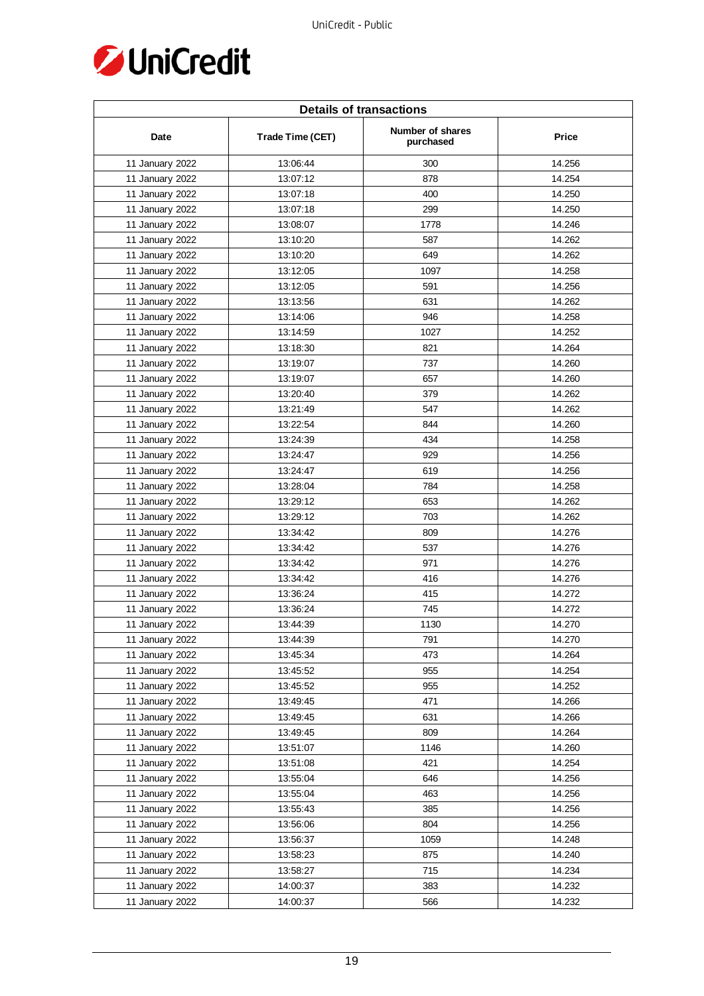

| <b>Details of transactions</b> |                  |                               |        |  |
|--------------------------------|------------------|-------------------------------|--------|--|
| Date                           | Trade Time (CET) | Number of shares<br>purchased | Price  |  |
| 11 January 2022                | 13:06:44         | 300                           | 14.256 |  |
| 11 January 2022                | 13:07:12         | 878                           | 14.254 |  |
| 11 January 2022                | 13:07:18         | 400                           | 14.250 |  |
| 11 January 2022                | 13:07:18         | 299                           | 14.250 |  |
| 11 January 2022                | 13:08:07         | 1778                          | 14.246 |  |
| 11 January 2022                | 13:10:20         | 587                           | 14.262 |  |
| 11 January 2022                | 13:10:20         | 649                           | 14.262 |  |
| 11 January 2022                | 13:12:05         | 1097                          | 14.258 |  |
| 11 January 2022                | 13:12:05         | 591                           | 14.256 |  |
| 11 January 2022                | 13:13:56         | 631                           | 14.262 |  |
| 11 January 2022                | 13:14:06         | 946                           | 14.258 |  |
| 11 January 2022                | 13:14:59         | 1027                          | 14.252 |  |
| 11 January 2022                | 13:18:30         | 821                           | 14.264 |  |
| 11 January 2022                | 13:19:07         | 737                           | 14.260 |  |
| 11 January 2022                | 13:19:07         | 657                           | 14.260 |  |
| 11 January 2022                | 13:20:40         | 379                           | 14.262 |  |
| 11 January 2022                | 13:21:49         | 547                           | 14.262 |  |
| 11 January 2022                | 13:22:54         | 844                           | 14.260 |  |
| 11 January 2022                | 13:24:39         | 434                           | 14.258 |  |
| 11 January 2022                | 13:24:47         | 929                           | 14.256 |  |
| 11 January 2022                | 13:24:47         | 619                           | 14.256 |  |
| 11 January 2022                | 13:28:04         | 784                           | 14.258 |  |
| 11 January 2022                | 13:29:12         | 653                           | 14.262 |  |
| 11 January 2022                | 13:29:12         | 703                           | 14.262 |  |
| 11 January 2022                | 13:34:42         | 809                           | 14.276 |  |
| 11 January 2022                | 13:34:42         | 537                           | 14.276 |  |
| 11 January 2022                | 13:34:42         | 971                           | 14.276 |  |
| 11 January 2022                | 13:34:42         | 416                           | 14.276 |  |
| 11 January 2022                | 13:36:24         | 415                           | 14.272 |  |
| 11 January 2022                | 13:36:24         | 745                           | 14.272 |  |
| 11 January 2022                | 13:44:39         | 1130                          | 14.270 |  |
| 11 January 2022                | 13:44:39         | 791                           | 14.270 |  |
| 11 January 2022                | 13:45:34         | 473                           | 14.264 |  |
| 11 January 2022                | 13:45:52         | 955                           | 14.254 |  |
| 11 January 2022                | 13:45:52         | 955                           | 14.252 |  |
| 11 January 2022                | 13:49:45         | 471                           | 14.266 |  |
| 11 January 2022                | 13:49:45         | 631                           | 14.266 |  |
| 11 January 2022                | 13:49:45         | 809                           | 14.264 |  |
| 11 January 2022                | 13:51:07         | 1146                          | 14.260 |  |
| 11 January 2022                | 13:51:08         | 421                           | 14.254 |  |
| 11 January 2022                | 13:55:04         | 646                           | 14.256 |  |
| 11 January 2022                | 13:55:04         | 463                           | 14.256 |  |
| 11 January 2022                | 13:55:43         | 385                           | 14.256 |  |
| 11 January 2022                | 13:56:06         | 804                           | 14.256 |  |
| 11 January 2022                | 13:56:37         | 1059                          | 14.248 |  |
| 11 January 2022                | 13:58:23         | 875                           | 14.240 |  |
| 11 January 2022                | 13:58:27         | 715                           | 14.234 |  |
| 11 January 2022                | 14:00:37         | 383                           | 14.232 |  |
| 11 January 2022                | 14:00:37         | 566                           | 14.232 |  |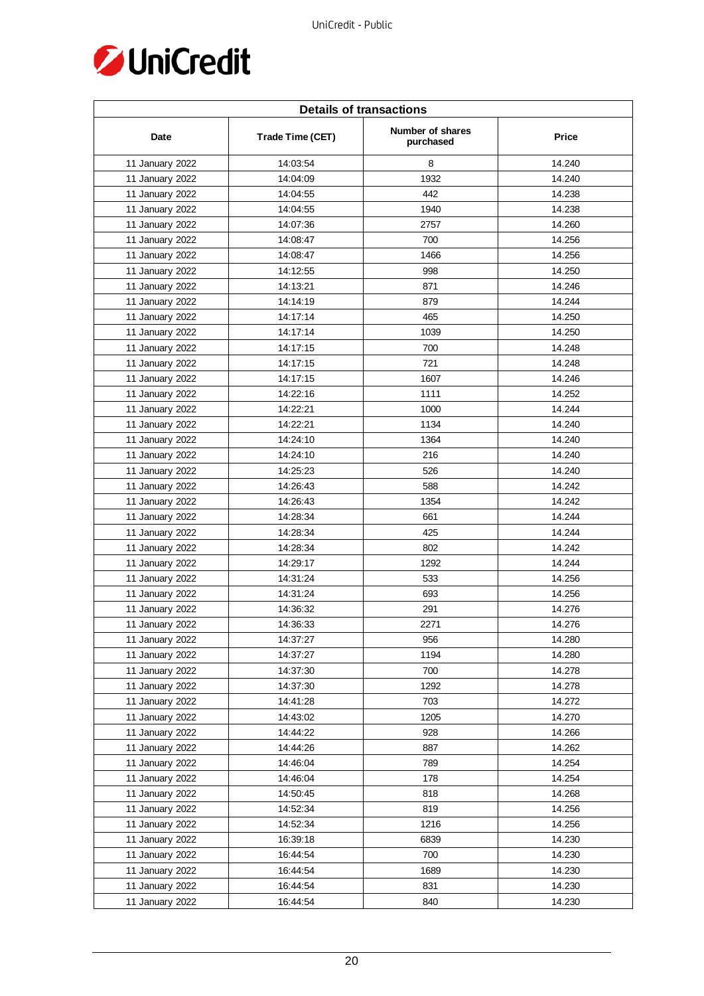

| <b>Details of transactions</b> |                  |                               |              |  |
|--------------------------------|------------------|-------------------------------|--------------|--|
| Date                           | Trade Time (CET) | Number of shares<br>purchased | <b>Price</b> |  |
| 11 January 2022                | 14:03:54         | 8                             | 14.240       |  |
| 11 January 2022                | 14:04:09         | 1932                          | 14.240       |  |
| 11 January 2022                | 14:04:55         | 442                           | 14.238       |  |
| 11 January 2022                | 14:04:55         | 1940                          | 14.238       |  |
| 11 January 2022                | 14:07:36         | 2757                          | 14.260       |  |
| 11 January 2022                | 14:08:47         | 700                           | 14.256       |  |
| 11 January 2022                | 14:08:47         | 1466                          | 14.256       |  |
| 11 January 2022                | 14:12:55         | 998                           | 14.250       |  |
| 11 January 2022                | 14:13:21         | 871                           | 14.246       |  |
| 11 January 2022                | 14:14:19         | 879                           | 14.244       |  |
| 11 January 2022                | 14:17:14         | 465                           | 14.250       |  |
| 11 January 2022                | 14:17:14         | 1039                          | 14.250       |  |
| 11 January 2022                | 14:17:15         | 700                           | 14.248       |  |
| 11 January 2022                | 14:17:15         | 721                           | 14.248       |  |
| 11 January 2022                | 14:17:15         | 1607                          | 14.246       |  |
| 11 January 2022                | 14:22:16         | 1111                          | 14.252       |  |
| 11 January 2022                | 14:22:21         | 1000                          | 14.244       |  |
| 11 January 2022                | 14:22:21         | 1134                          | 14.240       |  |
| 11 January 2022                | 14:24:10         | 1364                          | 14.240       |  |
| 11 January 2022                | 14:24:10         | 216                           | 14.240       |  |
| 11 January 2022                | 14:25:23         | 526                           | 14.240       |  |
| 11 January 2022                | 14:26:43         | 588                           | 14.242       |  |
| 11 January 2022                | 14:26:43         | 1354                          | 14.242       |  |
| 11 January 2022                | 14:28:34         | 661                           | 14.244       |  |
| 11 January 2022                | 14:28:34         | 425                           | 14.244       |  |
| 11 January 2022                | 14:28:34         | 802                           | 14.242       |  |
| 11 January 2022                | 14:29:17         | 1292                          | 14.244       |  |
| 11 January 2022                | 14:31:24         | 533                           | 14.256       |  |
| 11 January 2022                | 14:31:24         | 693                           | 14.256       |  |
| 11 January 2022                | 14:36:32         | 291                           | 14.276       |  |
| 11 January 2022                | 14:36:33         | 2271                          | 14.276       |  |
| 11 January 2022                | 14:37:27         | 956                           | 14.280       |  |
| 11 January 2022                | 14:37:27         | 1194                          | 14.280       |  |
| 11 January 2022                | 14:37:30         | 700                           | 14.278       |  |
| 11 January 2022                | 14:37:30         | 1292                          | 14.278       |  |
| 11 January 2022                | 14:41:28         | 703                           | 14.272       |  |
| 11 January 2022                | 14:43:02         | 1205                          | 14.270       |  |
| 11 January 2022                | 14:44:22         | 928                           | 14.266       |  |
| 11 January 2022                | 14:44:26         | 887                           | 14.262       |  |
| 11 January 2022                | 14:46:04         | 789                           | 14.254       |  |
| 11 January 2022                | 14:46:04         | 178                           | 14.254       |  |
| 11 January 2022                | 14:50:45         | 818                           | 14.268       |  |
| 11 January 2022                | 14:52:34         | 819                           | 14.256       |  |
| 11 January 2022                | 14:52:34         | 1216                          | 14.256       |  |
| 11 January 2022                | 16:39:18         | 6839                          | 14.230       |  |
| 11 January 2022                | 16:44:54         | 700                           | 14.230       |  |
| 11 January 2022                | 16:44:54         | 1689                          | 14.230       |  |
| 11 January 2022                | 16:44:54         | 831                           | 14.230       |  |
| 11 January 2022                | 16:44:54         | 840                           | 14.230       |  |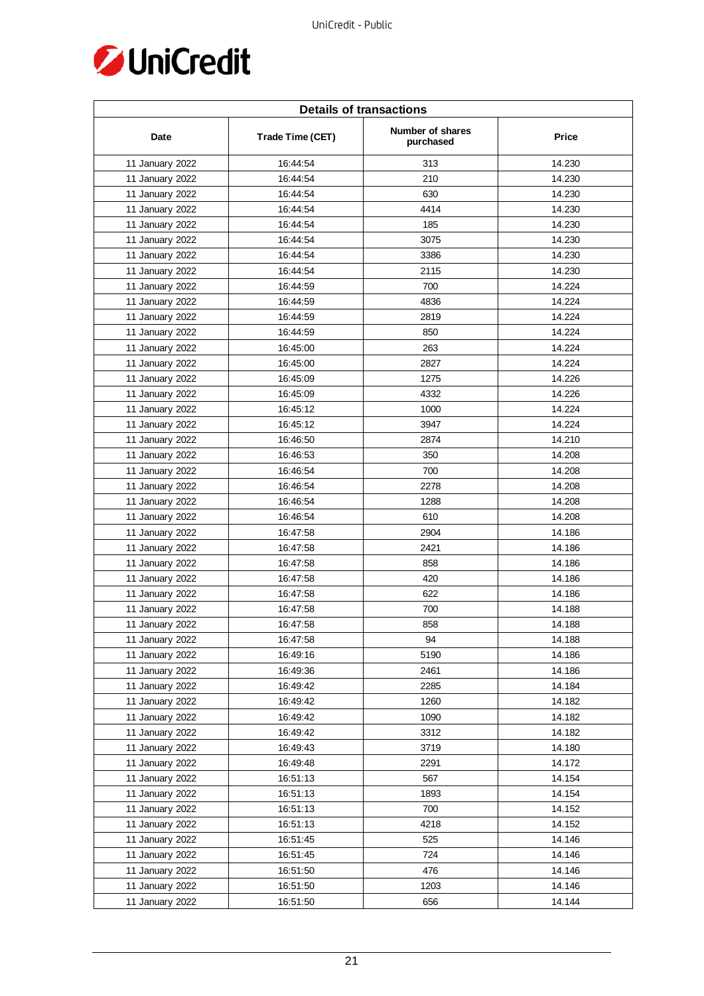

| <b>Details of transactions</b> |                  |                               |        |  |
|--------------------------------|------------------|-------------------------------|--------|--|
| Date                           | Trade Time (CET) | Number of shares<br>purchased | Price  |  |
| 11 January 2022                | 16:44:54         | 313                           | 14.230 |  |
| 11 January 2022                | 16:44:54         | 210                           | 14.230 |  |
| 11 January 2022                | 16:44:54         | 630                           | 14.230 |  |
| 11 January 2022                | 16:44:54         | 4414                          | 14.230 |  |
| 11 January 2022                | 16:44:54         | 185                           | 14.230 |  |
| 11 January 2022                | 16:44:54         | 3075                          | 14.230 |  |
| 11 January 2022                | 16:44:54         | 3386                          | 14.230 |  |
| 11 January 2022                | 16:44:54         | 2115                          | 14.230 |  |
| 11 January 2022                | 16:44:59         | 700                           | 14.224 |  |
| 11 January 2022                | 16:44:59         | 4836                          | 14.224 |  |
| 11 January 2022                | 16:44:59         | 2819                          | 14.224 |  |
| 11 January 2022                | 16:44:59         | 850                           | 14.224 |  |
| 11 January 2022                | 16:45:00         | 263                           | 14.224 |  |
| 11 January 2022                | 16:45:00         | 2827                          | 14.224 |  |
| 11 January 2022                | 16:45:09         | 1275                          | 14.226 |  |
| 11 January 2022                | 16:45:09         | 4332                          | 14.226 |  |
| 11 January 2022                | 16:45:12         | 1000                          | 14.224 |  |
| 11 January 2022                | 16:45:12         | 3947                          | 14.224 |  |
| 11 January 2022                | 16:46:50         | 2874                          | 14.210 |  |
| 11 January 2022                | 16:46:53         | 350                           | 14.208 |  |
| 11 January 2022                | 16:46:54         | 700                           | 14.208 |  |
| 11 January 2022                | 16:46:54         | 2278                          | 14.208 |  |
| 11 January 2022                | 16:46:54         | 1288                          | 14.208 |  |
| 11 January 2022                | 16:46:54         | 610                           | 14.208 |  |
| 11 January 2022                | 16:47:58         | 2904                          | 14.186 |  |
| 11 January 2022                | 16:47:58         | 2421                          | 14.186 |  |
| 11 January 2022                | 16:47:58         | 858                           | 14.186 |  |
| 11 January 2022                | 16:47:58         | 420                           | 14.186 |  |
| 11 January 2022                | 16:47:58         | 622                           | 14.186 |  |
| 11 January 2022                | 16:47:58         | 700                           | 14.188 |  |
| 11 January 2022                | 16:47:58         | 858                           | 14.188 |  |
| 11 January 2022                | 16:47:58         | 94                            | 14.188 |  |
| 11 January 2022                | 16:49:16         | 5190                          | 14.186 |  |
| 11 January 2022                | 16:49:36         | 2461                          | 14.186 |  |
| 11 January 2022                | 16:49:42         | 2285                          | 14.184 |  |
| 11 January 2022                | 16:49:42         | 1260                          | 14.182 |  |
| 11 January 2022                | 16:49:42         | 1090                          | 14.182 |  |
| 11 January 2022                | 16:49:42         | 3312                          | 14.182 |  |
| 11 January 2022                | 16:49:43         | 3719                          | 14.180 |  |
| 11 January 2022                | 16:49:48         | 2291                          | 14.172 |  |
| 11 January 2022                | 16:51:13         | 567                           | 14.154 |  |
| 11 January 2022                | 16:51:13         | 1893                          | 14.154 |  |
| 11 January 2022                | 16:51:13         | 700                           | 14.152 |  |
| 11 January 2022                | 16:51:13         | 4218                          | 14.152 |  |
| 11 January 2022                | 16:51:45         | 525                           | 14.146 |  |
| 11 January 2022                | 16:51:45         | 724                           | 14.146 |  |
| 11 January 2022                | 16:51:50         | 476                           | 14.146 |  |
| 11 January 2022                | 16:51:50         | 1203                          | 14.146 |  |
| 11 January 2022                | 16:51:50         | 656                           | 14.144 |  |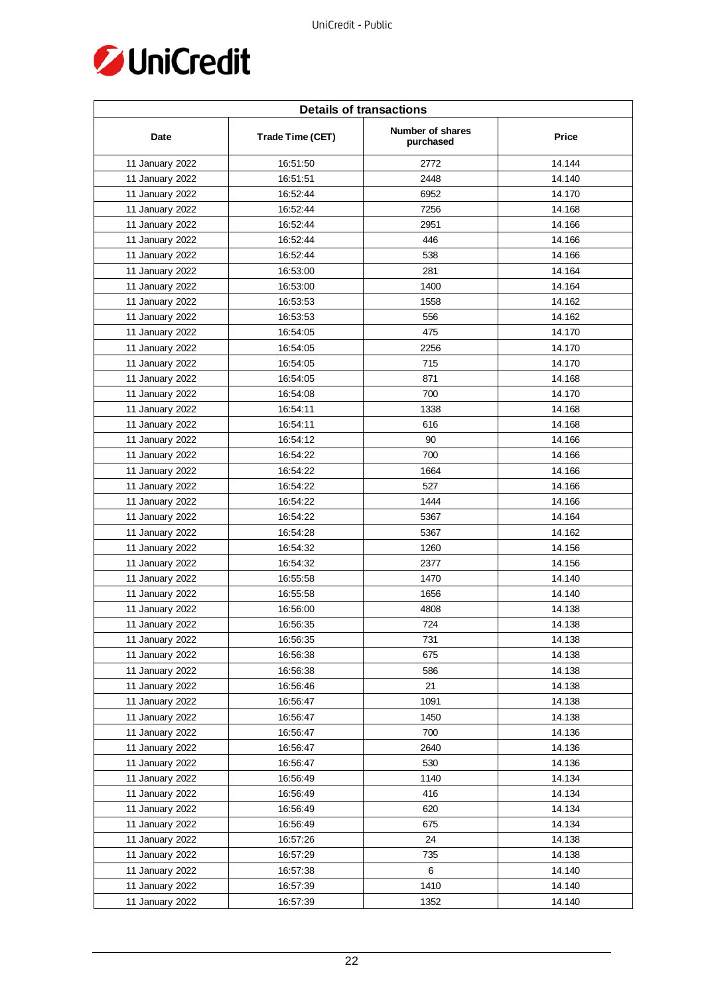

| <b>Details of transactions</b> |                  |                               |              |  |
|--------------------------------|------------------|-------------------------------|--------------|--|
| Date                           | Trade Time (CET) | Number of shares<br>purchased | <b>Price</b> |  |
| 11 January 2022                | 16:51:50         | 2772                          | 14.144       |  |
| 11 January 2022                | 16:51:51         | 2448                          | 14.140       |  |
| 11 January 2022                | 16:52:44         | 6952                          | 14.170       |  |
| 11 January 2022                | 16:52:44         | 7256                          | 14.168       |  |
| 11 January 2022                | 16:52:44         | 2951                          | 14.166       |  |
| 11 January 2022                | 16:52:44         | 446                           | 14.166       |  |
| 11 January 2022                | 16:52:44         | 538                           | 14.166       |  |
| 11 January 2022                | 16:53:00         | 281                           | 14.164       |  |
| 11 January 2022                | 16:53:00         | 1400                          | 14.164       |  |
| 11 January 2022                | 16:53:53         | 1558                          | 14.162       |  |
| 11 January 2022                | 16:53:53         | 556                           | 14.162       |  |
| 11 January 2022                | 16:54:05         | 475                           | 14.170       |  |
| 11 January 2022                | 16:54:05         | 2256                          | 14.170       |  |
| 11 January 2022                | 16:54:05         | 715                           | 14.170       |  |
| 11 January 2022                | 16:54:05         | 871                           | 14.168       |  |
| 11 January 2022                | 16:54:08         | 700                           | 14.170       |  |
| 11 January 2022                | 16:54:11         | 1338                          | 14.168       |  |
| 11 January 2022                | 16:54:11         | 616                           | 14.168       |  |
| 11 January 2022                | 16:54:12         | 90                            | 14.166       |  |
| 11 January 2022                | 16:54:22         | 700                           | 14.166       |  |
| 11 January 2022                | 16:54:22         | 1664                          | 14.166       |  |
| 11 January 2022                | 16:54:22         | 527                           | 14.166       |  |
| 11 January 2022                | 16:54:22         | 1444                          | 14.166       |  |
| 11 January 2022                | 16:54:22         | 5367                          | 14.164       |  |
| 11 January 2022                | 16:54:28         | 5367                          | 14.162       |  |
| 11 January 2022                | 16:54:32         | 1260                          | 14.156       |  |
| 11 January 2022                | 16:54:32         | 2377                          | 14.156       |  |
| 11 January 2022                | 16:55:58         | 1470                          | 14.140       |  |
| 11 January 2022                | 16:55:58         | 1656                          | 14.140       |  |
| 11 January 2022                | 16:56:00         | 4808                          | 14.138       |  |
| 11 January 2022                | 16:56:35         | 724                           | 14.138       |  |
| 11 January 2022                | 16:56:35         | 731                           | 14.138       |  |
| 11 January 2022                | 16:56:38         | 675                           | 14.138       |  |
| 11 January 2022                | 16:56:38         | 586                           | 14.138       |  |
| 11 January 2022                | 16:56:46         | 21                            | 14.138       |  |
| 11 January 2022                | 16:56:47         | 1091                          | 14.138       |  |
| 11 January 2022                | 16:56:47         | 1450                          | 14.138       |  |
| 11 January 2022                | 16:56:47         | 700                           | 14.136       |  |
| 11 January 2022                | 16:56:47         | 2640                          | 14.136       |  |
| 11 January 2022                | 16:56:47         | 530                           | 14.136       |  |
| 11 January 2022                | 16:56:49         | 1140                          | 14.134       |  |
| 11 January 2022                | 16:56:49         | 416                           | 14.134       |  |
| 11 January 2022                | 16:56:49         | 620                           | 14.134       |  |
| 11 January 2022                | 16:56:49         | 675                           | 14.134       |  |
| 11 January 2022                | 16:57:26         | 24                            | 14.138       |  |
| 11 January 2022                | 16:57:29         | 735                           | 14.138       |  |
| 11 January 2022                | 16:57:38         | 6                             | 14.140       |  |
| 11 January 2022                | 16:57:39         | 1410                          | 14.140       |  |
| 11 January 2022                | 16:57:39         | 1352                          | 14.140       |  |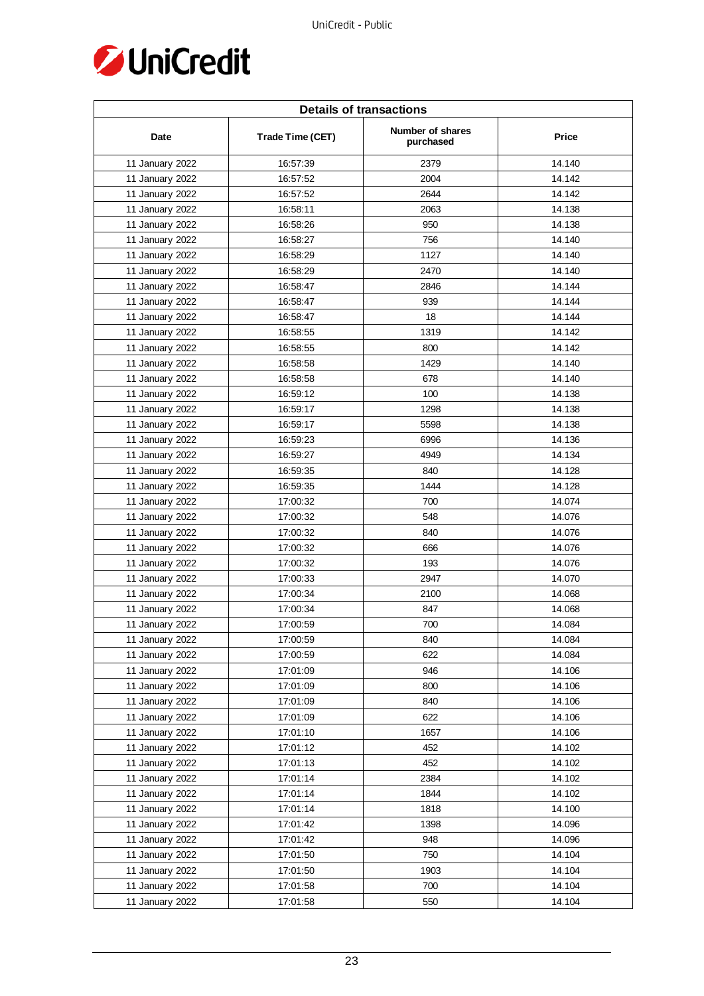

| <b>Details of transactions</b> |                  |                               |              |  |
|--------------------------------|------------------|-------------------------------|--------------|--|
| Date                           | Trade Time (CET) | Number of shares<br>purchased | <b>Price</b> |  |
| 11 January 2022                | 16:57:39         | 2379                          | 14.140       |  |
| 11 January 2022                | 16:57:52         | 2004                          | 14.142       |  |
| 11 January 2022                | 16:57:52         | 2644                          | 14.142       |  |
| 11 January 2022                | 16:58:11         | 2063                          | 14.138       |  |
| 11 January 2022                | 16:58:26         | 950                           | 14.138       |  |
| 11 January 2022                | 16:58:27         | 756                           | 14.140       |  |
| 11 January 2022                | 16:58:29         | 1127                          | 14.140       |  |
| 11 January 2022                | 16:58:29         | 2470                          | 14.140       |  |
| 11 January 2022                | 16:58:47         | 2846                          | 14.144       |  |
| 11 January 2022                | 16:58:47         | 939                           | 14.144       |  |
| 11 January 2022                | 16:58:47         | 18                            | 14.144       |  |
| 11 January 2022                | 16:58:55         | 1319                          | 14.142       |  |
| 11 January 2022                | 16:58:55         | 800                           | 14.142       |  |
| 11 January 2022                | 16:58:58         | 1429                          | 14.140       |  |
| 11 January 2022                | 16:58:58         | 678                           | 14.140       |  |
| 11 January 2022                | 16:59:12         | 100                           | 14.138       |  |
| 11 January 2022                | 16:59:17         | 1298                          | 14.138       |  |
| 11 January 2022                | 16:59:17         | 5598                          | 14.138       |  |
| 11 January 2022                | 16:59:23         | 6996                          | 14.136       |  |
| 11 January 2022                | 16:59:27         | 4949                          | 14.134       |  |
| 11 January 2022                | 16:59:35         | 840                           | 14.128       |  |
| 11 January 2022                | 16:59:35         | 1444                          | 14.128       |  |
| 11 January 2022                | 17:00:32         | 700                           | 14.074       |  |
| 11 January 2022                | 17:00:32         | 548                           | 14.076       |  |
| 11 January 2022                | 17:00:32         | 840                           | 14.076       |  |
| 11 January 2022                | 17:00:32         | 666                           | 14.076       |  |
| 11 January 2022                | 17:00:32         | 193                           | 14.076       |  |
| 11 January 2022                | 17:00:33         | 2947                          | 14.070       |  |
| 11 January 2022                | 17:00:34         | 2100                          | 14.068       |  |
| 11 January 2022                | 17:00:34         | 847                           | 14.068       |  |
| 11 January 2022                | 17:00:59         | 700                           | 14.084       |  |
| 11 January 2022                | 17:00:59         | 840                           | 14.084       |  |
| 11 January 2022                | 17:00:59         | 622                           | 14.084       |  |
| 11 January 2022                | 17:01:09         | 946                           | 14.106       |  |
| 11 January 2022                | 17:01:09         | 800                           | 14.106       |  |
| 11 January 2022                | 17:01:09         | 840                           | 14.106       |  |
| 11 January 2022                | 17:01:09         | 622                           | 14.106       |  |
| 11 January 2022                | 17:01:10         | 1657                          | 14.106       |  |
| 11 January 2022                | 17:01:12         | 452                           | 14.102       |  |
| 11 January 2022                | 17:01:13         | 452                           | 14.102       |  |
| 11 January 2022                | 17:01:14         | 2384                          | 14.102       |  |
| 11 January 2022                | 17:01:14         | 1844                          | 14.102       |  |
| 11 January 2022                | 17:01:14         | 1818                          | 14.100       |  |
| 11 January 2022                | 17:01:42         | 1398                          | 14.096       |  |
| 11 January 2022                | 17:01:42         | 948                           | 14.096       |  |
| 11 January 2022                | 17:01:50         | 750                           | 14.104       |  |
| 11 January 2022                | 17:01:50         | 1903                          | 14.104       |  |
| 11 January 2022                | 17:01:58         | 700                           | 14.104       |  |
| 11 January 2022                | 17:01:58         | 550                           | 14.104       |  |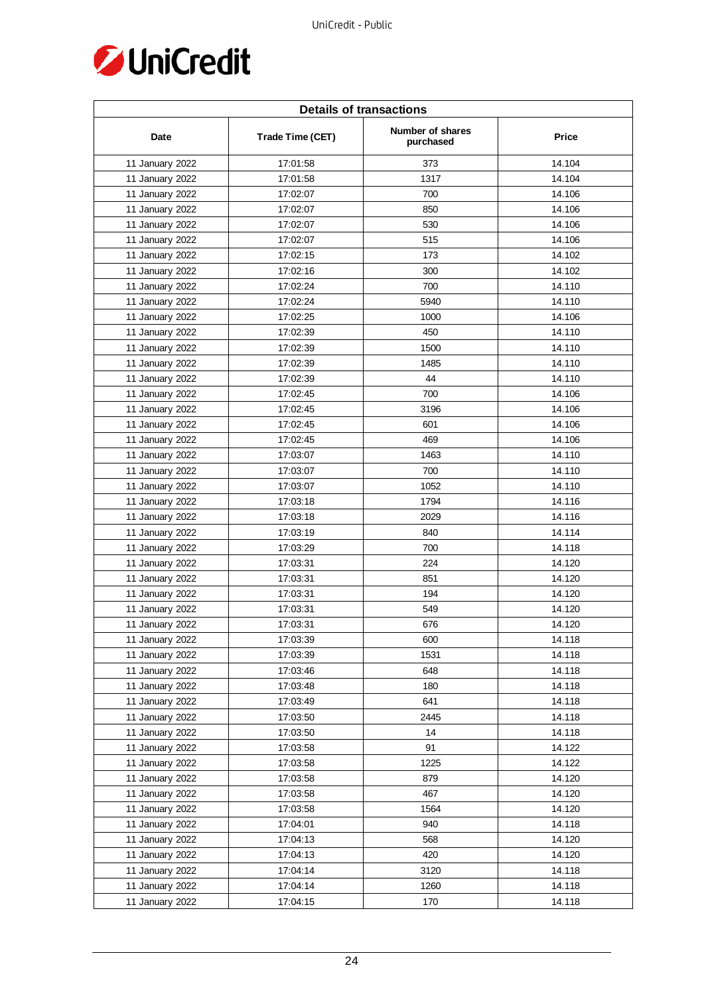

| <b>Details of transactions</b> |                  |                               |        |  |
|--------------------------------|------------------|-------------------------------|--------|--|
| Date                           | Trade Time (CET) | Number of shares<br>purchased | Price  |  |
| 11 January 2022                | 17:01:58         | 373                           | 14.104 |  |
| 11 January 2022                | 17:01:58         | 1317                          | 14.104 |  |
| 11 January 2022                | 17:02:07         | 700                           | 14.106 |  |
| 11 January 2022                | 17:02:07         | 850                           | 14.106 |  |
| 11 January 2022                | 17:02:07         | 530                           | 14.106 |  |
| 11 January 2022                | 17:02:07         | 515                           | 14.106 |  |
| 11 January 2022                | 17:02:15         | 173                           | 14.102 |  |
| 11 January 2022                | 17:02:16         | 300                           | 14.102 |  |
| 11 January 2022                | 17:02:24         | 700                           | 14.110 |  |
| 11 January 2022                | 17:02:24         | 5940                          | 14.110 |  |
| 11 January 2022                | 17:02:25         | 1000                          | 14.106 |  |
| 11 January 2022                | 17:02:39         | 450                           | 14.110 |  |
| 11 January 2022                | 17:02:39         | 1500                          | 14.110 |  |
| 11 January 2022                | 17:02:39         | 1485                          | 14.110 |  |
| 11 January 2022                | 17:02:39         | 44                            | 14.110 |  |
| 11 January 2022                | 17:02:45         | 700                           | 14.106 |  |
| 11 January 2022                | 17:02:45         | 3196                          | 14.106 |  |
| 11 January 2022                | 17:02:45         | 601                           | 14.106 |  |
| 11 January 2022                | 17:02:45         | 469                           | 14.106 |  |
| 11 January 2022                | 17:03:07         | 1463                          | 14.110 |  |
| 11 January 2022                | 17:03:07         | 700                           | 14.110 |  |
| 11 January 2022                | 17:03:07         | 1052                          | 14.110 |  |
| 11 January 2022                | 17:03:18         | 1794                          | 14.116 |  |
| 11 January 2022                | 17:03:18         | 2029                          | 14.116 |  |
| 11 January 2022                | 17:03:19         | 840                           | 14.114 |  |
| 11 January 2022                | 17:03:29         | 700                           | 14.118 |  |
| 11 January 2022                | 17:03:31         | 224                           | 14.120 |  |
| 11 January 2022                | 17:03:31         | 851                           | 14.120 |  |
| 11 January 2022                | 17:03:31         | 194                           | 14.120 |  |
| 11 January 2022                | 17:03:31         | 549                           | 14.120 |  |
| 11 January 2022                | 17:03:31         | 676                           | 14.120 |  |
| 11 January 2022                | 17:03:39         | 600                           | 14.118 |  |
| 11 January 2022                | 17:03:39         | 1531                          | 14.118 |  |
| 11 January 2022                | 17:03:46         | 648                           | 14.118 |  |
| 11 January 2022                | 17:03:48         | 180                           | 14.118 |  |
| 11 January 2022                | 17:03:49         | 641                           | 14.118 |  |
| 11 January 2022                | 17:03:50         | 2445                          | 14.118 |  |
| 11 January 2022                | 17:03:50         | 14                            | 14.118 |  |
| 11 January 2022                | 17:03:58         | 91                            | 14.122 |  |
| 11 January 2022                | 17:03:58         | 1225                          | 14.122 |  |
| 11 January 2022                | 17:03:58         | 879                           | 14.120 |  |
| 11 January 2022                | 17:03:58         | 467                           | 14.120 |  |
| 11 January 2022                | 17:03:58         | 1564                          | 14.120 |  |
| 11 January 2022                | 17:04:01         | 940                           | 14.118 |  |
| 11 January 2022                | 17:04:13         | 568                           | 14.120 |  |
| 11 January 2022                | 17:04:13         | 420                           | 14.120 |  |
| 11 January 2022                | 17:04:14         | 3120                          | 14.118 |  |
| 11 January 2022                | 17:04:14         | 1260                          | 14.118 |  |
| 11 January 2022                | 17:04:15         | 170                           | 14.118 |  |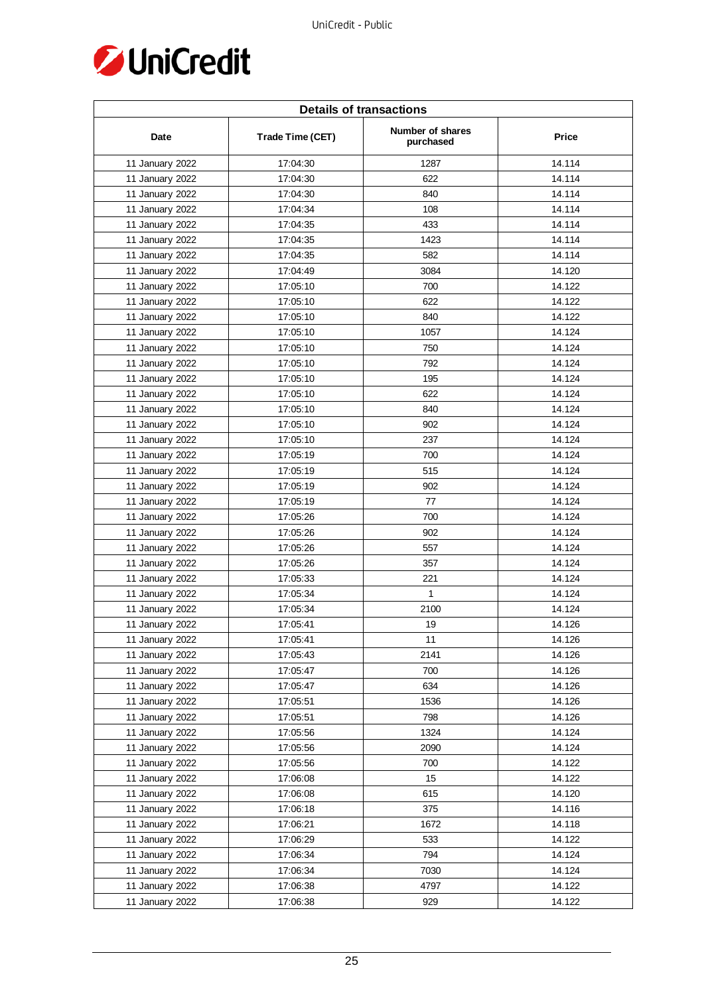

| <b>Details of transactions</b> |                  |                               |              |  |
|--------------------------------|------------------|-------------------------------|--------------|--|
| Date                           | Trade Time (CET) | Number of shares<br>purchased | <b>Price</b> |  |
| 11 January 2022                | 17:04:30         | 1287                          | 14.114       |  |
| 11 January 2022                | 17:04:30         | 622                           | 14.114       |  |
| 11 January 2022                | 17:04:30         | 840                           | 14.114       |  |
| 11 January 2022                | 17:04:34         | 108                           | 14.114       |  |
| 11 January 2022                | 17:04:35         | 433                           | 14.114       |  |
| 11 January 2022                | 17:04:35         | 1423                          | 14.114       |  |
| 11 January 2022                | 17:04:35         | 582                           | 14.114       |  |
| 11 January 2022                | 17:04:49         | 3084                          | 14.120       |  |
| 11 January 2022                | 17:05:10         | 700                           | 14.122       |  |
| 11 January 2022                | 17:05:10         | 622                           | 14.122       |  |
| 11 January 2022                | 17:05:10         | 840                           | 14.122       |  |
| 11 January 2022                | 17:05:10         | 1057                          | 14.124       |  |
| 11 January 2022                | 17:05:10         | 750                           | 14.124       |  |
| 11 January 2022                | 17:05:10         | 792                           | 14.124       |  |
| 11 January 2022                | 17:05:10         | 195                           | 14.124       |  |
| 11 January 2022                | 17:05:10         | 622                           | 14.124       |  |
| 11 January 2022                | 17:05:10         | 840                           | 14.124       |  |
| 11 January 2022                | 17:05:10         | 902                           | 14.124       |  |
| 11 January 2022                | 17:05:10         | 237                           | 14.124       |  |
| 11 January 2022                | 17:05:19         | 700                           | 14.124       |  |
| 11 January 2022                | 17:05:19         | 515                           | 14.124       |  |
| 11 January 2022                | 17:05:19         | 902                           | 14.124       |  |
| 11 January 2022                | 17:05:19         | 77                            | 14.124       |  |
| 11 January 2022                | 17:05:26         | 700                           | 14.124       |  |
| 11 January 2022                | 17:05:26         | 902                           | 14.124       |  |
| 11 January 2022                | 17:05:26         | 557                           | 14.124       |  |
| 11 January 2022                | 17:05:26         | 357                           | 14.124       |  |
| 11 January 2022                | 17:05:33         | 221                           | 14.124       |  |
| 11 January 2022                | 17:05:34         | $\mathbf{1}$                  | 14.124       |  |
| 11 January 2022                | 17:05:34         | 2100                          | 14.124       |  |
| 11 January 2022                | 17:05:41         | 19                            | 14.126       |  |
| 11 January 2022                | 17:05:41         | 11                            | 14.126       |  |
| 11 January 2022                | 17:05:43         | 2141                          | 14.126       |  |
| 11 January 2022                | 17:05:47         | 700                           | 14.126       |  |
| 11 January 2022                | 17:05:47         | 634                           | 14.126       |  |
| 11 January 2022                | 17:05:51         | 1536                          | 14.126       |  |
| 11 January 2022                | 17:05:51         | 798                           | 14.126       |  |
| 11 January 2022                | 17:05:56         | 1324                          | 14.124       |  |
| 11 January 2022                | 17:05:56         | 2090                          | 14.124       |  |
| 11 January 2022                | 17:05:56         | 700                           | 14.122       |  |
| 11 January 2022                | 17:06:08         | 15                            | 14.122       |  |
| 11 January 2022                | 17:06:08         | 615                           | 14.120       |  |
| 11 January 2022                | 17:06:18         | 375                           | 14.116       |  |
| 11 January 2022                | 17:06:21         | 1672                          | 14.118       |  |
| 11 January 2022                | 17:06:29         | 533                           | 14.122       |  |
| 11 January 2022                | 17:06:34         | 794                           | 14.124       |  |
| 11 January 2022                | 17:06:34         | 7030                          | 14.124       |  |
| 11 January 2022                | 17:06:38         | 4797                          | 14.122       |  |
| 11 January 2022                | 17:06:38         | 929                           | 14.122       |  |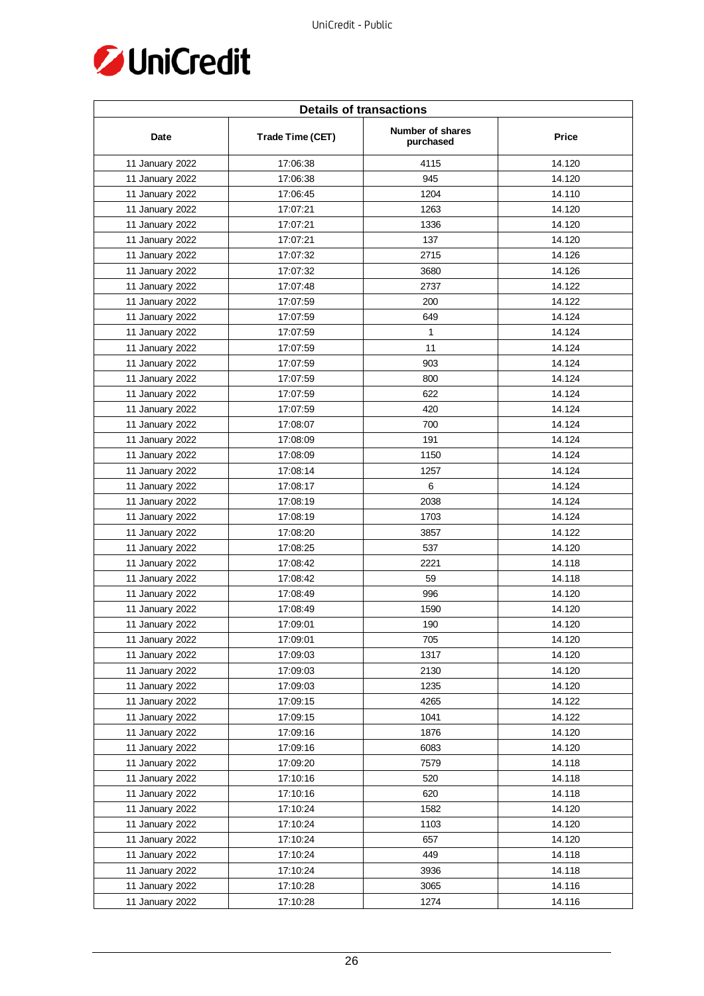

| <b>Details of transactions</b> |                  |                               |        |  |
|--------------------------------|------------------|-------------------------------|--------|--|
| Date                           | Trade Time (CET) | Number of shares<br>purchased | Price  |  |
| 11 January 2022                | 17:06:38         | 4115                          | 14.120 |  |
| 11 January 2022                | 17:06:38         | 945                           | 14.120 |  |
| 11 January 2022                | 17:06:45         | 1204                          | 14.110 |  |
| 11 January 2022                | 17:07:21         | 1263                          | 14.120 |  |
| 11 January 2022                | 17:07:21         | 1336                          | 14.120 |  |
| 11 January 2022                | 17:07:21         | 137                           | 14.120 |  |
| 11 January 2022                | 17:07:32         | 2715                          | 14.126 |  |
| 11 January 2022                | 17:07:32         | 3680                          | 14.126 |  |
| 11 January 2022                | 17:07:48         | 2737                          | 14.122 |  |
| 11 January 2022                | 17:07:59         | 200                           | 14.122 |  |
| 11 January 2022                | 17:07:59         | 649                           | 14.124 |  |
| 11 January 2022                | 17:07:59         | 1                             | 14.124 |  |
| 11 January 2022                | 17:07:59         | 11                            | 14.124 |  |
| 11 January 2022                | 17:07:59         | 903                           | 14.124 |  |
| 11 January 2022                | 17:07:59         | 800                           | 14.124 |  |
| 11 January 2022                | 17:07:59         | 622                           | 14.124 |  |
| 11 January 2022                | 17:07:59         | 420                           | 14.124 |  |
| 11 January 2022                | 17:08:07         | 700                           | 14.124 |  |
| 11 January 2022                | 17:08:09         | 191                           | 14.124 |  |
| 11 January 2022                | 17:08:09         | 1150                          | 14.124 |  |
| 11 January 2022                | 17:08:14         | 1257                          | 14.124 |  |
| 11 January 2022                | 17:08:17         | $\,6\,$                       | 14.124 |  |
| 11 January 2022                | 17:08:19         | 2038                          | 14.124 |  |
| 11 January 2022                | 17:08:19         | 1703                          | 14.124 |  |
| 11 January 2022                | 17:08:20         | 3857                          | 14.122 |  |
| 11 January 2022                | 17:08:25         | 537                           | 14.120 |  |
| 11 January 2022                | 17:08:42         | 2221                          | 14.118 |  |
| 11 January 2022                | 17:08:42         | 59                            | 14.118 |  |
| 11 January 2022                | 17:08:49         | 996                           | 14.120 |  |
| 11 January 2022                | 17:08:49         | 1590                          | 14.120 |  |
| 11 January 2022                | 17:09:01         | 190                           | 14.120 |  |
| 11 January 2022                | 17:09:01         | 705                           | 14.120 |  |
| 11 January 2022                | 17:09:03         | 1317                          | 14.120 |  |
| 11 January 2022                | 17:09:03         | 2130                          | 14.120 |  |
| 11 January 2022                | 17:09:03         | 1235                          | 14.120 |  |
| 11 January 2022                | 17:09:15         | 4265                          | 14.122 |  |
| 11 January 2022                | 17:09:15         | 1041                          | 14.122 |  |
| 11 January 2022                | 17:09:16         | 1876                          | 14.120 |  |
| 11 January 2022                | 17:09:16         | 6083                          | 14.120 |  |
| 11 January 2022                | 17:09:20         | 7579                          | 14.118 |  |
| 11 January 2022                | 17:10:16         | 520                           | 14.118 |  |
| 11 January 2022                | 17:10:16         | 620                           | 14.118 |  |
| 11 January 2022                | 17:10:24         | 1582                          | 14.120 |  |
| 11 January 2022                | 17:10:24         | 1103                          | 14.120 |  |
| 11 January 2022                | 17:10:24         | 657                           | 14.120 |  |
| 11 January 2022                | 17:10:24         | 449                           | 14.118 |  |
| 11 January 2022                | 17:10:24         | 3936                          | 14.118 |  |
| 11 January 2022                | 17:10:28         | 3065                          | 14.116 |  |
| 11 January 2022                | 17:10:28         | 1274                          | 14.116 |  |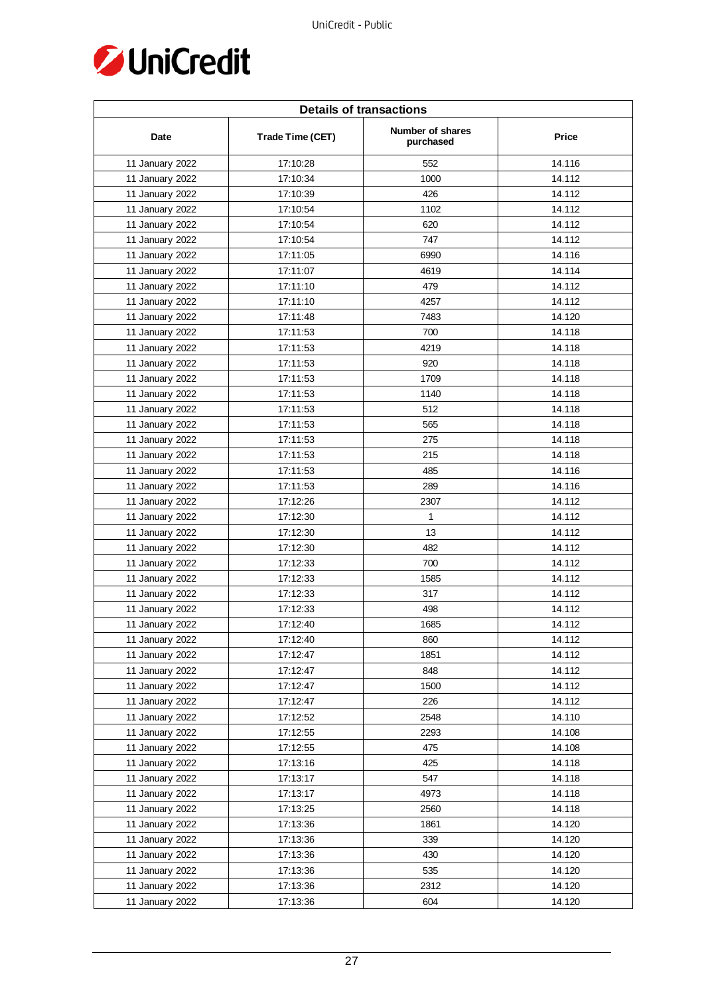

| <b>Details of transactions</b> |                  |                               |              |  |
|--------------------------------|------------------|-------------------------------|--------------|--|
| Date                           | Trade Time (CET) | Number of shares<br>purchased | <b>Price</b> |  |
| 11 January 2022                | 17:10:28         | 552                           | 14.116       |  |
| 11 January 2022                | 17:10:34         | 1000                          | 14.112       |  |
| 11 January 2022                | 17:10:39         | 426                           | 14.112       |  |
| 11 January 2022                | 17:10:54         | 1102                          | 14.112       |  |
| 11 January 2022                | 17:10:54         | 620                           | 14.112       |  |
| 11 January 2022                | 17:10:54         | 747                           | 14.112       |  |
| 11 January 2022                | 17:11:05         | 6990                          | 14.116       |  |
| 11 January 2022                | 17:11:07         | 4619                          | 14.114       |  |
| 11 January 2022                | 17:11:10         | 479                           | 14.112       |  |
| 11 January 2022                | 17:11:10         | 4257                          | 14.112       |  |
| 11 January 2022                | 17:11:48         | 7483                          | 14.120       |  |
| 11 January 2022                | 17:11:53         | 700                           | 14.118       |  |
| 11 January 2022                | 17:11:53         | 4219                          | 14.118       |  |
| 11 January 2022                | 17:11:53         | 920                           | 14.118       |  |
| 11 January 2022                | 17:11:53         | 1709                          | 14.118       |  |
| 11 January 2022                | 17:11:53         | 1140                          | 14.118       |  |
| 11 January 2022                | 17:11:53         | 512                           | 14.118       |  |
| 11 January 2022                | 17:11:53         | 565                           | 14.118       |  |
| 11 January 2022                | 17:11:53         | 275                           | 14.118       |  |
| 11 January 2022                | 17:11:53         | 215                           | 14.118       |  |
| 11 January 2022                | 17:11:53         | 485                           | 14.116       |  |
| 11 January 2022                | 17:11:53         | 289                           | 14.116       |  |
| 11 January 2022                | 17:12:26         | 2307                          | 14.112       |  |
| 11 January 2022                | 17:12:30         | $\mathbf{1}$                  | 14.112       |  |
| 11 January 2022                | 17:12:30         | 13                            | 14.112       |  |
| 11 January 2022                | 17:12:30         | 482                           | 14.112       |  |
| 11 January 2022                | 17:12:33         | 700                           | 14.112       |  |
| 11 January 2022                | 17:12:33         | 1585                          | 14.112       |  |
| 11 January 2022                | 17:12:33         | 317                           | 14.112       |  |
| 11 January 2022                | 17:12:33         | 498                           | 14.112       |  |
| 11 January 2022                | 17:12:40         | 1685                          | 14.112       |  |
| 11 January 2022                | 17:12:40         | 860                           | 14.112       |  |
| 11 January 2022                | 17:12:47         | 1851                          | 14.112       |  |
| 11 January 2022                | 17:12:47         | 848                           | 14.112       |  |
| 11 January 2022                | 17:12:47         | 1500                          | 14.112       |  |
| 11 January 2022                | 17:12:47         | 226                           | 14.112       |  |
| 11 January 2022                | 17:12:52         | 2548                          | 14.110       |  |
| 11 January 2022                | 17:12:55         | 2293                          | 14.108       |  |
| 11 January 2022                | 17:12:55         | 475                           | 14.108       |  |
| 11 January 2022                | 17:13:16         | 425                           | 14.118       |  |
| 11 January 2022                | 17:13:17         | 547                           | 14.118       |  |
| 11 January 2022                | 17:13:17         | 4973                          | 14.118       |  |
| 11 January 2022                | 17:13:25         | 2560                          | 14.118       |  |
| 11 January 2022                | 17:13:36         | 1861                          | 14.120       |  |
| 11 January 2022                | 17:13:36         | 339                           | 14.120       |  |
| 11 January 2022                | 17:13:36         | 430                           | 14.120       |  |
| 11 January 2022                | 17:13:36         | 535                           | 14.120       |  |
| 11 January 2022                | 17:13:36         | 2312                          | 14.120       |  |
| 11 January 2022                | 17:13:36         | 604                           | 14.120       |  |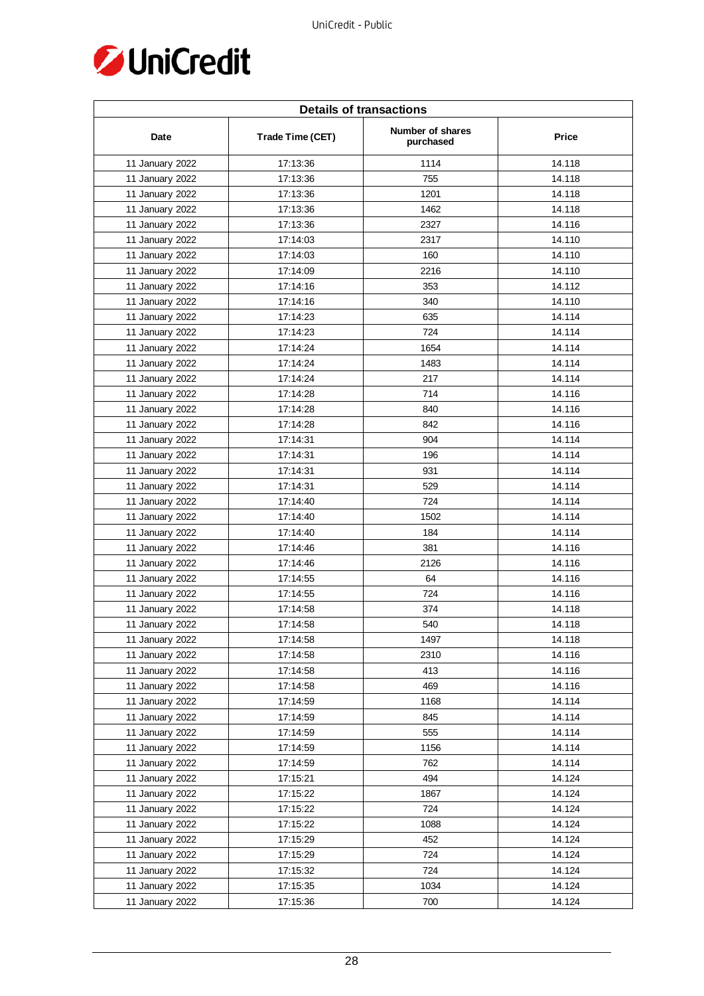

| <b>Details of transactions</b> |                  |                               |        |  |
|--------------------------------|------------------|-------------------------------|--------|--|
| Date                           | Trade Time (CET) | Number of shares<br>purchased | Price  |  |
| 11 January 2022                | 17:13:36         | 1114                          | 14.118 |  |
| 11 January 2022                | 17:13:36         | 755                           | 14.118 |  |
| 11 January 2022                | 17:13:36         | 1201                          | 14.118 |  |
| 11 January 2022                | 17:13:36         | 1462                          | 14.118 |  |
| 11 January 2022                | 17:13:36         | 2327                          | 14.116 |  |
| 11 January 2022                | 17:14:03         | 2317                          | 14.110 |  |
| 11 January 2022                | 17:14:03         | 160                           | 14.110 |  |
| 11 January 2022                | 17:14:09         | 2216                          | 14.110 |  |
| 11 January 2022                | 17:14:16         | 353                           | 14.112 |  |
| 11 January 2022                | 17:14:16         | 340                           | 14.110 |  |
| 11 January 2022                | 17:14:23         | 635                           | 14.114 |  |
| 11 January 2022                | 17:14:23         | 724                           | 14.114 |  |
| 11 January 2022                | 17:14:24         | 1654                          | 14.114 |  |
| 11 January 2022                | 17:14:24         | 1483                          | 14.114 |  |
| 11 January 2022                | 17:14:24         | 217                           | 14.114 |  |
| 11 January 2022                | 17:14:28         | 714                           | 14.116 |  |
| 11 January 2022                | 17:14:28         | 840                           | 14.116 |  |
| 11 January 2022                | 17:14:28         | 842                           | 14.116 |  |
| 11 January 2022                | 17:14:31         | 904                           | 14.114 |  |
| 11 January 2022                | 17:14:31         | 196                           | 14.114 |  |
| 11 January 2022                | 17:14:31         | 931                           | 14.114 |  |
| 11 January 2022                | 17:14:31         | 529                           | 14.114 |  |
| 11 January 2022                | 17:14:40         | 724                           | 14.114 |  |
| 11 January 2022                | 17:14:40         | 1502                          | 14.114 |  |
| 11 January 2022                | 17:14:40         | 184                           | 14.114 |  |
| 11 January 2022                | 17:14:46         | 381                           | 14.116 |  |
| 11 January 2022                | 17:14:46         | 2126                          | 14.116 |  |
| 11 January 2022                | 17:14:55         | 64                            | 14.116 |  |
| 11 January 2022                | 17:14:55         | 724                           | 14.116 |  |
| 11 January 2022                | 17:14:58         | 374                           | 14.118 |  |
| 11 January 2022                | 17:14:58         | 540                           | 14.118 |  |
| 11 January 2022                | 17:14:58         | 1497                          | 14.118 |  |
| 11 January 2022                | 17:14:58         | 2310                          | 14.116 |  |
| 11 January 2022                | 17:14:58         | 413                           | 14.116 |  |
| 11 January 2022                | 17:14:58         | 469                           | 14.116 |  |
| 11 January 2022                | 17:14:59         | 1168                          | 14.114 |  |
| 11 January 2022                | 17:14:59         | 845                           | 14.114 |  |
| 11 January 2022                | 17:14:59         | 555                           | 14.114 |  |
| 11 January 2022                | 17:14:59         | 1156                          | 14.114 |  |
| 11 January 2022                | 17:14:59         | 762                           | 14.114 |  |
| 11 January 2022                | 17:15:21         | 494                           | 14.124 |  |
| 11 January 2022                | 17:15:22         | 1867                          | 14.124 |  |
| 11 January 2022                | 17:15:22         | 724                           | 14.124 |  |
| 11 January 2022                | 17:15:22         | 1088                          | 14.124 |  |
| 11 January 2022                | 17:15:29         | 452                           | 14.124 |  |
| 11 January 2022                | 17:15:29         | 724                           | 14.124 |  |
| 11 January 2022                | 17:15:32         | 724                           | 14.124 |  |
| 11 January 2022                | 17:15:35         | 1034                          | 14.124 |  |
| 11 January 2022                | 17:15:36         | 700                           | 14.124 |  |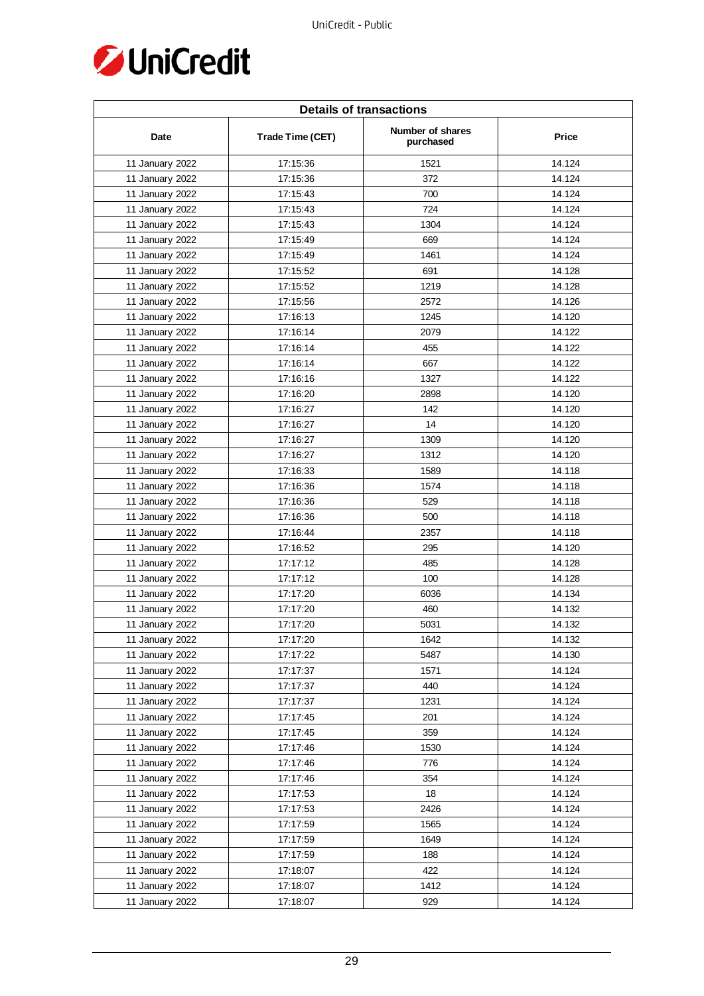

| <b>Details of transactions</b> |                  |                               |              |  |
|--------------------------------|------------------|-------------------------------|--------------|--|
| Date                           | Trade Time (CET) | Number of shares<br>purchased | <b>Price</b> |  |
| 11 January 2022                | 17:15:36         | 1521                          | 14.124       |  |
| 11 January 2022                | 17:15:36         | 372                           | 14.124       |  |
| 11 January 2022                | 17:15:43         | 700                           | 14.124       |  |
| 11 January 2022                | 17:15:43         | 724                           | 14.124       |  |
| 11 January 2022                | 17:15:43         | 1304                          | 14.124       |  |
| 11 January 2022                | 17:15:49         | 669                           | 14.124       |  |
| 11 January 2022                | 17:15:49         | 1461                          | 14.124       |  |
| 11 January 2022                | 17:15:52         | 691                           | 14.128       |  |
| 11 January 2022                | 17:15:52         | 1219                          | 14.128       |  |
| 11 January 2022                | 17:15:56         | 2572                          | 14.126       |  |
| 11 January 2022                | 17:16:13         | 1245                          | 14.120       |  |
| 11 January 2022                | 17:16:14         | 2079                          | 14.122       |  |
| 11 January 2022                | 17:16:14         | 455                           | 14.122       |  |
| 11 January 2022                | 17:16:14         | 667                           | 14.122       |  |
| 11 January 2022                | 17:16:16         | 1327                          | 14.122       |  |
| 11 January 2022                | 17:16:20         | 2898                          | 14.120       |  |
| 11 January 2022                | 17:16:27         | 142                           | 14.120       |  |
| 11 January 2022                | 17:16:27         | 14                            | 14.120       |  |
| 11 January 2022                | 17:16:27         | 1309                          | 14.120       |  |
| 11 January 2022                | 17:16:27         | 1312                          | 14.120       |  |
| 11 January 2022                | 17:16:33         | 1589                          | 14.118       |  |
| 11 January 2022                | 17:16:36         | 1574                          | 14.118       |  |
| 11 January 2022                | 17:16:36         | 529                           | 14.118       |  |
| 11 January 2022                | 17:16:36         | 500                           | 14.118       |  |
| 11 January 2022                | 17:16:44         | 2357                          | 14.118       |  |
| 11 January 2022                | 17:16:52         | 295                           | 14.120       |  |
| 11 January 2022                | 17:17:12         | 485                           | 14.128       |  |
| 11 January 2022                | 17:17:12         | 100                           | 14.128       |  |
| 11 January 2022                | 17:17:20         | 6036                          | 14.134       |  |
| 11 January 2022                | 17:17:20         | 460                           | 14.132       |  |
| 11 January 2022                | 17:17:20         | 5031                          | 14.132       |  |
| 11 January 2022                | 17:17:20         | 1642                          | 14.132       |  |
| 11 January 2022                | 17:17:22         | 5487                          | 14.130       |  |
| 11 January 2022                | 17:17:37         | 1571                          | 14.124       |  |
| 11 January 2022                | 17:17:37         | 440                           | 14.124       |  |
| 11 January 2022                | 17:17:37         | 1231                          | 14.124       |  |
| 11 January 2022                | 17:17:45         | 201                           | 14.124       |  |
| 11 January 2022                | 17:17:45         | 359                           | 14.124       |  |
| 11 January 2022                | 17:17:46         | 1530                          | 14.124       |  |
| 11 January 2022                | 17:17:46         | 776                           | 14.124       |  |
| 11 January 2022                | 17:17:46         | 354                           | 14.124       |  |
| 11 January 2022                | 17:17:53         | 18                            | 14.124       |  |
| 11 January 2022                | 17:17:53         | 2426                          | 14.124       |  |
| 11 January 2022                | 17:17:59         | 1565                          | 14.124       |  |
| 11 January 2022                | 17:17:59         | 1649                          | 14.124       |  |
| 11 January 2022                | 17:17:59         | 188                           | 14.124       |  |
| 11 January 2022                | 17:18:07         | 422                           | 14.124       |  |
| 11 January 2022                | 17:18:07         | 1412                          | 14.124       |  |
| 11 January 2022                | 17:18:07         | 929                           | 14.124       |  |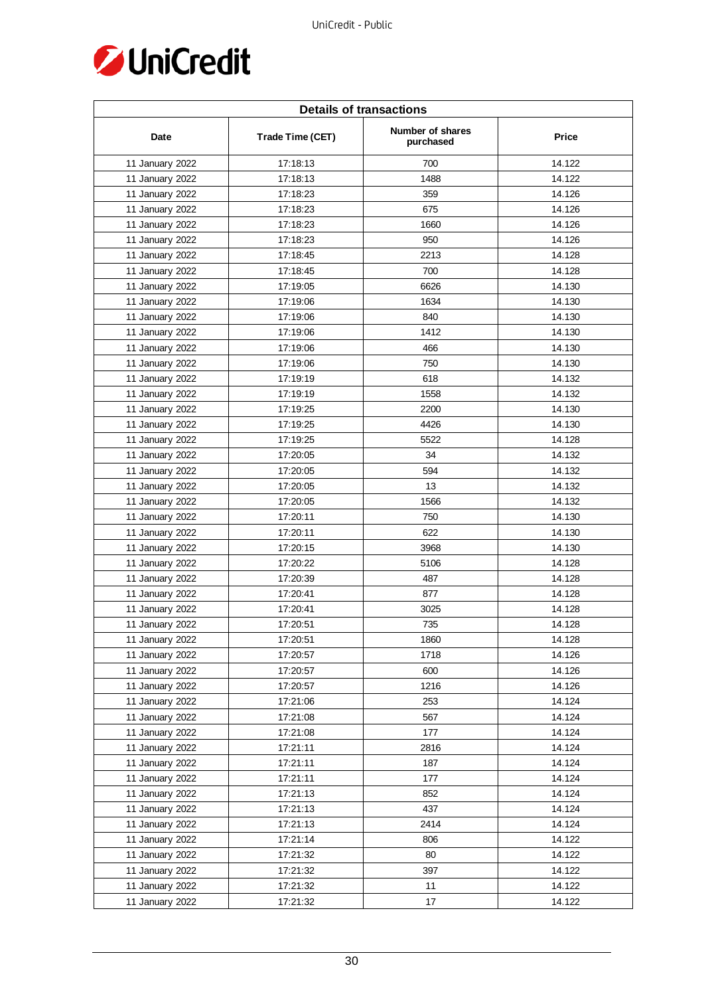

| <b>Details of transactions</b> |                  |                               |              |  |
|--------------------------------|------------------|-------------------------------|--------------|--|
| Date                           | Trade Time (CET) | Number of shares<br>purchased | <b>Price</b> |  |
| 11 January 2022                | 17:18:13         | 700                           | 14.122       |  |
| 11 January 2022                | 17:18:13         | 1488                          | 14.122       |  |
| 11 January 2022                | 17:18:23         | 359                           | 14.126       |  |
| 11 January 2022                | 17:18:23         | 675                           | 14.126       |  |
| 11 January 2022                | 17:18:23         | 1660                          | 14.126       |  |
| 11 January 2022                | 17:18:23         | 950                           | 14.126       |  |
| 11 January 2022                | 17:18:45         | 2213                          | 14.128       |  |
| 11 January 2022                | 17:18:45         | 700                           | 14.128       |  |
| 11 January 2022                | 17:19:05         | 6626                          | 14.130       |  |
| 11 January 2022                | 17:19:06         | 1634                          | 14.130       |  |
| 11 January 2022                | 17:19:06         | 840                           | 14.130       |  |
| 11 January 2022                | 17:19:06         | 1412                          | 14.130       |  |
| 11 January 2022                | 17:19:06         | 466                           | 14.130       |  |
| 11 January 2022                | 17:19:06         | 750                           | 14.130       |  |
| 11 January 2022                | 17:19:19         | 618                           | 14.132       |  |
| 11 January 2022                | 17:19:19         | 1558                          | 14.132       |  |
| 11 January 2022                | 17:19:25         | 2200                          | 14.130       |  |
| 11 January 2022                | 17:19:25         | 4426                          | 14.130       |  |
| 11 January 2022                | 17:19:25         | 5522                          | 14.128       |  |
| 11 January 2022                | 17:20:05         | 34                            | 14.132       |  |
| 11 January 2022                | 17:20:05         | 594                           | 14.132       |  |
| 11 January 2022                | 17:20:05         | 13                            | 14.132       |  |
| 11 January 2022                | 17:20:05         | 1566                          | 14.132       |  |
| 11 January 2022                | 17:20:11         | 750                           | 14.130       |  |
| 11 January 2022                | 17:20:11         | 622                           | 14.130       |  |
| 11 January 2022                | 17:20:15         | 3968                          | 14.130       |  |
| 11 January 2022                | 17:20:22         | 5106                          | 14.128       |  |
| 11 January 2022                | 17:20:39         | 487                           | 14.128       |  |
| 11 January 2022                | 17:20:41         | 877                           | 14.128       |  |
| 11 January 2022                | 17:20:41         | 3025                          | 14.128       |  |
| 11 January 2022                | 17:20:51         | 735                           | 14.128       |  |
| 11 January 2022                | 17:20:51         | 1860                          | 14.128       |  |
| 11 January 2022                | 17:20:57         | 1718                          | 14.126       |  |
| 11 January 2022                | 17:20:57         | 600                           | 14.126       |  |
| 11 January 2022                | 17:20:57         | 1216                          | 14.126       |  |
| 11 January 2022                | 17:21:06         | 253                           | 14.124       |  |
| 11 January 2022                | 17:21:08         | 567                           | 14.124       |  |
| 11 January 2022                | 17:21:08         | 177                           | 14.124       |  |
| 11 January 2022                | 17:21:11         | 2816                          | 14.124       |  |
| 11 January 2022                | 17:21:11         | 187                           | 14.124       |  |
| 11 January 2022                | 17:21:11         | 177                           | 14.124       |  |
| 11 January 2022                | 17:21:13         | 852                           | 14.124       |  |
| 11 January 2022                | 17:21:13         | 437                           | 14.124       |  |
| 11 January 2022                | 17:21:13         | 2414                          | 14.124       |  |
| 11 January 2022                | 17:21:14         | 806                           | 14.122       |  |
| 11 January 2022                | 17:21:32         | 80                            | 14.122       |  |
| 11 January 2022                | 17:21:32         | 397                           | 14.122       |  |
| 11 January 2022                | 17:21:32         | 11                            | 14.122       |  |
| 11 January 2022                | 17:21:32         | 17                            | 14.122       |  |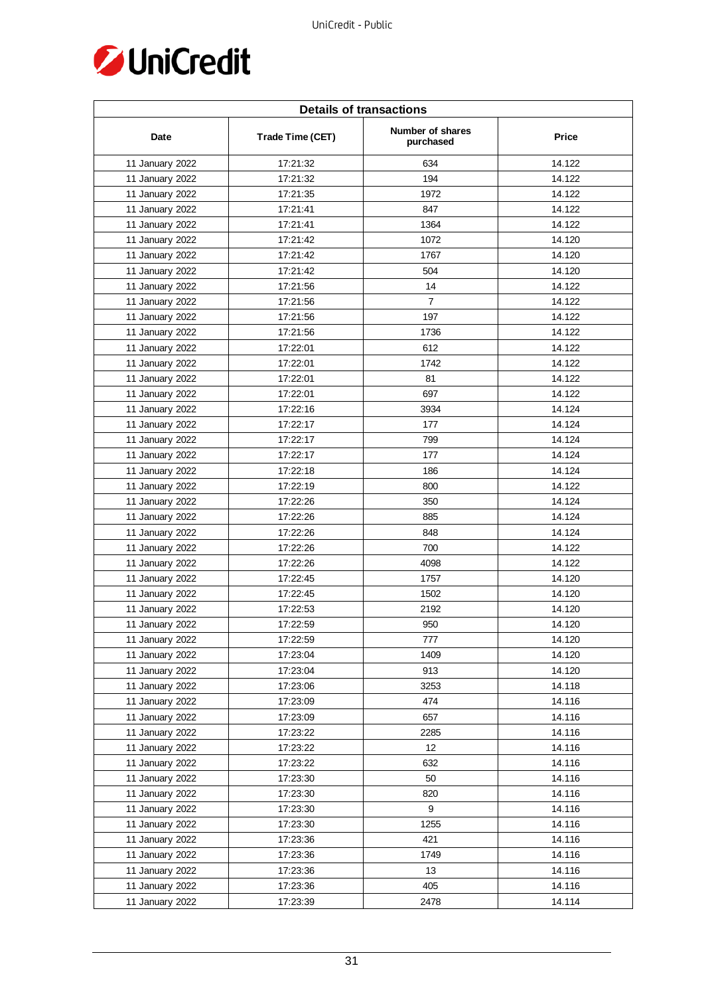

| <b>Details of transactions</b> |                  |                               |              |  |
|--------------------------------|------------------|-------------------------------|--------------|--|
| Date                           | Trade Time (CET) | Number of shares<br>purchased | <b>Price</b> |  |
| 11 January 2022                | 17:21:32         | 634                           | 14.122       |  |
| 11 January 2022                | 17:21:32         | 194                           | 14.122       |  |
| 11 January 2022                | 17:21:35         | 1972                          | 14.122       |  |
| 11 January 2022                | 17:21:41         | 847                           | 14.122       |  |
| 11 January 2022                | 17:21:41         | 1364                          | 14.122       |  |
| 11 January 2022                | 17:21:42         | 1072                          | 14.120       |  |
| 11 January 2022                | 17:21:42         | 1767                          | 14.120       |  |
| 11 January 2022                | 17:21:42         | 504                           | 14.120       |  |
| 11 January 2022                | 17:21:56         | 14                            | 14.122       |  |
| 11 January 2022                | 17:21:56         | $\overline{7}$                | 14.122       |  |
| 11 January 2022                | 17:21:56         | 197                           | 14.122       |  |
| 11 January 2022                | 17:21:56         | 1736                          | 14.122       |  |
| 11 January 2022                | 17:22:01         | 612                           | 14.122       |  |
| 11 January 2022                | 17:22:01         | 1742                          | 14.122       |  |
| 11 January 2022                | 17:22:01         | 81                            | 14.122       |  |
| 11 January 2022                | 17:22:01         | 697                           | 14.122       |  |
| 11 January 2022                | 17:22:16         | 3934                          | 14.124       |  |
| 11 January 2022                | 17:22:17         | 177                           | 14.124       |  |
| 11 January 2022                | 17:22:17         | 799                           | 14.124       |  |
| 11 January 2022                | 17:22:17         | 177                           | 14.124       |  |
| 11 January 2022                | 17:22:18         | 186                           | 14.124       |  |
| 11 January 2022                | 17:22:19         | 800                           | 14.122       |  |
| 11 January 2022                | 17:22:26         | 350                           | 14.124       |  |
| 11 January 2022                | 17:22:26         | 885                           | 14.124       |  |
| 11 January 2022                | 17:22:26         | 848                           | 14.124       |  |
| 11 January 2022                | 17:22:26         | 700                           | 14.122       |  |
| 11 January 2022                | 17:22:26         | 4098                          | 14.122       |  |
| 11 January 2022                | 17:22:45         | 1757                          | 14.120       |  |
| 11 January 2022                | 17:22:45         | 1502                          | 14.120       |  |
| 11 January 2022                | 17:22:53         | 2192                          | 14.120       |  |
| 11 January 2022                | 17:22:59         | 950                           | 14.120       |  |
| 11 January 2022                | 17:22:59         | 777                           | 14.120       |  |
| 11 January 2022                | 17:23:04         | 1409                          | 14.120       |  |
| 11 January 2022                | 17:23:04         | 913                           | 14.120       |  |
| 11 January 2022                | 17:23:06         | 3253                          | 14.118       |  |
| 11 January 2022                | 17:23:09         | 474                           | 14.116       |  |
| 11 January 2022                | 17:23:09         | 657                           | 14.116       |  |
| 11 January 2022                | 17:23:22         | 2285                          | 14.116       |  |
| 11 January 2022                | 17:23:22         | 12                            | 14.116       |  |
| 11 January 2022                | 17:23:22         | 632                           | 14.116       |  |
| 11 January 2022                | 17:23:30         | 50                            | 14.116       |  |
| 11 January 2022                | 17:23:30         | 820                           | 14.116       |  |
| 11 January 2022                | 17:23:30         | 9                             | 14.116       |  |
| 11 January 2022                | 17:23:30         | 1255                          | 14.116       |  |
| 11 January 2022                | 17:23:36         | 421                           | 14.116       |  |
| 11 January 2022                | 17:23:36         | 1749                          | 14.116       |  |
| 11 January 2022                | 17:23:36         | 13                            | 14.116       |  |
| 11 January 2022                | 17:23:36         | 405                           | 14.116       |  |
| 11 January 2022                | 17:23:39         | 2478                          | 14.114       |  |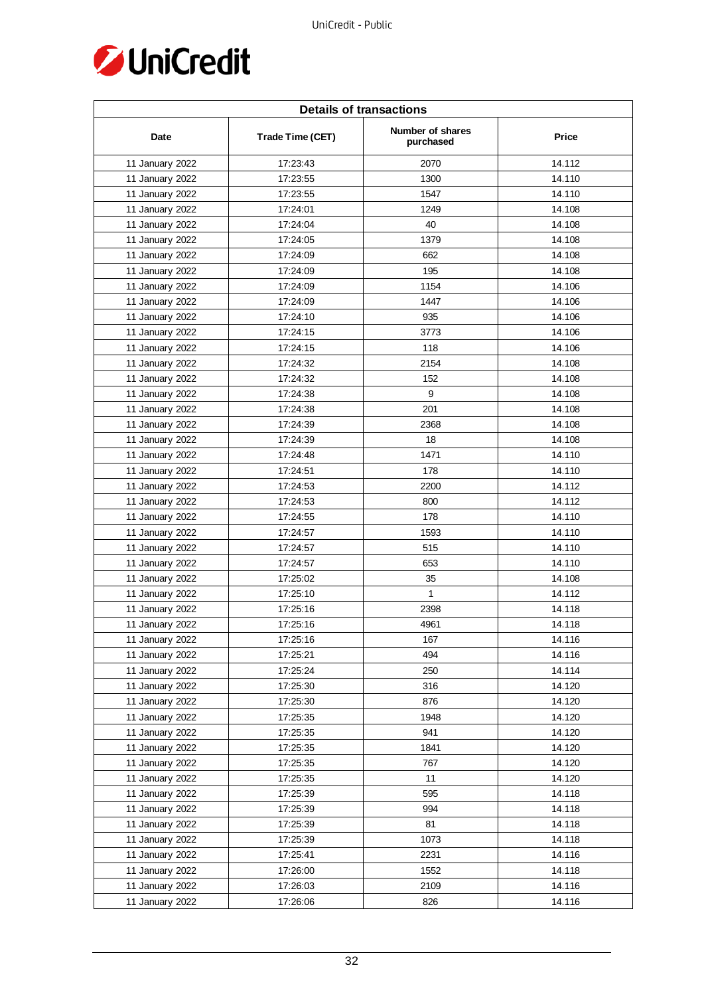

| <b>Details of transactions</b> |                  |                               |              |  |
|--------------------------------|------------------|-------------------------------|--------------|--|
| Date                           | Trade Time (CET) | Number of shares<br>purchased | <b>Price</b> |  |
| 11 January 2022                | 17:23:43         | 2070                          | 14.112       |  |
| 11 January 2022                | 17:23:55         | 1300                          | 14.110       |  |
| 11 January 2022                | 17:23:55         | 1547                          | 14.110       |  |
| 11 January 2022                | 17:24:01         | 1249                          | 14.108       |  |
| 11 January 2022                | 17:24:04         | 40                            | 14.108       |  |
| 11 January 2022                | 17:24:05         | 1379                          | 14.108       |  |
| 11 January 2022                | 17:24:09         | 662                           | 14.108       |  |
| 11 January 2022                | 17:24:09         | 195                           | 14.108       |  |
| 11 January 2022                | 17:24:09         | 1154                          | 14.106       |  |
| 11 January 2022                | 17:24:09         | 1447                          | 14.106       |  |
| 11 January 2022                | 17:24:10         | 935                           | 14.106       |  |
| 11 January 2022                | 17:24:15         | 3773                          | 14.106       |  |
| 11 January 2022                | 17:24:15         | 118                           | 14.106       |  |
| 11 January 2022                | 17:24:32         | 2154                          | 14.108       |  |
| 11 January 2022                | 17:24:32         | 152                           | 14.108       |  |
| 11 January 2022                | 17:24:38         | 9                             | 14.108       |  |
| 11 January 2022                | 17:24:38         | 201                           | 14.108       |  |
| 11 January 2022                | 17:24:39         | 2368                          | 14.108       |  |
| 11 January 2022                | 17:24:39         | 18                            | 14.108       |  |
| 11 January 2022                | 17:24:48         | 1471                          | 14.110       |  |
| 11 January 2022                | 17:24:51         | 178                           | 14.110       |  |
| 11 January 2022                | 17:24:53         | 2200                          | 14.112       |  |
| 11 January 2022                | 17:24:53         | 800                           | 14.112       |  |
| 11 January 2022                | 17:24:55         | 178                           | 14.110       |  |
| 11 January 2022                | 17:24:57         | 1593                          | 14.110       |  |
| 11 January 2022                | 17:24:57         | 515                           | 14.110       |  |
| 11 January 2022                | 17:24:57         | 653                           | 14.110       |  |
| 11 January 2022                | 17:25:02         | 35                            | 14.108       |  |
| 11 January 2022                | 17:25:10         | $\mathbf{1}$                  | 14.112       |  |
| 11 January 2022                | 17:25:16         | 2398                          | 14.118       |  |
| 11 January 2022                | 17:25:16         | 4961                          | 14.118       |  |
| 11 January 2022                | 17:25:16         | 167                           | 14.116       |  |
| 11 January 2022                | 17:25:21         | 494                           | 14.116       |  |
| 11 January 2022                | 17:25:24         | 250                           | 14.114       |  |
| 11 January 2022                | 17:25:30         | 316                           | 14.120       |  |
| 11 January 2022                | 17:25:30         | 876                           | 14.120       |  |
| 11 January 2022                | 17:25:35         | 1948                          | 14.120       |  |
| 11 January 2022                | 17:25:35         | 941                           | 14.120       |  |
| 11 January 2022                | 17:25:35         | 1841                          | 14.120       |  |
| 11 January 2022                | 17:25:35         | 767                           | 14.120       |  |
| 11 January 2022                | 17:25:35         | 11                            | 14.120       |  |
| 11 January 2022                | 17:25:39         | 595                           | 14.118       |  |
| 11 January 2022                | 17:25:39         | 994                           | 14.118       |  |
| 11 January 2022                | 17:25:39         | 81                            | 14.118       |  |
| 11 January 2022                | 17:25:39         | 1073                          | 14.118       |  |
| 11 January 2022                | 17:25:41         | 2231                          | 14.116       |  |
| 11 January 2022                | 17:26:00         | 1552                          | 14.118       |  |
| 11 January 2022                | 17:26:03         | 2109                          | 14.116       |  |
| 11 January 2022                | 17:26:06         | 826                           | 14.116       |  |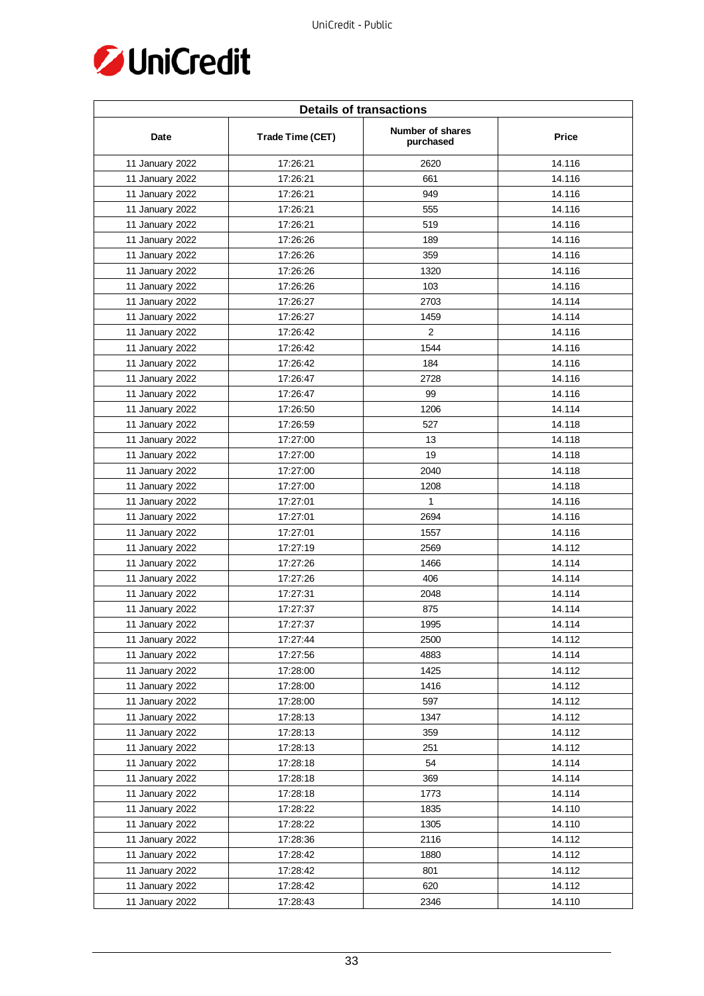

| <b>Details of transactions</b> |                  |                               |              |  |
|--------------------------------|------------------|-------------------------------|--------------|--|
| Date                           | Trade Time (CET) | Number of shares<br>purchased | <b>Price</b> |  |
| 11 January 2022                | 17:26:21         | 2620                          | 14.116       |  |
| 11 January 2022                | 17:26:21         | 661                           | 14.116       |  |
| 11 January 2022                | 17:26:21         | 949                           | 14.116       |  |
| 11 January 2022                | 17:26:21         | 555                           | 14.116       |  |
| 11 January 2022                | 17:26:21         | 519                           | 14.116       |  |
| 11 January 2022                | 17:26:26         | 189                           | 14.116       |  |
| 11 January 2022                | 17:26:26         | 359                           | 14.116       |  |
| 11 January 2022                | 17:26:26         | 1320                          | 14.116       |  |
| 11 January 2022                | 17:26:26         | 103                           | 14.116       |  |
| 11 January 2022                | 17:26:27         | 2703                          | 14.114       |  |
| 11 January 2022                | 17:26:27         | 1459                          | 14.114       |  |
| 11 January 2022                | 17:26:42         | 2                             | 14.116       |  |
| 11 January 2022                | 17:26:42         | 1544                          | 14.116       |  |
| 11 January 2022                | 17:26:42         | 184                           | 14.116       |  |
| 11 January 2022                | 17:26:47         | 2728                          | 14.116       |  |
| 11 January 2022                | 17:26:47         | 99                            | 14.116       |  |
| 11 January 2022                | 17:26:50         | 1206                          | 14.114       |  |
| 11 January 2022                | 17:26:59         | 527                           | 14.118       |  |
| 11 January 2022                | 17:27:00         | 13                            | 14.118       |  |
| 11 January 2022                | 17:27:00         | 19                            | 14.118       |  |
| 11 January 2022                | 17:27:00         | 2040                          | 14.118       |  |
| 11 January 2022                | 17:27:00         | 1208                          | 14.118       |  |
| 11 January 2022                | 17:27:01         | $\mathbf{1}$                  | 14.116       |  |
| 11 January 2022                | 17:27:01         | 2694                          | 14.116       |  |
| 11 January 2022                | 17:27:01         | 1557                          | 14.116       |  |
| 11 January 2022                | 17:27:19         | 2569                          | 14.112       |  |
| 11 January 2022                | 17:27:26         | 1466                          | 14.114       |  |
| 11 January 2022                | 17:27:26         | 406                           | 14.114       |  |
| 11 January 2022                | 17:27:31         | 2048                          | 14.114       |  |
| 11 January 2022                | 17:27:37         | 875                           | 14.114       |  |
| 11 January 2022                | 17:27:37         | 1995                          | 14.114       |  |
| 11 January 2022                | 17:27:44         | 2500                          | 14.112       |  |
| 11 January 2022                | 17:27:56         | 4883                          | 14.114       |  |
| 11 January 2022                | 17:28:00         | 1425                          | 14.112       |  |
| 11 January 2022                | 17:28:00         | 1416                          | 14.112       |  |
| 11 January 2022                | 17:28:00         | 597                           | 14.112       |  |
| 11 January 2022                | 17:28:13         | 1347                          | 14.112       |  |
| 11 January 2022                | 17:28:13         | 359                           | 14.112       |  |
| 11 January 2022                | 17:28:13         | 251                           | 14.112       |  |
| 11 January 2022                | 17:28:18         | 54                            | 14.114       |  |
| 11 January 2022                | 17:28:18         | 369                           | 14.114       |  |
| 11 January 2022                | 17:28:18         | 1773                          | 14.114       |  |
| 11 January 2022                | 17:28:22         | 1835                          | 14.110       |  |
| 11 January 2022                | 17:28:22         | 1305                          | 14.110       |  |
| 11 January 2022                | 17:28:36         | 2116                          | 14.112       |  |
| 11 January 2022                | 17:28:42         | 1880                          | 14.112       |  |
| 11 January 2022                | 17:28:42         | 801                           | 14.112       |  |
| 11 January 2022                | 17:28:42         | 620                           | 14.112       |  |
| 11 January 2022                | 17:28:43         | 2346                          | 14.110       |  |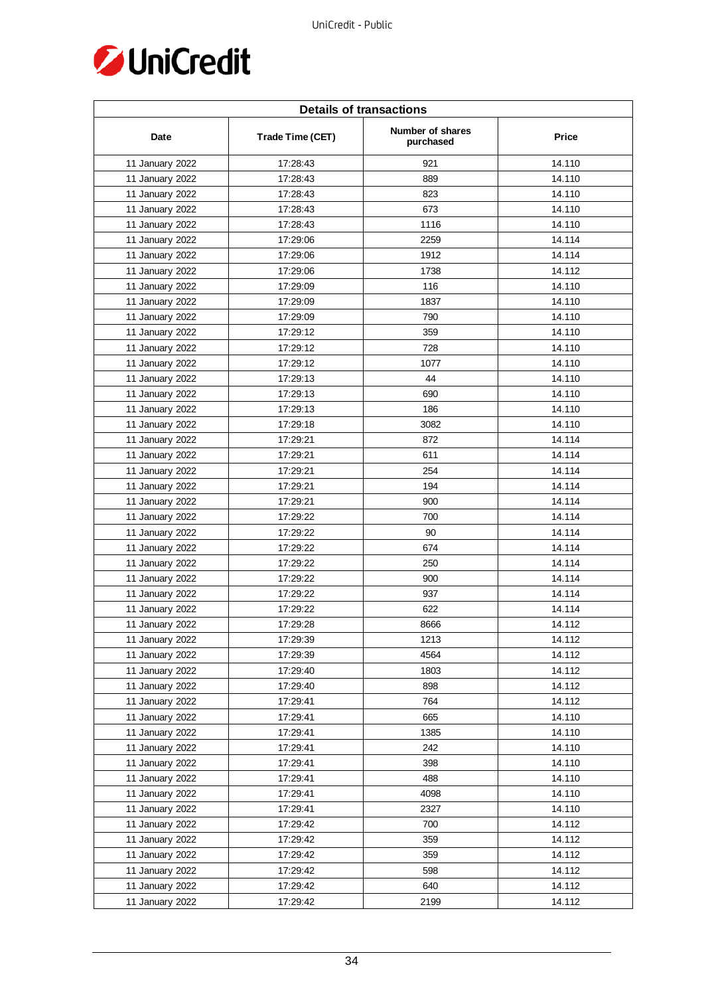

| <b>Details of transactions</b> |                  |                               |              |  |
|--------------------------------|------------------|-------------------------------|--------------|--|
| Date                           | Trade Time (CET) | Number of shares<br>purchased | <b>Price</b> |  |
| 11 January 2022                | 17:28:43         | 921                           | 14.110       |  |
| 11 January 2022                | 17:28:43         | 889                           | 14.110       |  |
| 11 January 2022                | 17:28:43         | 823                           | 14.110       |  |
| 11 January 2022                | 17:28:43         | 673                           | 14.110       |  |
| 11 January 2022                | 17:28:43         | 1116                          | 14.110       |  |
| 11 January 2022                | 17:29:06         | 2259                          | 14.114       |  |
| 11 January 2022                | 17:29:06         | 1912                          | 14.114       |  |
| 11 January 2022                | 17:29:06         | 1738                          | 14.112       |  |
| 11 January 2022                | 17:29:09         | 116                           | 14.110       |  |
| 11 January 2022                | 17:29:09         | 1837                          | 14.110       |  |
| 11 January 2022                | 17:29:09         | 790                           | 14.110       |  |
| 11 January 2022                | 17:29:12         | 359                           | 14.110       |  |
| 11 January 2022                | 17:29:12         | 728                           | 14.110       |  |
| 11 January 2022                | 17:29:12         | 1077                          | 14.110       |  |
| 11 January 2022                | 17:29:13         | 44                            | 14.110       |  |
| 11 January 2022                | 17:29:13         | 690                           | 14.110       |  |
| 11 January 2022                | 17:29:13         | 186                           | 14.110       |  |
| 11 January 2022                | 17:29:18         | 3082                          | 14.110       |  |
| 11 January 2022                | 17:29:21         | 872                           | 14.114       |  |
| 11 January 2022                | 17:29:21         | 611                           | 14.114       |  |
| 11 January 2022                | 17:29:21         | 254                           | 14.114       |  |
| 11 January 2022                | 17:29:21         | 194                           | 14.114       |  |
| 11 January 2022                | 17:29:21         | 900                           | 14.114       |  |
| 11 January 2022                | 17:29:22         | 700                           | 14.114       |  |
| 11 January 2022                | 17:29:22         | 90                            | 14.114       |  |
| 11 January 2022                | 17:29:22         | 674                           | 14.114       |  |
| 11 January 2022                | 17:29:22         | 250                           | 14.114       |  |
| 11 January 2022                | 17:29:22         | 900                           | 14.114       |  |
| 11 January 2022                | 17:29:22         | 937                           | 14.114       |  |
| 11 January 2022                | 17:29:22         | 622                           | 14.114       |  |
| 11 January 2022                | 17:29:28         | 8666                          | 14.112       |  |
| 11 January 2022                | 17:29:39         | 1213                          | 14.112       |  |
| 11 January 2022                | 17:29:39         | 4564                          | 14.112       |  |
| 11 January 2022                | 17:29:40         | 1803                          | 14.112       |  |
| 11 January 2022                | 17:29:40         | 898                           | 14.112       |  |
| 11 January 2022                | 17:29:41         | 764                           | 14.112       |  |
| 11 January 2022                | 17:29:41         | 665                           | 14.110       |  |
| 11 January 2022                | 17:29:41         | 1385                          | 14.110       |  |
| 11 January 2022                | 17:29:41         | 242                           | 14.110       |  |
| 11 January 2022                | 17:29:41         | 398                           | 14.110       |  |
| 11 January 2022                | 17:29:41         | 488                           | 14.110       |  |
| 11 January 2022                | 17:29:41         | 4098                          | 14.110       |  |
| 11 January 2022                | 17:29:41         | 2327                          | 14.110       |  |
| 11 January 2022                | 17:29:42         | 700                           | 14.112       |  |
| 11 January 2022                | 17:29:42         | 359                           | 14.112       |  |
| 11 January 2022                | 17:29:42         | 359                           | 14.112       |  |
| 11 January 2022                | 17:29:42         | 598                           | 14.112       |  |
| 11 January 2022                | 17:29:42         | 640                           | 14.112       |  |
| 11 January 2022                | 17:29:42         | 2199                          | 14.112       |  |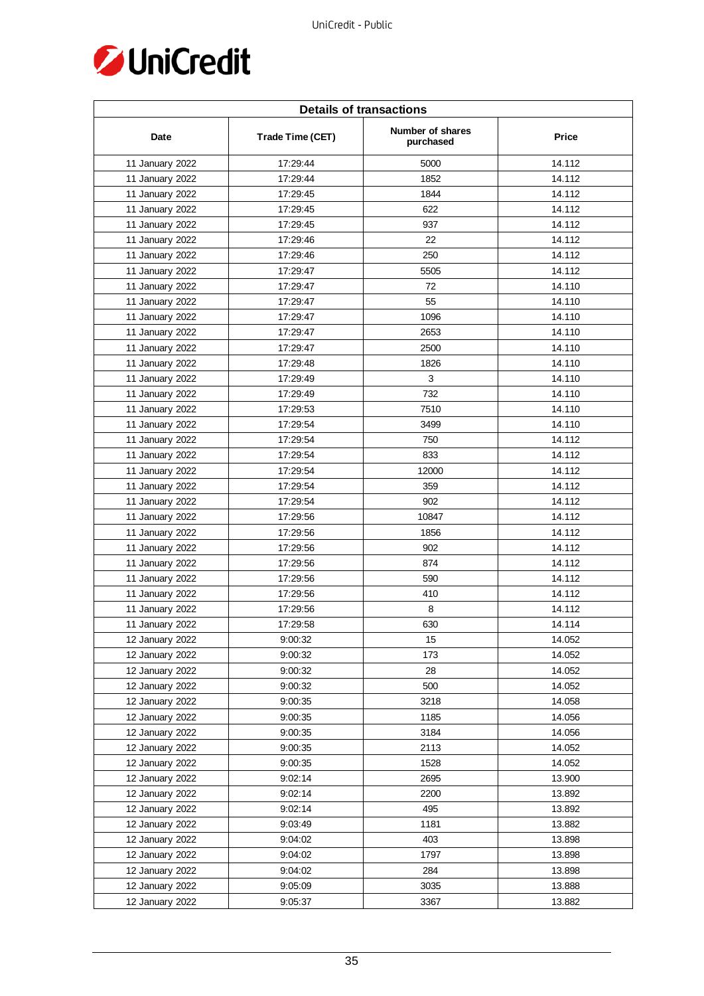

| <b>Details of transactions</b> |                  |                               |              |  |
|--------------------------------|------------------|-------------------------------|--------------|--|
| Date                           | Trade Time (CET) | Number of shares<br>purchased | <b>Price</b> |  |
| 11 January 2022                | 17:29:44         | 5000                          | 14.112       |  |
| 11 January 2022                | 17:29:44         | 1852                          | 14.112       |  |
| 11 January 2022                | 17:29:45         | 1844                          | 14.112       |  |
| 11 January 2022                | 17:29:45         | 622                           | 14.112       |  |
| 11 January 2022                | 17:29:45         | 937                           | 14.112       |  |
| 11 January 2022                | 17:29:46         | 22                            | 14.112       |  |
| 11 January 2022                | 17:29:46         | 250                           | 14.112       |  |
| 11 January 2022                | 17:29:47         | 5505                          | 14.112       |  |
| 11 January 2022                | 17:29:47         | 72                            | 14.110       |  |
| 11 January 2022                | 17:29:47         | 55                            | 14.110       |  |
| 11 January 2022                | 17:29:47         | 1096                          | 14.110       |  |
| 11 January 2022                | 17:29:47         | 2653                          | 14.110       |  |
| 11 January 2022                | 17:29:47         | 2500                          | 14.110       |  |
| 11 January 2022                | 17:29:48         | 1826                          | 14.110       |  |
| 11 January 2022                | 17:29:49         | 3                             | 14.110       |  |
| 11 January 2022                | 17:29:49         | 732                           | 14.110       |  |
| 11 January 2022                | 17:29:53         | 7510                          | 14.110       |  |
| 11 January 2022                | 17:29:54         | 3499                          | 14.110       |  |
| 11 January 2022                | 17:29:54         | 750                           | 14.112       |  |
| 11 January 2022                | 17:29:54         | 833                           | 14.112       |  |
| 11 January 2022                | 17:29:54         | 12000                         | 14.112       |  |
| 11 January 2022                | 17:29:54         | 359                           | 14.112       |  |
| 11 January 2022                | 17:29:54         | 902                           | 14.112       |  |
| 11 January 2022                | 17:29:56         | 10847                         | 14.112       |  |
| 11 January 2022                | 17:29:56         | 1856                          | 14.112       |  |
| 11 January 2022                | 17:29:56         | 902                           | 14.112       |  |
| 11 January 2022                | 17:29:56         | 874                           | 14.112       |  |
| 11 January 2022                | 17:29:56         | 590                           | 14.112       |  |
| 11 January 2022                | 17:29:56         | 410                           | 14.112       |  |
| 11 January 2022                | 17:29:56         | 8                             | 14.112       |  |
| 11 January 2022                | 17:29:58         | 630                           | 14.114       |  |
| 12 January 2022                | 9:00:32          | 15                            | 14.052       |  |
| 12 January 2022                | 9:00:32          | 173                           | 14.052       |  |
| 12 January 2022                | 9:00:32          | 28                            | 14.052       |  |
| 12 January 2022                | 9:00:32          | 500                           | 14.052       |  |
| 12 January 2022                | 9:00:35          | 3218                          | 14.058       |  |
| 12 January 2022                | 9:00:35          | 1185                          | 14.056       |  |
| 12 January 2022                | 9:00:35          | 3184                          | 14.056       |  |
| 12 January 2022                | 9:00:35          | 2113                          | 14.052       |  |
| 12 January 2022                | 9:00:35          | 1528                          | 14.052       |  |
| 12 January 2022                | 9:02:14          | 2695                          | 13.900       |  |
| 12 January 2022                | 9:02:14          | 2200                          | 13.892       |  |
| 12 January 2022                | 9:02:14          | 495                           | 13.892       |  |
| 12 January 2022                | 9:03:49          | 1181                          | 13.882       |  |
| 12 January 2022                | 9:04:02          | 403                           | 13.898       |  |
| 12 January 2022                | 9:04:02          | 1797                          | 13.898       |  |
| 12 January 2022                | 9:04:02          | 284                           | 13.898       |  |
| 12 January 2022                | 9:05:09          | 3035                          | 13.888       |  |
| 12 January 2022                | 9:05:37          | 3367                          | 13.882       |  |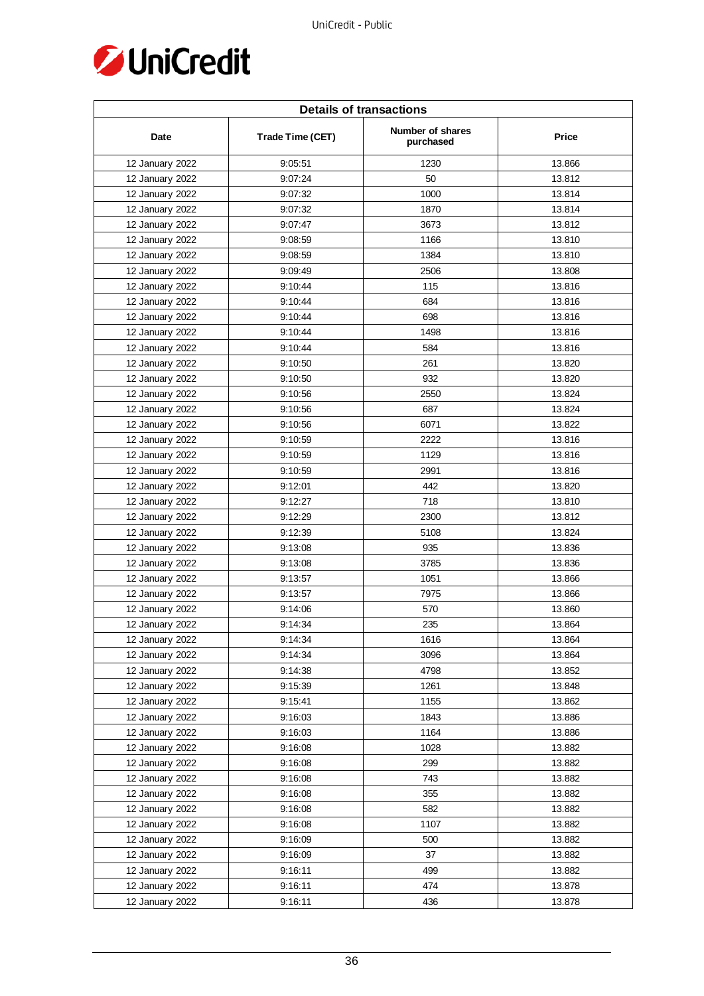

| <b>Details of transactions</b> |                  |                               |        |  |
|--------------------------------|------------------|-------------------------------|--------|--|
| Date                           | Trade Time (CET) | Number of shares<br>purchased | Price  |  |
| 12 January 2022                | 9:05:51          | 1230                          | 13.866 |  |
| 12 January 2022                | 9:07:24          | 50                            | 13.812 |  |
| 12 January 2022                | 9:07:32          | 1000                          | 13.814 |  |
| 12 January 2022                | 9:07:32          | 1870                          | 13.814 |  |
| 12 January 2022                | 9:07:47          | 3673                          | 13.812 |  |
| 12 January 2022                | 9:08:59          | 1166                          | 13.810 |  |
| 12 January 2022                | 9:08:59          | 1384                          | 13.810 |  |
| 12 January 2022                | 9:09:49          | 2506                          | 13.808 |  |
| 12 January 2022                | 9:10:44          | 115                           | 13.816 |  |
| 12 January 2022                | 9:10:44          | 684                           | 13.816 |  |
| 12 January 2022                | 9:10:44          | 698                           | 13.816 |  |
| 12 January 2022                | 9:10:44          | 1498                          | 13.816 |  |
| 12 January 2022                | 9:10:44          | 584                           | 13.816 |  |
| 12 January 2022                | 9:10:50          | 261                           | 13.820 |  |
| 12 January 2022                | 9:10:50          | 932                           | 13.820 |  |
| 12 January 2022                | 9:10:56          | 2550                          | 13.824 |  |
| 12 January 2022                | 9:10:56          | 687                           | 13.824 |  |
| 12 January 2022                | 9:10:56          | 6071                          | 13.822 |  |
| 12 January 2022                | 9:10:59          | 2222                          | 13.816 |  |
| 12 January 2022                | 9:10:59          | 1129                          | 13.816 |  |
| 12 January 2022                | 9:10:59          | 2991                          | 13.816 |  |
| 12 January 2022                | 9:12:01          | 442                           | 13.820 |  |
| 12 January 2022                | 9:12:27          | 718                           | 13.810 |  |
| 12 January 2022                | 9:12:29          | 2300                          | 13.812 |  |
| 12 January 2022                | 9:12:39          | 5108                          | 13.824 |  |
| 12 January 2022                | 9:13:08          | 935                           | 13.836 |  |
| 12 January 2022                | 9:13:08          | 3785                          | 13.836 |  |
| 12 January 2022                | 9:13:57          | 1051                          | 13.866 |  |
| 12 January 2022                | 9:13:57          | 7975                          | 13.866 |  |
| 12 January 2022                | 9:14:06          | 570                           | 13.860 |  |
| 12 January 2022                | 9:14:34          | 235                           | 13.864 |  |
| 12 January 2022                | 9:14:34          | 1616                          | 13.864 |  |
| 12 January 2022                | 9:14:34          | 3096                          | 13.864 |  |
| 12 January 2022                | 9:14:38          | 4798                          | 13.852 |  |
| 12 January 2022                | 9:15:39          | 1261                          | 13.848 |  |
| 12 January 2022                | 9:15:41          | 1155                          | 13.862 |  |
| 12 January 2022                | 9:16:03          | 1843                          | 13.886 |  |
| 12 January 2022                | 9:16:03          | 1164                          | 13.886 |  |
| 12 January 2022                | 9:16:08          | 1028                          | 13.882 |  |
| 12 January 2022                | 9:16:08          | 299                           | 13.882 |  |
| 12 January 2022                | 9:16:08          | 743                           | 13.882 |  |
| 12 January 2022                | 9:16:08          | 355                           | 13.882 |  |
| 12 January 2022                | 9:16:08          | 582                           | 13.882 |  |
| 12 January 2022                | 9:16:08          | 1107                          | 13.882 |  |
| 12 January 2022                | 9:16:09          | 500                           | 13.882 |  |
| 12 January 2022                | 9:16:09          | 37                            | 13.882 |  |
| 12 January 2022                | 9:16:11          | 499                           | 13.882 |  |
| 12 January 2022                | 9:16:11          | 474                           | 13.878 |  |
| 12 January 2022                | 9:16:11          | 436                           | 13.878 |  |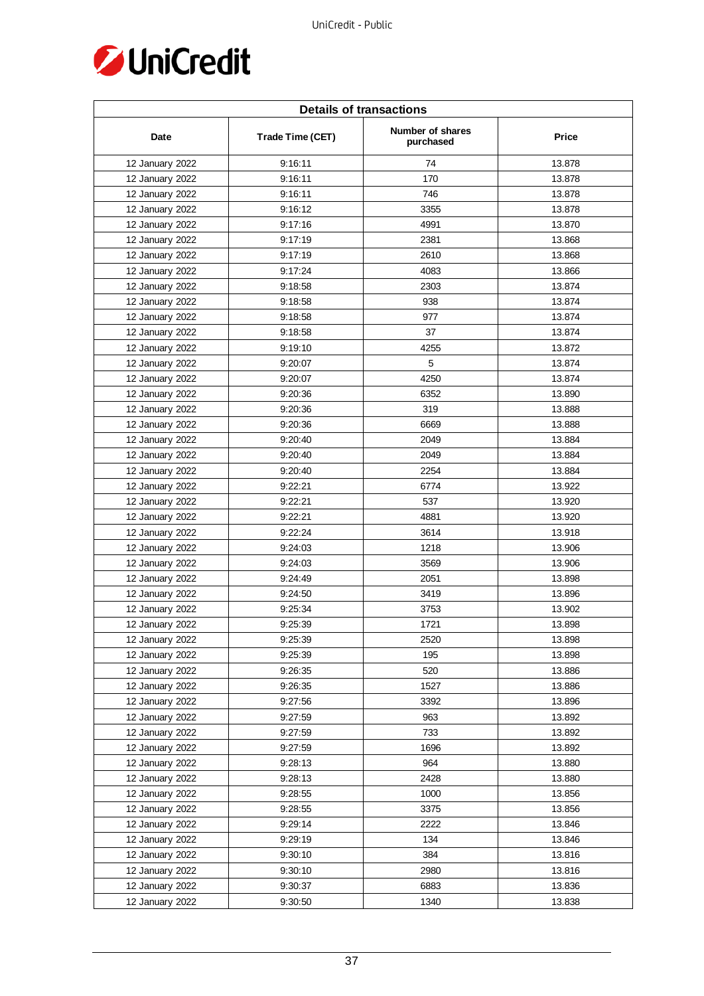

| <b>Details of transactions</b> |                  |                               |        |
|--------------------------------|------------------|-------------------------------|--------|
| Date                           | Trade Time (CET) | Number of shares<br>purchased | Price  |
| 12 January 2022                | 9:16:11          | 74                            | 13.878 |
| 12 January 2022                | 9:16:11          | 170                           | 13.878 |
| 12 January 2022                | 9:16:11          | 746                           | 13.878 |
| 12 January 2022                | 9:16:12          | 3355                          | 13.878 |
| 12 January 2022                | 9:17:16          | 4991                          | 13.870 |
| 12 January 2022                | 9:17:19          | 2381                          | 13.868 |
| 12 January 2022                | 9:17:19          | 2610                          | 13.868 |
| 12 January 2022                | 9:17:24          | 4083                          | 13.866 |
| 12 January 2022                | 9:18:58          | 2303                          | 13.874 |
| 12 January 2022                | 9:18:58          | 938                           | 13.874 |
| 12 January 2022                | 9:18:58          | 977                           | 13.874 |
| 12 January 2022                | 9:18:58          | 37                            | 13.874 |
| 12 January 2022                | 9:19:10          | 4255                          | 13.872 |
| 12 January 2022                | 9:20:07          | 5                             | 13.874 |
| 12 January 2022                | 9:20:07          | 4250                          | 13.874 |
| 12 January 2022                | 9:20:36          | 6352                          | 13.890 |
| 12 January 2022                | 9:20:36          | 319                           | 13.888 |
| 12 January 2022                | 9:20:36          | 6669                          | 13.888 |
| 12 January 2022                | 9:20:40          | 2049                          | 13.884 |
| 12 January 2022                | 9:20:40          | 2049                          | 13.884 |
| 12 January 2022                | 9:20:40          | 2254                          | 13.884 |
| 12 January 2022                | 9:22:21          | 6774                          | 13.922 |
| 12 January 2022                | 9:22:21          | 537                           | 13.920 |
| 12 January 2022                | 9:22:21          | 4881                          | 13.920 |
| 12 January 2022                | 9:22:24          | 3614                          | 13.918 |
| 12 January 2022                | 9:24:03          | 1218                          | 13.906 |
| 12 January 2022                | 9:24:03          | 3569                          | 13.906 |
| 12 January 2022                | 9:24:49          | 2051                          | 13.898 |
| 12 January 2022                | 9:24:50          | 3419                          | 13.896 |
| 12 January 2022                | 9:25:34          | 3753                          | 13.902 |
| 12 January 2022                | 9:25:39          | 1721                          | 13.898 |
| 12 January 2022                | 9:25:39          | 2520                          | 13.898 |
| 12 January 2022                | 9:25:39          | 195                           | 13.898 |
| 12 January 2022                | 9:26:35          | 520                           | 13.886 |
| 12 January 2022                | 9:26:35          | 1527                          | 13.886 |
| 12 January 2022                | 9:27:56          | 3392                          | 13.896 |
| 12 January 2022                | 9:27:59          | 963                           | 13.892 |
| 12 January 2022                | 9:27:59          | 733                           | 13.892 |
| 12 January 2022                | 9:27:59          | 1696                          | 13.892 |
| 12 January 2022                | 9:28:13          | 964                           | 13.880 |
| 12 January 2022                | 9:28:13          | 2428                          | 13.880 |
| 12 January 2022                | 9:28:55          | 1000                          | 13.856 |
| 12 January 2022                | 9:28:55          | 3375                          | 13.856 |
| 12 January 2022                | 9:29:14          | 2222                          | 13.846 |
| 12 January 2022                | 9:29:19          | 134                           | 13.846 |
| 12 January 2022                | 9:30:10          | 384                           | 13.816 |
| 12 January 2022                | 9:30:10          | 2980                          | 13.816 |
| 12 January 2022                | 9:30:37          | 6883                          | 13.836 |
| 12 January 2022                | 9:30:50          | 1340                          | 13.838 |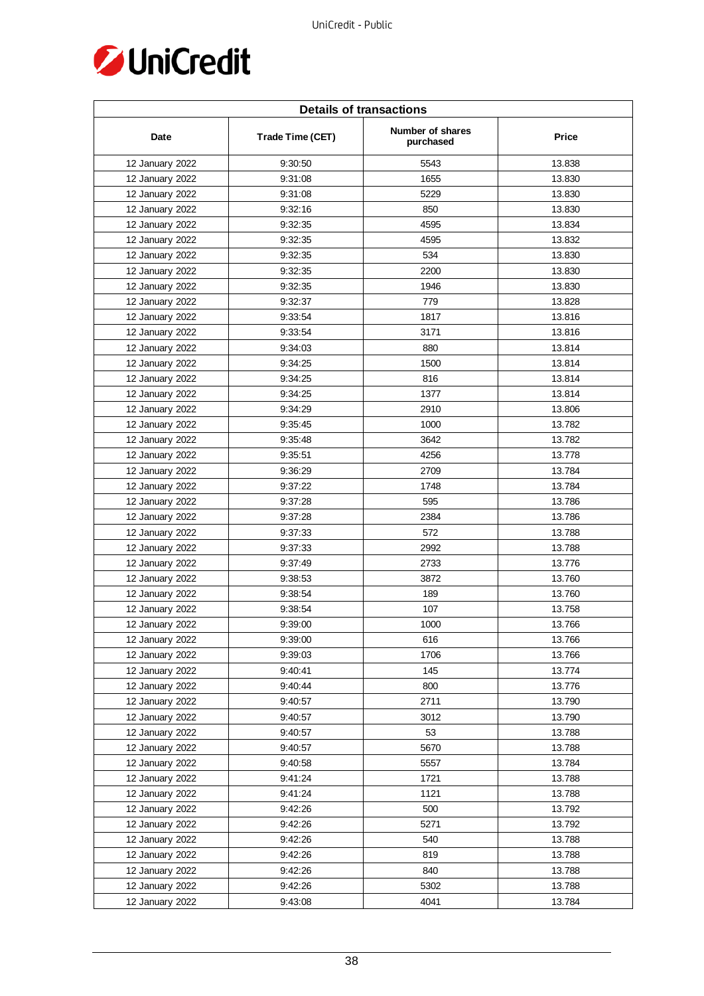

| <b>Details of transactions</b> |                  |                               |        |
|--------------------------------|------------------|-------------------------------|--------|
| Date                           | Trade Time (CET) | Number of shares<br>purchased | Price  |
| 12 January 2022                | 9:30:50          | 5543                          | 13.838 |
| 12 January 2022                | 9:31:08          | 1655                          | 13.830 |
| 12 January 2022                | 9:31:08          | 5229                          | 13.830 |
| 12 January 2022                | 9:32:16          | 850                           | 13.830 |
| 12 January 2022                | 9:32:35          | 4595                          | 13.834 |
| 12 January 2022                | 9:32:35          | 4595                          | 13.832 |
| 12 January 2022                | 9:32:35          | 534                           | 13.830 |
| 12 January 2022                | 9:32:35          | 2200                          | 13.830 |
| 12 January 2022                | 9:32:35          | 1946                          | 13.830 |
| 12 January 2022                | 9:32:37          | 779                           | 13.828 |
| 12 January 2022                | 9:33:54          | 1817                          | 13.816 |
| 12 January 2022                | 9:33:54          | 3171                          | 13.816 |
| 12 January 2022                | 9:34:03          | 880                           | 13.814 |
| 12 January 2022                | 9:34:25          | 1500                          | 13.814 |
| 12 January 2022                | 9:34:25          | 816                           | 13.814 |
| 12 January 2022                | 9:34:25          | 1377                          | 13.814 |
| 12 January 2022                | 9:34:29          | 2910                          | 13.806 |
| 12 January 2022                | 9:35:45          | 1000                          | 13.782 |
| 12 January 2022                | 9:35:48          | 3642                          | 13.782 |
| 12 January 2022                | 9:35:51          | 4256                          | 13.778 |
| 12 January 2022                | 9:36:29          | 2709                          | 13.784 |
| 12 January 2022                | 9:37:22          | 1748                          | 13.784 |
| 12 January 2022                | 9:37:28          | 595                           | 13.786 |
| 12 January 2022                | 9:37:28          | 2384                          | 13.786 |
| 12 January 2022                | 9:37:33          | 572                           | 13.788 |
| 12 January 2022                | 9:37:33          | 2992                          | 13.788 |
| 12 January 2022                | 9:37:49          | 2733                          | 13.776 |
| 12 January 2022                | 9:38:53          | 3872                          | 13.760 |
| 12 January 2022                | 9:38:54          | 189                           | 13.760 |
| 12 January 2022                | 9:38:54          | 107                           | 13.758 |
| 12 January 2022                | 9:39:00          | 1000                          | 13.766 |
| 12 January 2022                | 9:39:00          | 616                           | 13.766 |
| 12 January 2022                | 9:39:03          | 1706                          | 13.766 |
| 12 January 2022                | 9:40:41          | 145                           | 13.774 |
| 12 January 2022                | 9:40:44          | 800                           | 13.776 |
| 12 January 2022                | 9:40:57          | 2711                          | 13.790 |
| 12 January 2022                | 9:40:57          | 3012                          | 13.790 |
| 12 January 2022                | 9:40:57          | 53                            | 13.788 |
| 12 January 2022                | 9:40:57          | 5670                          | 13.788 |
| 12 January 2022                | 9:40:58          | 5557                          | 13.784 |
| 12 January 2022                | 9:41:24          | 1721                          | 13.788 |
| 12 January 2022                | 9:41:24          | 1121                          | 13.788 |
| 12 January 2022                | 9:42:26          | 500                           | 13.792 |
| 12 January 2022                | 9:42:26          | 5271                          | 13.792 |
| 12 January 2022                | 9:42:26          | 540                           | 13.788 |
| 12 January 2022                | 9:42:26          | 819                           | 13.788 |
| 12 January 2022                | 9:42:26          | 840                           | 13.788 |
| 12 January 2022                | 9:42:26          | 5302                          | 13.788 |
| 12 January 2022                | 9:43:08          | 4041                          | 13.784 |
|                                |                  |                               |        |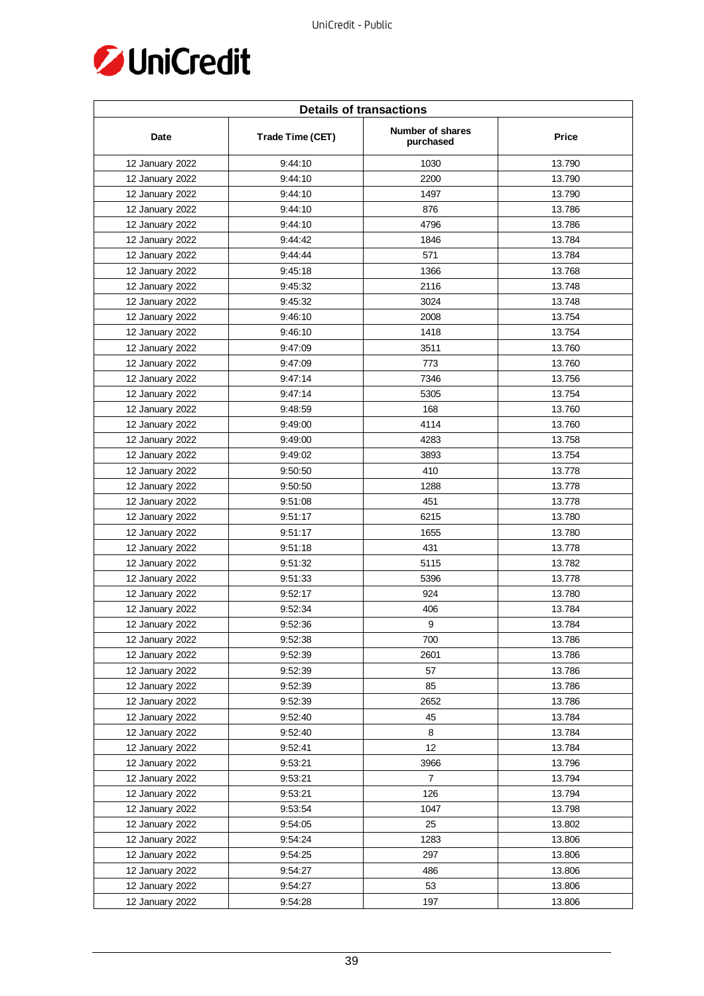

| <b>Details of transactions</b> |                  |                               |              |  |
|--------------------------------|------------------|-------------------------------|--------------|--|
| Date                           | Trade Time (CET) | Number of shares<br>purchased | <b>Price</b> |  |
| 12 January 2022                | 9:44:10          | 1030                          | 13.790       |  |
| 12 January 2022                | 9:44:10          | 2200                          | 13.790       |  |
| 12 January 2022                | 9:44:10          | 1497                          | 13.790       |  |
| 12 January 2022                | 9:44:10          | 876                           | 13.786       |  |
| 12 January 2022                | 9:44:10          | 4796                          | 13.786       |  |
| 12 January 2022                | 9:44:42          | 1846                          | 13.784       |  |
| 12 January 2022                | 9:44:44          | 571                           | 13.784       |  |
| 12 January 2022                | 9:45:18          | 1366                          | 13.768       |  |
| 12 January 2022                | 9:45:32          | 2116                          | 13.748       |  |
| 12 January 2022                | 9:45:32          | 3024                          | 13.748       |  |
| 12 January 2022                | 9:46:10          | 2008                          | 13.754       |  |
| 12 January 2022                | 9:46:10          | 1418                          | 13.754       |  |
| 12 January 2022                | 9:47:09          | 3511                          | 13.760       |  |
| 12 January 2022                | 9:47:09          | 773                           | 13.760       |  |
| 12 January 2022                | 9:47:14          | 7346                          | 13.756       |  |
| 12 January 2022                | 9:47:14          | 5305                          | 13.754       |  |
| 12 January 2022                | 9:48:59          | 168                           | 13.760       |  |
| 12 January 2022                | 9:49:00          | 4114                          | 13.760       |  |
| 12 January 2022                | 9:49:00          | 4283                          | 13.758       |  |
| 12 January 2022                | 9:49:02          | 3893                          | 13.754       |  |
| 12 January 2022                | 9:50:50          | 410                           | 13.778       |  |
| 12 January 2022                | 9:50:50          | 1288                          | 13.778       |  |
| 12 January 2022                | 9:51:08          | 451                           | 13.778       |  |
| 12 January 2022                | 9:51:17          | 6215                          | 13.780       |  |
| 12 January 2022                | 9:51:17          | 1655                          | 13.780       |  |
| 12 January 2022                | 9:51:18          | 431                           | 13.778       |  |
| 12 January 2022                | 9:51:32          | 5115                          | 13.782       |  |
| 12 January 2022                | 9:51:33          | 5396                          | 13.778       |  |
| 12 January 2022                | 9:52:17          | 924                           | 13.780       |  |
| 12 January 2022                | 9:52:34          | 406                           | 13.784       |  |
| 12 January 2022                | 9:52:36          | 9                             | 13.784       |  |
| 12 January 2022                | 9:52:38          | 700                           | 13.786       |  |
| 12 January 2022                | 9:52:39          | 2601                          | 13.786       |  |
| 12 January 2022                | 9:52:39          | 57                            | 13.786       |  |
| 12 January 2022                | 9:52:39          | 85                            | 13.786       |  |
| 12 January 2022                | 9:52:39          | 2652                          | 13.786       |  |
| 12 January 2022                | 9:52:40          | 45                            | 13.784       |  |
| 12 January 2022                | 9:52:40          | 8                             | 13.784       |  |
| 12 January 2022                | 9:52:41          | 12                            | 13.784       |  |
| 12 January 2022                | 9:53:21          | 3966                          | 13.796       |  |
| 12 January 2022                | 9:53:21          | $\overline{7}$                | 13.794       |  |
| 12 January 2022                | 9:53:21          | 126                           | 13.794       |  |
| 12 January 2022                | 9:53:54          | 1047                          | 13.798       |  |
| 12 January 2022                | 9:54:05          | 25                            | 13.802       |  |
| 12 January 2022                | 9:54:24          | 1283                          | 13.806       |  |
| 12 January 2022                | 9:54:25          | 297                           | 13.806       |  |
| 12 January 2022                | 9:54:27          | 486                           | 13.806       |  |
| 12 January 2022                | 9:54:27          | 53                            | 13.806       |  |
| 12 January 2022                | 9:54:28          | 197                           | 13.806       |  |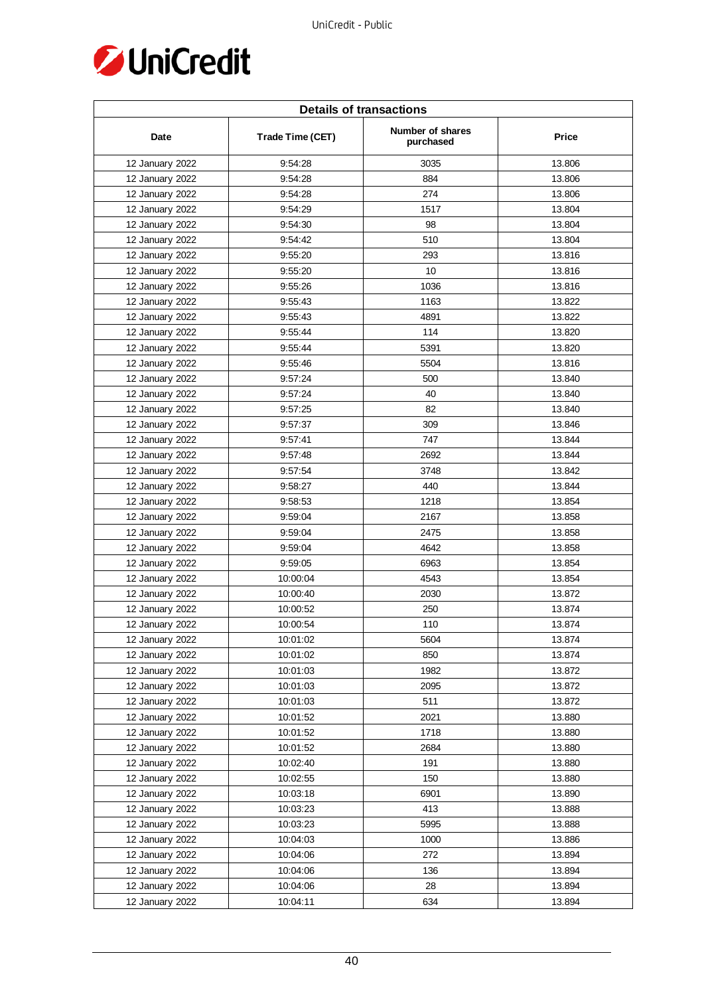

| <b>Details of transactions</b> |                  |                               |        |
|--------------------------------|------------------|-------------------------------|--------|
| Date                           | Trade Time (CET) | Number of shares<br>purchased | Price  |
| 12 January 2022                | 9:54:28          | 3035                          | 13.806 |
| 12 January 2022                | 9:54:28          | 884                           | 13.806 |
| 12 January 2022                | 9:54:28          | 274                           | 13.806 |
| 12 January 2022                | 9:54:29          | 1517                          | 13.804 |
| 12 January 2022                | 9:54:30          | 98                            | 13.804 |
| 12 January 2022                | 9:54:42          | 510                           | 13.804 |
| 12 January 2022                | 9:55:20          | 293                           | 13.816 |
| 12 January 2022                | 9:55:20          | 10                            | 13.816 |
| 12 January 2022                | 9:55:26          | 1036                          | 13.816 |
| 12 January 2022                | 9:55:43          | 1163                          | 13.822 |
| 12 January 2022                | 9:55:43          | 4891                          | 13.822 |
| 12 January 2022                | 9:55:44          | 114                           | 13.820 |
| 12 January 2022                | 9:55:44          | 5391                          | 13.820 |
| 12 January 2022                | 9:55:46          | 5504                          | 13.816 |
| 12 January 2022                | 9:57:24          | 500                           | 13.840 |
| 12 January 2022                | 9:57:24          | 40                            | 13.840 |
| 12 January 2022                | 9:57:25          | 82                            | 13.840 |
| 12 January 2022                | 9:57:37          | 309                           | 13.846 |
| 12 January 2022                | 9:57:41          | 747                           | 13.844 |
| 12 January 2022                | 9:57:48          | 2692                          | 13.844 |
| 12 January 2022                | 9:57:54          | 3748                          | 13.842 |
| 12 January 2022                | 9:58:27          | 440                           | 13.844 |
| 12 January 2022                | 9:58:53          | 1218                          | 13.854 |
| 12 January 2022                | 9:59:04          | 2167                          | 13.858 |
| 12 January 2022                | 9:59:04          | 2475                          | 13.858 |
| 12 January 2022                | 9:59:04          | 4642                          | 13.858 |
| 12 January 2022                | 9:59:05          | 6963                          | 13.854 |
| 12 January 2022                | 10:00:04         | 4543                          | 13.854 |
| 12 January 2022                | 10:00:40         | 2030                          | 13.872 |
| 12 January 2022                | 10:00:52         | 250                           | 13.874 |
| 12 January 2022                | 10:00:54         | 110                           | 13.874 |
| 12 January 2022                | 10:01:02         | 5604                          | 13.874 |
| 12 January 2022                | 10:01:02         | 850                           | 13.874 |
| 12 January 2022                | 10:01:03         | 1982                          | 13.872 |
| 12 January 2022                | 10:01:03         | 2095                          | 13.872 |
| 12 January 2022                | 10:01:03         | 511                           | 13.872 |
| 12 January 2022                | 10:01:52         | 2021                          | 13.880 |
| 12 January 2022                | 10:01:52         | 1718                          | 13.880 |
| 12 January 2022                | 10:01:52         | 2684                          | 13.880 |
| 12 January 2022                | 10:02:40         | 191                           | 13.880 |
| 12 January 2022                | 10:02:55         | 150                           | 13.880 |
| 12 January 2022                | 10:03:18         | 6901                          | 13.890 |
| 12 January 2022                | 10:03:23         | 413                           | 13.888 |
| 12 January 2022                | 10:03:23         | 5995                          | 13.888 |
| 12 January 2022                | 10:04:03         | 1000                          | 13.886 |
| 12 January 2022                | 10:04:06         | 272                           | 13.894 |
| 12 January 2022                | 10:04:06         | 136                           | 13.894 |
| 12 January 2022                | 10:04:06         | 28                            | 13.894 |
| 12 January 2022                | 10:04:11         | 634                           | 13.894 |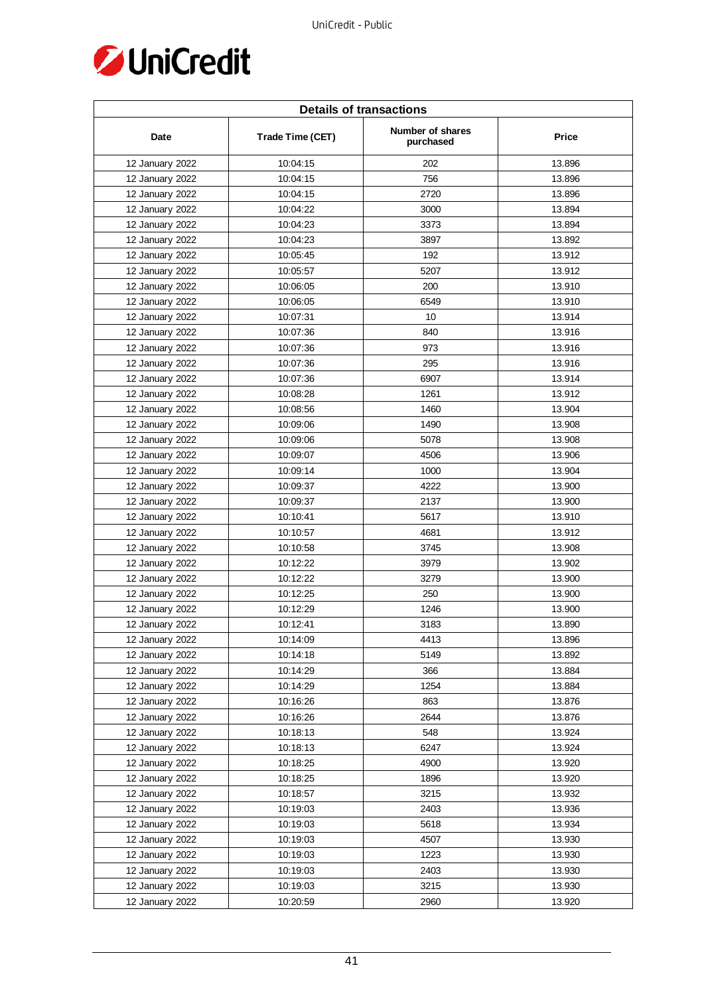

| <b>Details of transactions</b> |                  |                               |        |  |
|--------------------------------|------------------|-------------------------------|--------|--|
| Date                           | Trade Time (CET) | Number of shares<br>purchased | Price  |  |
| 12 January 2022                | 10:04:15         | 202                           | 13.896 |  |
| 12 January 2022                | 10:04:15         | 756                           | 13.896 |  |
| 12 January 2022                | 10:04:15         | 2720                          | 13.896 |  |
| 12 January 2022                | 10:04:22         | 3000                          | 13.894 |  |
| 12 January 2022                | 10:04:23         | 3373                          | 13.894 |  |
| 12 January 2022                | 10:04:23         | 3897                          | 13.892 |  |
| 12 January 2022                | 10:05:45         | 192                           | 13.912 |  |
| 12 January 2022                | 10:05:57         | 5207                          | 13.912 |  |
| 12 January 2022                | 10:06:05         | 200                           | 13.910 |  |
| 12 January 2022                | 10:06:05         | 6549                          | 13.910 |  |
| 12 January 2022                | 10:07:31         | 10                            | 13.914 |  |
| 12 January 2022                | 10:07:36         | 840                           | 13.916 |  |
| 12 January 2022                | 10:07:36         | 973                           | 13.916 |  |
| 12 January 2022                | 10:07:36         | 295                           | 13.916 |  |
| 12 January 2022                | 10:07:36         | 6907                          | 13.914 |  |
| 12 January 2022                | 10:08:28         | 1261                          | 13.912 |  |
| 12 January 2022                | 10:08:56         | 1460                          | 13.904 |  |
| 12 January 2022                | 10:09:06         | 1490                          | 13.908 |  |
| 12 January 2022                | 10:09:06         | 5078                          | 13.908 |  |
| 12 January 2022                | 10:09:07         | 4506                          | 13.906 |  |
| 12 January 2022                | 10:09:14         | 1000                          | 13.904 |  |
| 12 January 2022                | 10:09:37         | 4222                          | 13.900 |  |
| 12 January 2022                | 10:09:37         | 2137                          | 13.900 |  |
| 12 January 2022                | 10:10:41         | 5617                          | 13.910 |  |
| 12 January 2022                | 10:10:57         | 4681                          | 13.912 |  |
| 12 January 2022                | 10:10:58         | 3745                          | 13.908 |  |
| 12 January 2022                | 10:12:22         | 3979                          | 13.902 |  |
| 12 January 2022                | 10:12:22         | 3279                          | 13.900 |  |
| 12 January 2022                | 10:12:25         | 250                           | 13.900 |  |
| 12 January 2022                | 10:12:29         | 1246                          | 13.900 |  |
| 12 January 2022                | 10:12:41         | 3183                          | 13.890 |  |
| 12 January 2022                | 10:14:09         | 4413                          | 13.896 |  |
| 12 January 2022                | 10:14:18         | 5149                          | 13.892 |  |
| 12 January 2022                | 10:14:29         | 366                           | 13.884 |  |
| 12 January 2022                | 10:14:29         | 1254                          | 13.884 |  |
| 12 January 2022                | 10:16:26         | 863                           | 13.876 |  |
| 12 January 2022                | 10:16:26         | 2644                          | 13.876 |  |
| 12 January 2022                | 10:18:13         | 548                           | 13.924 |  |
| 12 January 2022                | 10:18:13         | 6247                          | 13.924 |  |
| 12 January 2022                | 10:18:25         | 4900                          | 13.920 |  |
| 12 January 2022                | 10:18:25         | 1896                          | 13.920 |  |
| 12 January 2022                | 10:18:57         | 3215                          | 13.932 |  |
| 12 January 2022                | 10:19:03         | 2403                          | 13.936 |  |
| 12 January 2022                | 10:19:03         | 5618                          | 13.934 |  |
| 12 January 2022                | 10:19:03         | 4507                          | 13.930 |  |
| 12 January 2022                | 10:19:03         | 1223                          | 13.930 |  |
| 12 January 2022                | 10:19:03         | 2403                          | 13.930 |  |
| 12 January 2022                | 10:19:03         | 3215                          | 13.930 |  |
| 12 January 2022                | 10:20:59         | 2960                          | 13.920 |  |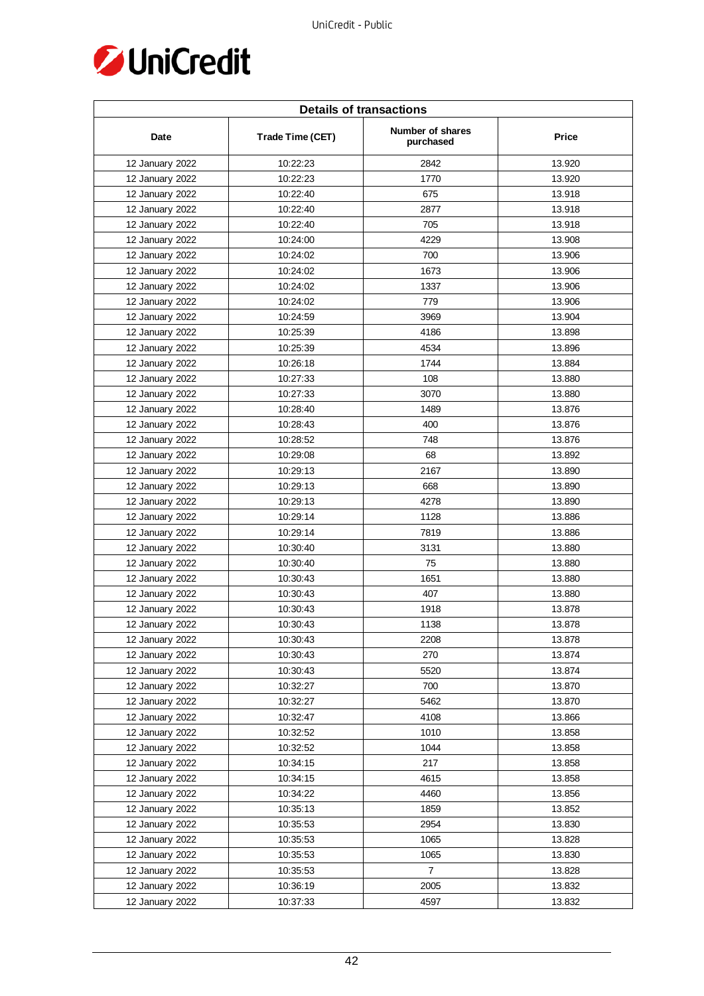

| <b>Details of transactions</b> |                  |                               |        |  |
|--------------------------------|------------------|-------------------------------|--------|--|
| Date                           | Trade Time (CET) | Number of shares<br>purchased | Price  |  |
| 12 January 2022                | 10:22:23         | 2842                          | 13.920 |  |
| 12 January 2022                | 10:22:23         | 1770                          | 13.920 |  |
| 12 January 2022                | 10:22:40         | 675                           | 13.918 |  |
| 12 January 2022                | 10:22:40         | 2877                          | 13.918 |  |
| 12 January 2022                | 10:22:40         | 705                           | 13.918 |  |
| 12 January 2022                | 10:24:00         | 4229                          | 13.908 |  |
| 12 January 2022                | 10:24:02         | 700                           | 13.906 |  |
| 12 January 2022                | 10:24:02         | 1673                          | 13.906 |  |
| 12 January 2022                | 10:24:02         | 1337                          | 13.906 |  |
| 12 January 2022                | 10:24:02         | 779                           | 13.906 |  |
| 12 January 2022                | 10:24:59         | 3969                          | 13.904 |  |
| 12 January 2022                | 10:25:39         | 4186                          | 13.898 |  |
| 12 January 2022                | 10:25:39         | 4534                          | 13.896 |  |
| 12 January 2022                | 10:26:18         | 1744                          | 13.884 |  |
| 12 January 2022                | 10:27:33         | 108                           | 13.880 |  |
| 12 January 2022                | 10:27:33         | 3070                          | 13.880 |  |
| 12 January 2022                | 10:28:40         | 1489                          | 13.876 |  |
| 12 January 2022                | 10:28:43         | 400                           | 13.876 |  |
| 12 January 2022                | 10:28:52         | 748                           | 13.876 |  |
| 12 January 2022                | 10:29:08         | 68                            | 13.892 |  |
| 12 January 2022                | 10:29:13         | 2167                          | 13.890 |  |
| 12 January 2022                | 10:29:13         | 668                           | 13.890 |  |
| 12 January 2022                | 10:29:13         | 4278                          | 13.890 |  |
| 12 January 2022                | 10:29:14         | 1128                          | 13.886 |  |
| 12 January 2022                | 10:29:14         | 7819                          | 13.886 |  |
| 12 January 2022                | 10:30:40         | 3131                          | 13.880 |  |
| 12 January 2022                | 10:30:40         | 75                            | 13.880 |  |
| 12 January 2022                | 10:30:43         | 1651                          | 13.880 |  |
| 12 January 2022                | 10:30:43         | 407                           | 13.880 |  |
| 12 January 2022                | 10:30:43         | 1918                          | 13.878 |  |
| 12 January 2022                | 10:30:43         | 1138                          | 13.878 |  |
| 12 January 2022                | 10:30:43         | 2208                          | 13.878 |  |
| 12 January 2022                | 10:30:43         | 270                           | 13.874 |  |
| 12 January 2022                | 10:30:43         | 5520                          | 13.874 |  |
| 12 January 2022                | 10:32:27         | 700                           | 13.870 |  |
| 12 January 2022                | 10:32:27         | 5462                          | 13.870 |  |
| 12 January 2022                | 10:32:47         | 4108                          | 13.866 |  |
| 12 January 2022                | 10:32:52         | 1010                          | 13.858 |  |
| 12 January 2022                | 10:32:52         | 1044                          | 13.858 |  |
| 12 January 2022                | 10:34:15         | 217                           | 13.858 |  |
| 12 January 2022                | 10:34:15         | 4615                          | 13.858 |  |
| 12 January 2022                | 10:34:22         | 4460                          | 13.856 |  |
| 12 January 2022                | 10:35:13         | 1859                          | 13.852 |  |
| 12 January 2022                | 10:35:53         | 2954                          | 13.830 |  |
| 12 January 2022                | 10:35:53         | 1065                          | 13.828 |  |
| 12 January 2022                | 10:35:53         | 1065                          | 13.830 |  |
| 12 January 2022                | 10:35:53         | $\overline{7}$                | 13.828 |  |
| 12 January 2022                | 10:36:19         | 2005                          | 13.832 |  |
| 12 January 2022                | 10:37:33         | 4597                          | 13.832 |  |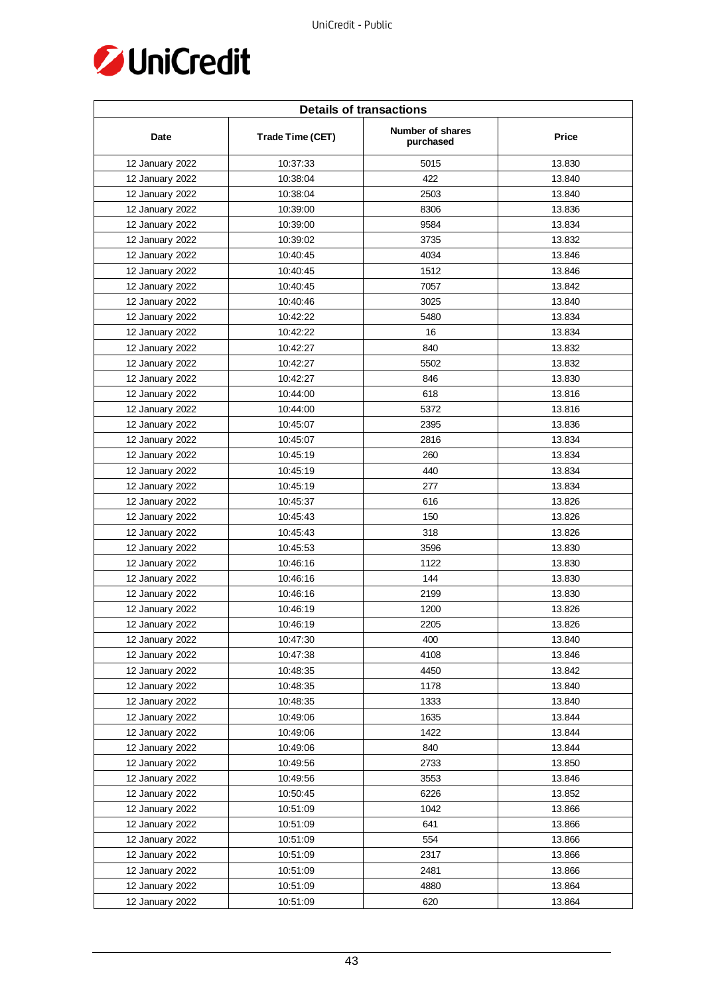

| <b>Details of transactions</b> |                  |                               |        |
|--------------------------------|------------------|-------------------------------|--------|
| Date                           | Trade Time (CET) | Number of shares<br>purchased | Price  |
| 12 January 2022                | 10:37:33         | 5015                          | 13.830 |
| 12 January 2022                | 10:38:04         | 422                           | 13.840 |
| 12 January 2022                | 10:38:04         | 2503                          | 13.840 |
| 12 January 2022                | 10:39:00         | 8306                          | 13.836 |
| 12 January 2022                | 10:39:00         | 9584                          | 13.834 |
| 12 January 2022                | 10:39:02         | 3735                          | 13.832 |
| 12 January 2022                | 10:40:45         | 4034                          | 13.846 |
| 12 January 2022                | 10:40:45         | 1512                          | 13.846 |
| 12 January 2022                | 10:40:45         | 7057                          | 13.842 |
| 12 January 2022                | 10:40:46         | 3025                          | 13.840 |
| 12 January 2022                | 10:42:22         | 5480                          | 13.834 |
| 12 January 2022                | 10:42:22         | 16                            | 13.834 |
| 12 January 2022                | 10:42:27         | 840                           | 13.832 |
| 12 January 2022                | 10:42:27         | 5502                          | 13.832 |
| 12 January 2022                | 10:42:27         | 846                           | 13.830 |
| 12 January 2022                | 10:44:00         | 618                           | 13.816 |
| 12 January 2022                | 10:44:00         | 5372                          | 13.816 |
| 12 January 2022                | 10:45:07         | 2395                          | 13.836 |
| 12 January 2022                | 10:45:07         | 2816                          | 13.834 |
| 12 January 2022                | 10:45:19         | 260                           | 13.834 |
| 12 January 2022                | 10:45:19         | 440                           | 13.834 |
| 12 January 2022                | 10:45:19         | 277                           | 13.834 |
| 12 January 2022                | 10:45:37         | 616                           | 13.826 |
| 12 January 2022                | 10:45:43         | 150                           | 13.826 |
| 12 January 2022                | 10:45:43         | 318                           | 13.826 |
| 12 January 2022                | 10:45:53         | 3596                          | 13.830 |
| 12 January 2022                | 10:46:16         | 1122                          | 13.830 |
| 12 January 2022                | 10:46:16         | 144                           | 13.830 |
| 12 January 2022                | 10:46:16         | 2199                          | 13.830 |
| 12 January 2022                | 10:46:19         | 1200                          | 13.826 |
| 12 January 2022                | 10:46:19         | 2205                          | 13.826 |
| 12 January 2022                | 10:47:30         | 400                           | 13.840 |
| 12 January 2022                | 10:47:38         | 4108                          | 13.846 |
| 12 January 2022                | 10:48:35         | 4450                          | 13.842 |
| 12 January 2022                | 10:48:35         | 1178                          | 13.840 |
| 12 January 2022                | 10:48:35         | 1333                          | 13.840 |
| 12 January 2022                | 10:49:06         | 1635                          | 13.844 |
| 12 January 2022                | 10:49:06         | 1422                          | 13.844 |
| 12 January 2022                | 10:49:06         | 840                           | 13.844 |
| 12 January 2022                | 10:49:56         | 2733                          | 13.850 |
| 12 January 2022                | 10:49:56         | 3553                          | 13.846 |
| 12 January 2022                | 10:50:45         | 6226                          | 13.852 |
| 12 January 2022                | 10:51:09         | 1042                          | 13.866 |
| 12 January 2022                | 10:51:09         | 641                           | 13.866 |
| 12 January 2022                | 10:51:09         | 554                           | 13.866 |
| 12 January 2022                | 10:51:09         | 2317                          | 13.866 |
| 12 January 2022                | 10:51:09         | 2481                          | 13.866 |
| 12 January 2022                | 10:51:09         | 4880                          | 13.864 |
| 12 January 2022                | 10:51:09         | 620                           | 13.864 |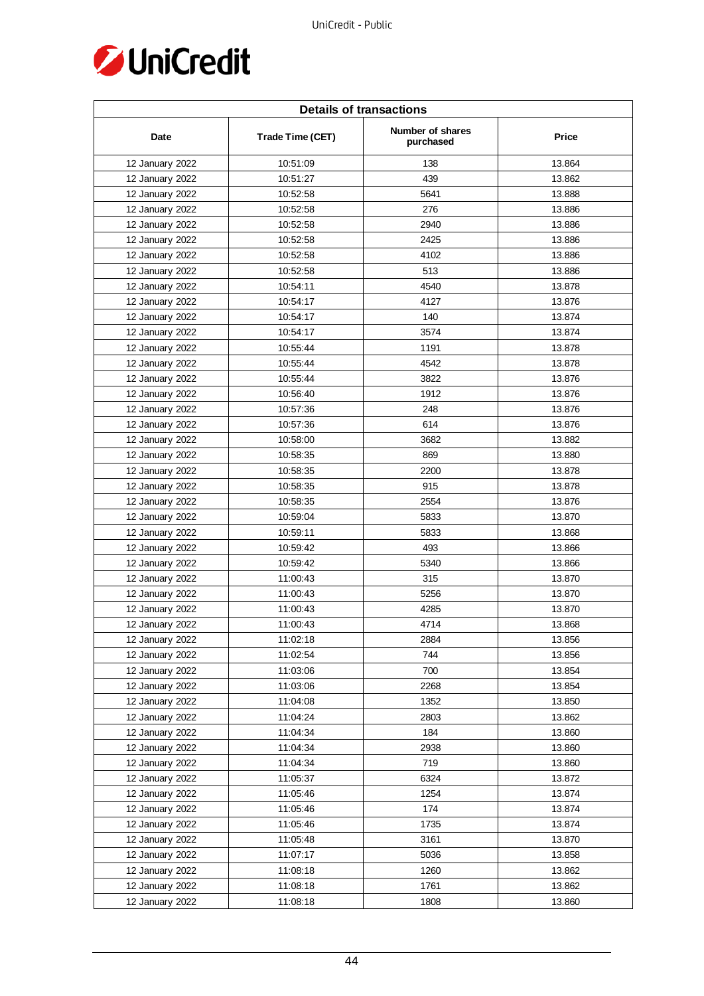

| <b>Details of transactions</b> |                  |                               |              |  |
|--------------------------------|------------------|-------------------------------|--------------|--|
| Date                           | Trade Time (CET) | Number of shares<br>purchased | <b>Price</b> |  |
| 12 January 2022                | 10:51:09         | 138                           | 13.864       |  |
| 12 January 2022                | 10:51:27         | 439                           | 13.862       |  |
| 12 January 2022                | 10:52:58         | 5641                          | 13.888       |  |
| 12 January 2022                | 10:52:58         | 276                           | 13.886       |  |
| 12 January 2022                | 10:52:58         | 2940                          | 13.886       |  |
| 12 January 2022                | 10:52:58         | 2425                          | 13.886       |  |
| 12 January 2022                | 10:52:58         | 4102                          | 13.886       |  |
| 12 January 2022                | 10:52:58         | 513                           | 13.886       |  |
| 12 January 2022                | 10:54:11         | 4540                          | 13.878       |  |
| 12 January 2022                | 10:54:17         | 4127                          | 13.876       |  |
| 12 January 2022                | 10:54:17         | 140                           | 13.874       |  |
| 12 January 2022                | 10:54:17         | 3574                          | 13.874       |  |
| 12 January 2022                | 10:55:44         | 1191                          | 13.878       |  |
| 12 January 2022                | 10:55:44         | 4542                          | 13.878       |  |
| 12 January 2022                | 10:55:44         | 3822                          | 13.876       |  |
| 12 January 2022                | 10:56:40         | 1912                          | 13.876       |  |
| 12 January 2022                | 10:57:36         | 248                           | 13.876       |  |
| 12 January 2022                | 10:57:36         | 614                           | 13.876       |  |
| 12 January 2022                | 10:58:00         | 3682                          | 13.882       |  |
| 12 January 2022                | 10:58:35         | 869                           | 13.880       |  |
| 12 January 2022                | 10:58:35         | 2200                          | 13.878       |  |
| 12 January 2022                | 10:58:35         | 915                           | 13.878       |  |
| 12 January 2022                | 10:58:35         | 2554                          | 13.876       |  |
| 12 January 2022                | 10:59:04         | 5833                          | 13.870       |  |
| 12 January 2022                | 10:59:11         | 5833                          | 13.868       |  |
| 12 January 2022                | 10:59:42         | 493                           | 13.866       |  |
| 12 January 2022                | 10:59:42         | 5340                          | 13.866       |  |
| 12 January 2022                | 11:00:43         | 315                           | 13.870       |  |
| 12 January 2022                | 11:00:43         | 5256                          | 13.870       |  |
| 12 January 2022                | 11:00:43         | 4285                          | 13.870       |  |
| 12 January 2022                | 11:00:43         | 4714                          | 13.868       |  |
| 12 January 2022                | 11:02:18         | 2884                          | 13.856       |  |
| 12 January 2022                | 11:02:54         | 744                           | 13.856       |  |
| 12 January 2022                | 11:03:06         | 700                           | 13.854       |  |
| 12 January 2022                | 11:03:06         | 2268                          | 13.854       |  |
| 12 January 2022                | 11:04:08         | 1352                          | 13.850       |  |
| 12 January 2022                | 11:04:24         | 2803                          | 13.862       |  |
| 12 January 2022                | 11:04:34         | 184                           | 13.860       |  |
| 12 January 2022                | 11:04:34         | 2938                          | 13.860       |  |
| 12 January 2022                | 11:04:34         | 719                           | 13.860       |  |
| 12 January 2022                | 11:05:37         | 6324                          | 13.872       |  |
| 12 January 2022                | 11:05:46         | 1254                          | 13.874       |  |
| 12 January 2022                | 11:05:46         | 174                           | 13.874       |  |
| 12 January 2022                | 11:05:46         | 1735                          | 13.874       |  |
| 12 January 2022                | 11:05:48         | 3161                          | 13.870       |  |
| 12 January 2022                | 11:07:17         | 5036                          | 13.858       |  |
| 12 January 2022                | 11:08:18         | 1260                          | 13.862       |  |
| 12 January 2022                | 11:08:18         | 1761                          | 13.862       |  |
| 12 January 2022                | 11:08:18         | 1808                          | 13.860       |  |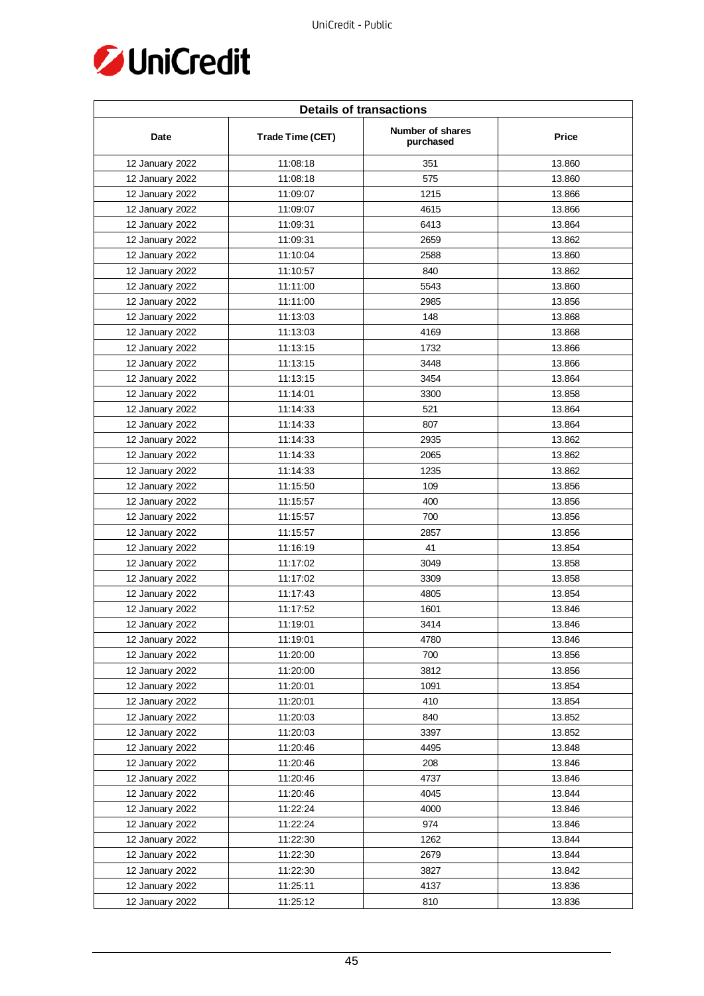

| <b>Details of transactions</b> |                  |                               |        |
|--------------------------------|------------------|-------------------------------|--------|
| Date                           | Trade Time (CET) | Number of shares<br>purchased | Price  |
| 12 January 2022                | 11:08:18         | 351                           | 13.860 |
| 12 January 2022                | 11:08:18         | 575                           | 13.860 |
| 12 January 2022                | 11:09:07         | 1215                          | 13.866 |
| 12 January 2022                | 11:09:07         | 4615                          | 13.866 |
| 12 January 2022                | 11:09:31         | 6413                          | 13.864 |
| 12 January 2022                | 11:09:31         | 2659                          | 13.862 |
| 12 January 2022                | 11:10:04         | 2588                          | 13.860 |
| 12 January 2022                | 11:10:57         | 840                           | 13.862 |
| 12 January 2022                | 11:11:00         | 5543                          | 13.860 |
| 12 January 2022                | 11:11:00         | 2985                          | 13.856 |
| 12 January 2022                | 11:13:03         | 148                           | 13.868 |
| 12 January 2022                | 11:13:03         | 4169                          | 13.868 |
| 12 January 2022                | 11:13:15         | 1732                          | 13.866 |
| 12 January 2022                | 11:13:15         | 3448                          | 13.866 |
| 12 January 2022                | 11:13:15         | 3454                          | 13.864 |
| 12 January 2022                | 11:14:01         | 3300                          | 13.858 |
| 12 January 2022                | 11:14:33         | 521                           | 13.864 |
| 12 January 2022                | 11:14:33         | 807                           | 13.864 |
| 12 January 2022                | 11:14:33         | 2935                          | 13.862 |
| 12 January 2022                | 11:14:33         | 2065                          | 13.862 |
| 12 January 2022                | 11:14:33         | 1235                          | 13.862 |
| 12 January 2022                | 11:15:50         | 109                           | 13.856 |
| 12 January 2022                | 11:15:57         | 400                           | 13.856 |
| 12 January 2022                | 11:15:57         | 700                           | 13.856 |
| 12 January 2022                | 11:15:57         | 2857                          | 13.856 |
| 12 January 2022                | 11:16:19         | 41                            | 13.854 |
| 12 January 2022                | 11:17:02         | 3049                          | 13.858 |
| 12 January 2022                | 11:17:02         | 3309                          | 13.858 |
| 12 January 2022                | 11:17:43         | 4805                          | 13.854 |
| 12 January 2022                | 11:17:52         | 1601                          | 13.846 |
| 12 January 2022                | 11:19:01         | 3414                          | 13.846 |
| 12 January 2022                | 11:19:01         | 4780                          | 13.846 |
| 12 January 2022                | 11:20:00         | 700                           | 13.856 |
| 12 January 2022                | 11:20:00         | 3812                          | 13.856 |
| 12 January 2022                | 11:20:01         | 1091                          | 13.854 |
| 12 January 2022                | 11:20:01         | 410                           | 13.854 |
| 12 January 2022                | 11:20:03         | 840                           | 13.852 |
| 12 January 2022                | 11:20:03         | 3397                          | 13.852 |
| 12 January 2022                | 11:20:46         | 4495                          | 13.848 |
| 12 January 2022                | 11:20:46         | 208                           | 13.846 |
| 12 January 2022                | 11:20:46         | 4737                          | 13.846 |
| 12 January 2022                | 11:20:46         | 4045                          | 13.844 |
| 12 January 2022                | 11:22:24         | 4000                          | 13.846 |
| 12 January 2022                | 11:22:24         | 974                           | 13.846 |
| 12 January 2022                | 11:22:30         | 1262                          | 13.844 |
| 12 January 2022                | 11:22:30         | 2679                          | 13.844 |
| 12 January 2022                | 11:22:30         | 3827                          | 13.842 |
| 12 January 2022                | 11:25:11         | 4137                          | 13.836 |
| 12 January 2022                | 11:25:12         | 810                           | 13.836 |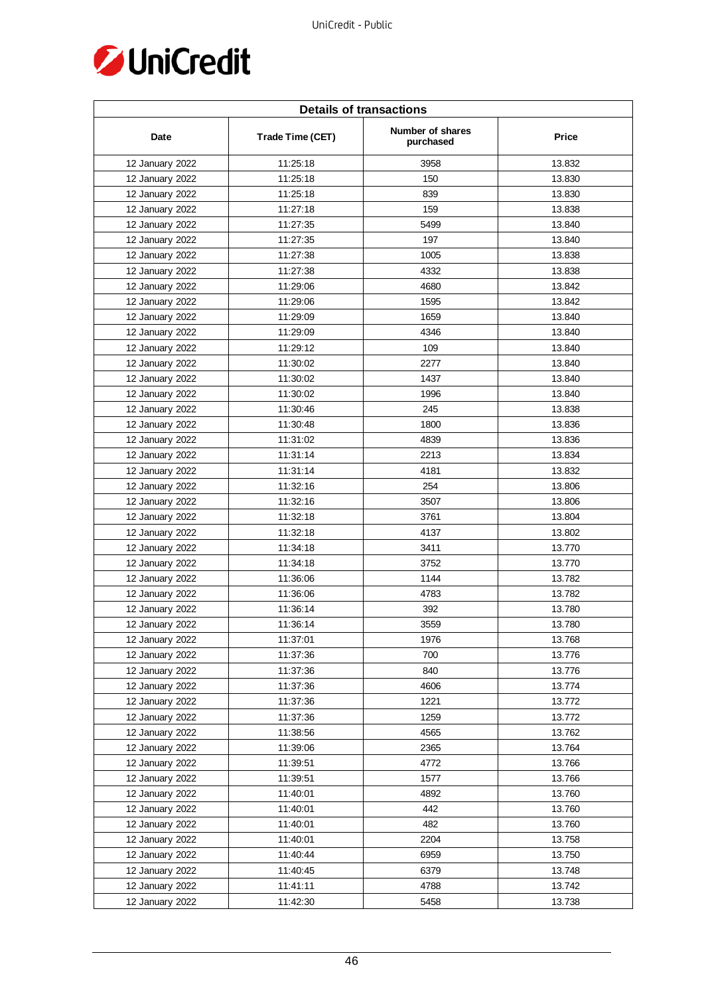

| <b>Details of transactions</b> |                  |                               |              |  |
|--------------------------------|------------------|-------------------------------|--------------|--|
| Date                           | Trade Time (CET) | Number of shares<br>purchased | <b>Price</b> |  |
| 12 January 2022                | 11:25:18         | 3958                          | 13.832       |  |
| 12 January 2022                | 11:25:18         | 150                           | 13.830       |  |
| 12 January 2022                | 11:25:18         | 839                           | 13.830       |  |
| 12 January 2022                | 11:27:18         | 159                           | 13.838       |  |
| 12 January 2022                | 11:27:35         | 5499                          | 13.840       |  |
| 12 January 2022                | 11:27:35         | 197                           | 13.840       |  |
| 12 January 2022                | 11:27:38         | 1005                          | 13.838       |  |
| 12 January 2022                | 11:27:38         | 4332                          | 13.838       |  |
| 12 January 2022                | 11:29:06         | 4680                          | 13.842       |  |
| 12 January 2022                | 11:29:06         | 1595                          | 13.842       |  |
| 12 January 2022                | 11:29:09         | 1659                          | 13.840       |  |
| 12 January 2022                | 11:29:09         | 4346                          | 13.840       |  |
| 12 January 2022                | 11:29:12         | 109                           | 13.840       |  |
| 12 January 2022                | 11:30:02         | 2277                          | 13.840       |  |
| 12 January 2022                | 11:30:02         | 1437                          | 13.840       |  |
| 12 January 2022                | 11:30:02         | 1996                          | 13.840       |  |
| 12 January 2022                | 11:30:46         | 245                           | 13.838       |  |
| 12 January 2022                | 11:30:48         | 1800                          | 13.836       |  |
| 12 January 2022                | 11:31:02         | 4839                          | 13.836       |  |
| 12 January 2022                | 11:31:14         | 2213                          | 13.834       |  |
| 12 January 2022                | 11:31:14         | 4181                          | 13.832       |  |
| 12 January 2022                | 11:32:16         | 254                           | 13.806       |  |
| 12 January 2022                | 11:32:16         | 3507                          | 13.806       |  |
| 12 January 2022                | 11:32:18         | 3761                          | 13.804       |  |
| 12 January 2022                | 11:32:18         | 4137                          | 13.802       |  |
| 12 January 2022                | 11:34:18         | 3411                          | 13.770       |  |
| 12 January 2022                | 11:34:18         | 3752                          | 13.770       |  |
| 12 January 2022                | 11:36:06         | 1144                          | 13.782       |  |
| 12 January 2022                | 11:36:06         | 4783                          | 13.782       |  |
| 12 January 2022                | 11:36:14         | 392                           | 13.780       |  |
| 12 January 2022                | 11:36:14         | 3559                          | 13.780       |  |
| 12 January 2022                | 11:37:01         | 1976                          | 13.768       |  |
| 12 January 2022                | 11:37:36         | 700                           | 13.776       |  |
| 12 January 2022                | 11:37:36         | 840                           | 13.776       |  |
| 12 January 2022                | 11:37:36         | 4606                          | 13.774       |  |
| 12 January 2022                | 11:37:36         | 1221                          | 13.772       |  |
| 12 January 2022                | 11:37:36         | 1259                          | 13.772       |  |
| 12 January 2022                | 11:38:56         | 4565                          | 13.762       |  |
| 12 January 2022                | 11:39:06         | 2365                          | 13.764       |  |
| 12 January 2022                | 11:39:51         | 4772                          | 13.766       |  |
| 12 January 2022                | 11:39:51         | 1577                          | 13.766       |  |
| 12 January 2022                | 11:40:01         | 4892                          | 13.760       |  |
| 12 January 2022                | 11:40:01         | 442                           | 13.760       |  |
| 12 January 2022                | 11:40:01         | 482                           | 13.760       |  |
| 12 January 2022                | 11:40:01         | 2204                          | 13.758       |  |
| 12 January 2022                | 11:40:44         | 6959                          | 13.750       |  |
| 12 January 2022                | 11:40:45         | 6379                          | 13.748       |  |
| 12 January 2022                | 11:41:11         | 4788                          | 13.742       |  |
| 12 January 2022                | 11:42:30         | 5458                          | 13.738       |  |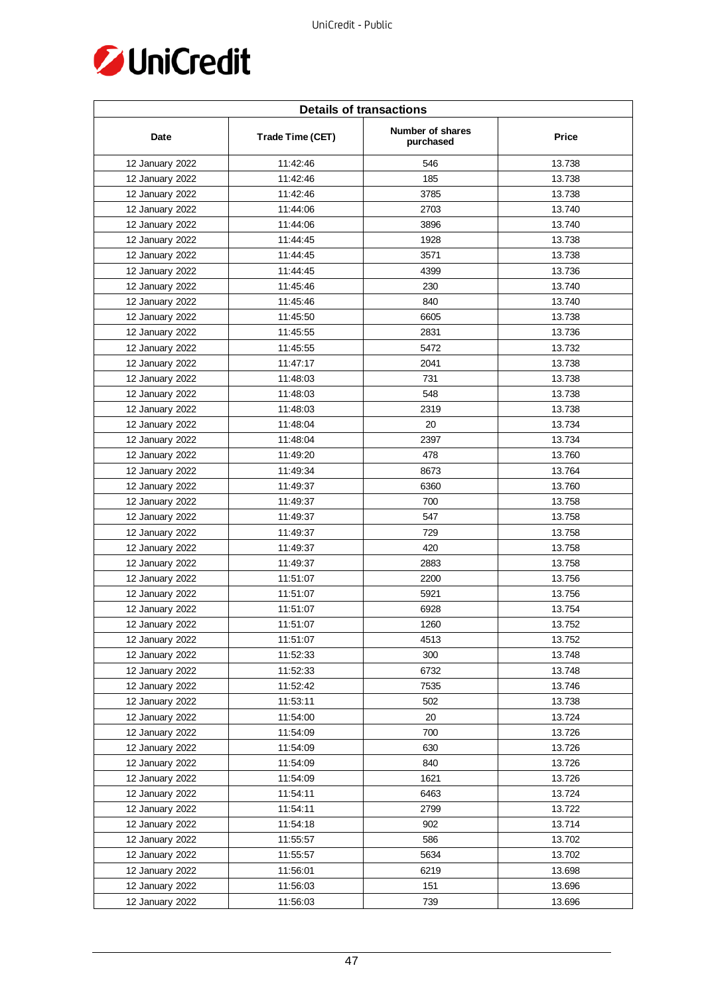

| <b>Details of transactions</b> |                  |                               |              |  |
|--------------------------------|------------------|-------------------------------|--------------|--|
| Date                           | Trade Time (CET) | Number of shares<br>purchased | <b>Price</b> |  |
| 12 January 2022                | 11:42:46         | 546                           | 13.738       |  |
| 12 January 2022                | 11:42:46         | 185                           | 13.738       |  |
| 12 January 2022                | 11:42:46         | 3785                          | 13.738       |  |
| 12 January 2022                | 11:44:06         | 2703                          | 13.740       |  |
| 12 January 2022                | 11:44:06         | 3896                          | 13.740       |  |
| 12 January 2022                | 11:44:45         | 1928                          | 13.738       |  |
| 12 January 2022                | 11:44:45         | 3571                          | 13.738       |  |
| 12 January 2022                | 11:44:45         | 4399                          | 13.736       |  |
| 12 January 2022                | 11:45:46         | 230                           | 13.740       |  |
| 12 January 2022                | 11:45:46         | 840                           | 13.740       |  |
| 12 January 2022                | 11:45:50         | 6605                          | 13.738       |  |
| 12 January 2022                | 11:45:55         | 2831                          | 13.736       |  |
| 12 January 2022                | 11:45:55         | 5472                          | 13.732       |  |
| 12 January 2022                | 11:47:17         | 2041                          | 13.738       |  |
| 12 January 2022                | 11:48:03         | 731                           | 13.738       |  |
| 12 January 2022                | 11:48:03         | 548                           | 13.738       |  |
| 12 January 2022                | 11:48:03         | 2319                          | 13.738       |  |
| 12 January 2022                | 11:48:04         | 20                            | 13.734       |  |
| 12 January 2022                | 11:48:04         | 2397                          | 13.734       |  |
| 12 January 2022                | 11:49:20         | 478                           | 13.760       |  |
| 12 January 2022                | 11:49:34         | 8673                          | 13.764       |  |
| 12 January 2022                | 11:49:37         | 6360                          | 13.760       |  |
| 12 January 2022                | 11:49:37         | 700                           | 13.758       |  |
| 12 January 2022                | 11:49:37         | 547                           | 13.758       |  |
| 12 January 2022                | 11:49:37         | 729                           | 13.758       |  |
| 12 January 2022                | 11:49:37         | 420                           | 13.758       |  |
| 12 January 2022                | 11:49:37         | 2883                          | 13.758       |  |
| 12 January 2022                | 11:51:07         | 2200                          | 13.756       |  |
| 12 January 2022                | 11:51:07         | 5921                          | 13.756       |  |
| 12 January 2022                | 11:51:07         | 6928                          | 13.754       |  |
| 12 January 2022                | 11:51:07         | 1260                          | 13.752       |  |
| 12 January 2022                | 11:51:07         | 4513                          | 13.752       |  |
| 12 January 2022                | 11:52:33         | 300                           | 13.748       |  |
| 12 January 2022                | 11:52:33         | 6732                          | 13.748       |  |
| 12 January 2022                | 11:52:42         | 7535                          | 13.746       |  |
| 12 January 2022                | 11:53:11         | 502                           | 13.738       |  |
| 12 January 2022                | 11:54:00         | 20                            | 13.724       |  |
| 12 January 2022                | 11:54:09         | 700                           | 13.726       |  |
| 12 January 2022                | 11:54:09         | 630                           | 13.726       |  |
| 12 January 2022                | 11:54:09         | 840                           | 13.726       |  |
| 12 January 2022                | 11:54:09         | 1621                          | 13.726       |  |
| 12 January 2022                | 11:54:11         | 6463                          | 13.724       |  |
| 12 January 2022                | 11:54:11         | 2799                          | 13.722       |  |
| 12 January 2022                | 11:54:18         | 902                           | 13.714       |  |
| 12 January 2022                | 11:55:57         | 586                           | 13.702       |  |
| 12 January 2022                | 11:55:57         | 5634                          | 13.702       |  |
| 12 January 2022                | 11:56:01         | 6219                          | 13.698       |  |
| 12 January 2022                | 11:56:03         | 151                           | 13.696       |  |
| 12 January 2022                | 11:56:03         | 739                           | 13.696       |  |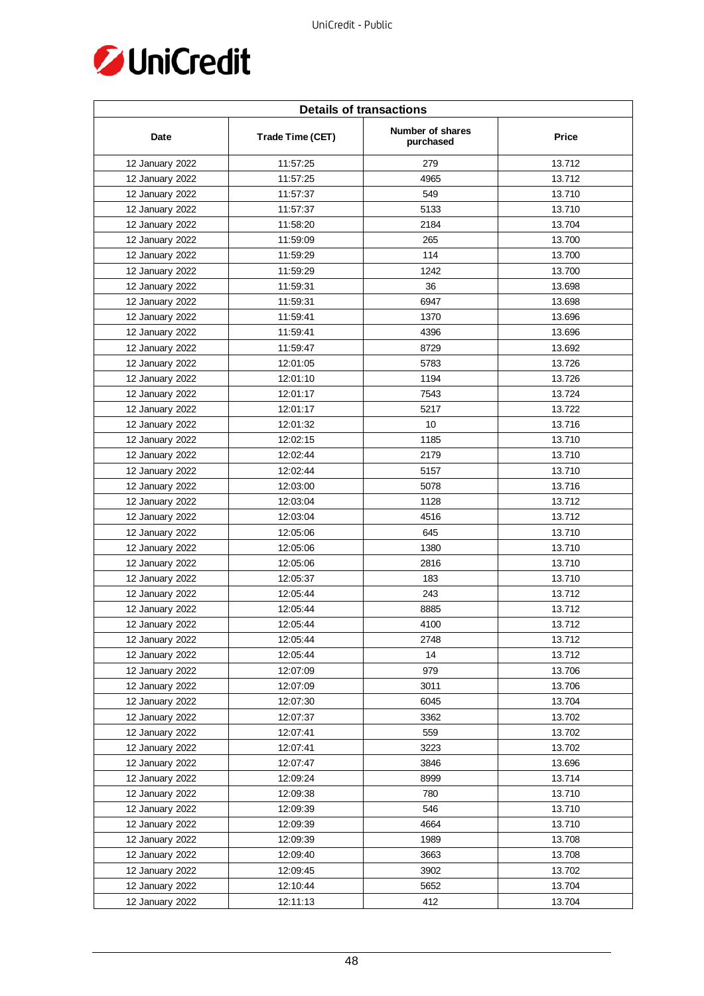

| <b>Details of transactions</b> |                  |                               |        |
|--------------------------------|------------------|-------------------------------|--------|
| Date                           | Trade Time (CET) | Number of shares<br>purchased | Price  |
| 12 January 2022                | 11:57:25         | 279                           | 13.712 |
| 12 January 2022                | 11:57:25         | 4965                          | 13.712 |
| 12 January 2022                | 11:57:37         | 549                           | 13.710 |
| 12 January 2022                | 11:57:37         | 5133                          | 13.710 |
| 12 January 2022                | 11:58:20         | 2184                          | 13.704 |
| 12 January 2022                | 11:59:09         | 265                           | 13.700 |
| 12 January 2022                | 11:59:29         | 114                           | 13.700 |
| 12 January 2022                | 11:59:29         | 1242                          | 13.700 |
| 12 January 2022                | 11:59:31         | 36                            | 13.698 |
| 12 January 2022                | 11:59:31         | 6947                          | 13.698 |
| 12 January 2022                | 11:59:41         | 1370                          | 13.696 |
| 12 January 2022                | 11:59:41         | 4396                          | 13.696 |
| 12 January 2022                | 11:59:47         | 8729                          | 13.692 |
| 12 January 2022                | 12:01:05         | 5783                          | 13.726 |
| 12 January 2022                | 12:01:10         | 1194                          | 13.726 |
| 12 January 2022                | 12:01:17         | 7543                          | 13.724 |
| 12 January 2022                | 12:01:17         | 5217                          | 13.722 |
| 12 January 2022                | 12:01:32         | 10                            | 13.716 |
| 12 January 2022                | 12:02:15         | 1185                          | 13.710 |
| 12 January 2022                | 12:02:44         | 2179                          | 13.710 |
| 12 January 2022                | 12:02:44         | 5157                          | 13.710 |
| 12 January 2022                | 12:03:00         | 5078                          | 13.716 |
| 12 January 2022                | 12:03:04         | 1128                          | 13.712 |
| 12 January 2022                | 12:03:04         | 4516                          | 13.712 |
| 12 January 2022                | 12:05:06         | 645                           | 13.710 |
| 12 January 2022                | 12:05:06         | 1380                          | 13.710 |
| 12 January 2022                | 12:05:06         | 2816                          | 13.710 |
| 12 January 2022                | 12:05:37         | 183                           | 13.710 |
| 12 January 2022                | 12:05:44         | 243                           | 13.712 |
| 12 January 2022                | 12:05:44         | 8885                          | 13.712 |
| 12 January 2022                | 12:05:44         | 4100                          | 13.712 |
| 12 January 2022                | 12:05:44         | 2748                          | 13.712 |
| 12 January 2022                | 12:05:44         | 14                            | 13.712 |
| 12 January 2022                | 12:07:09         | 979                           | 13.706 |
| 12 January 2022                | 12:07:09         | 3011                          | 13.706 |
| 12 January 2022                | 12:07:30         | 6045                          | 13.704 |
| 12 January 2022                | 12:07:37         | 3362                          | 13.702 |
| 12 January 2022                | 12:07:41         | 559                           | 13.702 |
| 12 January 2022                | 12:07:41         | 3223                          | 13.702 |
| 12 January 2022                | 12:07:47         | 3846                          | 13.696 |
| 12 January 2022                | 12:09:24         | 8999                          | 13.714 |
| 12 January 2022                | 12:09:38         | 780                           | 13.710 |
| 12 January 2022                | 12:09:39         | 546                           | 13.710 |
| 12 January 2022                | 12:09:39         | 4664                          | 13.710 |
| 12 January 2022                | 12:09:39         | 1989                          | 13.708 |
| 12 January 2022                | 12:09:40         | 3663                          | 13.708 |
| 12 January 2022                | 12:09:45         | 3902                          | 13.702 |
| 12 January 2022                | 12:10:44         | 5652                          | 13.704 |
| 12 January 2022                | 12:11:13         | 412                           | 13.704 |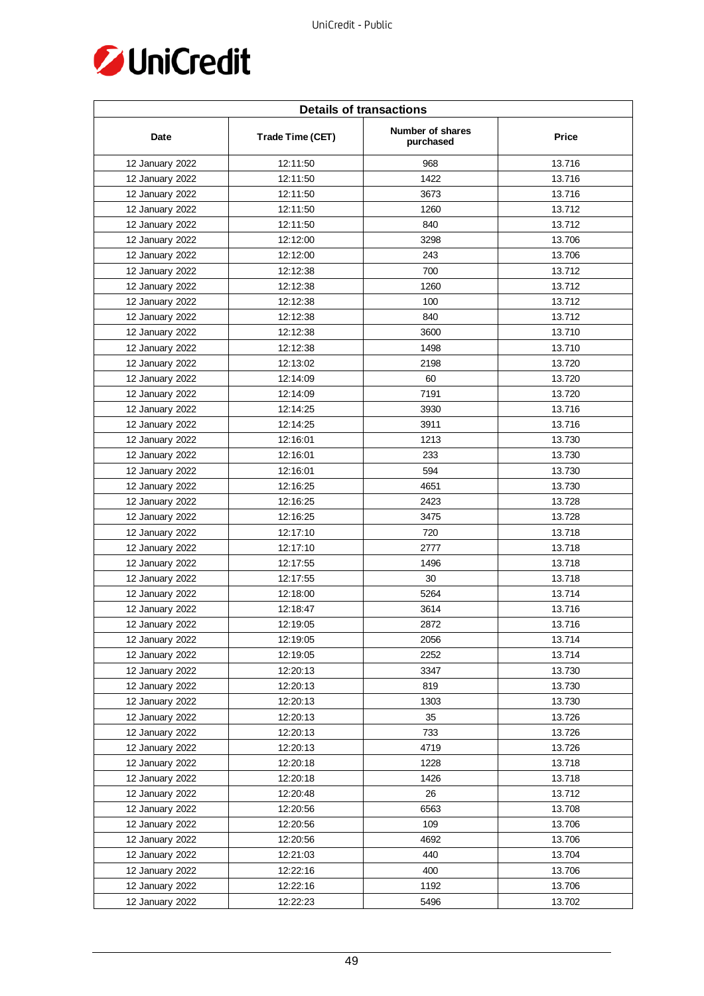

| <b>Details of transactions</b> |                  |                               |        |  |
|--------------------------------|------------------|-------------------------------|--------|--|
| Date                           | Trade Time (CET) | Number of shares<br>purchased | Price  |  |
| 12 January 2022                | 12:11:50         | 968                           | 13.716 |  |
| 12 January 2022                | 12:11:50         | 1422                          | 13.716 |  |
| 12 January 2022                | 12:11:50         | 3673                          | 13.716 |  |
| 12 January 2022                | 12:11:50         | 1260                          | 13.712 |  |
| 12 January 2022                | 12:11:50         | 840                           | 13.712 |  |
| 12 January 2022                | 12:12:00         | 3298                          | 13.706 |  |
| 12 January 2022                | 12:12:00         | 243                           | 13.706 |  |
| 12 January 2022                | 12:12:38         | 700                           | 13.712 |  |
| 12 January 2022                | 12:12:38         | 1260                          | 13.712 |  |
| 12 January 2022                | 12:12:38         | 100                           | 13.712 |  |
| 12 January 2022                | 12:12:38         | 840                           | 13.712 |  |
| 12 January 2022                | 12:12:38         | 3600                          | 13.710 |  |
| 12 January 2022                | 12:12:38         | 1498                          | 13.710 |  |
| 12 January 2022                | 12:13:02         | 2198                          | 13.720 |  |
| 12 January 2022                | 12:14:09         | 60                            | 13.720 |  |
| 12 January 2022                | 12:14:09         | 7191                          | 13.720 |  |
| 12 January 2022                | 12:14:25         | 3930                          | 13.716 |  |
| 12 January 2022                | 12:14:25         | 3911                          | 13.716 |  |
| 12 January 2022                | 12:16:01         | 1213                          | 13.730 |  |
| 12 January 2022                | 12:16:01         | 233                           | 13.730 |  |
| 12 January 2022                | 12:16:01         | 594                           | 13.730 |  |
| 12 January 2022                | 12:16:25         | 4651                          | 13.730 |  |
| 12 January 2022                | 12:16:25         | 2423                          | 13.728 |  |
| 12 January 2022                | 12:16:25         | 3475                          | 13.728 |  |
| 12 January 2022                | 12:17:10         | 720                           | 13.718 |  |
| 12 January 2022                | 12:17:10         | 2777                          | 13.718 |  |
| 12 January 2022                | 12:17:55         | 1496                          | 13.718 |  |
| 12 January 2022                | 12:17:55         | 30                            | 13.718 |  |
| 12 January 2022                | 12:18:00         | 5264                          | 13.714 |  |
| 12 January 2022                | 12:18:47         | 3614                          | 13.716 |  |
| 12 January 2022                | 12:19:05         | 2872                          | 13.716 |  |
| 12 January 2022                | 12:19:05         | 2056                          | 13.714 |  |
| 12 January 2022                | 12:19:05         | 2252                          | 13.714 |  |
| 12 January 2022                | 12:20:13         | 3347                          | 13.730 |  |
| 12 January 2022                | 12:20:13         | 819                           | 13.730 |  |
| 12 January 2022                | 12:20:13         | 1303                          | 13.730 |  |
| 12 January 2022                | 12:20:13         | 35                            | 13.726 |  |
| 12 January 2022                | 12:20:13         | 733                           | 13.726 |  |
| 12 January 2022                | 12:20:13         | 4719                          | 13.726 |  |
| 12 January 2022                | 12:20:18         | 1228                          | 13.718 |  |
| 12 January 2022                | 12:20:18         | 1426                          | 13.718 |  |
| 12 January 2022                | 12:20:48         | 26                            | 13.712 |  |
| 12 January 2022                | 12:20:56         | 6563                          | 13.708 |  |
| 12 January 2022                | 12:20:56         | 109                           | 13.706 |  |
| 12 January 2022                | 12:20:56         | 4692                          | 13.706 |  |
| 12 January 2022                | 12:21:03         | 440                           | 13.704 |  |
| 12 January 2022                | 12:22:16         | 400                           | 13.706 |  |
| 12 January 2022                | 12:22:16         | 1192                          | 13.706 |  |
| 12 January 2022                | 12:22:23         | 5496                          | 13.702 |  |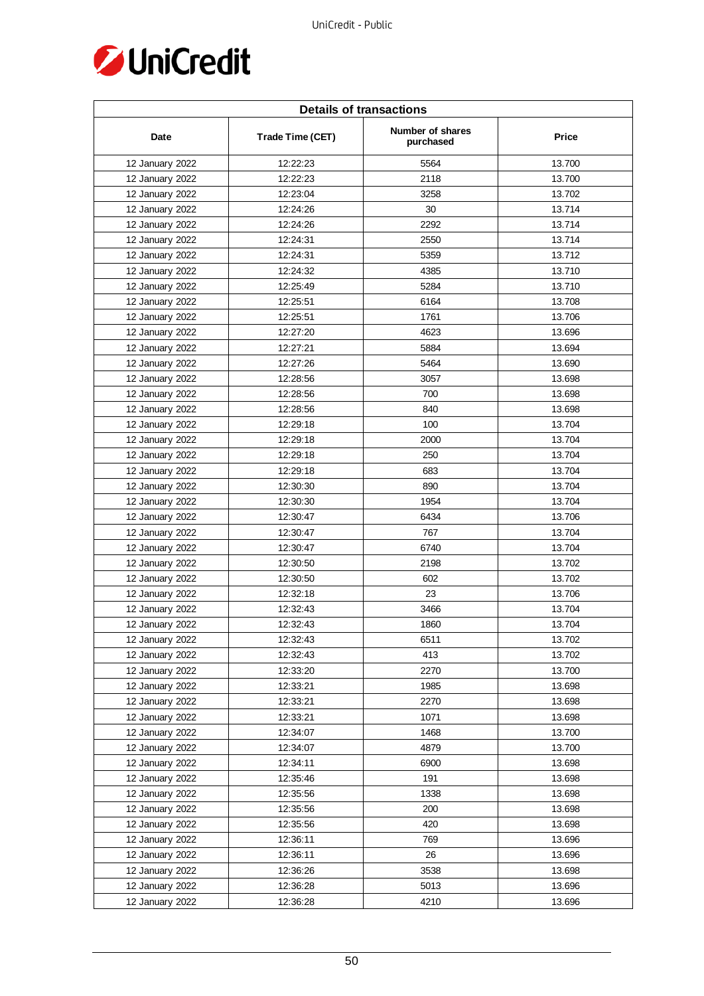

| <b>Details of transactions</b> |                  |                               |        |  |
|--------------------------------|------------------|-------------------------------|--------|--|
| Date                           | Trade Time (CET) | Number of shares<br>purchased | Price  |  |
| 12 January 2022                | 12:22:23         | 5564                          | 13.700 |  |
| 12 January 2022                | 12:22:23         | 2118                          | 13.700 |  |
| 12 January 2022                | 12:23:04         | 3258                          | 13.702 |  |
| 12 January 2022                | 12:24:26         | 30                            | 13.714 |  |
| 12 January 2022                | 12:24:26         | 2292                          | 13.714 |  |
| 12 January 2022                | 12:24:31         | 2550                          | 13.714 |  |
| 12 January 2022                | 12:24:31         | 5359                          | 13.712 |  |
| 12 January 2022                | 12:24:32         | 4385                          | 13.710 |  |
| 12 January 2022                | 12:25:49         | 5284                          | 13.710 |  |
| 12 January 2022                | 12:25:51         | 6164                          | 13.708 |  |
| 12 January 2022                | 12:25:51         | 1761                          | 13.706 |  |
| 12 January 2022                | 12:27:20         | 4623                          | 13.696 |  |
| 12 January 2022                | 12:27:21         | 5884                          | 13.694 |  |
| 12 January 2022                | 12:27:26         | 5464                          | 13.690 |  |
| 12 January 2022                | 12:28:56         | 3057                          | 13.698 |  |
| 12 January 2022                | 12:28:56         | 700                           | 13.698 |  |
| 12 January 2022                | 12:28:56         | 840                           | 13.698 |  |
| 12 January 2022                | 12:29:18         | 100                           | 13.704 |  |
| 12 January 2022                | 12:29:18         | 2000                          | 13.704 |  |
| 12 January 2022                | 12:29:18         | 250                           | 13.704 |  |
| 12 January 2022                | 12:29:18         | 683                           | 13.704 |  |
| 12 January 2022                | 12:30:30         | 890                           | 13.704 |  |
| 12 January 2022                | 12:30:30         | 1954                          | 13.704 |  |
| 12 January 2022                | 12:30:47         | 6434                          | 13.706 |  |
| 12 January 2022                | 12:30:47         | 767                           | 13.704 |  |
| 12 January 2022                | 12:30:47         | 6740                          | 13.704 |  |
| 12 January 2022                | 12:30:50         | 2198                          | 13.702 |  |
| 12 January 2022                | 12:30:50         | 602                           | 13.702 |  |
| 12 January 2022                | 12:32:18         | 23                            | 13.706 |  |
| 12 January 2022                | 12:32:43         | 3466                          | 13.704 |  |
| 12 January 2022                | 12:32:43         | 1860                          | 13.704 |  |
| 12 January 2022                | 12:32:43         | 6511                          | 13.702 |  |
| 12 January 2022                | 12:32:43         | 413                           | 13.702 |  |
| 12 January 2022                | 12:33:20         | 2270                          | 13.700 |  |
| 12 January 2022                | 12:33:21         | 1985                          | 13.698 |  |
| 12 January 2022                | 12:33:21         | 2270                          | 13.698 |  |
| 12 January 2022                | 12:33:21         | 1071                          | 13.698 |  |
| 12 January 2022                | 12:34:07         | 1468                          | 13.700 |  |
| 12 January 2022                | 12:34:07         | 4879                          | 13.700 |  |
| 12 January 2022                | 12:34:11         | 6900                          | 13.698 |  |
| 12 January 2022                | 12:35:46         | 191                           | 13.698 |  |
| 12 January 2022                | 12:35:56         | 1338                          | 13.698 |  |
| 12 January 2022                | 12:35:56         | 200                           | 13.698 |  |
| 12 January 2022                | 12:35:56         | 420                           | 13.698 |  |
| 12 January 2022                | 12:36:11         | 769                           | 13.696 |  |
| 12 January 2022                | 12:36:11         | 26                            | 13.696 |  |
| 12 January 2022                | 12:36:26         | 3538                          | 13.698 |  |
| 12 January 2022                | 12:36:28         | 5013                          | 13.696 |  |
| 12 January 2022                | 12:36:28         | 4210                          | 13.696 |  |
|                                |                  |                               |        |  |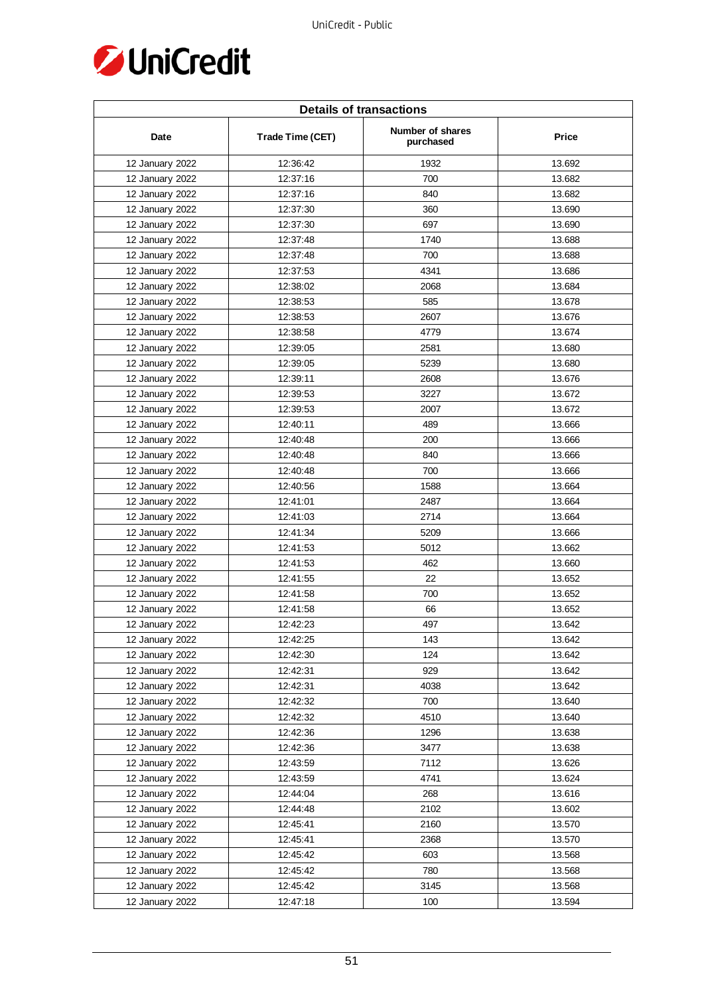

| <b>Details of transactions</b> |                  |                               |              |  |
|--------------------------------|------------------|-------------------------------|--------------|--|
| Date                           | Trade Time (CET) | Number of shares<br>purchased | <b>Price</b> |  |
| 12 January 2022                | 12:36:42         | 1932                          | 13.692       |  |
| 12 January 2022                | 12:37:16         | 700                           | 13.682       |  |
| 12 January 2022                | 12:37:16         | 840                           | 13.682       |  |
| 12 January 2022                | 12:37:30         | 360                           | 13.690       |  |
| 12 January 2022                | 12:37:30         | 697                           | 13.690       |  |
| 12 January 2022                | 12:37:48         | 1740                          | 13.688       |  |
| 12 January 2022                | 12:37:48         | 700                           | 13.688       |  |
| 12 January 2022                | 12:37:53         | 4341                          | 13.686       |  |
| 12 January 2022                | 12:38:02         | 2068                          | 13.684       |  |
| 12 January 2022                | 12:38:53         | 585                           | 13.678       |  |
| 12 January 2022                | 12:38:53         | 2607                          | 13.676       |  |
| 12 January 2022                | 12:38:58         | 4779                          | 13.674       |  |
| 12 January 2022                | 12:39:05         | 2581                          | 13.680       |  |
| 12 January 2022                | 12:39:05         | 5239                          | 13.680       |  |
| 12 January 2022                | 12:39:11         | 2608                          | 13.676       |  |
| 12 January 2022                | 12:39:53         | 3227                          | 13.672       |  |
| 12 January 2022                | 12:39:53         | 2007                          | 13.672       |  |
| 12 January 2022                | 12:40:11         | 489                           | 13.666       |  |
| 12 January 2022                | 12:40:48         | 200                           | 13.666       |  |
| 12 January 2022                | 12:40:48         | 840                           | 13.666       |  |
| 12 January 2022                | 12:40:48         | 700                           | 13.666       |  |
| 12 January 2022                | 12:40:56         | 1588                          | 13.664       |  |
| 12 January 2022                | 12:41:01         | 2487                          | 13.664       |  |
| 12 January 2022                | 12:41:03         | 2714                          | 13.664       |  |
| 12 January 2022                | 12:41:34         | 5209                          | 13.666       |  |
| 12 January 2022                | 12:41:53         | 5012                          | 13.662       |  |
| 12 January 2022                | 12:41:53         | 462                           | 13.660       |  |
| 12 January 2022                | 12:41:55         | 22                            | 13.652       |  |
| 12 January 2022                | 12:41:58         | 700                           | 13.652       |  |
| 12 January 2022                | 12:41:58         | 66                            | 13.652       |  |
| 12 January 2022                | 12:42:23         | 497                           | 13.642       |  |
| 12 January 2022                | 12:42:25         | 143                           | 13.642       |  |
| 12 January 2022                | 12:42:30         | 124                           | 13.642       |  |
| 12 January 2022                | 12:42:31         | 929                           | 13.642       |  |
| 12 January 2022                | 12:42:31         | 4038                          | 13.642       |  |
| 12 January 2022                | 12:42:32         | 700                           | 13.640       |  |
| 12 January 2022                | 12:42:32         | 4510                          | 13.640       |  |
| 12 January 2022                | 12:42:36         | 1296                          | 13.638       |  |
| 12 January 2022                | 12:42:36         | 3477                          | 13.638       |  |
| 12 January 2022                | 12:43:59         | 7112                          | 13.626       |  |
| 12 January 2022                | 12:43:59         | 4741                          | 13.624       |  |
| 12 January 2022                | 12:44:04         | 268                           | 13.616       |  |
| 12 January 2022                | 12:44:48         | 2102                          | 13.602       |  |
| 12 January 2022                | 12:45:41         | 2160                          | 13.570       |  |
| 12 January 2022                | 12:45:41         | 2368                          | 13.570       |  |
| 12 January 2022                | 12:45:42         | 603                           | 13.568       |  |
| 12 January 2022                | 12:45:42         | 780                           | 13.568       |  |
| 12 January 2022                | 12:45:42         | 3145                          | 13.568       |  |
| 12 January 2022                | 12:47:18         | 100                           | 13.594       |  |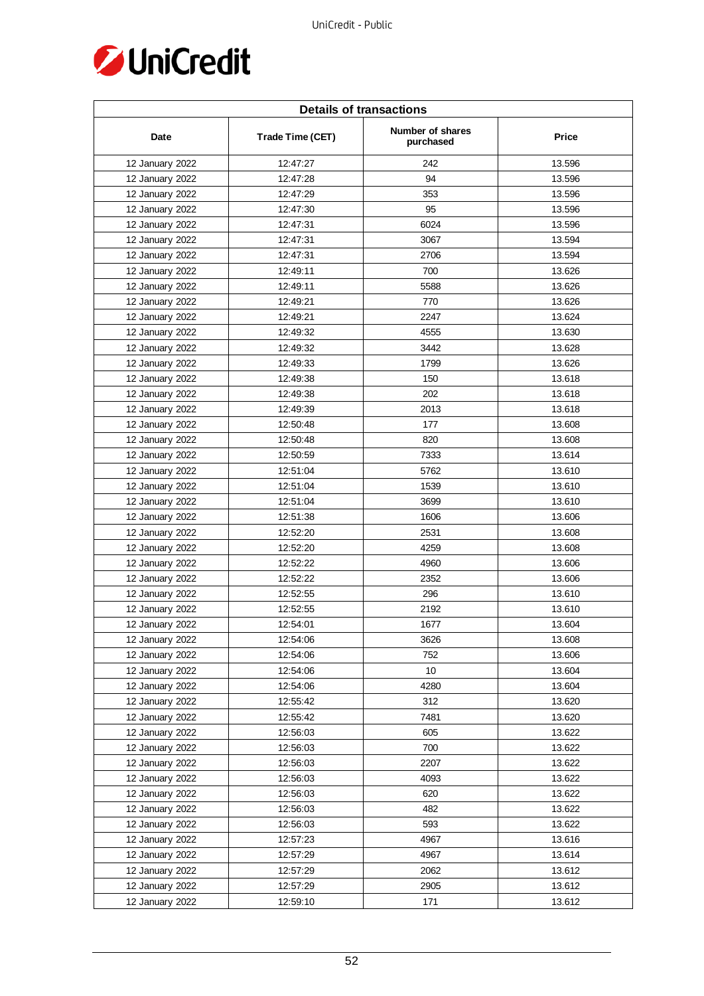

| <b>Details of transactions</b> |                  |                               |              |  |
|--------------------------------|------------------|-------------------------------|--------------|--|
| Date                           | Trade Time (CET) | Number of shares<br>purchased | <b>Price</b> |  |
| 12 January 2022                | 12:47:27         | 242                           | 13.596       |  |
| 12 January 2022                | 12:47:28         | 94                            | 13.596       |  |
| 12 January 2022                | 12:47:29         | 353                           | 13.596       |  |
| 12 January 2022                | 12:47:30         | 95                            | 13.596       |  |
| 12 January 2022                | 12:47:31         | 6024                          | 13.596       |  |
| 12 January 2022                | 12:47:31         | 3067                          | 13.594       |  |
| 12 January 2022                | 12:47:31         | 2706                          | 13.594       |  |
| 12 January 2022                | 12:49:11         | 700                           | 13.626       |  |
| 12 January 2022                | 12:49:11         | 5588                          | 13.626       |  |
| 12 January 2022                | 12:49:21         | 770                           | 13.626       |  |
| 12 January 2022                | 12:49:21         | 2247                          | 13.624       |  |
| 12 January 2022                | 12:49:32         | 4555                          | 13.630       |  |
| 12 January 2022                | 12:49:32         | 3442                          | 13.628       |  |
| 12 January 2022                | 12:49:33         | 1799                          | 13.626       |  |
| 12 January 2022                | 12:49:38         | 150                           | 13.618       |  |
| 12 January 2022                | 12:49:38         | 202                           | 13.618       |  |
| 12 January 2022                | 12:49:39         | 2013                          | 13.618       |  |
| 12 January 2022                | 12:50:48         | 177                           | 13.608       |  |
| 12 January 2022                | 12:50:48         | 820                           | 13.608       |  |
| 12 January 2022                | 12:50:59         | 7333                          | 13.614       |  |
| 12 January 2022                | 12:51:04         | 5762                          | 13.610       |  |
| 12 January 2022                | 12:51:04         | 1539                          | 13.610       |  |
| 12 January 2022                | 12:51:04         | 3699                          | 13.610       |  |
| 12 January 2022                | 12:51:38         | 1606                          | 13.606       |  |
| 12 January 2022                | 12:52:20         | 2531                          | 13.608       |  |
| 12 January 2022                | 12:52:20         | 4259                          | 13.608       |  |
| 12 January 2022                | 12:52:22         | 4960                          | 13.606       |  |
| 12 January 2022                | 12:52:22         | 2352                          | 13.606       |  |
| 12 January 2022                | 12:52:55         | 296                           | 13.610       |  |
| 12 January 2022                | 12:52:55         | 2192                          | 13.610       |  |
| 12 January 2022                | 12:54:01         | 1677                          | 13.604       |  |
| 12 January 2022                | 12:54:06         | 3626                          | 13.608       |  |
| 12 January 2022                | 12:54:06         | 752                           | 13.606       |  |
| 12 January 2022                | 12:54:06         | 10                            | 13.604       |  |
| 12 January 2022                | 12:54:06         | 4280                          | 13.604       |  |
| 12 January 2022                | 12:55:42         | 312                           | 13.620       |  |
| 12 January 2022                | 12:55:42         | 7481                          | 13.620       |  |
| 12 January 2022                | 12:56:03         | 605                           | 13.622       |  |
| 12 January 2022                | 12:56:03         | 700                           | 13.622       |  |
| 12 January 2022                | 12:56:03         | 2207                          | 13.622       |  |
| 12 January 2022                | 12:56:03         | 4093                          | 13.622       |  |
| 12 January 2022                | 12:56:03         | 620                           | 13.622       |  |
| 12 January 2022                | 12:56:03         | 482                           | 13.622       |  |
| 12 January 2022                | 12:56:03         | 593                           | 13.622       |  |
| 12 January 2022                | 12:57:23         | 4967                          | 13.616       |  |
| 12 January 2022                | 12:57:29         | 4967                          | 13.614       |  |
| 12 January 2022                | 12:57:29         | 2062                          | 13.612       |  |
| 12 January 2022                | 12:57:29         | 2905                          | 13.612       |  |
| 12 January 2022                | 12:59:10         | 171                           | 13.612       |  |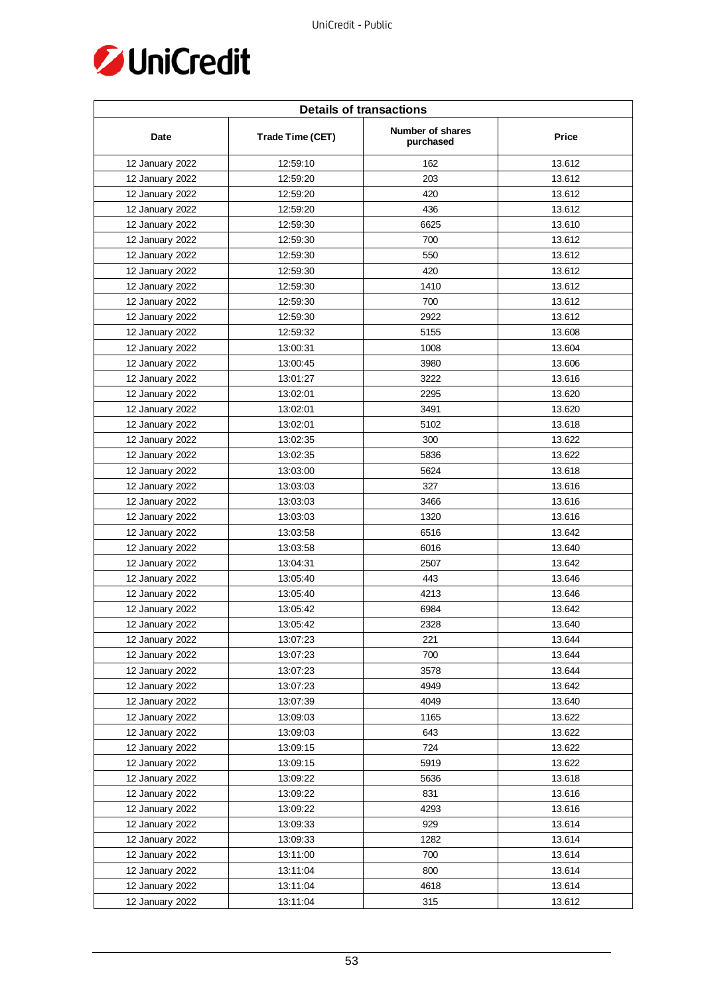

| <b>Details of transactions</b> |                  |                               |              |  |
|--------------------------------|------------------|-------------------------------|--------------|--|
| Date                           | Trade Time (CET) | Number of shares<br>purchased | <b>Price</b> |  |
| 12 January 2022                | 12:59:10         | 162                           | 13.612       |  |
| 12 January 2022                | 12:59:20         | 203                           | 13.612       |  |
| 12 January 2022                | 12:59:20         | 420                           | 13.612       |  |
| 12 January 2022                | 12:59:20         | 436                           | 13.612       |  |
| 12 January 2022                | 12:59:30         | 6625                          | 13.610       |  |
| 12 January 2022                | 12:59:30         | 700                           | 13.612       |  |
| 12 January 2022                | 12:59:30         | 550                           | 13.612       |  |
| 12 January 2022                | 12:59:30         | 420                           | 13.612       |  |
| 12 January 2022                | 12:59:30         | 1410                          | 13.612       |  |
| 12 January 2022                | 12:59:30         | 700                           | 13.612       |  |
| 12 January 2022                | 12:59:30         | 2922                          | 13.612       |  |
| 12 January 2022                | 12:59:32         | 5155                          | 13.608       |  |
| 12 January 2022                | 13:00:31         | 1008                          | 13.604       |  |
| 12 January 2022                | 13:00:45         | 3980                          | 13.606       |  |
| 12 January 2022                | 13:01:27         | 3222                          | 13.616       |  |
| 12 January 2022                | 13:02:01         | 2295                          | 13.620       |  |
| 12 January 2022                | 13:02:01         | 3491                          | 13.620       |  |
| 12 January 2022                | 13:02:01         | 5102                          | 13.618       |  |
| 12 January 2022                | 13:02:35         | 300                           | 13.622       |  |
| 12 January 2022                | 13:02:35         | 5836                          | 13.622       |  |
| 12 January 2022                | 13:03:00         | 5624                          | 13.618       |  |
| 12 January 2022                | 13:03:03         | 327                           | 13.616       |  |
| 12 January 2022                | 13:03:03         | 3466                          | 13.616       |  |
| 12 January 2022                | 13:03:03         | 1320                          | 13.616       |  |
| 12 January 2022                | 13:03:58         | 6516                          | 13.642       |  |
| 12 January 2022                | 13:03:58         | 6016                          | 13.640       |  |
| 12 January 2022                | 13:04:31         | 2507                          | 13.642       |  |
| 12 January 2022                | 13:05:40         | 443                           | 13.646       |  |
| 12 January 2022                | 13:05:40         | 4213                          | 13.646       |  |
| 12 January 2022                | 13:05:42         | 6984                          | 13.642       |  |
| 12 January 2022                | 13:05:42         | 2328                          | 13.640       |  |
| 12 January 2022                | 13:07:23         | 221                           | 13.644       |  |
| 12 January 2022                | 13:07:23         | 700                           | 13.644       |  |
| 12 January 2022                | 13:07:23         | 3578                          | 13.644       |  |
| 12 January 2022                | 13:07:23         | 4949                          | 13.642       |  |
| 12 January 2022                | 13:07:39         | 4049                          | 13.640       |  |
| 12 January 2022                | 13:09:03         | 1165                          | 13.622       |  |
| 12 January 2022                | 13:09:03         | 643                           | 13.622       |  |
| 12 January 2022                | 13:09:15         | 724                           | 13.622       |  |
| 12 January 2022                | 13:09:15         | 5919                          | 13.622       |  |
| 12 January 2022                | 13:09:22         | 5636                          | 13.618       |  |
| 12 January 2022                | 13:09:22         | 831                           | 13.616       |  |
| 12 January 2022                | 13:09:22         | 4293                          | 13.616       |  |
| 12 January 2022                | 13:09:33         | 929                           | 13.614       |  |
| 12 January 2022                | 13:09:33         | 1282                          | 13.614       |  |
| 12 January 2022                | 13:11:00         | 700                           | 13.614       |  |
| 12 January 2022                | 13:11:04         | 800                           | 13.614       |  |
| 12 January 2022                | 13:11:04         | 4618                          | 13.614       |  |
| 12 January 2022                | 13:11:04         | 315                           | 13.612       |  |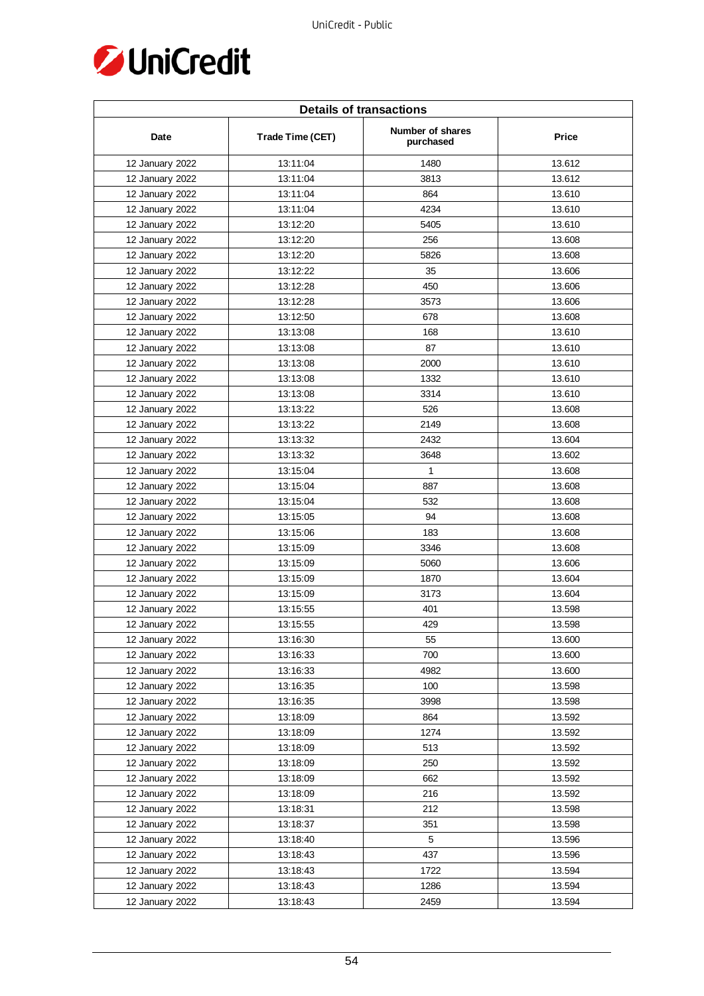

| <b>Details of transactions</b> |                  |                               |        |  |
|--------------------------------|------------------|-------------------------------|--------|--|
| Date                           | Trade Time (CET) | Number of shares<br>purchased | Price  |  |
| 12 January 2022                | 13:11:04         | 1480                          | 13.612 |  |
| 12 January 2022                | 13:11:04         | 3813                          | 13.612 |  |
| 12 January 2022                | 13:11:04         | 864                           | 13.610 |  |
| 12 January 2022                | 13:11:04         | 4234                          | 13.610 |  |
| 12 January 2022                | 13:12:20         | 5405                          | 13.610 |  |
| 12 January 2022                | 13:12:20         | 256                           | 13.608 |  |
| 12 January 2022                | 13:12:20         | 5826                          | 13.608 |  |
| 12 January 2022                | 13:12:22         | 35                            | 13.606 |  |
| 12 January 2022                | 13:12:28         | 450                           | 13.606 |  |
| 12 January 2022                | 13:12:28         | 3573                          | 13.606 |  |
| 12 January 2022                | 13:12:50         | 678                           | 13.608 |  |
| 12 January 2022                | 13:13:08         | 168                           | 13.610 |  |
| 12 January 2022                | 13:13:08         | 87                            | 13.610 |  |
| 12 January 2022                | 13:13:08         | 2000                          | 13.610 |  |
| 12 January 2022                | 13:13:08         | 1332                          | 13.610 |  |
| 12 January 2022                | 13:13:08         | 3314                          | 13.610 |  |
| 12 January 2022                | 13:13:22         | 526                           | 13.608 |  |
| 12 January 2022                | 13:13:22         | 2149                          | 13.608 |  |
| 12 January 2022                | 13:13:32         | 2432                          | 13.604 |  |
| 12 January 2022                | 13:13:32         | 3648                          | 13.602 |  |
| 12 January 2022                | 13:15:04         | 1                             | 13.608 |  |
| 12 January 2022                | 13:15:04         | 887                           | 13.608 |  |
| 12 January 2022                | 13:15:04         | 532                           | 13.608 |  |
| 12 January 2022                | 13:15:05         | 94                            | 13.608 |  |
| 12 January 2022                | 13:15:06         | 183                           | 13.608 |  |
| 12 January 2022                | 13:15:09         | 3346                          | 13.608 |  |
| 12 January 2022                | 13:15:09         | 5060                          | 13.606 |  |
| 12 January 2022                | 13:15:09         | 1870                          | 13.604 |  |
| 12 January 2022                | 13:15:09         | 3173                          | 13.604 |  |
| 12 January 2022                | 13:15:55         | 401                           | 13.598 |  |
| 12 January 2022                | 13:15:55         | 429                           | 13.598 |  |
| 12 January 2022                | 13:16:30         | 55                            | 13.600 |  |
| 12 January 2022                | 13:16:33         | 700                           | 13.600 |  |
| 12 January 2022                | 13:16:33         | 4982                          | 13.600 |  |
| 12 January 2022                | 13:16:35         | 100                           | 13.598 |  |
| 12 January 2022                | 13:16:35         | 3998                          | 13.598 |  |
| 12 January 2022                | 13:18:09         | 864                           | 13.592 |  |
| 12 January 2022                | 13:18:09         | 1274                          | 13.592 |  |
| 12 January 2022                | 13:18:09         | 513                           | 13.592 |  |
| 12 January 2022                | 13:18:09         | 250                           | 13.592 |  |
| 12 January 2022                | 13:18:09         | 662                           | 13.592 |  |
| 12 January 2022                | 13:18:09         | 216                           | 13.592 |  |
| 12 January 2022                | 13:18:31         | 212                           | 13.598 |  |
| 12 January 2022                | 13:18:37         | 351                           | 13.598 |  |
| 12 January 2022                | 13:18:40         | 5                             | 13.596 |  |
| 12 January 2022                | 13:18:43         | 437                           | 13.596 |  |
| 12 January 2022                | 13:18:43         | 1722                          | 13.594 |  |
| 12 January 2022                | 13:18:43         | 1286                          | 13.594 |  |
| 12 January 2022                | 13:18:43         | 2459                          | 13.594 |  |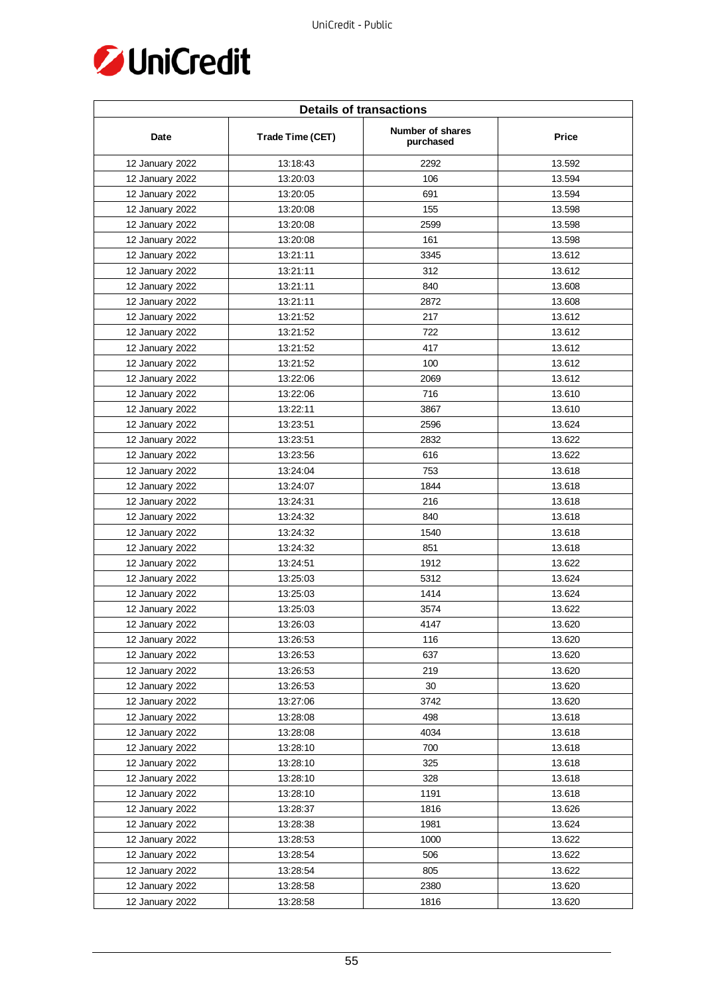

| <b>Details of transactions</b> |                  |                               |        |  |
|--------------------------------|------------------|-------------------------------|--------|--|
| Date                           | Trade Time (CET) | Number of shares<br>purchased | Price  |  |
| 12 January 2022                | 13:18:43         | 2292                          | 13.592 |  |
| 12 January 2022                | 13:20:03         | 106                           | 13.594 |  |
| 12 January 2022                | 13:20:05         | 691                           | 13.594 |  |
| 12 January 2022                | 13:20:08         | 155                           | 13.598 |  |
| 12 January 2022                | 13:20:08         | 2599                          | 13.598 |  |
| 12 January 2022                | 13:20:08         | 161                           | 13.598 |  |
| 12 January 2022                | 13:21:11         | 3345                          | 13.612 |  |
| 12 January 2022                | 13:21:11         | 312                           | 13.612 |  |
| 12 January 2022                | 13:21:11         | 840                           | 13.608 |  |
| 12 January 2022                | 13:21:11         | 2872                          | 13.608 |  |
| 12 January 2022                | 13:21:52         | 217                           | 13.612 |  |
| 12 January 2022                | 13:21:52         | 722                           | 13.612 |  |
| 12 January 2022                | 13:21:52         | 417                           | 13.612 |  |
| 12 January 2022                | 13:21:52         | 100                           | 13.612 |  |
| 12 January 2022                | 13:22:06         | 2069                          | 13.612 |  |
| 12 January 2022                | 13:22:06         | 716                           | 13.610 |  |
| 12 January 2022                | 13:22:11         | 3867                          | 13.610 |  |
| 12 January 2022                | 13:23:51         | 2596                          | 13.624 |  |
| 12 January 2022                | 13:23:51         | 2832                          | 13.622 |  |
| 12 January 2022                | 13:23:56         | 616                           | 13.622 |  |
| 12 January 2022                | 13:24:04         | 753                           | 13.618 |  |
| 12 January 2022                | 13:24:07         | 1844                          | 13.618 |  |
| 12 January 2022                | 13:24:31         | 216                           | 13.618 |  |
| 12 January 2022                | 13:24:32         | 840                           | 13.618 |  |
| 12 January 2022                | 13:24:32         | 1540                          | 13.618 |  |
| 12 January 2022                | 13:24:32         | 851                           | 13.618 |  |
| 12 January 2022                | 13:24:51         | 1912                          | 13.622 |  |
| 12 January 2022                | 13:25:03         | 5312                          | 13.624 |  |
| 12 January 2022                | 13:25:03         | 1414                          | 13.624 |  |
| 12 January 2022                | 13:25:03         | 3574                          | 13.622 |  |
| 12 January 2022                | 13:26:03         | 4147                          | 13.620 |  |
| 12 January 2022                | 13:26:53         | 116                           | 13.620 |  |
| 12 January 2022                | 13:26:53         | 637                           | 13.620 |  |
| 12 January 2022                | 13:26:53         | 219                           | 13.620 |  |
| 12 January 2022                | 13:26:53         | 30                            | 13.620 |  |
| 12 January 2022                | 13:27:06         | 3742                          | 13.620 |  |
| 12 January 2022                | 13:28:08         | 498                           | 13.618 |  |
| 12 January 2022                | 13:28:08         | 4034                          | 13.618 |  |
| 12 January 2022                | 13:28:10         | 700                           | 13.618 |  |
| 12 January 2022                | 13:28:10         | 325                           | 13.618 |  |
| 12 January 2022                | 13:28:10         | 328                           | 13.618 |  |
| 12 January 2022                | 13:28:10         | 1191                          | 13.618 |  |
| 12 January 2022                | 13:28:37         | 1816                          | 13.626 |  |
| 12 January 2022                | 13:28:38         | 1981                          | 13.624 |  |
| 12 January 2022                | 13:28:53         | 1000                          | 13.622 |  |
| 12 January 2022                | 13:28:54         | 506                           | 13.622 |  |
| 12 January 2022                | 13:28:54         | 805                           | 13.622 |  |
| 12 January 2022                | 13:28:58         | 2380                          | 13.620 |  |
| 12 January 2022                | 13:28:58         | 1816                          | 13.620 |  |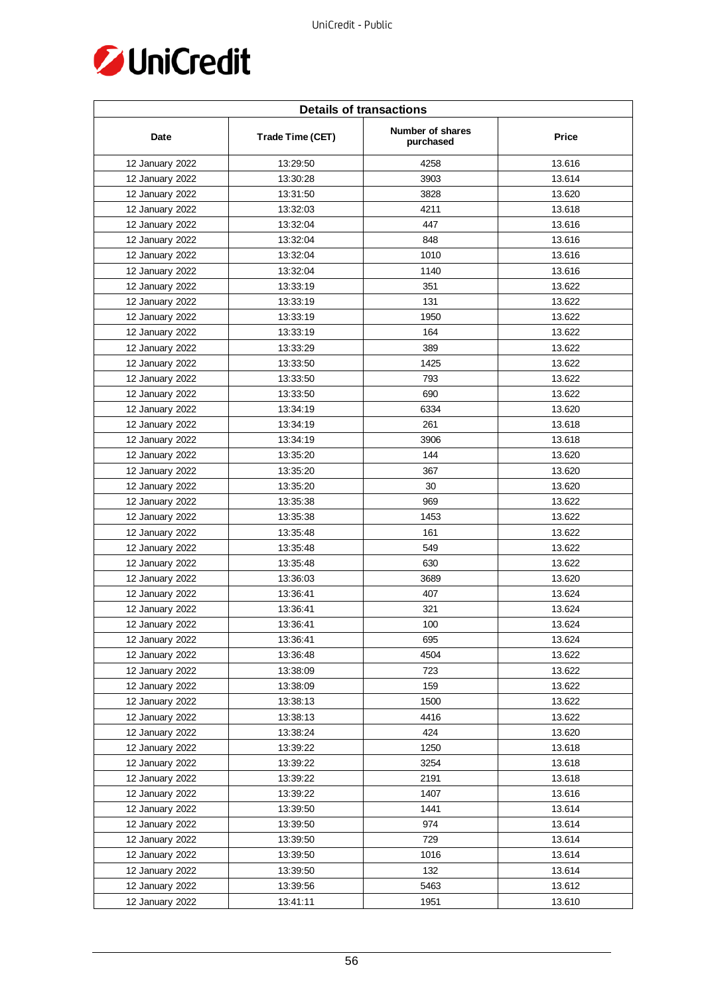

| <b>Details of transactions</b> |                  |                               |        |  |
|--------------------------------|------------------|-------------------------------|--------|--|
| Date                           | Trade Time (CET) | Number of shares<br>purchased | Price  |  |
| 12 January 2022                | 13:29:50         | 4258                          | 13.616 |  |
| 12 January 2022                | 13:30:28         | 3903                          | 13.614 |  |
| 12 January 2022                | 13:31:50         | 3828                          | 13.620 |  |
| 12 January 2022                | 13:32:03         | 4211                          | 13.618 |  |
| 12 January 2022                | 13:32:04         | 447                           | 13.616 |  |
| 12 January 2022                | 13:32:04         | 848                           | 13.616 |  |
| 12 January 2022                | 13:32:04         | 1010                          | 13.616 |  |
| 12 January 2022                | 13:32:04         | 1140                          | 13.616 |  |
| 12 January 2022                | 13:33:19         | 351                           | 13.622 |  |
| 12 January 2022                | 13:33:19         | 131                           | 13.622 |  |
| 12 January 2022                | 13:33:19         | 1950                          | 13.622 |  |
| 12 January 2022                | 13:33:19         | 164                           | 13.622 |  |
| 12 January 2022                | 13:33:29         | 389                           | 13.622 |  |
| 12 January 2022                | 13:33:50         | 1425                          | 13.622 |  |
| 12 January 2022                | 13:33:50         | 793                           | 13.622 |  |
| 12 January 2022                | 13:33:50         | 690                           | 13.622 |  |
| 12 January 2022                | 13:34:19         | 6334                          | 13.620 |  |
| 12 January 2022                | 13:34:19         | 261                           | 13.618 |  |
| 12 January 2022                | 13:34:19         | 3906                          | 13.618 |  |
| 12 January 2022                | 13:35:20         | 144                           | 13.620 |  |
| 12 January 2022                | 13:35:20         | 367                           | 13.620 |  |
| 12 January 2022                | 13:35:20         | 30                            | 13.620 |  |
| 12 January 2022                | 13:35:38         | 969                           | 13.622 |  |
| 12 January 2022                | 13:35:38         | 1453                          | 13.622 |  |
| 12 January 2022                | 13:35:48         | 161                           | 13.622 |  |
| 12 January 2022                | 13:35:48         | 549                           | 13.622 |  |
| 12 January 2022                | 13:35:48         | 630                           | 13.622 |  |
| 12 January 2022                | 13:36:03         | 3689                          | 13.620 |  |
| 12 January 2022                | 13:36:41         | 407                           | 13.624 |  |
| 12 January 2022                | 13:36:41         | 321                           | 13.624 |  |
| 12 January 2022                | 13:36:41         | 100                           | 13.624 |  |
| 12 January 2022                | 13:36:41         | 695                           | 13.624 |  |
| 12 January 2022                | 13:36:48         | 4504                          | 13.622 |  |
| 12 January 2022                | 13:38:09         | 723                           | 13.622 |  |
| 12 January 2022                | 13:38:09         | 159                           | 13.622 |  |
| 12 January 2022                | 13:38:13         | 1500                          | 13.622 |  |
| 12 January 2022                | 13:38:13         | 4416                          | 13.622 |  |
| 12 January 2022                | 13:38:24         | 424                           | 13.620 |  |
| 12 January 2022                | 13:39:22         | 1250                          | 13.618 |  |
| 12 January 2022                | 13:39:22         | 3254                          | 13.618 |  |
| 12 January 2022                | 13:39:22         | 2191                          | 13.618 |  |
| 12 January 2022                | 13:39:22         | 1407                          | 13.616 |  |
| 12 January 2022                | 13:39:50         | 1441                          | 13.614 |  |
| 12 January 2022                | 13:39:50         | 974                           | 13.614 |  |
| 12 January 2022                | 13:39:50         | 729                           | 13.614 |  |
| 12 January 2022                | 13:39:50         | 1016                          | 13.614 |  |
| 12 January 2022                | 13:39:50         | 132                           | 13.614 |  |
| 12 January 2022                | 13:39:56         | 5463                          | 13.612 |  |
| 12 January 2022                | 13:41:11         | 1951                          | 13.610 |  |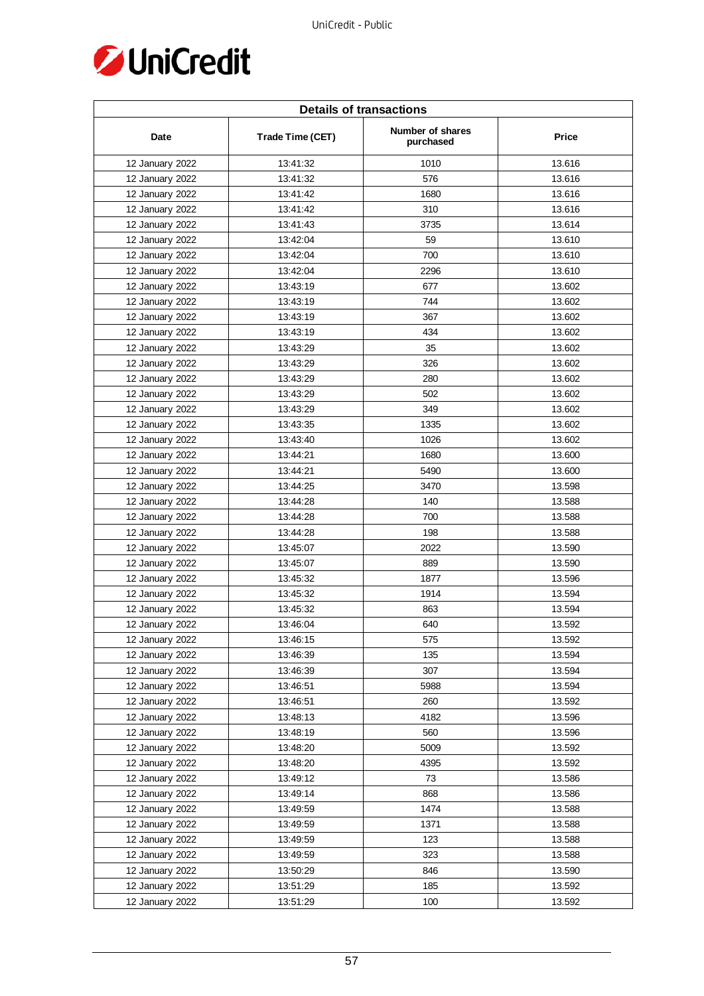

| <b>Details of transactions</b> |                  |                               |              |  |
|--------------------------------|------------------|-------------------------------|--------------|--|
| Date                           | Trade Time (CET) | Number of shares<br>purchased | <b>Price</b> |  |
| 12 January 2022                | 13:41:32         | 1010                          | 13.616       |  |
| 12 January 2022                | 13:41:32         | 576                           | 13.616       |  |
| 12 January 2022                | 13:41:42         | 1680                          | 13.616       |  |
| 12 January 2022                | 13:41:42         | 310                           | 13.616       |  |
| 12 January 2022                | 13:41:43         | 3735                          | 13.614       |  |
| 12 January 2022                | 13:42:04         | 59                            | 13.610       |  |
| 12 January 2022                | 13:42:04         | 700                           | 13.610       |  |
| 12 January 2022                | 13:42:04         | 2296                          | 13.610       |  |
| 12 January 2022                | 13:43:19         | 677                           | 13.602       |  |
| 12 January 2022                | 13:43:19         | 744                           | 13.602       |  |
| 12 January 2022                | 13:43:19         | 367                           | 13.602       |  |
| 12 January 2022                | 13:43:19         | 434                           | 13.602       |  |
| 12 January 2022                | 13:43:29         | 35                            | 13.602       |  |
| 12 January 2022                | 13:43:29         | 326                           | 13.602       |  |
| 12 January 2022                | 13:43:29         | 280                           | 13.602       |  |
| 12 January 2022                | 13:43:29         | 502                           | 13.602       |  |
| 12 January 2022                | 13:43:29         | 349                           | 13.602       |  |
| 12 January 2022                | 13:43:35         | 1335                          | 13.602       |  |
| 12 January 2022                | 13:43:40         | 1026                          | 13.602       |  |
| 12 January 2022                | 13:44:21         | 1680                          | 13.600       |  |
| 12 January 2022                | 13:44:21         | 5490                          | 13.600       |  |
| 12 January 2022                | 13:44:25         | 3470                          | 13.598       |  |
| 12 January 2022                | 13:44:28         | 140                           | 13.588       |  |
| 12 January 2022                | 13:44:28         | 700                           | 13.588       |  |
| 12 January 2022                | 13:44:28         | 198                           | 13.588       |  |
| 12 January 2022                | 13:45:07         | 2022                          | 13.590       |  |
| 12 January 2022                | 13:45:07         | 889                           | 13.590       |  |
| 12 January 2022                | 13:45:32         | 1877                          | 13.596       |  |
| 12 January 2022                | 13:45:32         | 1914                          | 13.594       |  |
| 12 January 2022                | 13:45:32         | 863                           | 13.594       |  |
| 12 January 2022                | 13:46:04         | 640                           | 13.592       |  |
| 12 January 2022                | 13:46:15         | 575                           | 13.592       |  |
| 12 January 2022                | 13:46:39         | 135                           | 13.594       |  |
| 12 January 2022                | 13:46:39         | 307                           | 13.594       |  |
| 12 January 2022                | 13:46:51         | 5988                          | 13.594       |  |
| 12 January 2022                | 13:46:51         | 260                           | 13.592       |  |
| 12 January 2022                | 13:48:13         | 4182                          | 13.596       |  |
| 12 January 2022                | 13:48:19         | 560                           | 13.596       |  |
| 12 January 2022                | 13:48:20         | 5009                          | 13.592       |  |
| 12 January 2022                | 13:48:20         | 4395                          | 13.592       |  |
| 12 January 2022                | 13:49:12         | 73                            | 13.586       |  |
| 12 January 2022                | 13:49:14         | 868                           | 13.586       |  |
| 12 January 2022                | 13:49:59         | 1474                          | 13.588       |  |
| 12 January 2022                | 13:49:59         | 1371                          | 13.588       |  |
| 12 January 2022                | 13:49:59         | 123                           | 13.588       |  |
| 12 January 2022                | 13:49:59         | 323                           | 13.588       |  |
| 12 January 2022                | 13:50:29         | 846                           | 13.590       |  |
| 12 January 2022                | 13:51:29         | 185                           | 13.592       |  |
| 12 January 2022                | 13:51:29         | 100                           | 13.592       |  |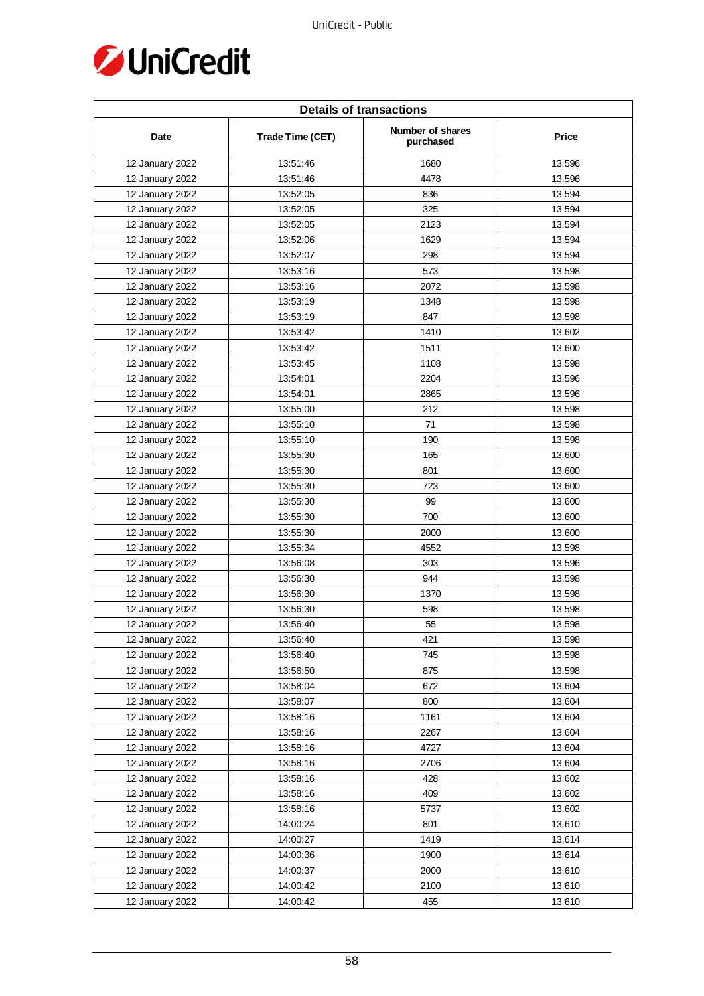

| <b>Details of transactions</b> |                  |                               |        |  |
|--------------------------------|------------------|-------------------------------|--------|--|
| Date                           | Trade Time (CET) | Number of shares<br>purchased | Price  |  |
| 12 January 2022                | 13:51:46         | 1680                          | 13.596 |  |
| 12 January 2022                | 13:51:46         | 4478                          | 13.596 |  |
| 12 January 2022                | 13:52:05         | 836                           | 13.594 |  |
| 12 January 2022                | 13:52:05         | 325                           | 13.594 |  |
| 12 January 2022                | 13:52:05         | 2123                          | 13.594 |  |
| 12 January 2022                | 13:52:06         | 1629                          | 13.594 |  |
| 12 January 2022                | 13:52:07         | 298                           | 13.594 |  |
| 12 January 2022                | 13:53:16         | 573                           | 13.598 |  |
| 12 January 2022                | 13:53:16         | 2072                          | 13.598 |  |
| 12 January 2022                | 13:53:19         | 1348                          | 13.598 |  |
| 12 January 2022                | 13:53:19         | 847                           | 13.598 |  |
| 12 January 2022                | 13:53:42         | 1410                          | 13.602 |  |
| 12 January 2022                | 13:53:42         | 1511                          | 13.600 |  |
| 12 January 2022                | 13:53:45         | 1108                          | 13.598 |  |
| 12 January 2022                | 13:54:01         | 2204                          | 13.596 |  |
| 12 January 2022                | 13:54:01         | 2865                          | 13.596 |  |
| 12 January 2022                | 13:55:00         | 212                           | 13.598 |  |
| 12 January 2022                | 13:55:10         | 71                            | 13.598 |  |
| 12 January 2022                | 13:55:10         | 190                           | 13.598 |  |
| 12 January 2022                | 13:55:30         | 165                           | 13.600 |  |
| 12 January 2022                | 13:55:30         | 801                           | 13.600 |  |
| 12 January 2022                | 13:55:30         | 723                           | 13.600 |  |
| 12 January 2022                | 13:55:30         | 99                            | 13.600 |  |
| 12 January 2022                | 13:55:30         | 700                           | 13.600 |  |
| 12 January 2022                | 13:55:30         | 2000                          | 13.600 |  |
| 12 January 2022                | 13:55:34         | 4552                          | 13.598 |  |
| 12 January 2022                | 13:56:08         | 303                           | 13.596 |  |
| 12 January 2022                | 13:56:30         | 944                           | 13.598 |  |
| 12 January 2022                | 13:56:30         | 1370                          | 13.598 |  |
| 12 January 2022                | 13:56:30         | 598                           | 13.598 |  |
| 12 January 2022                | 13:56:40         | 55                            | 13.598 |  |
| 12 January 2022                | 13:56:40         | 421                           | 13.598 |  |
| 12 January 2022                | 13:56:40         | 745                           | 13.598 |  |
| 12 January 2022                | 13:56:50         | 875                           | 13.598 |  |
| 12 January 2022                | 13:58:04         | 672                           | 13.604 |  |
| 12 January 2022                | 13:58:07         | 800                           | 13.604 |  |
| 12 January 2022                | 13:58:16         | 1161                          | 13.604 |  |
| 12 January 2022                | 13:58:16         | 2267                          | 13.604 |  |
| 12 January 2022                | 13:58:16         | 4727                          | 13.604 |  |
| 12 January 2022                | 13:58:16         | 2706                          | 13.604 |  |
| 12 January 2022                | 13:58:16         | 428                           | 13.602 |  |
| 12 January 2022                | 13:58:16         | 409                           | 13.602 |  |
| 12 January 2022                | 13:58:16         | 5737                          | 13.602 |  |
| 12 January 2022                | 14:00:24         | 801                           | 13.610 |  |
| 12 January 2022                | 14:00:27         | 1419                          | 13.614 |  |
| 12 January 2022                | 14:00:36         | 1900                          | 13.614 |  |
| 12 January 2022                | 14:00:37         | 2000                          | 13.610 |  |
| 12 January 2022                | 14:00:42         | 2100                          | 13.610 |  |
| 12 January 2022                | 14:00:42         | 455                           | 13.610 |  |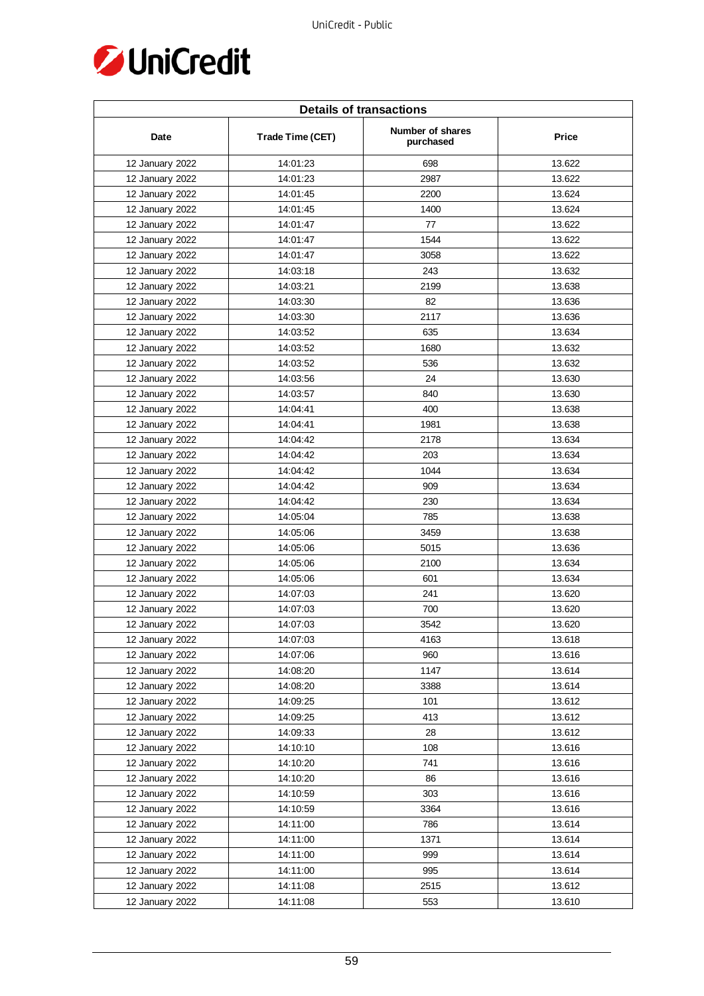

| <b>Details of transactions</b> |                  |                               |              |  |
|--------------------------------|------------------|-------------------------------|--------------|--|
| Date                           | Trade Time (CET) | Number of shares<br>purchased | <b>Price</b> |  |
| 12 January 2022                | 14:01:23         | 698                           | 13.622       |  |
| 12 January 2022                | 14:01:23         | 2987                          | 13.622       |  |
| 12 January 2022                | 14:01:45         | 2200                          | 13.624       |  |
| 12 January 2022                | 14:01:45         | 1400                          | 13.624       |  |
| 12 January 2022                | 14:01:47         | 77                            | 13.622       |  |
| 12 January 2022                | 14:01:47         | 1544                          | 13.622       |  |
| 12 January 2022                | 14:01:47         | 3058                          | 13.622       |  |
| 12 January 2022                | 14:03:18         | 243                           | 13.632       |  |
| 12 January 2022                | 14:03:21         | 2199                          | 13.638       |  |
| 12 January 2022                | 14:03:30         | 82                            | 13.636       |  |
| 12 January 2022                | 14:03:30         | 2117                          | 13.636       |  |
| 12 January 2022                | 14:03:52         | 635                           | 13.634       |  |
| 12 January 2022                | 14:03:52         | 1680                          | 13.632       |  |
| 12 January 2022                | 14:03:52         | 536                           | 13.632       |  |
| 12 January 2022                | 14:03:56         | 24                            | 13.630       |  |
| 12 January 2022                | 14:03:57         | 840                           | 13.630       |  |
| 12 January 2022                | 14:04:41         | 400                           | 13.638       |  |
| 12 January 2022                | 14:04:41         | 1981                          | 13.638       |  |
| 12 January 2022                | 14:04:42         | 2178                          | 13.634       |  |
| 12 January 2022                | 14:04:42         | 203                           | 13.634       |  |
| 12 January 2022                | 14:04:42         | 1044                          | 13.634       |  |
| 12 January 2022                | 14:04:42         | 909                           | 13.634       |  |
| 12 January 2022                | 14:04:42         | 230                           | 13.634       |  |
| 12 January 2022                | 14:05:04         | 785                           | 13.638       |  |
| 12 January 2022                | 14:05:06         | 3459                          | 13.638       |  |
| 12 January 2022                | 14:05:06         | 5015                          | 13.636       |  |
| 12 January 2022                | 14:05:06         | 2100                          | 13.634       |  |
| 12 January 2022                | 14:05:06         | 601                           | 13.634       |  |
| 12 January 2022                | 14:07:03         | 241                           | 13.620       |  |
| 12 January 2022                | 14:07:03         | 700                           | 13.620       |  |
| 12 January 2022                | 14:07:03         | 3542                          | 13.620       |  |
| 12 January 2022                | 14:07:03         | 4163                          | 13.618       |  |
| 12 January 2022                | 14:07:06         | 960                           | 13.616       |  |
| 12 January 2022                | 14:08:20         | 1147                          | 13.614       |  |
| 12 January 2022                | 14:08:20         | 3388                          | 13.614       |  |
| 12 January 2022                | 14:09:25         | 101                           | 13.612       |  |
| 12 January 2022                | 14:09:25         | 413                           | 13.612       |  |
| 12 January 2022                | 14:09:33         | 28                            | 13.612       |  |
| 12 January 2022                | 14:10:10         | 108                           | 13.616       |  |
| 12 January 2022                | 14:10:20         | 741                           | 13.616       |  |
| 12 January 2022                | 14:10:20         | 86                            | 13.616       |  |
| 12 January 2022                | 14:10:59         | 303                           | 13.616       |  |
| 12 January 2022                | 14:10:59         | 3364                          | 13.616       |  |
| 12 January 2022                | 14:11:00         | 786                           | 13.614       |  |
| 12 January 2022                | 14:11:00         | 1371                          | 13.614       |  |
| 12 January 2022                | 14:11:00         | 999                           | 13.614       |  |
| 12 January 2022                | 14:11:00         | 995                           | 13.614       |  |
| 12 January 2022                | 14:11:08         | 2515                          | 13.612       |  |
| 12 January 2022                | 14:11:08         | 553                           | 13.610       |  |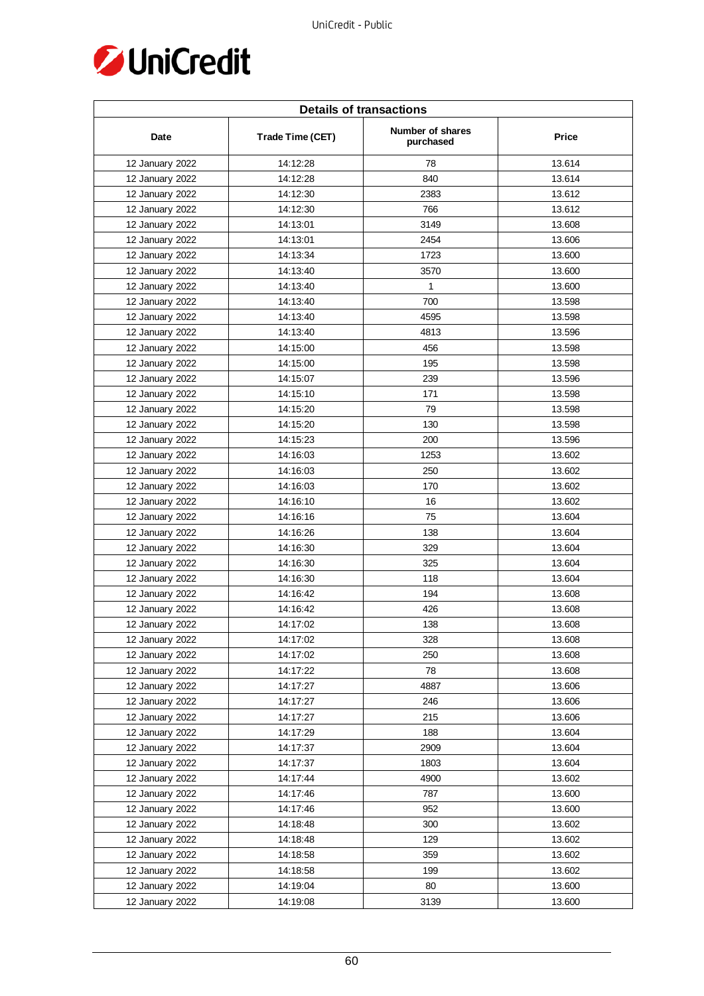

| <b>Details of transactions</b> |                  |                               |              |  |
|--------------------------------|------------------|-------------------------------|--------------|--|
| Date                           | Trade Time (CET) | Number of shares<br>purchased | <b>Price</b> |  |
| 12 January 2022                | 14:12:28         | 78                            | 13.614       |  |
| 12 January 2022                | 14:12:28         | 840                           | 13.614       |  |
| 12 January 2022                | 14:12:30         | 2383                          | 13.612       |  |
| 12 January 2022                | 14:12:30         | 766                           | 13.612       |  |
| 12 January 2022                | 14:13:01         | 3149                          | 13.608       |  |
| 12 January 2022                | 14:13:01         | 2454                          | 13.606       |  |
| 12 January 2022                | 14:13:34         | 1723                          | 13.600       |  |
| 12 January 2022                | 14:13:40         | 3570                          | 13.600       |  |
| 12 January 2022                | 14:13:40         | $\mathbf{1}$                  | 13.600       |  |
| 12 January 2022                | 14:13:40         | 700                           | 13.598       |  |
| 12 January 2022                | 14:13:40         | 4595                          | 13.598       |  |
| 12 January 2022                | 14:13:40         | 4813                          | 13.596       |  |
| 12 January 2022                | 14:15:00         | 456                           | 13.598       |  |
| 12 January 2022                | 14:15:00         | 195                           | 13.598       |  |
| 12 January 2022                | 14:15:07         | 239                           | 13.596       |  |
| 12 January 2022                | 14:15:10         | 171                           | 13.598       |  |
| 12 January 2022                | 14:15:20         | 79                            | 13.598       |  |
| 12 January 2022                | 14:15:20         | 130                           | 13.598       |  |
| 12 January 2022                | 14:15:23         | 200                           | 13.596       |  |
| 12 January 2022                | 14:16:03         | 1253                          | 13.602       |  |
| 12 January 2022                | 14:16:03         | 250                           | 13.602       |  |
| 12 January 2022                | 14:16:03         | 170                           | 13.602       |  |
| 12 January 2022                | 14:16:10         | 16                            | 13.602       |  |
| 12 January 2022                | 14:16:16         | 75                            | 13.604       |  |
| 12 January 2022                | 14:16:26         | 138                           | 13.604       |  |
| 12 January 2022                | 14:16:30         | 329                           | 13.604       |  |
| 12 January 2022                | 14:16:30         | 325                           | 13.604       |  |
| 12 January 2022                | 14:16:30         | 118                           | 13.604       |  |
| 12 January 2022                | 14:16:42         | 194                           | 13.608       |  |
| 12 January 2022                | 14:16:42         | 426                           | 13.608       |  |
| 12 January 2022                | 14:17:02         | 138                           | 13.608       |  |
| 12 January 2022                | 14:17:02         | 328                           | 13.608       |  |
| 12 January 2022                | 14:17:02         | 250                           | 13.608       |  |
| 12 January 2022                | 14:17:22         | 78                            | 13.608       |  |
| 12 January 2022                | 14:17:27         | 4887                          | 13.606       |  |
| 12 January 2022                | 14:17:27         | 246                           | 13.606       |  |
| 12 January 2022                | 14:17:27         | 215                           | 13.606       |  |
| 12 January 2022                | 14:17:29         | 188                           | 13.604       |  |
| 12 January 2022                | 14:17:37         | 2909                          | 13.604       |  |
| 12 January 2022                | 14:17:37         | 1803                          | 13.604       |  |
| 12 January 2022                | 14:17:44         | 4900                          | 13.602       |  |
| 12 January 2022                | 14:17:46         | 787                           | 13.600       |  |
| 12 January 2022                | 14:17:46         | 952                           | 13.600       |  |
| 12 January 2022                | 14:18:48         | 300                           | 13.602       |  |
| 12 January 2022                | 14:18:48         | 129                           | 13.602       |  |
| 12 January 2022                | 14:18:58         | 359                           | 13.602       |  |
| 12 January 2022                | 14:18:58         | 199                           | 13.602       |  |
| 12 January 2022                | 14:19:04         | 80                            | 13.600       |  |
| 12 January 2022                | 14:19:08         | 3139                          | 13.600       |  |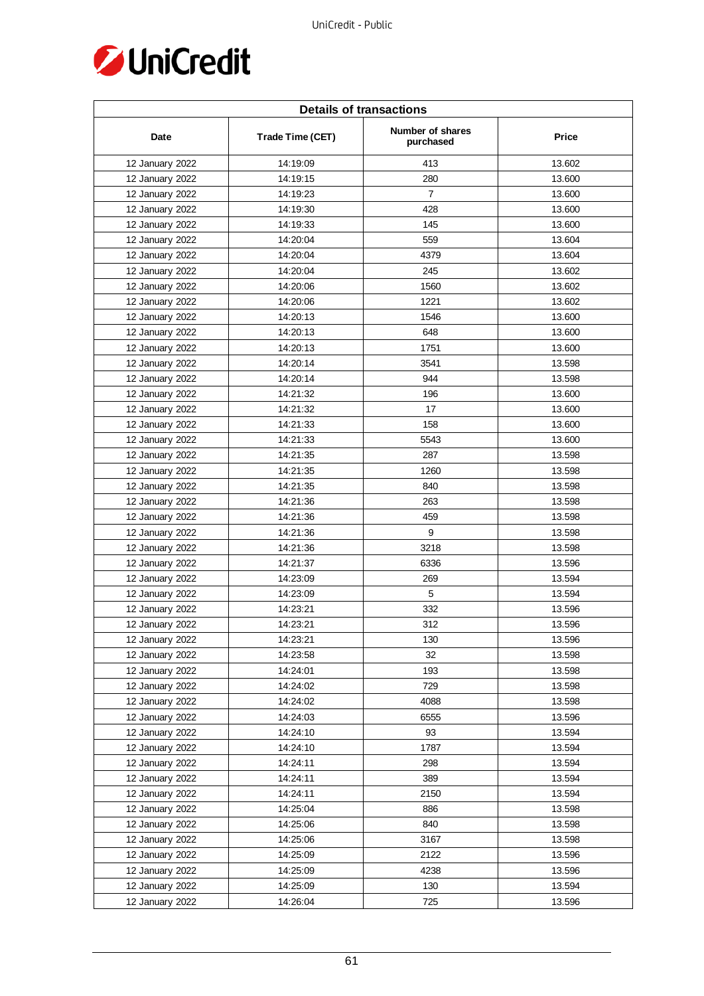

| <b>Details of transactions</b> |                  |                               |        |  |
|--------------------------------|------------------|-------------------------------|--------|--|
| Date                           | Trade Time (CET) | Number of shares<br>purchased | Price  |  |
| 12 January 2022                | 14:19:09         | 413                           | 13.602 |  |
| 12 January 2022                | 14:19:15         | 280                           | 13.600 |  |
| 12 January 2022                | 14:19:23         | $\overline{7}$                | 13.600 |  |
| 12 January 2022                | 14:19:30         | 428                           | 13.600 |  |
| 12 January 2022                | 14:19:33         | 145                           | 13.600 |  |
| 12 January 2022                | 14:20:04         | 559                           | 13.604 |  |
| 12 January 2022                | 14:20:04         | 4379                          | 13.604 |  |
| 12 January 2022                | 14:20:04         | 245                           | 13.602 |  |
| 12 January 2022                | 14:20:06         | 1560                          | 13.602 |  |
| 12 January 2022                | 14:20:06         | 1221                          | 13.602 |  |
| 12 January 2022                | 14:20:13         | 1546                          | 13.600 |  |
| 12 January 2022                | 14:20:13         | 648                           | 13.600 |  |
| 12 January 2022                | 14:20:13         | 1751                          | 13.600 |  |
| 12 January 2022                | 14:20:14         | 3541                          | 13.598 |  |
| 12 January 2022                | 14:20:14         | 944                           | 13.598 |  |
| 12 January 2022                | 14:21:32         | 196                           | 13.600 |  |
| 12 January 2022                | 14:21:32         | 17                            | 13.600 |  |
| 12 January 2022                | 14:21:33         | 158                           | 13.600 |  |
| 12 January 2022                | 14:21:33         | 5543                          | 13.600 |  |
| 12 January 2022                | 14:21:35         | 287                           | 13.598 |  |
| 12 January 2022                | 14:21:35         | 1260                          | 13.598 |  |
| 12 January 2022                | 14:21:35         | 840                           | 13.598 |  |
| 12 January 2022                | 14:21:36         | 263                           | 13.598 |  |
| 12 January 2022                | 14:21:36         | 459                           | 13.598 |  |
| 12 January 2022                | 14:21:36         | 9                             | 13.598 |  |
| 12 January 2022                | 14:21:36         | 3218                          | 13.598 |  |
| 12 January 2022                | 14:21:37         | 6336                          | 13.596 |  |
| 12 January 2022                | 14:23:09         | 269                           | 13.594 |  |
| 12 January 2022                | 14:23:09         | 5                             | 13.594 |  |
| 12 January 2022                | 14:23:21         | 332                           | 13.596 |  |
| 12 January 2022                | 14:23:21         | 312                           | 13.596 |  |
| 12 January 2022                | 14:23:21         | 130                           | 13.596 |  |
| 12 January 2022                | 14:23:58         | 32                            | 13.598 |  |
| 12 January 2022                | 14:24:01         | 193                           | 13.598 |  |
| 12 January 2022                | 14:24:02         | 729                           | 13.598 |  |
| 12 January 2022                | 14:24:02         | 4088                          | 13.598 |  |
| 12 January 2022                | 14:24:03         | 6555                          | 13.596 |  |
| 12 January 2022                | 14:24:10         | 93                            | 13.594 |  |
| 12 January 2022                | 14:24:10         | 1787                          | 13.594 |  |
| 12 January 2022                | 14:24:11         | 298                           | 13.594 |  |
| 12 January 2022                | 14:24:11         | 389                           | 13.594 |  |
| 12 January 2022                | 14:24:11         | 2150                          | 13.594 |  |
| 12 January 2022                | 14:25:04         | 886                           | 13.598 |  |
| 12 January 2022                | 14:25:06         | 840                           | 13.598 |  |
| 12 January 2022                | 14:25:06         | 3167                          | 13.598 |  |
| 12 January 2022                | 14:25:09         | 2122                          | 13.596 |  |
| 12 January 2022                | 14:25:09         | 4238                          | 13.596 |  |
| 12 January 2022                | 14:25:09         | 130                           | 13.594 |  |
| 12 January 2022                | 14:26:04         | 725                           | 13.596 |  |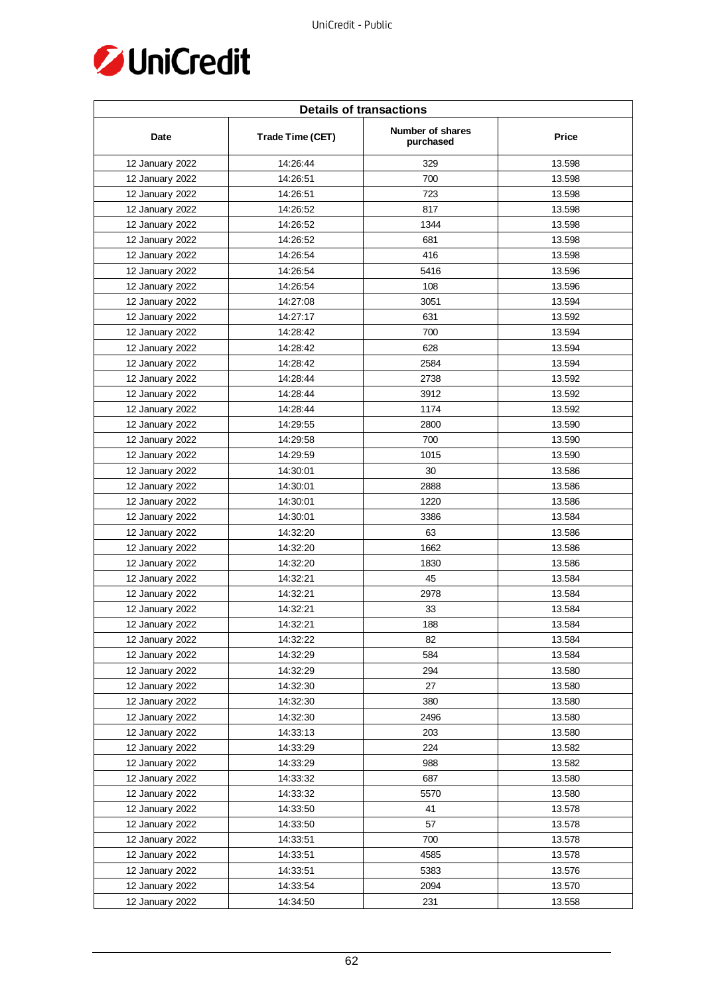

| <b>Details of transactions</b> |                  |                               |              |  |
|--------------------------------|------------------|-------------------------------|--------------|--|
| Date                           | Trade Time (CET) | Number of shares<br>purchased | <b>Price</b> |  |
| 12 January 2022                | 14:26:44         | 329                           | 13.598       |  |
| 12 January 2022                | 14:26:51         | 700                           | 13.598       |  |
| 12 January 2022                | 14:26:51         | 723                           | 13.598       |  |
| 12 January 2022                | 14:26:52         | 817                           | 13.598       |  |
| 12 January 2022                | 14:26:52         | 1344                          | 13.598       |  |
| 12 January 2022                | 14:26:52         | 681                           | 13.598       |  |
| 12 January 2022                | 14:26:54         | 416                           | 13.598       |  |
| 12 January 2022                | 14:26:54         | 5416                          | 13.596       |  |
| 12 January 2022                | 14:26:54         | 108                           | 13.596       |  |
| 12 January 2022                | 14:27:08         | 3051                          | 13.594       |  |
| 12 January 2022                | 14:27:17         | 631                           | 13.592       |  |
| 12 January 2022                | 14:28:42         | 700                           | 13.594       |  |
| 12 January 2022                | 14:28:42         | 628                           | 13.594       |  |
| 12 January 2022                | 14:28:42         | 2584                          | 13.594       |  |
| 12 January 2022                | 14:28:44         | 2738                          | 13.592       |  |
| 12 January 2022                | 14:28:44         | 3912                          | 13.592       |  |
| 12 January 2022                | 14:28:44         | 1174                          | 13.592       |  |
| 12 January 2022                | 14:29:55         | 2800                          | 13.590       |  |
| 12 January 2022                | 14:29:58         | 700                           | 13.590       |  |
| 12 January 2022                | 14:29:59         | 1015                          | 13.590       |  |
| 12 January 2022                | 14:30:01         | 30                            | 13.586       |  |
| 12 January 2022                | 14:30:01         | 2888                          | 13.586       |  |
| 12 January 2022                | 14:30:01         | 1220                          | 13.586       |  |
| 12 January 2022                | 14:30:01         | 3386                          | 13.584       |  |
| 12 January 2022                | 14:32:20         | 63                            | 13.586       |  |
| 12 January 2022                | 14:32:20         | 1662                          | 13.586       |  |
| 12 January 2022                | 14:32:20         | 1830                          | 13.586       |  |
| 12 January 2022                | 14:32:21         | 45                            | 13.584       |  |
| 12 January 2022                | 14:32:21         | 2978                          | 13.584       |  |
| 12 January 2022                | 14:32:21         | 33                            | 13.584       |  |
| 12 January 2022                | 14:32:21         | 188                           | 13.584       |  |
| 12 January 2022                | 14:32:22         | 82                            | 13.584       |  |
| 12 January 2022                | 14:32:29         | 584                           | 13.584       |  |
| 12 January 2022                | 14:32:29         | 294                           | 13.580       |  |
| 12 January 2022                | 14:32:30         | 27                            | 13.580       |  |
| 12 January 2022                | 14:32:30         | 380                           | 13.580       |  |
| 12 January 2022                | 14:32:30         | 2496                          | 13.580       |  |
| 12 January 2022                | 14:33:13         | 203                           | 13.580       |  |
| 12 January 2022                | 14:33:29         | 224                           | 13.582       |  |
| 12 January 2022                | 14:33:29         | 988                           | 13.582       |  |
| 12 January 2022                | 14:33:32         | 687                           | 13.580       |  |
| 12 January 2022                | 14:33:32         | 5570                          | 13.580       |  |
| 12 January 2022                | 14:33:50         | 41                            | 13.578       |  |
| 12 January 2022                | 14:33:50         | 57                            | 13.578       |  |
| 12 January 2022                | 14:33:51         | 700                           | 13.578       |  |
| 12 January 2022                | 14:33:51         | 4585                          | 13.578       |  |
| 12 January 2022                | 14:33:51         | 5383                          | 13.576       |  |
| 12 January 2022                | 14:33:54         | 2094                          | 13.570       |  |
| 12 January 2022                | 14:34:50         | 231                           | 13.558       |  |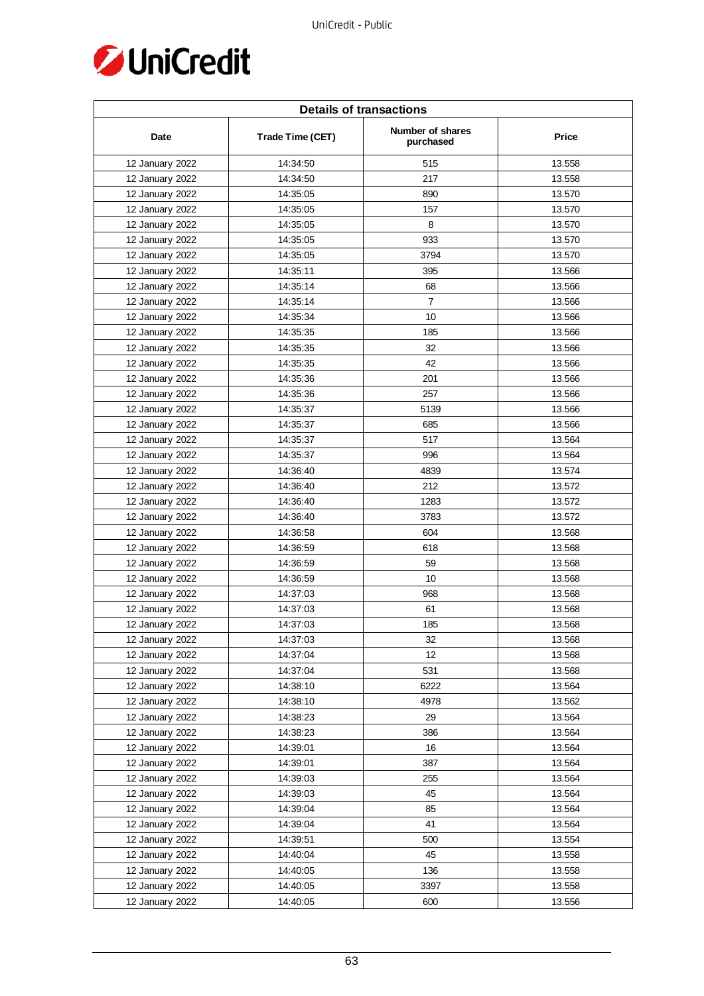

| <b>Details of transactions</b> |                  |                               |        |  |
|--------------------------------|------------------|-------------------------------|--------|--|
| Date                           | Trade Time (CET) | Number of shares<br>purchased | Price  |  |
| 12 January 2022                | 14:34:50         | 515                           | 13.558 |  |
| 12 January 2022                | 14:34:50         | 217                           | 13.558 |  |
| 12 January 2022                | 14:35:05         | 890                           | 13.570 |  |
| 12 January 2022                | 14:35:05         | 157                           | 13.570 |  |
| 12 January 2022                | 14:35:05         | 8                             | 13.570 |  |
| 12 January 2022                | 14:35:05         | 933                           | 13.570 |  |
| 12 January 2022                | 14:35:05         | 3794                          | 13.570 |  |
| 12 January 2022                | 14:35:11         | 395                           | 13.566 |  |
| 12 January 2022                | 14:35:14         | 68                            | 13.566 |  |
| 12 January 2022                | 14:35:14         | $\overline{7}$                | 13.566 |  |
| 12 January 2022                | 14:35:34         | 10                            | 13.566 |  |
| 12 January 2022                | 14:35:35         | 185                           | 13.566 |  |
| 12 January 2022                | 14:35:35         | 32                            | 13.566 |  |
| 12 January 2022                | 14:35:35         | 42                            | 13.566 |  |
| 12 January 2022                | 14:35:36         | 201                           | 13.566 |  |
| 12 January 2022                | 14:35:36         | 257                           | 13.566 |  |
| 12 January 2022                | 14:35:37         | 5139                          | 13.566 |  |
| 12 January 2022                | 14:35:37         | 685                           | 13.566 |  |
| 12 January 2022                | 14:35:37         | 517                           | 13.564 |  |
| 12 January 2022                | 14:35:37         | 996                           | 13.564 |  |
| 12 January 2022                | 14:36:40         | 4839                          | 13.574 |  |
| 12 January 2022                | 14:36:40         | 212                           | 13.572 |  |
| 12 January 2022                | 14:36:40         | 1283                          | 13.572 |  |
| 12 January 2022                | 14:36:40         | 3783                          | 13.572 |  |
| 12 January 2022                | 14:36:58         | 604                           | 13.568 |  |
| 12 January 2022                | 14:36:59         | 618                           | 13.568 |  |
| 12 January 2022                | 14:36:59         | 59                            | 13.568 |  |
| 12 January 2022                | 14:36:59         | 10                            | 13.568 |  |
| 12 January 2022                | 14:37:03         | 968                           | 13.568 |  |
| 12 January 2022                | 14:37:03         | 61                            | 13.568 |  |
| 12 January 2022                | 14:37:03         | 185                           | 13.568 |  |
| 12 January 2022                | 14:37:03         | 32                            | 13.568 |  |
| 12 January 2022                | 14:37:04         | $12 \overline{ }$             | 13.568 |  |
| 12 January 2022                | 14:37:04         | 531                           | 13.568 |  |
| 12 January 2022                | 14:38:10         | 6222                          | 13.564 |  |
| 12 January 2022                | 14:38:10         | 4978                          | 13.562 |  |
| 12 January 2022                | 14:38:23         | 29                            | 13.564 |  |
| 12 January 2022                | 14:38:23         | 386                           | 13.564 |  |
| 12 January 2022                | 14:39:01         | 16                            | 13.564 |  |
| 12 January 2022                | 14:39:01         | 387                           | 13.564 |  |
| 12 January 2022                | 14:39:03         | 255                           | 13.564 |  |
| 12 January 2022                | 14:39:03         | 45                            | 13.564 |  |
| 12 January 2022                | 14:39:04         | 85                            | 13.564 |  |
| 12 January 2022                | 14:39:04         | 41                            | 13.564 |  |
| 12 January 2022                | 14:39:51         | 500                           | 13.554 |  |
| 12 January 2022                | 14:40:04         | 45                            | 13.558 |  |
| 12 January 2022                | 14:40:05         | 136                           | 13.558 |  |
| 12 January 2022                | 14:40:05         | 3397                          | 13.558 |  |
| 12 January 2022                | 14:40:05         | 600                           | 13.556 |  |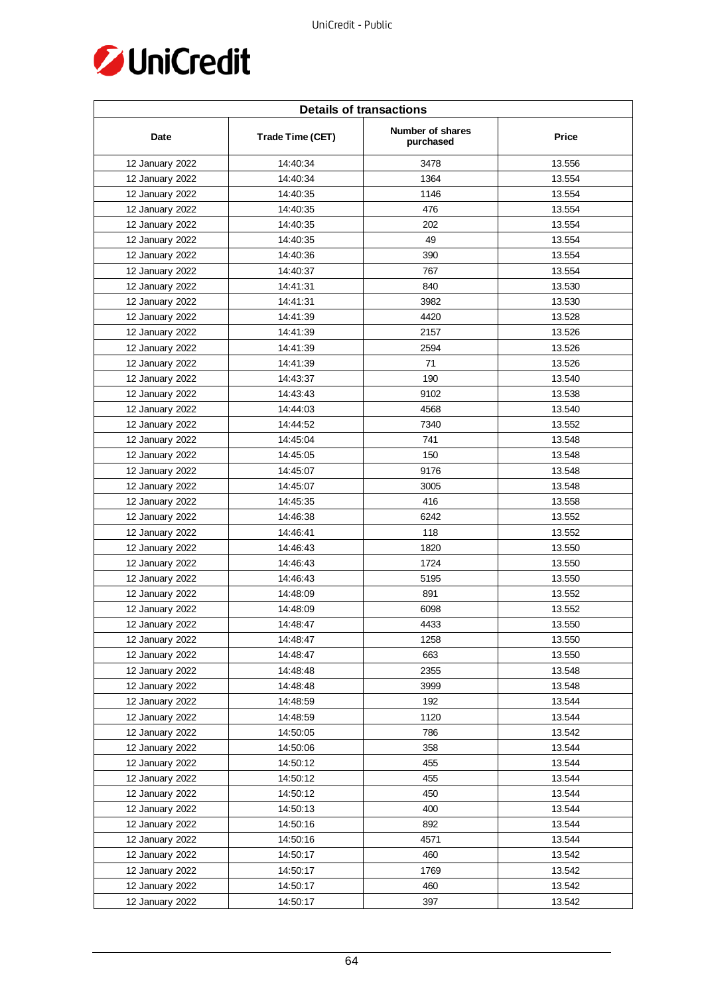

| <b>Details of transactions</b> |                  |                               |        |  |
|--------------------------------|------------------|-------------------------------|--------|--|
| Date                           | Trade Time (CET) | Number of shares<br>purchased | Price  |  |
| 12 January 2022                | 14:40:34         | 3478                          | 13.556 |  |
| 12 January 2022                | 14:40:34         | 1364                          | 13.554 |  |
| 12 January 2022                | 14:40:35         | 1146                          | 13.554 |  |
| 12 January 2022                | 14:40:35         | 476                           | 13.554 |  |
| 12 January 2022                | 14:40:35         | 202                           | 13.554 |  |
| 12 January 2022                | 14:40:35         | 49                            | 13.554 |  |
| 12 January 2022                | 14:40:36         | 390                           | 13.554 |  |
| 12 January 2022                | 14:40:37         | 767                           | 13.554 |  |
| 12 January 2022                | 14:41:31         | 840                           | 13.530 |  |
| 12 January 2022                | 14:41:31         | 3982                          | 13.530 |  |
| 12 January 2022                | 14:41:39         | 4420                          | 13.528 |  |
| 12 January 2022                | 14:41:39         | 2157                          | 13.526 |  |
| 12 January 2022                | 14:41:39         | 2594                          | 13.526 |  |
| 12 January 2022                | 14:41:39         | 71                            | 13.526 |  |
| 12 January 2022                | 14:43:37         | 190                           | 13.540 |  |
| 12 January 2022                | 14:43:43         | 9102                          | 13.538 |  |
| 12 January 2022                | 14:44:03         | 4568                          | 13.540 |  |
| 12 January 2022                | 14:44:52         | 7340                          | 13.552 |  |
| 12 January 2022                | 14:45:04         | 741                           | 13.548 |  |
| 12 January 2022                | 14:45:05         | 150                           | 13.548 |  |
| 12 January 2022                | 14:45:07         | 9176                          | 13.548 |  |
| 12 January 2022                | 14:45:07         | 3005                          | 13.548 |  |
| 12 January 2022                | 14:45:35         | 416                           | 13.558 |  |
| 12 January 2022                | 14:46:38         | 6242                          | 13.552 |  |
| 12 January 2022                | 14:46:41         | 118                           | 13.552 |  |
| 12 January 2022                | 14:46:43         | 1820                          | 13.550 |  |
| 12 January 2022                | 14:46:43         | 1724                          | 13.550 |  |
| 12 January 2022                | 14:46:43         | 5195                          | 13.550 |  |
| 12 January 2022                | 14:48:09         | 891                           | 13.552 |  |
| 12 January 2022                | 14:48:09         | 6098                          | 13.552 |  |
| 12 January 2022                | 14:48:47         | 4433                          | 13.550 |  |
| 12 January 2022                | 14:48:47         | 1258                          | 13.550 |  |
| 12 January 2022                | 14:48:47         | 663                           | 13.550 |  |
| 12 January 2022                | 14:48:48         | 2355                          | 13.548 |  |
| 12 January 2022                | 14:48:48         | 3999                          | 13.548 |  |
| 12 January 2022                | 14:48:59         | 192                           | 13.544 |  |
| 12 January 2022                | 14:48:59         | 1120                          | 13.544 |  |
| 12 January 2022                | 14:50:05         | 786                           | 13.542 |  |
| 12 January 2022                | 14:50:06         | 358                           | 13.544 |  |
| 12 January 2022                | 14:50:12         | 455                           | 13.544 |  |
| 12 January 2022                | 14:50:12         | 455                           | 13.544 |  |
| 12 January 2022                | 14:50:12         | 450                           | 13.544 |  |
| 12 January 2022                | 14:50:13         | 400                           | 13.544 |  |
| 12 January 2022                | 14:50:16         | 892                           | 13.544 |  |
| 12 January 2022                | 14:50:16         | 4571                          | 13.544 |  |
| 12 January 2022                | 14:50:17         | 460                           | 13.542 |  |
| 12 January 2022                | 14:50:17         | 1769                          | 13.542 |  |
| 12 January 2022                | 14:50:17         | 460                           | 13.542 |  |
| 12 January 2022                | 14:50:17         | 397                           | 13.542 |  |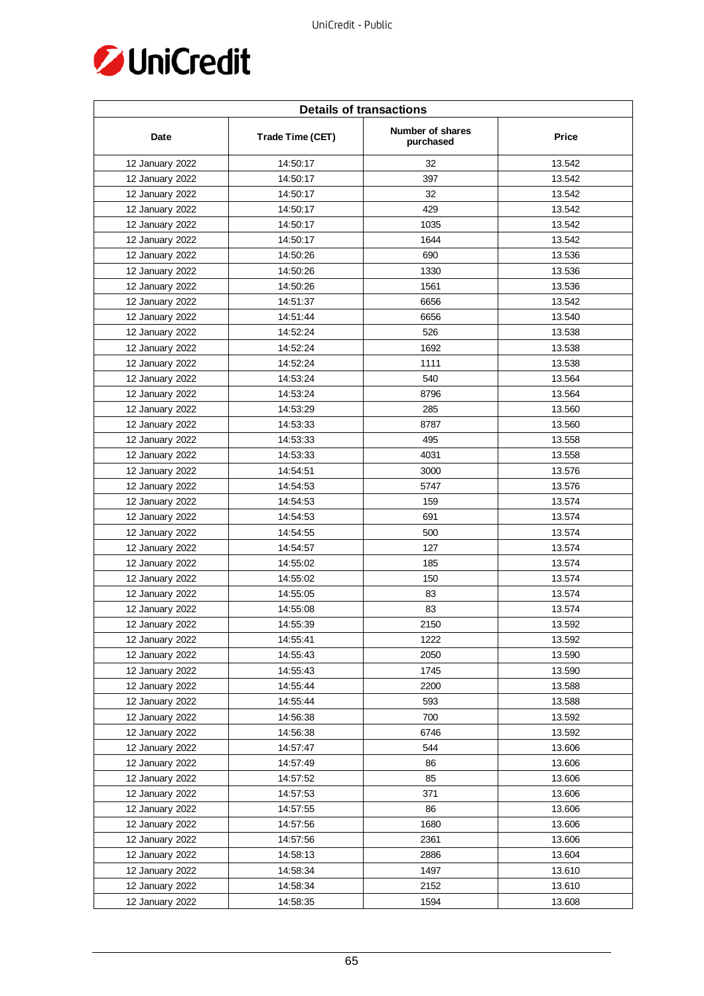

| <b>Details of transactions</b> |                  |                               |        |  |
|--------------------------------|------------------|-------------------------------|--------|--|
| Date                           | Trade Time (CET) | Number of shares<br>purchased | Price  |  |
| 12 January 2022                | 14:50:17         | 32                            | 13.542 |  |
| 12 January 2022                | 14:50:17         | 397                           | 13.542 |  |
| 12 January 2022                | 14:50:17         | 32                            | 13.542 |  |
| 12 January 2022                | 14:50:17         | 429                           | 13.542 |  |
| 12 January 2022                | 14:50:17         | 1035                          | 13.542 |  |
| 12 January 2022                | 14:50:17         | 1644                          | 13.542 |  |
| 12 January 2022                | 14:50:26         | 690                           | 13.536 |  |
| 12 January 2022                | 14:50:26         | 1330                          | 13.536 |  |
| 12 January 2022                | 14:50:26         | 1561                          | 13.536 |  |
| 12 January 2022                | 14:51:37         | 6656                          | 13.542 |  |
| 12 January 2022                | 14:51:44         | 6656                          | 13.540 |  |
| 12 January 2022                | 14:52:24         | 526                           | 13.538 |  |
| 12 January 2022                | 14:52:24         | 1692                          | 13.538 |  |
| 12 January 2022                | 14:52:24         | 1111                          | 13.538 |  |
| 12 January 2022                | 14:53:24         | 540                           | 13.564 |  |
| 12 January 2022                | 14:53:24         | 8796                          | 13.564 |  |
| 12 January 2022                | 14:53:29         | 285                           | 13.560 |  |
| 12 January 2022                | 14:53:33         | 8787                          | 13.560 |  |
| 12 January 2022                | 14:53:33         | 495                           | 13.558 |  |
| 12 January 2022                | 14:53:33         | 4031                          | 13.558 |  |
| 12 January 2022                | 14:54:51         | 3000                          | 13.576 |  |
| 12 January 2022                | 14:54:53         | 5747                          | 13.576 |  |
| 12 January 2022                | 14:54:53         | 159                           | 13.574 |  |
| 12 January 2022                | 14:54:53         | 691                           | 13.574 |  |
| 12 January 2022                | 14:54:55         | 500                           | 13.574 |  |
| 12 January 2022                | 14:54:57         | 127                           | 13.574 |  |
| 12 January 2022                | 14:55:02         | 185                           | 13.574 |  |
| 12 January 2022                | 14:55:02         | 150                           | 13.574 |  |
| 12 January 2022                | 14:55:05         | 83                            | 13.574 |  |
| 12 January 2022                | 14:55:08         | 83                            | 13.574 |  |
| 12 January 2022                | 14:55:39         | 2150                          | 13.592 |  |
| 12 January 2022                | 14:55:41         | 1222                          | 13.592 |  |
| 12 January 2022                | 14:55:43         | 2050                          | 13.590 |  |
| 12 January 2022                | 14:55:43         | 1745                          | 13.590 |  |
| 12 January 2022                | 14:55:44         | 2200                          | 13.588 |  |
| 12 January 2022                | 14:55:44         | 593                           | 13.588 |  |
| 12 January 2022                | 14:56:38         | 700                           | 13.592 |  |
| 12 January 2022                | 14:56:38         | 6746                          | 13.592 |  |
| 12 January 2022                | 14:57:47         | 544                           | 13.606 |  |
| 12 January 2022                | 14:57:49         | 86                            | 13.606 |  |
| 12 January 2022                | 14:57:52         | 85                            | 13.606 |  |
| 12 January 2022                | 14:57:53         | 371                           | 13.606 |  |
| 12 January 2022                | 14:57:55         | 86                            | 13.606 |  |
| 12 January 2022                | 14:57:56         | 1680                          | 13.606 |  |
| 12 January 2022                | 14:57:56         | 2361                          | 13.606 |  |
| 12 January 2022                | 14:58:13         | 2886                          | 13.604 |  |
| 12 January 2022                | 14:58:34         | 1497                          | 13.610 |  |
| 12 January 2022                | 14:58:34         | 2152                          | 13.610 |  |
| 12 January 2022                | 14:58:35         | 1594                          | 13.608 |  |
|                                |                  |                               |        |  |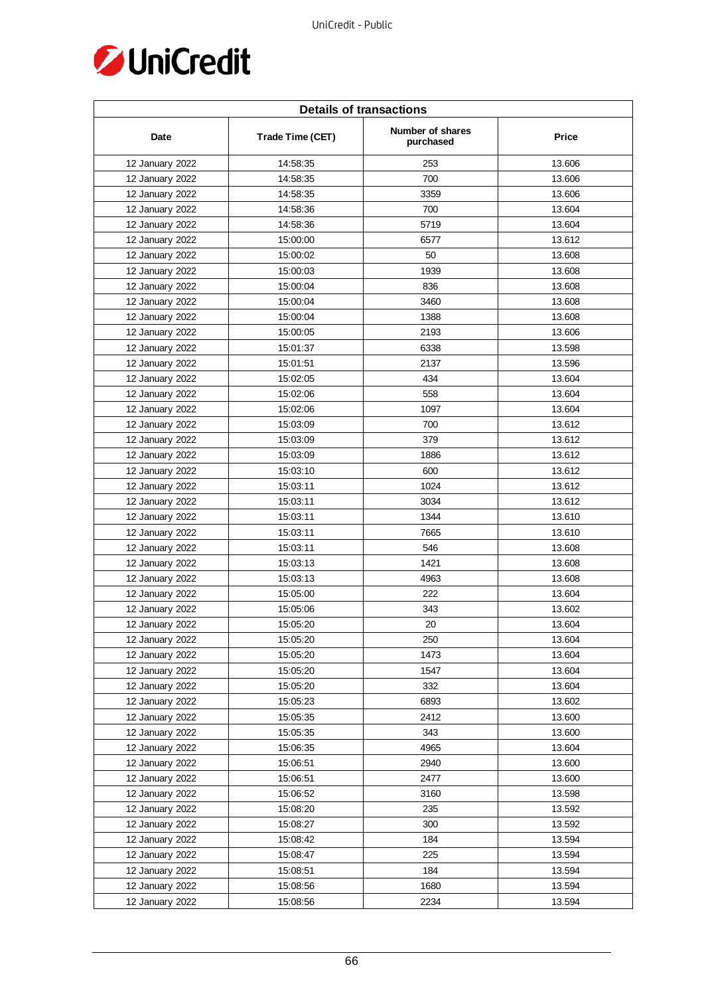

| <b>Details of transactions</b> |                  |                               |        |  |
|--------------------------------|------------------|-------------------------------|--------|--|
| Date                           | Trade Time (CET) | Number of shares<br>purchased | Price  |  |
| 12 January 2022                | 14:58:35         | 253                           | 13.606 |  |
| 12 January 2022                | 14:58:35         | 700                           | 13.606 |  |
| 12 January 2022                | 14:58:35         | 3359                          | 13.606 |  |
| 12 January 2022                | 14:58:36         | 700                           | 13.604 |  |
| 12 January 2022                | 14:58:36         | 5719                          | 13.604 |  |
| 12 January 2022                | 15:00:00         | 6577                          | 13.612 |  |
| 12 January 2022                | 15:00:02         | 50                            | 13.608 |  |
| 12 January 2022                | 15:00:03         | 1939                          | 13.608 |  |
| 12 January 2022                | 15:00:04         | 836                           | 13.608 |  |
| 12 January 2022                | 15:00:04         | 3460                          | 13.608 |  |
| 12 January 2022                | 15:00:04         | 1388                          | 13.608 |  |
| 12 January 2022                | 15:00:05         | 2193                          | 13.606 |  |
| 12 January 2022                | 15:01:37         | 6338                          | 13.598 |  |
| 12 January 2022                | 15:01:51         | 2137                          | 13.596 |  |
| 12 January 2022                | 15:02:05         | 434                           | 13.604 |  |
| 12 January 2022                | 15:02:06         | 558                           | 13.604 |  |
| 12 January 2022                | 15:02:06         | 1097                          | 13.604 |  |
| 12 January 2022                | 15:03:09         | 700                           | 13.612 |  |
| 12 January 2022                | 15:03:09         | 379                           | 13.612 |  |
| 12 January 2022                | 15:03:09         | 1886                          | 13.612 |  |
| 12 January 2022                | 15:03:10         | 600                           | 13.612 |  |
| 12 January 2022                | 15:03:11         | 1024                          | 13.612 |  |
| 12 January 2022                | 15:03:11         | 3034                          | 13.612 |  |
| 12 January 2022                | 15:03:11         | 1344                          | 13.610 |  |
| 12 January 2022                | 15:03:11         | 7665                          | 13.610 |  |
| 12 January 2022                | 15:03:11         | 546                           | 13.608 |  |
| 12 January 2022                | 15:03:13         | 1421                          | 13.608 |  |
| 12 January 2022                | 15:03:13         | 4963                          | 13.608 |  |
| 12 January 2022                | 15:05:00         | 222                           | 13.604 |  |
| 12 January 2022                | 15:05:06         | 343                           | 13.602 |  |
| 12 January 2022                | 15:05:20         | 20                            | 13.604 |  |
| 12 January 2022                | 15:05:20         | 250                           | 13.604 |  |
| 12 January 2022                | 15:05:20         | 1473                          | 13.604 |  |
| 12 January 2022                | 15:05:20         | 1547                          | 13.604 |  |
| 12 January 2022                | 15:05:20         | 332                           | 13.604 |  |
| 12 January 2022                | 15:05:23         | 6893                          | 13.602 |  |
| 12 January 2022                | 15:05:35         | 2412                          | 13.600 |  |
| 12 January 2022                | 15:05:35         | 343                           | 13.600 |  |
| 12 January 2022                | 15:06:35         | 4965                          | 13.604 |  |
| 12 January 2022                | 15:06:51         | 2940                          | 13.600 |  |
| 12 January 2022                | 15:06:51         | 2477                          | 13.600 |  |
| 12 January 2022                | 15:06:52         | 3160                          | 13.598 |  |
| 12 January 2022                | 15:08:20         | 235                           | 13.592 |  |
| 12 January 2022                | 15:08:27         | 300                           | 13.592 |  |
| 12 January 2022                | 15:08:42         | 184                           | 13.594 |  |
| 12 January 2022                | 15:08:47         | 225                           | 13.594 |  |
| 12 January 2022                | 15:08:51         | 184                           | 13.594 |  |
| 12 January 2022                | 15:08:56         | 1680                          | 13.594 |  |
| 12 January 2022                | 15:08:56         | 2234                          | 13.594 |  |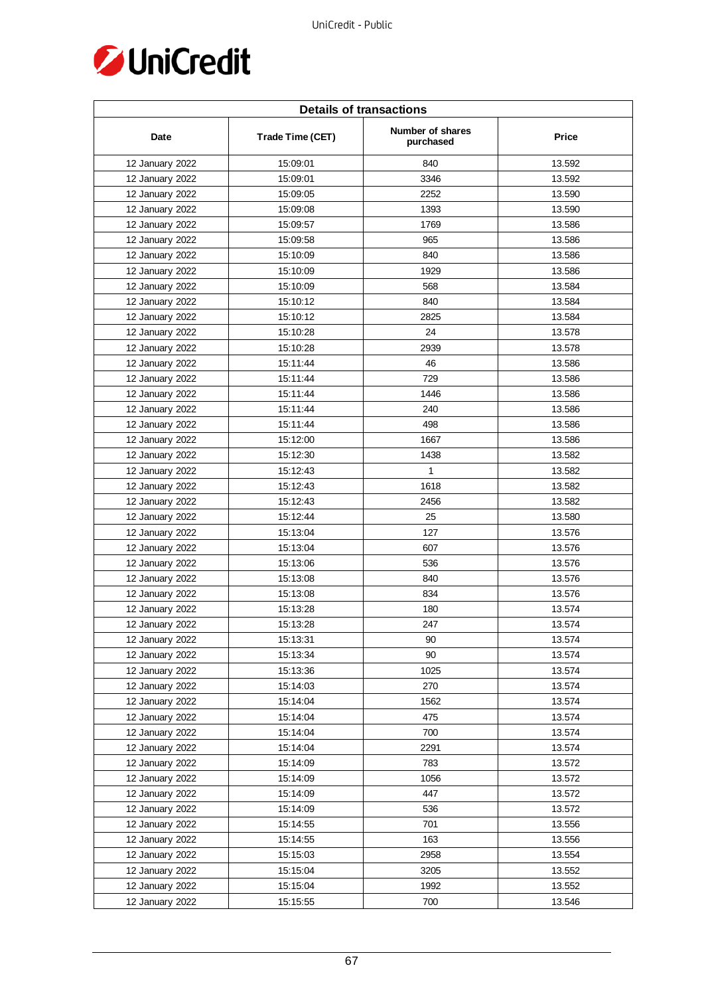

| <b>Details of transactions</b> |                  |                               |        |  |
|--------------------------------|------------------|-------------------------------|--------|--|
| Date                           | Trade Time (CET) | Number of shares<br>purchased | Price  |  |
| 12 January 2022                | 15:09:01         | 840                           | 13.592 |  |
| 12 January 2022                | 15:09:01         | 3346                          | 13.592 |  |
| 12 January 2022                | 15:09:05         | 2252                          | 13.590 |  |
| 12 January 2022                | 15:09:08         | 1393                          | 13.590 |  |
| 12 January 2022                | 15:09:57         | 1769                          | 13.586 |  |
| 12 January 2022                | 15:09:58         | 965                           | 13.586 |  |
| 12 January 2022                | 15:10:09         | 840                           | 13.586 |  |
| 12 January 2022                | 15:10:09         | 1929                          | 13.586 |  |
| 12 January 2022                | 15:10:09         | 568                           | 13.584 |  |
| 12 January 2022                | 15:10:12         | 840                           | 13.584 |  |
| 12 January 2022                | 15:10:12         | 2825                          | 13.584 |  |
| 12 January 2022                | 15:10:28         | 24                            | 13.578 |  |
| 12 January 2022                | 15:10:28         | 2939                          | 13.578 |  |
| 12 January 2022                | 15:11:44         | 46                            | 13.586 |  |
| 12 January 2022                | 15:11:44         | 729                           | 13.586 |  |
| 12 January 2022                | 15:11:44         | 1446                          | 13.586 |  |
| 12 January 2022                | 15:11:44         | 240                           | 13.586 |  |
| 12 January 2022                | 15:11:44         | 498                           | 13.586 |  |
| 12 January 2022                | 15:12:00         | 1667                          | 13.586 |  |
| 12 January 2022                | 15:12:30         | 1438                          | 13.582 |  |
| 12 January 2022                | 15:12:43         | $\mathbf{1}$                  | 13.582 |  |
| 12 January 2022                | 15:12:43         | 1618                          | 13.582 |  |
| 12 January 2022                | 15:12:43         | 2456                          | 13.582 |  |
| 12 January 2022                | 15:12:44         | 25                            | 13.580 |  |
| 12 January 2022                | 15:13:04         | 127                           | 13.576 |  |
| 12 January 2022                | 15:13:04         | 607                           | 13.576 |  |
| 12 January 2022                | 15:13:06         | 536                           | 13.576 |  |
| 12 January 2022                | 15:13:08         | 840                           | 13.576 |  |
| 12 January 2022                | 15:13:08         | 834                           | 13.576 |  |
| 12 January 2022                | 15:13:28         | 180                           | 13.574 |  |
| 12 January 2022                | 15:13:28         | 247                           | 13.574 |  |
| 12 January 2022                | 15:13:31         | 90                            | 13.574 |  |
| 12 January 2022                | 15:13:34         | 90                            | 13.574 |  |
| 12 January 2022                | 15:13:36         | 1025                          | 13.574 |  |
| 12 January 2022                | 15:14:03         | 270                           | 13.574 |  |
| 12 January 2022                | 15:14:04         | 1562                          | 13.574 |  |
| 12 January 2022                | 15:14:04         | 475                           | 13.574 |  |
| 12 January 2022                | 15:14:04         | 700                           | 13.574 |  |
| 12 January 2022                | 15:14:04         | 2291                          | 13.574 |  |
| 12 January 2022                | 15:14:09         | 783                           | 13.572 |  |
| 12 January 2022                | 15:14:09         | 1056                          | 13.572 |  |
| 12 January 2022                | 15:14:09         | 447                           | 13.572 |  |
| 12 January 2022                | 15:14:09         | 536                           | 13.572 |  |
| 12 January 2022                | 15:14:55         | 701                           | 13.556 |  |
| 12 January 2022                | 15:14:55         | 163                           | 13.556 |  |
| 12 January 2022                | 15:15:03         | 2958                          | 13.554 |  |
| 12 January 2022                | 15:15:04         | 3205                          | 13.552 |  |
| 12 January 2022                | 15:15:04         | 1992                          | 13.552 |  |
| 12 January 2022                | 15:15:55         | 700                           | 13.546 |  |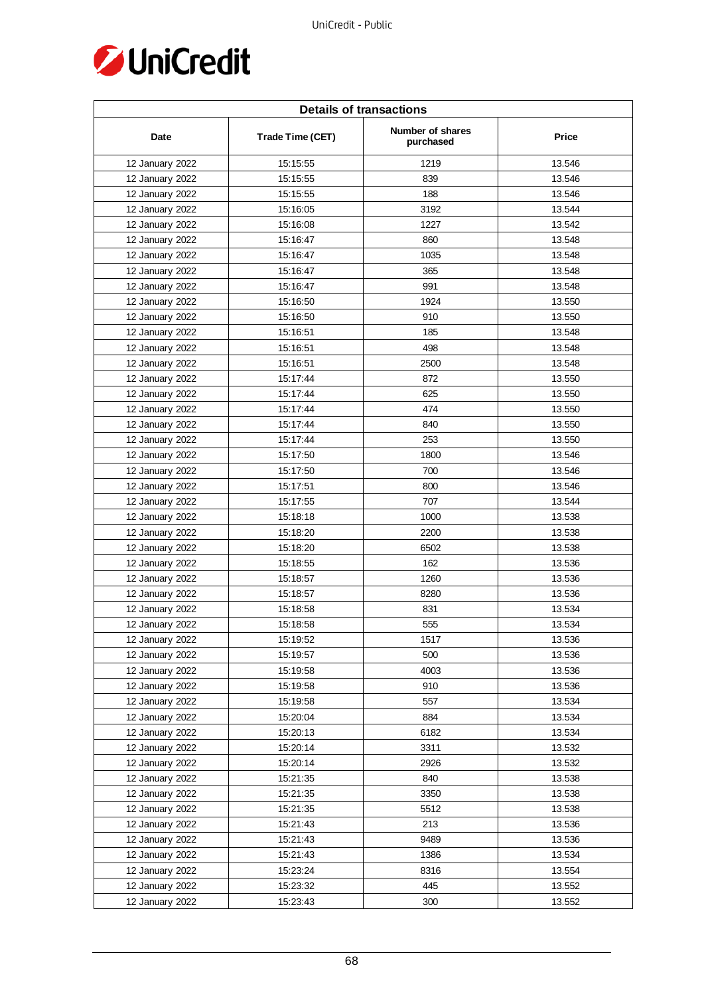

| <b>Details of transactions</b> |                  |                               |              |  |
|--------------------------------|------------------|-------------------------------|--------------|--|
| Date                           | Trade Time (CET) | Number of shares<br>purchased | <b>Price</b> |  |
| 12 January 2022                | 15:15:55         | 1219                          | 13.546       |  |
| 12 January 2022                | 15:15:55         | 839                           | 13.546       |  |
| 12 January 2022                | 15:15:55         | 188                           | 13.546       |  |
| 12 January 2022                | 15:16:05         | 3192                          | 13.544       |  |
| 12 January 2022                | 15:16:08         | 1227                          | 13.542       |  |
| 12 January 2022                | 15:16:47         | 860                           | 13.548       |  |
| 12 January 2022                | 15:16:47         | 1035                          | 13.548       |  |
| 12 January 2022                | 15:16:47         | 365                           | 13.548       |  |
| 12 January 2022                | 15:16:47         | 991                           | 13.548       |  |
| 12 January 2022                | 15:16:50         | 1924                          | 13.550       |  |
| 12 January 2022                | 15:16:50         | 910                           | 13.550       |  |
| 12 January 2022                | 15:16:51         | 185                           | 13.548       |  |
| 12 January 2022                | 15:16:51         | 498                           | 13.548       |  |
| 12 January 2022                | 15:16:51         | 2500                          | 13.548       |  |
| 12 January 2022                | 15:17:44         | 872                           | 13.550       |  |
| 12 January 2022                | 15:17:44         | 625                           | 13.550       |  |
| 12 January 2022                | 15:17:44         | 474                           | 13.550       |  |
| 12 January 2022                | 15:17:44         | 840                           | 13.550       |  |
| 12 January 2022                | 15:17:44         | 253                           | 13.550       |  |
| 12 January 2022                | 15:17:50         | 1800                          | 13.546       |  |
| 12 January 2022                | 15:17:50         | 700                           | 13.546       |  |
| 12 January 2022                | 15:17:51         | 800                           | 13.546       |  |
| 12 January 2022                | 15:17:55         | 707                           | 13.544       |  |
| 12 January 2022                | 15:18:18         | 1000                          | 13.538       |  |
| 12 January 2022                | 15:18:20         | 2200                          | 13.538       |  |
| 12 January 2022                | 15:18:20         | 6502                          | 13.538       |  |
| 12 January 2022                | 15:18:55         | 162                           | 13.536       |  |
| 12 January 2022                | 15:18:57         | 1260                          | 13.536       |  |
| 12 January 2022                | 15:18:57         | 8280                          | 13.536       |  |
| 12 January 2022                | 15:18:58         | 831                           | 13.534       |  |
| 12 January 2022                | 15:18:58         | 555                           | 13.534       |  |
| 12 January 2022                | 15:19:52         | 1517                          | 13.536       |  |
| 12 January 2022                | 15:19:57         | 500                           | 13.536       |  |
| 12 January 2022                | 15:19:58         | 4003                          | 13.536       |  |
| 12 January 2022                | 15:19:58         | 910                           | 13.536       |  |
| 12 January 2022                | 15:19:58         | 557                           | 13.534       |  |
| 12 January 2022                | 15:20:04         | 884                           | 13.534       |  |
| 12 January 2022                | 15:20:13         | 6182                          | 13.534       |  |
| 12 January 2022                | 15:20:14         | 3311                          | 13.532       |  |
| 12 January 2022                | 15:20:14         | 2926                          | 13.532       |  |
| 12 January 2022                | 15:21:35         | 840                           | 13.538       |  |
| 12 January 2022                | 15:21:35         | 3350                          | 13.538       |  |
| 12 January 2022                | 15:21:35         | 5512                          | 13.538       |  |
| 12 January 2022                | 15:21:43         | 213                           | 13.536       |  |
| 12 January 2022                | 15:21:43         | 9489                          | 13.536       |  |
| 12 January 2022                | 15:21:43         | 1386                          | 13.534       |  |
| 12 January 2022                | 15:23:24         | 8316                          | 13.554       |  |
| 12 January 2022                | 15:23:32         | 445                           | 13.552       |  |
| 12 January 2022                | 15:23:43         | 300                           | 13.552       |  |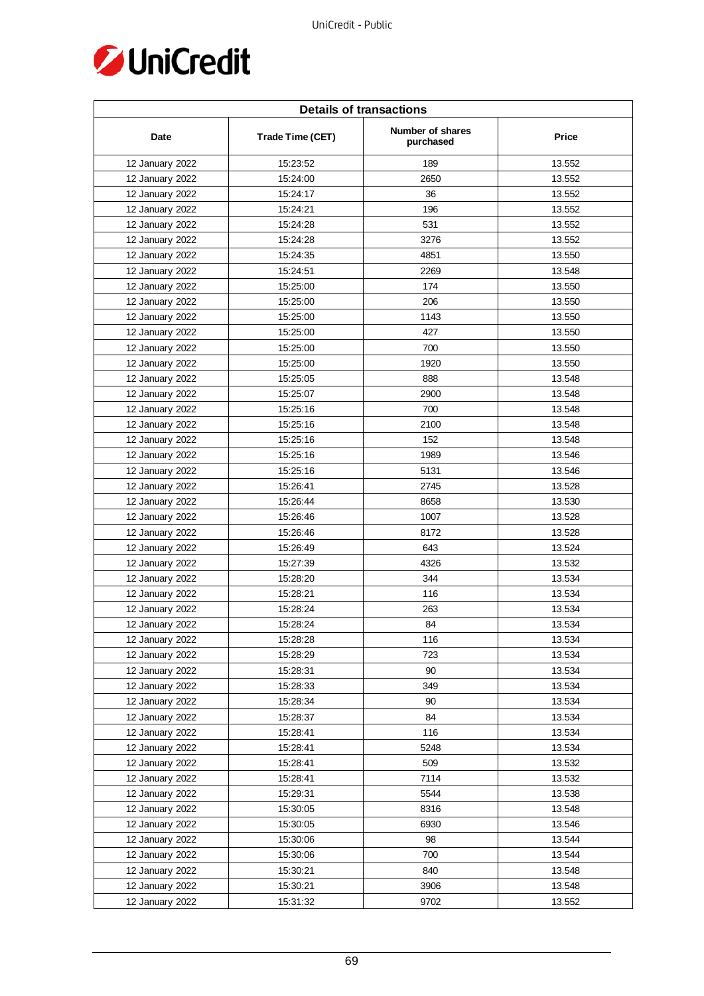

| <b>Details of transactions</b> |                  |                               |        |  |
|--------------------------------|------------------|-------------------------------|--------|--|
| Date                           | Trade Time (CET) | Number of shares<br>purchased | Price  |  |
| 12 January 2022                | 15:23:52         | 189                           | 13.552 |  |
| 12 January 2022                | 15:24:00         | 2650                          | 13.552 |  |
| 12 January 2022                | 15:24:17         | 36                            | 13.552 |  |
| 12 January 2022                | 15:24:21         | 196                           | 13.552 |  |
| 12 January 2022                | 15:24:28         | 531                           | 13.552 |  |
| 12 January 2022                | 15:24:28         | 3276                          | 13.552 |  |
| 12 January 2022                | 15:24:35         | 4851                          | 13.550 |  |
| 12 January 2022                | 15:24:51         | 2269                          | 13.548 |  |
| 12 January 2022                | 15:25:00         | 174                           | 13.550 |  |
| 12 January 2022                | 15:25:00         | 206                           | 13.550 |  |
| 12 January 2022                | 15:25:00         | 1143                          | 13.550 |  |
| 12 January 2022                | 15:25:00         | 427                           | 13.550 |  |
| 12 January 2022                | 15:25:00         | 700                           | 13.550 |  |
| 12 January 2022                | 15:25:00         | 1920                          | 13.550 |  |
| 12 January 2022                | 15:25:05         | 888                           | 13.548 |  |
| 12 January 2022                | 15:25:07         | 2900                          | 13.548 |  |
| 12 January 2022                | 15:25:16         | 700                           | 13.548 |  |
| 12 January 2022                | 15:25:16         | 2100                          | 13.548 |  |
| 12 January 2022                | 15:25:16         | 152                           | 13.548 |  |
| 12 January 2022                | 15:25:16         | 1989                          | 13.546 |  |
| 12 January 2022                | 15:25:16         | 5131                          | 13.546 |  |
| 12 January 2022                | 15:26:41         | 2745                          | 13.528 |  |
| 12 January 2022                | 15:26:44         | 8658                          | 13.530 |  |
| 12 January 2022                | 15:26:46         | 1007                          | 13.528 |  |
| 12 January 2022                | 15:26:46         | 8172                          | 13.528 |  |
| 12 January 2022                | 15:26:49         | 643                           | 13.524 |  |
| 12 January 2022                | 15:27:39         | 4326                          | 13.532 |  |
| 12 January 2022                | 15:28:20         | 344                           | 13.534 |  |
| 12 January 2022                | 15:28:21         | 116                           | 13.534 |  |
| 12 January 2022                | 15:28:24         | 263                           | 13.534 |  |
| 12 January 2022                | 15:28:24         | 84                            | 13.534 |  |
| 12 January 2022                | 15:28:28         | 116                           | 13.534 |  |
| 12 January 2022                | 15:28:29         | 723                           | 13.534 |  |
| 12 January 2022                | 15:28:31         | 90                            | 13.534 |  |
| 12 January 2022                | 15:28:33         | 349                           | 13.534 |  |
| 12 January 2022                | 15:28:34         | 90                            | 13.534 |  |
| 12 January 2022                | 15:28:37         | 84                            | 13.534 |  |
| 12 January 2022                | 15:28:41         | 116                           | 13.534 |  |
| 12 January 2022                | 15:28:41         | 5248                          | 13.534 |  |
| 12 January 2022                | 15:28:41         | 509                           | 13.532 |  |
| 12 January 2022                | 15:28:41         | 7114                          | 13.532 |  |
| 12 January 2022                | 15:29:31         | 5544                          | 13.538 |  |
| 12 January 2022                | 15:30:05         | 8316                          | 13.548 |  |
| 12 January 2022                | 15:30:05         | 6930                          | 13.546 |  |
| 12 January 2022                | 15:30:06         | 98                            | 13.544 |  |
| 12 January 2022                | 15:30:06         | 700                           | 13.544 |  |
| 12 January 2022                | 15:30:21         | 840                           | 13.548 |  |
| 12 January 2022                | 15:30:21         | 3906                          | 13.548 |  |
| 12 January 2022                | 15:31:32         | 9702                          | 13.552 |  |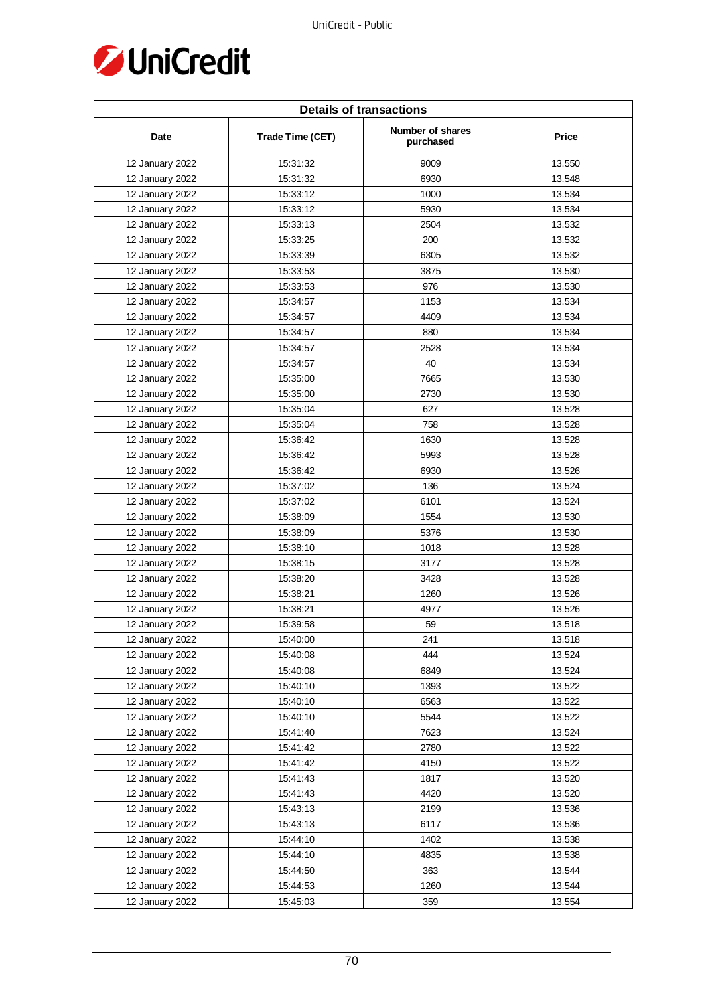

| <b>Details of transactions</b> |                  |                               |        |  |
|--------------------------------|------------------|-------------------------------|--------|--|
| Date                           | Trade Time (CET) | Number of shares<br>purchased | Price  |  |
| 12 January 2022                | 15:31:32         | 9009                          | 13.550 |  |
| 12 January 2022                | 15:31:32         | 6930                          | 13.548 |  |
| 12 January 2022                | 15:33:12         | 1000                          | 13.534 |  |
| 12 January 2022                | 15:33:12         | 5930                          | 13.534 |  |
| 12 January 2022                | 15:33:13         | 2504                          | 13.532 |  |
| 12 January 2022                | 15:33:25         | 200                           | 13.532 |  |
| 12 January 2022                | 15:33:39         | 6305                          | 13.532 |  |
| 12 January 2022                | 15:33:53         | 3875                          | 13.530 |  |
| 12 January 2022                | 15:33:53         | 976                           | 13.530 |  |
| 12 January 2022                | 15:34:57         | 1153                          | 13.534 |  |
| 12 January 2022                | 15:34:57         | 4409                          | 13.534 |  |
| 12 January 2022                | 15:34:57         | 880                           | 13.534 |  |
| 12 January 2022                | 15:34:57         | 2528                          | 13.534 |  |
| 12 January 2022                | 15:34:57         | 40                            | 13.534 |  |
| 12 January 2022                | 15:35:00         | 7665                          | 13.530 |  |
| 12 January 2022                | 15:35:00         | 2730                          | 13.530 |  |
| 12 January 2022                | 15:35:04         | 627                           | 13.528 |  |
| 12 January 2022                | 15:35:04         | 758                           | 13.528 |  |
| 12 January 2022                | 15:36:42         | 1630                          | 13.528 |  |
| 12 January 2022                | 15:36:42         | 5993                          | 13.528 |  |
| 12 January 2022                | 15:36:42         | 6930                          | 13.526 |  |
| 12 January 2022                | 15:37:02         | 136                           | 13.524 |  |
| 12 January 2022                | 15:37:02         | 6101                          | 13.524 |  |
| 12 January 2022                | 15:38:09         | 1554                          | 13.530 |  |
| 12 January 2022                | 15:38:09         | 5376                          | 13.530 |  |
| 12 January 2022                | 15:38:10         | 1018                          | 13.528 |  |
| 12 January 2022                | 15:38:15         | 3177                          | 13.528 |  |
| 12 January 2022                | 15:38:20         | 3428                          | 13.528 |  |
| 12 January 2022                | 15:38:21         | 1260                          | 13.526 |  |
| 12 January 2022                | 15:38:21         | 4977                          | 13.526 |  |
| 12 January 2022                | 15:39:58         | 59                            | 13.518 |  |
| 12 January 2022                | 15:40:00         | 241                           | 13.518 |  |
| 12 January 2022                | 15:40:08         | 444                           | 13.524 |  |
| 12 January 2022                | 15:40:08         | 6849                          | 13.524 |  |
| 12 January 2022                | 15:40:10         | 1393                          | 13.522 |  |
| 12 January 2022                | 15:40:10         | 6563                          | 13.522 |  |
| 12 January 2022                | 15:40:10         | 5544                          | 13.522 |  |
| 12 January 2022                | 15:41:40         | 7623                          | 13.524 |  |
| 12 January 2022                | 15:41:42         | 2780                          | 13.522 |  |
| 12 January 2022                | 15:41:42         | 4150                          | 13.522 |  |
| 12 January 2022                | 15:41:43         | 1817                          | 13.520 |  |
| 12 January 2022                | 15:41:43         | 4420                          | 13.520 |  |
| 12 January 2022                | 15:43:13         | 2199                          | 13.536 |  |
| 12 January 2022                | 15:43:13         | 6117                          | 13.536 |  |
| 12 January 2022                | 15:44:10         | 1402                          | 13.538 |  |
| 12 January 2022                | 15:44:10         | 4835                          | 13.538 |  |
| 12 January 2022                | 15:44:50         | 363                           | 13.544 |  |
| 12 January 2022                | 15:44:53         | 1260                          | 13.544 |  |
| 12 January 2022                | 15:45:03         | 359                           | 13.554 |  |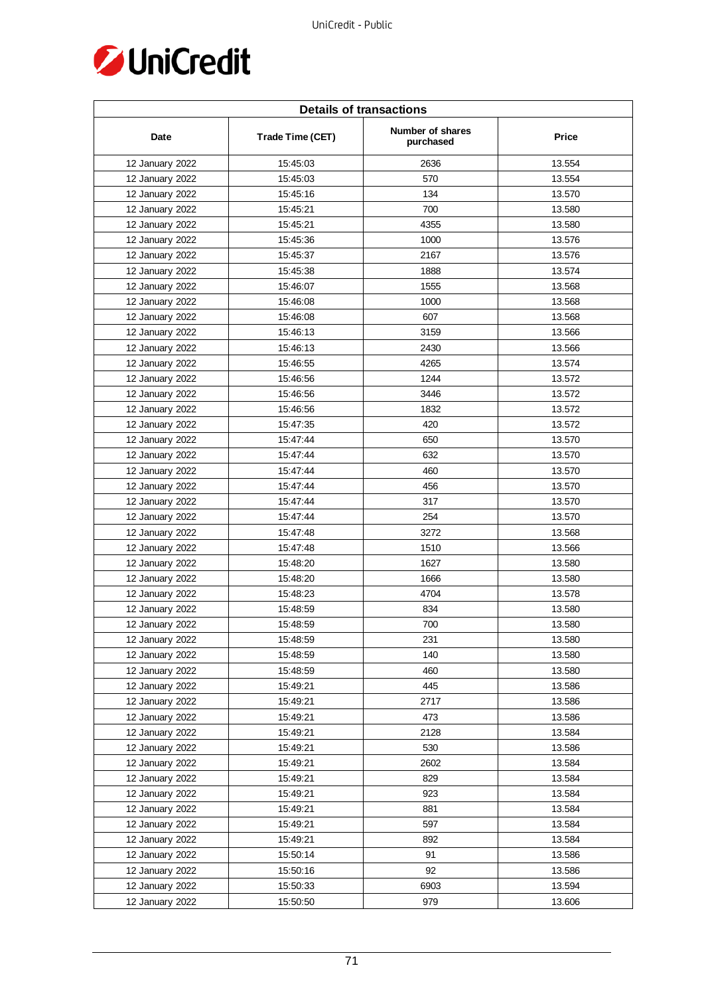

| <b>Details of transactions</b> |                  |                               |        |  |
|--------------------------------|------------------|-------------------------------|--------|--|
| Date                           | Trade Time (CET) | Number of shares<br>purchased | Price  |  |
| 12 January 2022                | 15:45:03         | 2636                          | 13.554 |  |
| 12 January 2022                | 15:45:03         | 570                           | 13.554 |  |
| 12 January 2022                | 15:45:16         | 134                           | 13.570 |  |
| 12 January 2022                | 15:45:21         | 700                           | 13.580 |  |
| 12 January 2022                | 15:45:21         | 4355                          | 13.580 |  |
| 12 January 2022                | 15:45:36         | 1000                          | 13.576 |  |
| 12 January 2022                | 15:45:37         | 2167                          | 13.576 |  |
| 12 January 2022                | 15:45:38         | 1888                          | 13.574 |  |
| 12 January 2022                | 15:46:07         | 1555                          | 13.568 |  |
| 12 January 2022                | 15:46:08         | 1000                          | 13.568 |  |
| 12 January 2022                | 15:46:08         | 607                           | 13.568 |  |
| 12 January 2022                | 15:46:13         | 3159                          | 13.566 |  |
| 12 January 2022                | 15:46:13         | 2430                          | 13.566 |  |
| 12 January 2022                | 15:46:55         | 4265                          | 13.574 |  |
| 12 January 2022                | 15:46:56         | 1244                          | 13.572 |  |
| 12 January 2022                | 15:46:56         | 3446                          | 13.572 |  |
| 12 January 2022                | 15:46:56         | 1832                          | 13.572 |  |
| 12 January 2022                | 15:47:35         | 420                           | 13.572 |  |
| 12 January 2022                | 15:47:44         | 650                           | 13.570 |  |
| 12 January 2022                | 15:47:44         | 632                           | 13.570 |  |
| 12 January 2022                | 15:47:44         | 460                           | 13.570 |  |
| 12 January 2022                | 15:47:44         | 456                           | 13.570 |  |
| 12 January 2022                | 15:47:44         | 317                           | 13.570 |  |
| 12 January 2022                | 15:47:44         | 254                           | 13.570 |  |
| 12 January 2022                | 15:47:48         | 3272                          | 13.568 |  |
| 12 January 2022                | 15:47:48         | 1510                          | 13.566 |  |
| 12 January 2022                | 15:48:20         | 1627                          | 13.580 |  |
| 12 January 2022                | 15:48:20         | 1666                          | 13.580 |  |
| 12 January 2022                | 15:48:23         | 4704                          | 13.578 |  |
| 12 January 2022                | 15:48:59         | 834                           | 13.580 |  |
| 12 January 2022                | 15:48:59         | 700                           | 13.580 |  |
| 12 January 2022                | 15:48:59         | 231                           | 13.580 |  |
| 12 January 2022                | 15:48:59         | 140                           | 13.580 |  |
| 12 January 2022                | 15:48:59         | 460                           | 13.580 |  |
| 12 January 2022                | 15:49:21         | 445                           | 13.586 |  |
| 12 January 2022                | 15:49:21         | 2717                          | 13.586 |  |
| 12 January 2022                | 15:49:21         | 473                           | 13.586 |  |
| 12 January 2022                | 15:49:21         | 2128                          | 13.584 |  |
| 12 January 2022                | 15:49:21         | 530                           | 13.586 |  |
| 12 January 2022                | 15:49:21         | 2602                          | 13.584 |  |
| 12 January 2022                | 15:49:21         | 829                           | 13.584 |  |
| 12 January 2022                | 15:49:21         | 923                           | 13.584 |  |
| 12 January 2022                | 15:49:21         | 881                           | 13.584 |  |
| 12 January 2022                | 15:49:21         | 597                           | 13.584 |  |
| 12 January 2022                | 15:49:21         | 892                           | 13.584 |  |
| 12 January 2022                | 15:50:14         | 91                            | 13.586 |  |
| 12 January 2022                | 15:50:16         | 92                            | 13.586 |  |
| 12 January 2022                | 15:50:33         | 6903                          | 13.594 |  |
|                                |                  |                               |        |  |
| 12 January 2022                | 15:50:50         | 979                           | 13.606 |  |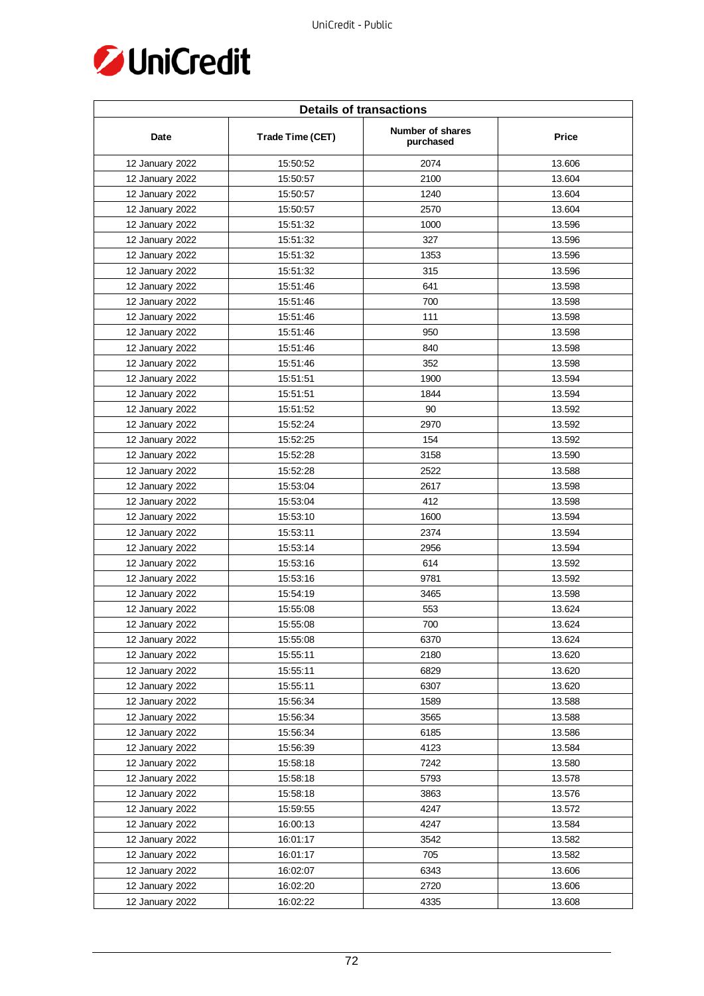

| <b>Details of transactions</b> |                  |                               |        |  |
|--------------------------------|------------------|-------------------------------|--------|--|
| Date                           | Trade Time (CET) | Number of shares<br>purchased | Price  |  |
| 12 January 2022                | 15:50:52         | 2074                          | 13.606 |  |
| 12 January 2022                | 15:50:57         | 2100                          | 13.604 |  |
| 12 January 2022                | 15:50:57         | 1240                          | 13.604 |  |
| 12 January 2022                | 15:50:57         | 2570                          | 13.604 |  |
| 12 January 2022                | 15:51:32         | 1000                          | 13.596 |  |
| 12 January 2022                | 15:51:32         | 327                           | 13.596 |  |
| 12 January 2022                | 15:51:32         | 1353                          | 13.596 |  |
| 12 January 2022                | 15:51:32         | 315                           | 13.596 |  |
| 12 January 2022                | 15:51:46         | 641                           | 13.598 |  |
| 12 January 2022                | 15:51:46         | 700                           | 13.598 |  |
| 12 January 2022                | 15:51:46         | 111                           | 13.598 |  |
| 12 January 2022                | 15:51:46         | 950                           | 13.598 |  |
| 12 January 2022                | 15:51:46         | 840                           | 13.598 |  |
| 12 January 2022                | 15:51:46         | 352                           | 13.598 |  |
| 12 January 2022                | 15:51:51         | 1900                          | 13.594 |  |
| 12 January 2022                | 15:51:51         | 1844                          | 13.594 |  |
| 12 January 2022                | 15:51:52         | 90                            | 13.592 |  |
| 12 January 2022                | 15:52:24         | 2970                          | 13.592 |  |
| 12 January 2022                | 15:52:25         | 154                           | 13.592 |  |
| 12 January 2022                | 15:52:28         | 3158                          | 13.590 |  |
| 12 January 2022                | 15:52:28         | 2522                          | 13.588 |  |
| 12 January 2022                | 15:53:04         | 2617                          | 13.598 |  |
| 12 January 2022                | 15:53:04         | 412                           | 13.598 |  |
| 12 January 2022                | 15:53:10         | 1600                          | 13.594 |  |
| 12 January 2022                | 15:53:11         | 2374                          | 13.594 |  |
| 12 January 2022                | 15:53:14         | 2956                          | 13.594 |  |
| 12 January 2022                | 15:53:16         | 614                           | 13.592 |  |
| 12 January 2022                | 15:53:16         | 9781                          | 13.592 |  |
| 12 January 2022                | 15:54:19         | 3465                          | 13.598 |  |
| 12 January 2022                | 15:55:08         | 553                           | 13.624 |  |
| 12 January 2022                | 15:55:08         | 700                           | 13.624 |  |
| 12 January 2022                | 15:55:08         | 6370                          | 13.624 |  |
| 12 January 2022                | 15:55:11         | 2180                          | 13.620 |  |
| 12 January 2022                | 15:55:11         | 6829                          | 13.620 |  |
| 12 January 2022                | 15:55:11         | 6307                          | 13.620 |  |
| 12 January 2022                | 15:56:34         | 1589                          | 13.588 |  |
| 12 January 2022                | 15:56:34         | 3565                          | 13.588 |  |
| 12 January 2022                | 15:56:34         | 6185                          | 13.586 |  |
| 12 January 2022                | 15:56:39         | 4123                          | 13.584 |  |
| 12 January 2022                | 15:58:18         | 7242                          | 13.580 |  |
| 12 January 2022                | 15:58:18         | 5793                          | 13.578 |  |
| 12 January 2022                | 15:58:18         | 3863                          | 13.576 |  |
| 12 January 2022                | 15:59:55         | 4247                          | 13.572 |  |
| 12 January 2022                | 16:00:13         | 4247                          | 13.584 |  |
| 12 January 2022                | 16:01:17         | 3542                          | 13.582 |  |
| 12 January 2022                | 16:01:17         | 705                           | 13.582 |  |
| 12 January 2022                | 16:02:07         | 6343                          | 13.606 |  |
| 12 January 2022                | 16:02:20         | 2720                          | 13.606 |  |
| 12 January 2022                | 16:02:22         | 4335                          | 13.608 |  |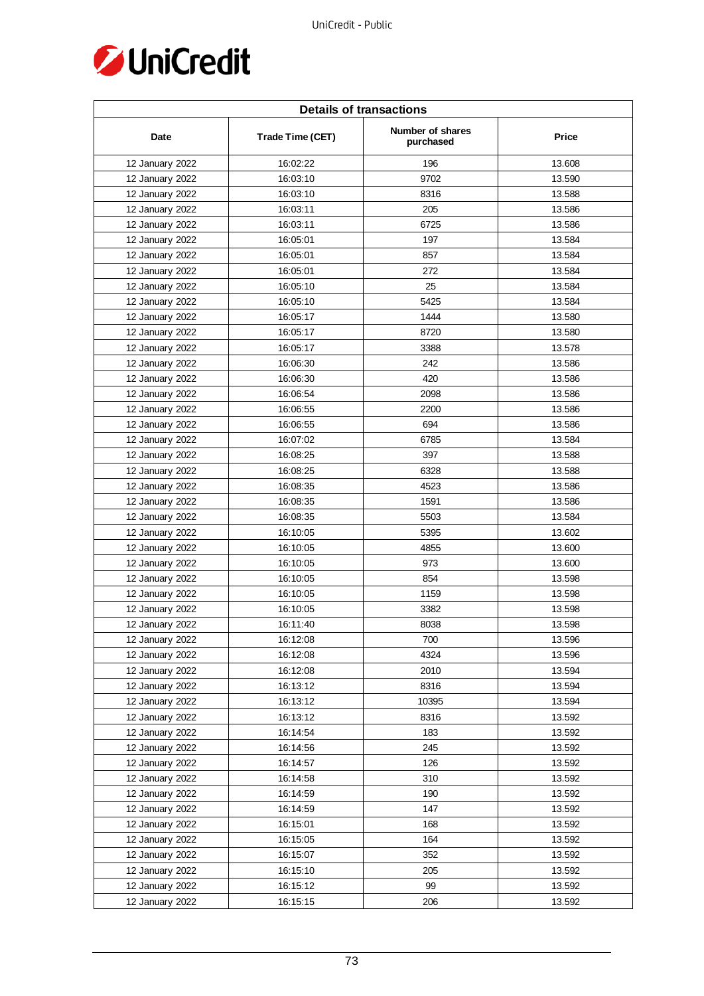

| <b>Details of transactions</b> |                  |                               |        |  |
|--------------------------------|------------------|-------------------------------|--------|--|
| Date                           | Trade Time (CET) | Number of shares<br>purchased | Price  |  |
| 12 January 2022                | 16:02:22         | 196                           | 13.608 |  |
| 12 January 2022                | 16:03:10         | 9702                          | 13.590 |  |
| 12 January 2022                | 16:03:10         | 8316                          | 13.588 |  |
| 12 January 2022                | 16:03:11         | 205                           | 13.586 |  |
| 12 January 2022                | 16:03:11         | 6725                          | 13.586 |  |
| 12 January 2022                | 16:05:01         | 197                           | 13.584 |  |
| 12 January 2022                | 16:05:01         | 857                           | 13.584 |  |
| 12 January 2022                | 16:05:01         | 272                           | 13.584 |  |
| 12 January 2022                | 16:05:10         | 25                            | 13.584 |  |
| 12 January 2022                | 16:05:10         | 5425                          | 13.584 |  |
| 12 January 2022                | 16:05:17         | 1444                          | 13.580 |  |
| 12 January 2022                | 16:05:17         | 8720                          | 13.580 |  |
| 12 January 2022                | 16:05:17         | 3388                          | 13.578 |  |
| 12 January 2022                | 16:06:30         | 242                           | 13.586 |  |
| 12 January 2022                | 16:06:30         | 420                           | 13.586 |  |
| 12 January 2022                | 16:06:54         | 2098                          | 13.586 |  |
| 12 January 2022                | 16:06:55         | 2200                          | 13.586 |  |
| 12 January 2022                | 16:06:55         | 694                           | 13.586 |  |
| 12 January 2022                | 16:07:02         | 6785                          | 13.584 |  |
| 12 January 2022                | 16:08:25         | 397                           | 13.588 |  |
| 12 January 2022                | 16:08:25         | 6328                          | 13.588 |  |
| 12 January 2022                | 16:08:35         | 4523                          | 13.586 |  |
| 12 January 2022                | 16:08:35         | 1591                          | 13.586 |  |
| 12 January 2022                | 16:08:35         | 5503                          | 13.584 |  |
| 12 January 2022                | 16:10:05         | 5395                          | 13.602 |  |
| 12 January 2022                | 16:10:05         | 4855                          | 13.600 |  |
| 12 January 2022                | 16:10:05         | 973                           | 13.600 |  |
| 12 January 2022                | 16:10:05         | 854                           | 13.598 |  |
| 12 January 2022                | 16:10:05         | 1159                          | 13.598 |  |
| 12 January 2022                | 16:10:05         | 3382                          | 13.598 |  |
| 12 January 2022                | 16:11:40         | 8038                          | 13.598 |  |
| 12 January 2022                | 16:12:08         | 700                           | 13.596 |  |
| 12 January 2022                | 16:12:08         | 4324                          | 13.596 |  |
| 12 January 2022                | 16:12:08         | 2010                          | 13.594 |  |
| 12 January 2022                | 16:13:12         | 8316                          | 13.594 |  |
| 12 January 2022                | 16:13:12         | 10395                         | 13.594 |  |
| 12 January 2022                | 16:13:12         | 8316                          | 13.592 |  |
| 12 January 2022                | 16:14:54         | 183                           | 13.592 |  |
| 12 January 2022                | 16:14:56         | 245                           | 13.592 |  |
| 12 January 2022                | 16:14:57         | 126                           | 13.592 |  |
| 12 January 2022                | 16:14:58         | 310                           | 13.592 |  |
| 12 January 2022                | 16:14:59         | 190                           | 13.592 |  |
| 12 January 2022                | 16:14:59         | 147                           | 13.592 |  |
| 12 January 2022                | 16:15:01         | 168                           | 13.592 |  |
| 12 January 2022                | 16:15:05         | 164                           | 13.592 |  |
| 12 January 2022                | 16:15:07         | 352                           | 13.592 |  |
| 12 January 2022                | 16:15:10         | 205                           | 13.592 |  |
| 12 January 2022                | 16:15:12         | 99                            | 13.592 |  |
| 12 January 2022                | 16:15:15         | 206                           | 13.592 |  |
|                                |                  |                               |        |  |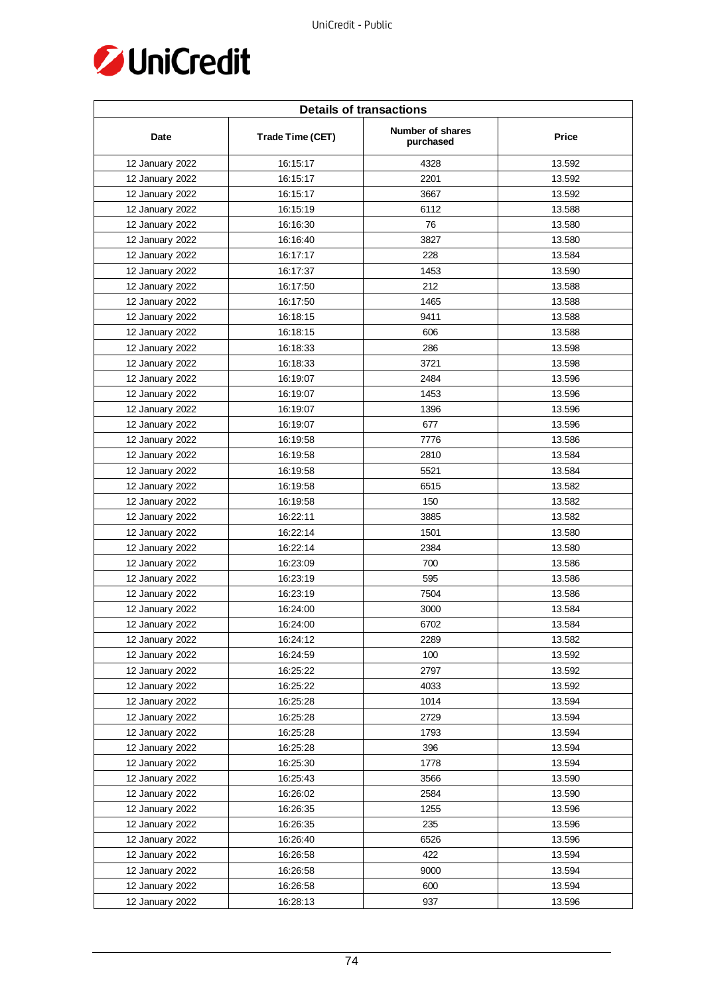

| <b>Details of transactions</b> |                  |                               |        |  |
|--------------------------------|------------------|-------------------------------|--------|--|
| Date                           | Trade Time (CET) | Number of shares<br>purchased | Price  |  |
| 12 January 2022                | 16:15:17         | 4328                          | 13.592 |  |
| 12 January 2022                | 16:15:17         | 2201                          | 13.592 |  |
| 12 January 2022                | 16:15:17         | 3667                          | 13.592 |  |
| 12 January 2022                | 16:15:19         | 6112                          | 13.588 |  |
| 12 January 2022                | 16:16:30         | 76                            | 13.580 |  |
| 12 January 2022                | 16:16:40         | 3827                          | 13.580 |  |
| 12 January 2022                | 16:17:17         | 228                           | 13.584 |  |
| 12 January 2022                | 16:17:37         | 1453                          | 13.590 |  |
| 12 January 2022                | 16:17:50         | 212                           | 13.588 |  |
| 12 January 2022                | 16:17:50         | 1465                          | 13.588 |  |
| 12 January 2022                | 16:18:15         | 9411                          | 13.588 |  |
| 12 January 2022                | 16:18:15         | 606                           | 13.588 |  |
| 12 January 2022                | 16:18:33         | 286                           | 13.598 |  |
| 12 January 2022                | 16:18:33         | 3721                          | 13.598 |  |
| 12 January 2022                | 16:19:07         | 2484                          | 13.596 |  |
| 12 January 2022                | 16:19:07         | 1453                          | 13.596 |  |
| 12 January 2022                | 16:19:07         | 1396                          | 13.596 |  |
| 12 January 2022                | 16:19:07         | 677                           | 13.596 |  |
| 12 January 2022                | 16:19:58         | 7776                          | 13.586 |  |
| 12 January 2022                | 16:19:58         | 2810                          | 13.584 |  |
| 12 January 2022                | 16:19:58         | 5521                          | 13.584 |  |
| 12 January 2022                | 16:19:58         | 6515                          | 13.582 |  |
| 12 January 2022                | 16:19:58         | 150                           | 13.582 |  |
| 12 January 2022                | 16:22:11         | 3885                          | 13.582 |  |
| 12 January 2022                | 16:22:14         | 1501                          | 13.580 |  |
| 12 January 2022                | 16:22:14         | 2384                          | 13.580 |  |
| 12 January 2022                | 16:23:09         | 700                           | 13.586 |  |
| 12 January 2022                | 16:23:19         | 595                           | 13.586 |  |
| 12 January 2022                | 16:23:19         | 7504                          | 13.586 |  |
| 12 January 2022                | 16:24:00         | 3000                          | 13.584 |  |
| 12 January 2022                | 16:24:00         | 6702                          | 13.584 |  |
| 12 January 2022                | 16:24:12         | 2289                          | 13.582 |  |
| 12 January 2022                | 16:24:59         | 100                           | 13.592 |  |
| 12 January 2022                | 16:25:22         | 2797                          | 13.592 |  |
| 12 January 2022                | 16:25:22         | 4033                          | 13.592 |  |
| 12 January 2022                | 16:25:28         | 1014                          | 13.594 |  |
| 12 January 2022                | 16:25:28         | 2729                          | 13.594 |  |
| 12 January 2022                | 16:25:28         | 1793                          | 13.594 |  |
| 12 January 2022                | 16:25:28         | 396                           | 13.594 |  |
| 12 January 2022                | 16:25:30         | 1778                          | 13.594 |  |
| 12 January 2022                | 16:25:43         | 3566                          | 13.590 |  |
| 12 January 2022                | 16:26:02         | 2584                          | 13.590 |  |
| 12 January 2022                | 16:26:35         | 1255                          | 13.596 |  |
| 12 January 2022                | 16:26:35         | 235                           | 13.596 |  |
| 12 January 2022                | 16:26:40         | 6526                          | 13.596 |  |
| 12 January 2022                | 16:26:58         | 422                           | 13.594 |  |
| 12 January 2022                | 16:26:58         | 9000                          | 13.594 |  |
| 12 January 2022                | 16:26:58         | 600                           | 13.594 |  |
| 12 January 2022                | 16:28:13         | 937                           | 13.596 |  |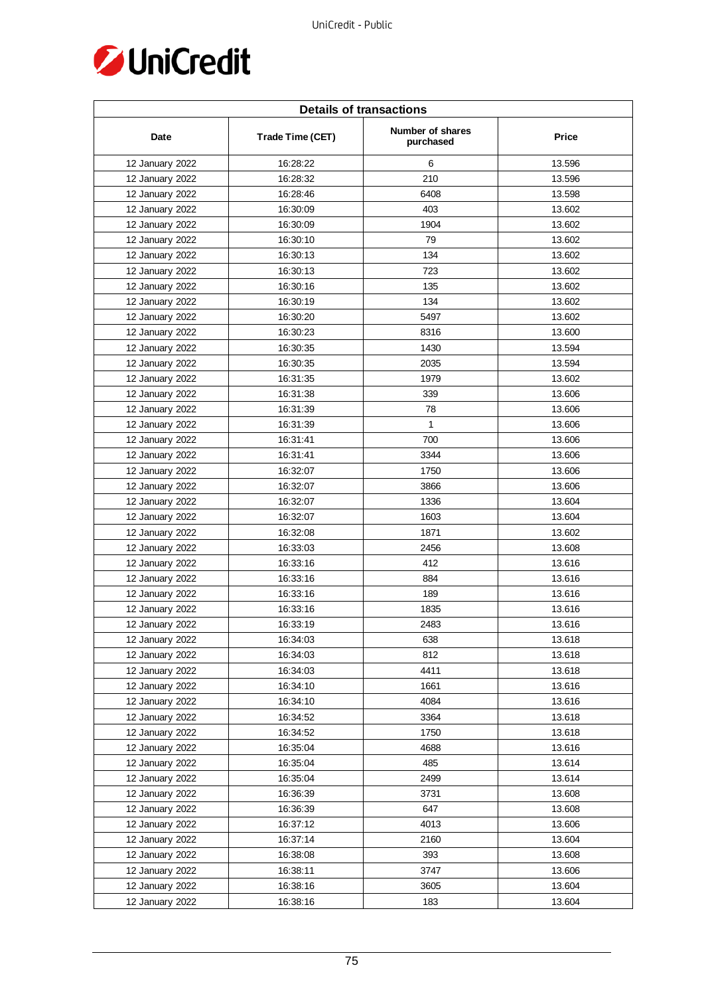

| <b>Details of transactions</b> |                  |                               |        |  |
|--------------------------------|------------------|-------------------------------|--------|--|
| Date                           | Trade Time (CET) | Number of shares<br>purchased | Price  |  |
| 12 January 2022                | 16:28:22         | 6                             | 13.596 |  |
| 12 January 2022                | 16:28:32         | 210                           | 13.596 |  |
| 12 January 2022                | 16:28:46         | 6408                          | 13.598 |  |
| 12 January 2022                | 16:30:09         | 403                           | 13.602 |  |
| 12 January 2022                | 16:30:09         | 1904                          | 13.602 |  |
| 12 January 2022                | 16:30:10         | 79                            | 13.602 |  |
| 12 January 2022                | 16:30:13         | 134                           | 13.602 |  |
| 12 January 2022                | 16:30:13         | 723                           | 13.602 |  |
| 12 January 2022                | 16:30:16         | 135                           | 13.602 |  |
| 12 January 2022                | 16:30:19         | 134                           | 13.602 |  |
| 12 January 2022                | 16:30:20         | 5497                          | 13.602 |  |
| 12 January 2022                | 16:30:23         | 8316                          | 13.600 |  |
| 12 January 2022                | 16:30:35         | 1430                          | 13.594 |  |
| 12 January 2022                | 16:30:35         | 2035                          | 13.594 |  |
| 12 January 2022                | 16:31:35         | 1979                          | 13.602 |  |
| 12 January 2022                | 16:31:38         | 339                           | 13.606 |  |
| 12 January 2022                | 16:31:39         | 78                            | 13.606 |  |
| 12 January 2022                | 16:31:39         | $\mathbf{1}$                  | 13.606 |  |
| 12 January 2022                | 16:31:41         | 700                           | 13.606 |  |
| 12 January 2022                | 16:31:41         | 3344                          | 13.606 |  |
| 12 January 2022                | 16:32:07         | 1750                          | 13.606 |  |
| 12 January 2022                | 16:32:07         | 3866                          | 13.606 |  |
| 12 January 2022                | 16:32:07         | 1336                          | 13.604 |  |
| 12 January 2022                | 16:32:07         | 1603                          | 13.604 |  |
| 12 January 2022                | 16:32:08         | 1871                          | 13.602 |  |
| 12 January 2022                | 16:33:03         | 2456                          | 13.608 |  |
| 12 January 2022                | 16:33:16         | 412                           | 13.616 |  |
| 12 January 2022                | 16:33:16         | 884                           | 13.616 |  |
| 12 January 2022                | 16:33:16         | 189                           | 13.616 |  |
| 12 January 2022                | 16:33:16         | 1835                          | 13.616 |  |
| 12 January 2022                | 16:33:19         | 2483                          | 13.616 |  |
| 12 January 2022                | 16:34:03         | 638                           | 13.618 |  |
| 12 January 2022                | 16:34:03         | 812                           | 13.618 |  |
| 12 January 2022                | 16:34:03         | 4411                          | 13.618 |  |
| 12 January 2022                | 16:34:10         | 1661                          | 13.616 |  |
| 12 January 2022                | 16:34:10         | 4084                          | 13.616 |  |
| 12 January 2022                | 16:34:52         | 3364                          | 13.618 |  |
| 12 January 2022                | 16:34:52         | 1750                          | 13.618 |  |
| 12 January 2022                | 16:35:04         | 4688                          | 13.616 |  |
| 12 January 2022                | 16:35:04         | 485                           | 13.614 |  |
| 12 January 2022                | 16:35:04         | 2499                          | 13.614 |  |
| 12 January 2022                | 16:36:39         | 3731                          | 13.608 |  |
| 12 January 2022                | 16:36:39         | 647                           | 13.608 |  |
| 12 January 2022                | 16:37:12         | 4013                          | 13.606 |  |
| 12 January 2022                | 16:37:14         | 2160                          | 13.604 |  |
|                                |                  | 393                           | 13.608 |  |
| 12 January 2022                | 16:38:08         | 3747                          |        |  |
| 12 January 2022                | 16:38:11         |                               | 13.606 |  |
| 12 January 2022                | 16:38:16         | 3605                          | 13.604 |  |
| 12 January 2022                | 16:38:16         | 183                           | 13.604 |  |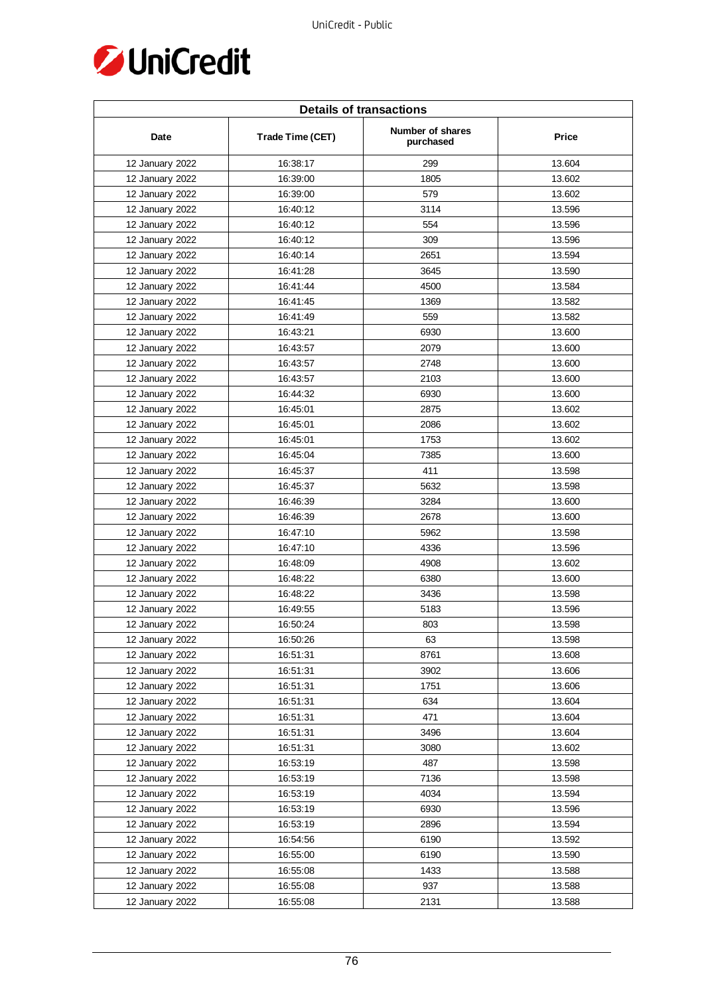

| <b>Details of transactions</b> |                  |                               |        |  |
|--------------------------------|------------------|-------------------------------|--------|--|
| Date                           | Trade Time (CET) | Number of shares<br>purchased | Price  |  |
| 12 January 2022                | 16:38:17         | 299                           | 13.604 |  |
| 12 January 2022                | 16:39:00         | 1805                          | 13.602 |  |
| 12 January 2022                | 16:39:00         | 579                           | 13.602 |  |
| 12 January 2022                | 16:40:12         | 3114                          | 13.596 |  |
| 12 January 2022                | 16:40:12         | 554                           | 13.596 |  |
| 12 January 2022                | 16:40:12         | 309                           | 13.596 |  |
| 12 January 2022                | 16:40:14         | 2651                          | 13.594 |  |
| 12 January 2022                | 16:41:28         | 3645                          | 13.590 |  |
| 12 January 2022                | 16:41:44         | 4500                          | 13.584 |  |
| 12 January 2022                | 16:41:45         | 1369                          | 13.582 |  |
| 12 January 2022                | 16:41:49         | 559                           | 13.582 |  |
| 12 January 2022                | 16:43:21         | 6930                          | 13.600 |  |
| 12 January 2022                | 16:43:57         | 2079                          | 13.600 |  |
| 12 January 2022                | 16:43:57         | 2748                          | 13.600 |  |
| 12 January 2022                | 16:43:57         | 2103                          | 13.600 |  |
| 12 January 2022                | 16:44:32         | 6930                          | 13.600 |  |
| 12 January 2022                | 16:45:01         | 2875                          | 13.602 |  |
| 12 January 2022                | 16:45:01         | 2086                          | 13.602 |  |
| 12 January 2022                | 16:45:01         | 1753                          | 13.602 |  |
| 12 January 2022                | 16:45:04         | 7385                          | 13.600 |  |
| 12 January 2022                | 16:45:37         | 411                           | 13.598 |  |
| 12 January 2022                | 16:45:37         | 5632                          | 13.598 |  |
| 12 January 2022                | 16:46:39         | 3284                          | 13.600 |  |
| 12 January 2022                | 16:46:39         | 2678                          | 13.600 |  |
| 12 January 2022                | 16:47:10         | 5962                          | 13.598 |  |
| 12 January 2022                | 16:47:10         | 4336                          | 13.596 |  |
| 12 January 2022                | 16:48:09         | 4908                          | 13.602 |  |
| 12 January 2022                | 16:48:22         | 6380                          | 13.600 |  |
| 12 January 2022                | 16:48:22         | 3436                          | 13.598 |  |
| 12 January 2022                | 16:49:55         | 5183                          | 13.596 |  |
| 12 January 2022                | 16:50:24         | 803                           | 13.598 |  |
| 12 January 2022                | 16:50:26         | 63                            | 13.598 |  |
| 12 January 2022                | 16:51:31         | 8761                          | 13.608 |  |
| 12 January 2022                | 16:51:31         | 3902                          | 13.606 |  |
| 12 January 2022                | 16:51:31         | 1751                          | 13.606 |  |
| 12 January 2022                | 16:51:31         | 634                           | 13.604 |  |
| 12 January 2022                | 16:51:31         | 471                           | 13.604 |  |
| 12 January 2022                | 16:51:31         | 3496                          | 13.604 |  |
| 12 January 2022                | 16:51:31         | 3080                          | 13.602 |  |
| 12 January 2022                | 16:53:19         | 487                           | 13.598 |  |
| 12 January 2022                | 16:53:19         | 7136                          | 13.598 |  |
| 12 January 2022                | 16:53:19         | 4034                          | 13.594 |  |
| 12 January 2022                | 16:53:19         | 6930                          | 13.596 |  |
| 12 January 2022                | 16:53:19         | 2896                          | 13.594 |  |
| 12 January 2022                | 16:54:56         | 6190                          | 13.592 |  |
| 12 January 2022                | 16:55:00         | 6190                          | 13.590 |  |
| 12 January 2022                | 16:55:08         | 1433                          | 13.588 |  |
| 12 January 2022                | 16:55:08         | 937                           | 13.588 |  |
| 12 January 2022                | 16:55:08         | 2131                          | 13.588 |  |
|                                |                  |                               |        |  |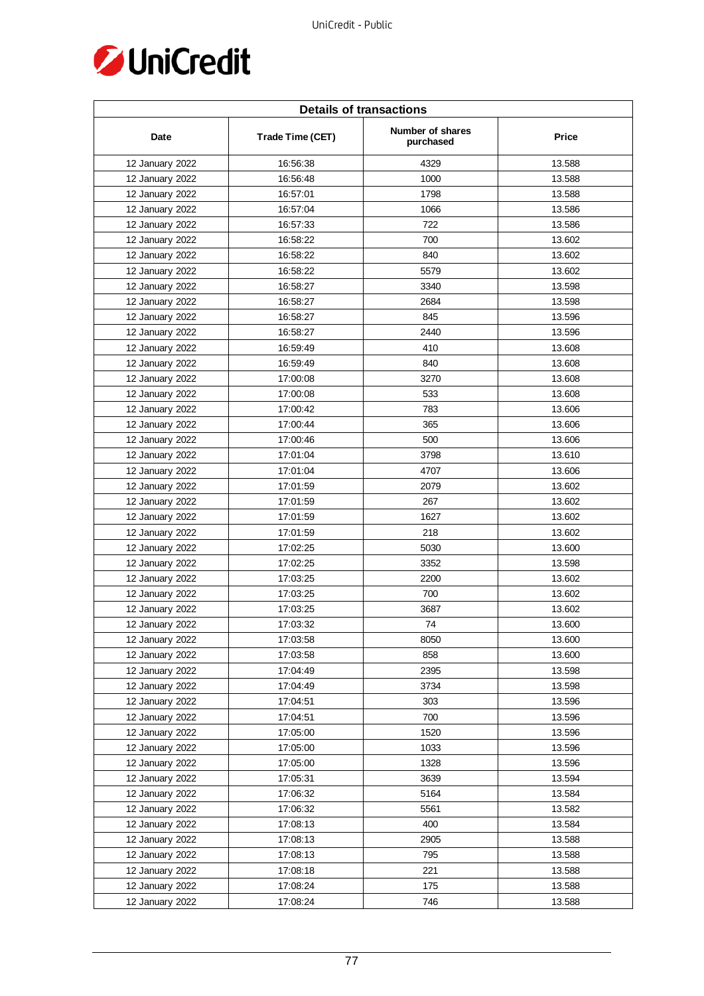

| <b>Details of transactions</b> |                  |                               |        |  |
|--------------------------------|------------------|-------------------------------|--------|--|
| Date                           | Trade Time (CET) | Number of shares<br>purchased | Price  |  |
| 12 January 2022                | 16:56:38         | 4329                          | 13.588 |  |
| 12 January 2022                | 16:56:48         | 1000                          | 13.588 |  |
| 12 January 2022                | 16:57:01         | 1798                          | 13.588 |  |
| 12 January 2022                | 16:57:04         | 1066                          | 13.586 |  |
| 12 January 2022                | 16:57:33         | 722                           | 13.586 |  |
| 12 January 2022                | 16:58:22         | 700                           | 13.602 |  |
| 12 January 2022                | 16:58:22         | 840                           | 13.602 |  |
| 12 January 2022                | 16:58:22         | 5579                          | 13.602 |  |
| 12 January 2022                | 16:58:27         | 3340                          | 13.598 |  |
| 12 January 2022                | 16:58:27         | 2684                          | 13.598 |  |
| 12 January 2022                | 16:58:27         | 845                           | 13.596 |  |
| 12 January 2022                | 16:58:27         | 2440                          | 13.596 |  |
| 12 January 2022                | 16:59:49         | 410                           | 13.608 |  |
| 12 January 2022                | 16:59:49         | 840                           | 13.608 |  |
| 12 January 2022                | 17:00:08         | 3270                          | 13.608 |  |
| 12 January 2022                | 17:00:08         | 533                           | 13.608 |  |
| 12 January 2022                | 17:00:42         | 783                           | 13.606 |  |
| 12 January 2022                | 17:00:44         | 365                           | 13.606 |  |
| 12 January 2022                | 17:00:46         | 500                           | 13.606 |  |
| 12 January 2022                | 17:01:04         | 3798                          | 13.610 |  |
| 12 January 2022                | 17:01:04         | 4707                          | 13.606 |  |
| 12 January 2022                | 17:01:59         | 2079                          | 13.602 |  |
| 12 January 2022                | 17:01:59         | 267                           | 13.602 |  |
| 12 January 2022                | 17:01:59         | 1627                          | 13.602 |  |
| 12 January 2022                | 17:01:59         | 218                           | 13.602 |  |
| 12 January 2022                | 17:02:25         | 5030                          | 13.600 |  |
| 12 January 2022                | 17:02:25         | 3352                          | 13.598 |  |
| 12 January 2022                | 17:03:25         | 2200                          | 13.602 |  |
| 12 January 2022                | 17:03:25         | 700                           | 13.602 |  |
| 12 January 2022                | 17:03:25         | 3687                          | 13.602 |  |
| 12 January 2022                | 17:03:32         | 74                            | 13.600 |  |
| 12 January 2022                | 17:03:58         | 8050                          | 13.600 |  |
| 12 January 2022                | 17:03:58         | 858                           | 13.600 |  |
| 12 January 2022                | 17:04:49         | 2395                          | 13.598 |  |
| 12 January 2022                | 17:04:49         | 3734                          | 13.598 |  |
| 12 January 2022                | 17:04:51         | 303                           | 13.596 |  |
| 12 January 2022                | 17:04:51         | 700                           | 13.596 |  |
| 12 January 2022                | 17:05:00         | 1520                          | 13.596 |  |
| 12 January 2022                | 17:05:00         | 1033                          | 13.596 |  |
| 12 January 2022                | 17:05:00         | 1328                          | 13.596 |  |
| 12 January 2022                | 17:05:31         | 3639                          | 13.594 |  |
| 12 January 2022                | 17:06:32         | 5164                          | 13.584 |  |
| 12 January 2022                | 17:06:32         | 5561                          | 13.582 |  |
| 12 January 2022                | 17:08:13         | 400                           | 13.584 |  |
| 12 January 2022                | 17:08:13         | 2905                          | 13.588 |  |
| 12 January 2022                | 17:08:13         | 795                           | 13.588 |  |
| 12 January 2022                | 17:08:18         | 221                           | 13.588 |  |
| 12 January 2022                | 17:08:24         | 175                           | 13.588 |  |
| 12 January 2022                | 17:08:24         | 746                           | 13.588 |  |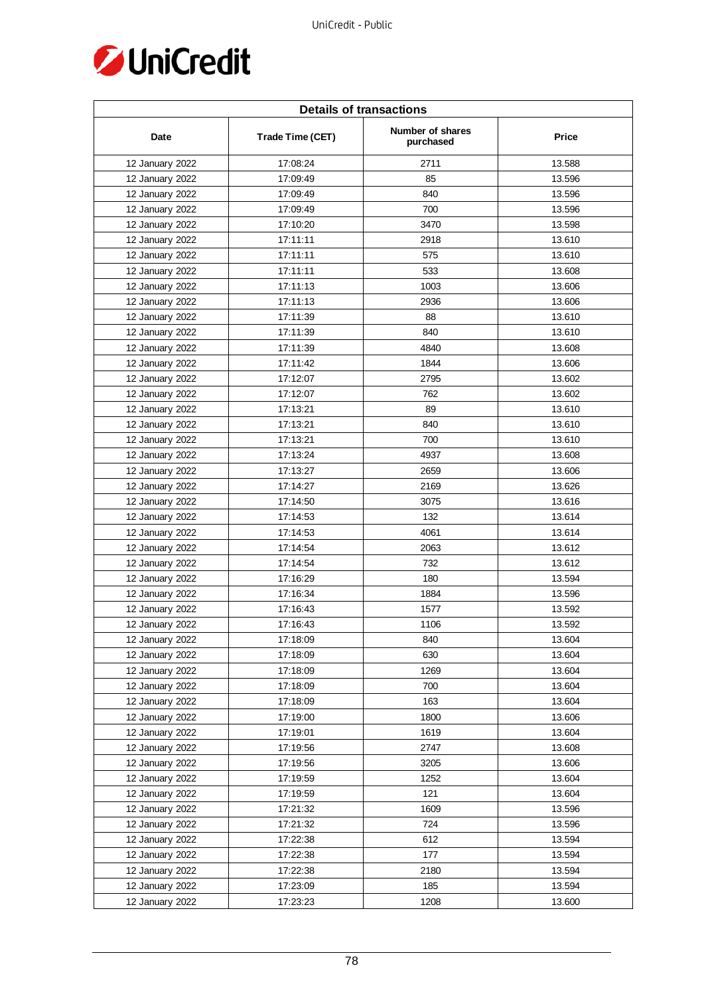

| <b>Details of transactions</b> |                  |                               |        |  |
|--------------------------------|------------------|-------------------------------|--------|--|
| Date                           | Trade Time (CET) | Number of shares<br>purchased | Price  |  |
| 12 January 2022                | 17:08:24         | 2711                          | 13.588 |  |
| 12 January 2022                | 17:09:49         | 85                            | 13.596 |  |
| 12 January 2022                | 17:09:49         | 840                           | 13.596 |  |
| 12 January 2022                | 17:09:49         | 700                           | 13.596 |  |
| 12 January 2022                | 17:10:20         | 3470                          | 13.598 |  |
| 12 January 2022                | 17:11:11         | 2918                          | 13.610 |  |
| 12 January 2022                | 17:11:11         | 575                           | 13.610 |  |
| 12 January 2022                | 17:11:11         | 533                           | 13.608 |  |
| 12 January 2022                | 17:11:13         | 1003                          | 13.606 |  |
| 12 January 2022                | 17:11:13         | 2936                          | 13.606 |  |
| 12 January 2022                | 17:11:39         | 88                            | 13.610 |  |
| 12 January 2022                | 17:11:39         | 840                           | 13.610 |  |
| 12 January 2022                | 17:11:39         | 4840                          | 13.608 |  |
| 12 January 2022                | 17:11:42         | 1844                          | 13.606 |  |
| 12 January 2022                | 17:12:07         | 2795                          | 13.602 |  |
| 12 January 2022                | 17:12:07         | 762                           | 13.602 |  |
| 12 January 2022                | 17:13:21         | 89                            | 13.610 |  |
| 12 January 2022                | 17:13:21         | 840                           | 13.610 |  |
| 12 January 2022                | 17:13:21         | 700                           | 13.610 |  |
| 12 January 2022                | 17:13:24         | 4937                          | 13.608 |  |
| 12 January 2022                | 17:13:27         | 2659                          | 13.606 |  |
| 12 January 2022                | 17:14:27         | 2169                          | 13.626 |  |
| 12 January 2022                | 17:14:50         | 3075                          | 13.616 |  |
| 12 January 2022                | 17:14:53         | 132                           | 13.614 |  |
| 12 January 2022                | 17:14:53         | 4061                          | 13.614 |  |
| 12 January 2022                | 17:14:54         | 2063                          | 13.612 |  |
| 12 January 2022                | 17:14:54         | 732                           | 13.612 |  |
| 12 January 2022                | 17:16:29         | 180                           | 13.594 |  |
| 12 January 2022                | 17:16:34         | 1884                          | 13.596 |  |
| 12 January 2022                | 17:16:43         | 1577                          | 13.592 |  |
| 12 January 2022                | 17:16:43         | 1106                          | 13.592 |  |
| 12 January 2022                | 17:18:09         | 840                           | 13.604 |  |
| 12 January 2022                | 17:18:09         | 630                           | 13.604 |  |
| 12 January 2022                | 17:18:09         | 1269                          | 13.604 |  |
| 12 January 2022                | 17:18:09         | 700                           | 13.604 |  |
| 12 January 2022                | 17:18:09         | 163                           | 13.604 |  |
| 12 January 2022                | 17:19:00         | 1800                          | 13.606 |  |
| 12 January 2022                | 17:19:01         | 1619                          | 13.604 |  |
| 12 January 2022                | 17:19:56         | 2747                          | 13.608 |  |
| 12 January 2022                | 17:19:56         | 3205                          | 13.606 |  |
| 12 January 2022                | 17:19:59         | 1252                          | 13.604 |  |
| 12 January 2022                | 17:19:59         | 121                           | 13.604 |  |
| 12 January 2022                | 17:21:32         | 1609                          | 13.596 |  |
| 12 January 2022                | 17:21:32         | 724                           | 13.596 |  |
| 12 January 2022                | 17:22:38         | 612                           | 13.594 |  |
| 12 January 2022                | 17:22:38         | 177                           | 13.594 |  |
| 12 January 2022                | 17:22:38         | 2180                          | 13.594 |  |
| 12 January 2022                | 17:23:09         | 185                           | 13.594 |  |
| 12 January 2022                | 17:23:23         | 1208                          | 13.600 |  |
|                                |                  |                               |        |  |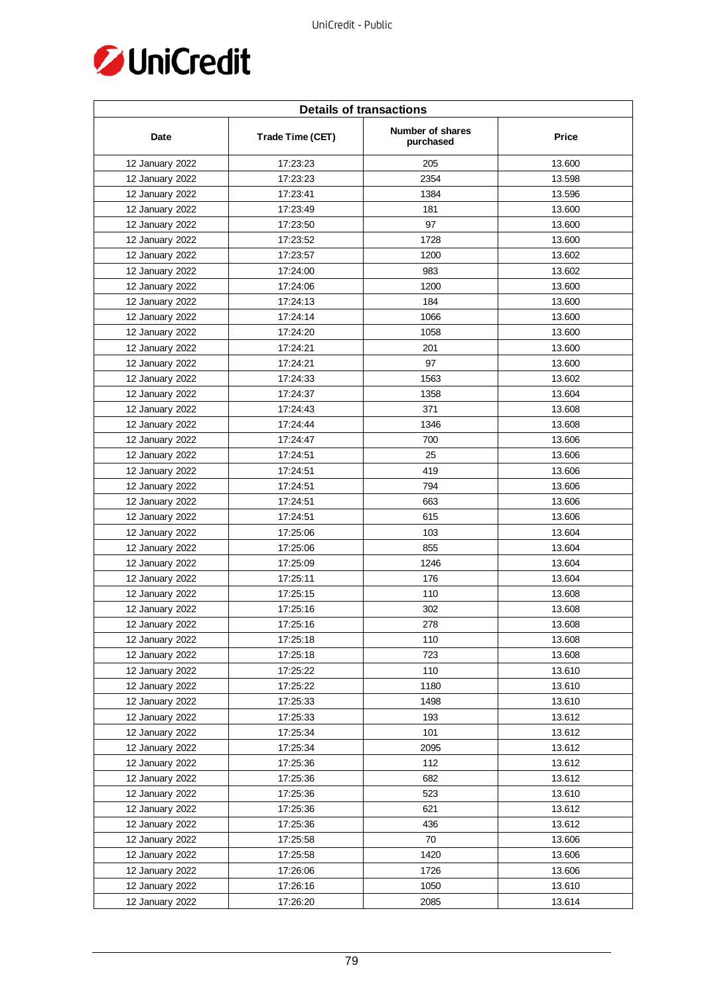

| <b>Details of transactions</b> |                  |                               |        |  |
|--------------------------------|------------------|-------------------------------|--------|--|
| Date                           | Trade Time (CET) | Number of shares<br>purchased | Price  |  |
| 12 January 2022                | 17:23:23         | 205                           | 13.600 |  |
| 12 January 2022                | 17:23:23         | 2354                          | 13.598 |  |
| 12 January 2022                | 17:23:41         | 1384                          | 13.596 |  |
| 12 January 2022                | 17:23:49         | 181                           | 13.600 |  |
| 12 January 2022                | 17:23:50         | 97                            | 13.600 |  |
| 12 January 2022                | 17:23:52         | 1728                          | 13.600 |  |
| 12 January 2022                | 17:23:57         | 1200                          | 13.602 |  |
| 12 January 2022                | 17:24:00         | 983                           | 13.602 |  |
| 12 January 2022                | 17:24:06         | 1200                          | 13.600 |  |
| 12 January 2022                | 17:24:13         | 184                           | 13.600 |  |
| 12 January 2022                | 17:24:14         | 1066                          | 13.600 |  |
| 12 January 2022                | 17:24:20         | 1058                          | 13.600 |  |
| 12 January 2022                | 17:24:21         | 201                           | 13.600 |  |
| 12 January 2022                | 17:24:21         | 97                            | 13.600 |  |
| 12 January 2022                | 17:24:33         | 1563                          | 13.602 |  |
| 12 January 2022                | 17:24:37         | 1358                          | 13.604 |  |
| 12 January 2022                | 17:24:43         | 371                           | 13.608 |  |
| 12 January 2022                | 17:24:44         | 1346                          | 13.608 |  |
| 12 January 2022                | 17:24:47         | 700                           | 13.606 |  |
| 12 January 2022                | 17:24:51         | 25                            | 13.606 |  |
| 12 January 2022                | 17:24:51         | 419                           | 13.606 |  |
| 12 January 2022                | 17:24:51         | 794                           | 13.606 |  |
| 12 January 2022                | 17:24:51         | 663                           | 13.606 |  |
| 12 January 2022                | 17:24:51         | 615                           | 13.606 |  |
| 12 January 2022                | 17:25:06         | 103                           | 13.604 |  |
| 12 January 2022                | 17:25:06         | 855                           | 13.604 |  |
| 12 January 2022                | 17:25:09         | 1246                          | 13.604 |  |
| 12 January 2022                | 17:25:11         | 176                           | 13.604 |  |
| 12 January 2022                | 17:25:15         | 110                           | 13.608 |  |
| 12 January 2022                | 17:25:16         | 302                           | 13.608 |  |
| 12 January 2022                | 17:25:16         | 278                           | 13.608 |  |
| 12 January 2022                | 17:25:18         | 110                           | 13.608 |  |
| 12 January 2022                | 17:25:18         | 723                           | 13.608 |  |
| 12 January 2022                | 17:25:22         | 110                           | 13.610 |  |
| 12 January 2022                | 17:25:22         | 1180                          | 13.610 |  |
| 12 January 2022                | 17:25:33         | 1498                          | 13.610 |  |
| 12 January 2022                | 17:25:33         | 193                           | 13.612 |  |
| 12 January 2022                | 17:25:34         | 101                           | 13.612 |  |
| 12 January 2022                | 17:25:34         | 2095                          | 13.612 |  |
| 12 January 2022                | 17:25:36         | 112                           | 13.612 |  |
| 12 January 2022                | 17:25:36         | 682                           | 13.612 |  |
| 12 January 2022                | 17:25:36         | 523                           | 13.610 |  |
| 12 January 2022                | 17:25:36         | 621                           | 13.612 |  |
| 12 January 2022                | 17:25:36         | 436                           | 13.612 |  |
| 12 January 2022                | 17:25:58         | 70                            | 13.606 |  |
| 12 January 2022                | 17:25:58         | 1420                          | 13.606 |  |
| 12 January 2022                | 17:26:06         | 1726                          | 13.606 |  |
| 12 January 2022                | 17:26:16         | 1050                          | 13.610 |  |
| 12 January 2022                | 17:26:20         | 2085                          | 13.614 |  |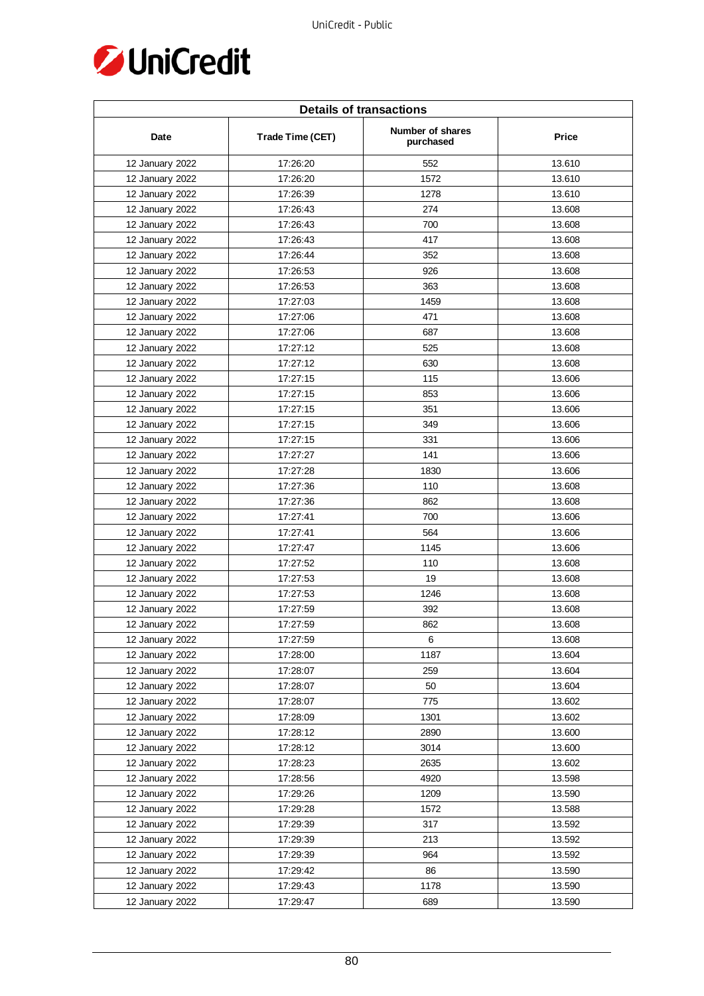

| <b>Details of transactions</b> |                  |                               |              |  |
|--------------------------------|------------------|-------------------------------|--------------|--|
| Date                           | Trade Time (CET) | Number of shares<br>purchased | <b>Price</b> |  |
| 12 January 2022                | 17:26:20         | 552                           | 13.610       |  |
| 12 January 2022                | 17:26:20         | 1572                          | 13.610       |  |
| 12 January 2022                | 17:26:39         | 1278                          | 13.610       |  |
| 12 January 2022                | 17:26:43         | 274                           | 13.608       |  |
| 12 January 2022                | 17:26:43         | 700                           | 13.608       |  |
| 12 January 2022                | 17:26:43         | 417                           | 13.608       |  |
| 12 January 2022                | 17:26:44         | 352                           | 13.608       |  |
| 12 January 2022                | 17:26:53         | 926                           | 13.608       |  |
| 12 January 2022                | 17:26:53         | 363                           | 13.608       |  |
| 12 January 2022                | 17:27:03         | 1459                          | 13.608       |  |
| 12 January 2022                | 17:27:06         | 471                           | 13.608       |  |
| 12 January 2022                | 17:27:06         | 687                           | 13.608       |  |
| 12 January 2022                | 17:27:12         | 525                           | 13.608       |  |
| 12 January 2022                | 17:27:12         | 630                           | 13.608       |  |
| 12 January 2022                | 17:27:15         | 115                           | 13.606       |  |
| 12 January 2022                | 17:27:15         | 853                           | 13.606       |  |
| 12 January 2022                | 17:27:15         | 351                           | 13.606       |  |
| 12 January 2022                | 17:27:15         | 349                           | 13.606       |  |
| 12 January 2022                | 17:27:15         | 331                           | 13.606       |  |
| 12 January 2022                | 17:27:27         | 141                           | 13.606       |  |
| 12 January 2022                | 17:27:28         | 1830                          | 13.606       |  |
| 12 January 2022                | 17:27:36         | 110                           | 13.608       |  |
| 12 January 2022                | 17:27:36         | 862                           | 13.608       |  |
| 12 January 2022                | 17:27:41         | 700                           | 13.606       |  |
| 12 January 2022                | 17:27:41         | 564                           | 13.606       |  |
| 12 January 2022                | 17:27:47         | 1145                          | 13.606       |  |
| 12 January 2022                | 17:27:52         | 110                           | 13.608       |  |
| 12 January 2022                | 17:27:53         | 19                            | 13.608       |  |
| 12 January 2022                | 17:27:53         | 1246                          | 13.608       |  |
| 12 January 2022                | 17:27:59         | 392                           | 13.608       |  |
| 12 January 2022                | 17:27:59         | 862                           | 13.608       |  |
| 12 January 2022                | 17:27:59         | 6                             | 13.608       |  |
| 12 January 2022                | 17:28:00         | 1187                          | 13.604       |  |
| 12 January 2022                | 17:28:07         | 259                           | 13.604       |  |
| 12 January 2022                | 17:28:07         | 50                            | 13.604       |  |
| 12 January 2022                | 17:28:07         | 775                           | 13.602       |  |
| 12 January 2022                | 17:28:09         | 1301                          | 13.602       |  |
| 12 January 2022                | 17:28:12         | 2890                          | 13.600       |  |
| 12 January 2022                | 17:28:12         | 3014                          | 13.600       |  |
| 12 January 2022                | 17:28:23         | 2635                          | 13.602       |  |
| 12 January 2022                | 17:28:56         | 4920                          | 13.598       |  |
| 12 January 2022                | 17:29:26         | 1209                          | 13.590       |  |
| 12 January 2022                | 17:29:28         | 1572                          | 13.588       |  |
| 12 January 2022                | 17:29:39         | 317                           | 13.592       |  |
| 12 January 2022                | 17:29:39         | 213                           | 13.592       |  |
| 12 January 2022                | 17:29:39         | 964                           | 13.592       |  |
| 12 January 2022                | 17:29:42         | 86                            | 13.590       |  |
| 12 January 2022                | 17:29:43         | 1178                          | 13.590       |  |
| 12 January 2022                | 17:29:47         | 689                           | 13.590       |  |
|                                |                  |                               |              |  |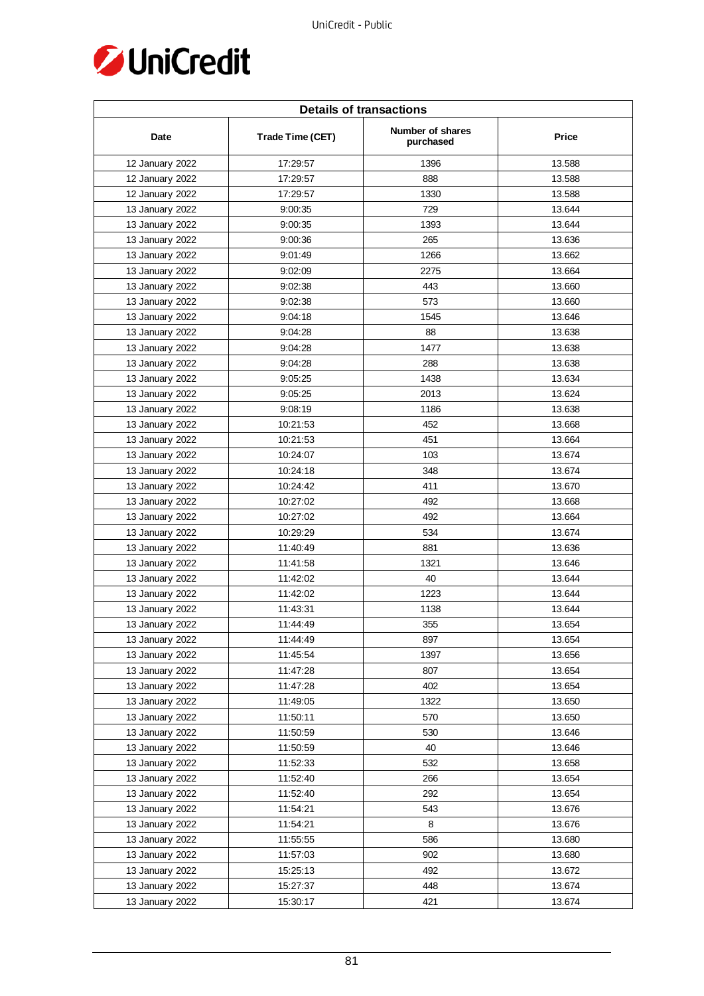

| <b>Details of transactions</b> |                  |                               |        |  |
|--------------------------------|------------------|-------------------------------|--------|--|
| Date                           | Trade Time (CET) | Number of shares<br>purchased | Price  |  |
| 12 January 2022                | 17:29:57         | 1396                          | 13.588 |  |
| 12 January 2022                | 17:29:57         | 888                           | 13.588 |  |
| 12 January 2022                | 17:29:57         | 1330                          | 13.588 |  |
| 13 January 2022                | 9:00:35          | 729                           | 13.644 |  |
| 13 January 2022                | 9:00:35          | 1393                          | 13.644 |  |
| 13 January 2022                | 9:00:36          | 265                           | 13.636 |  |
| 13 January 2022                | 9:01:49          | 1266                          | 13.662 |  |
| 13 January 2022                | 9:02:09          | 2275                          | 13.664 |  |
| 13 January 2022                | 9:02:38          | 443                           | 13.660 |  |
| 13 January 2022                | 9:02:38          | 573                           | 13.660 |  |
| 13 January 2022                | 9:04:18          | 1545                          | 13.646 |  |
| 13 January 2022                | 9:04:28          | 88                            | 13.638 |  |
| 13 January 2022                | 9:04:28          | 1477                          | 13.638 |  |
| 13 January 2022                | 9:04:28          | 288                           | 13.638 |  |
| 13 January 2022                | 9:05:25          | 1438                          | 13.634 |  |
| 13 January 2022                | 9:05:25          | 2013                          | 13.624 |  |
| 13 January 2022                | 9:08:19          | 1186                          | 13.638 |  |
| 13 January 2022                | 10:21:53         | 452                           | 13.668 |  |
| 13 January 2022                | 10:21:53         | 451                           | 13.664 |  |
| 13 January 2022                | 10:24:07         | 103                           | 13.674 |  |
| 13 January 2022                | 10:24:18         | 348                           | 13.674 |  |
| 13 January 2022                | 10:24:42         | 411                           | 13.670 |  |
| 13 January 2022                | 10:27:02         | 492                           | 13.668 |  |
| 13 January 2022                | 10:27:02         | 492                           | 13.664 |  |
| 13 January 2022                | 10:29:29         | 534                           | 13.674 |  |
| 13 January 2022                | 11:40:49         | 881                           | 13.636 |  |
| 13 January 2022                | 11:41:58         | 1321                          | 13.646 |  |
| 13 January 2022                | 11:42:02         | 40                            | 13.644 |  |
| 13 January 2022                | 11:42:02         | 1223                          | 13.644 |  |
| 13 January 2022                | 11:43:31         | 1138                          | 13.644 |  |
| 13 January 2022                | 11:44:49         | 355                           | 13.654 |  |
| 13 January 2022                | 11:44:49         | 897                           | 13.654 |  |
| 13 January 2022                | 11:45:54         | 1397                          | 13.656 |  |
| 13 January 2022                | 11:47:28         | 807                           | 13.654 |  |
| 13 January 2022                | 11:47:28         | 402                           | 13.654 |  |
| 13 January 2022                | 11:49:05         | 1322                          | 13.650 |  |
| 13 January 2022                | 11:50:11         | 570                           | 13.650 |  |
| 13 January 2022                | 11:50:59         | 530                           | 13.646 |  |
| 13 January 2022                | 11:50:59         | 40                            | 13.646 |  |
| 13 January 2022                | 11:52:33         | 532                           | 13.658 |  |
| 13 January 2022                | 11:52:40         | 266                           | 13.654 |  |
| 13 January 2022                | 11:52:40         | 292                           | 13.654 |  |
| 13 January 2022                | 11:54:21         | 543                           | 13.676 |  |
| 13 January 2022                | 11:54:21         | 8                             | 13.676 |  |
| 13 January 2022                | 11:55:55         | 586                           | 13.680 |  |
| 13 January 2022                | 11:57:03         | 902                           | 13.680 |  |
| 13 January 2022                | 15:25:13         | 492                           | 13.672 |  |
| 13 January 2022                | 15:27:37         | 448                           | 13.674 |  |
| 13 January 2022                | 15:30:17         | 421                           | 13.674 |  |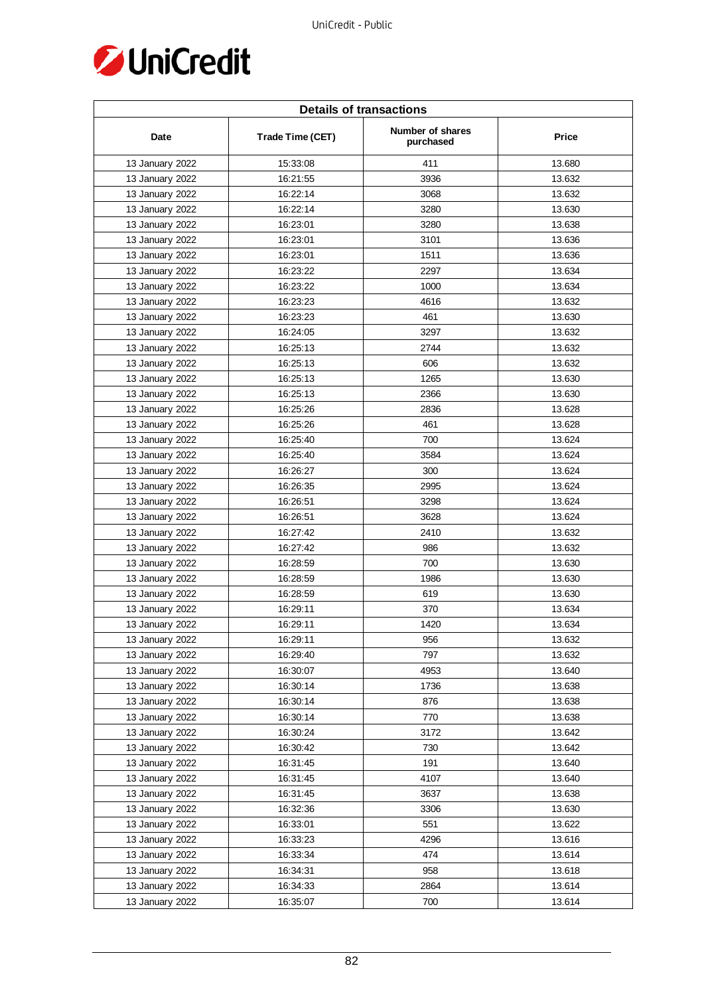

| <b>Details of transactions</b> |                  |                               |        |  |
|--------------------------------|------------------|-------------------------------|--------|--|
| Date                           | Trade Time (CET) | Number of shares<br>purchased | Price  |  |
| 13 January 2022                | 15:33:08         | 411                           | 13.680 |  |
| 13 January 2022                | 16:21:55         | 3936                          | 13.632 |  |
| 13 January 2022                | 16:22:14         | 3068                          | 13.632 |  |
| 13 January 2022                | 16:22:14         | 3280                          | 13.630 |  |
| 13 January 2022                | 16:23:01         | 3280                          | 13.638 |  |
| 13 January 2022                | 16:23:01         | 3101                          | 13.636 |  |
| 13 January 2022                | 16:23:01         | 1511                          | 13.636 |  |
| 13 January 2022                | 16:23:22         | 2297                          | 13.634 |  |
| 13 January 2022                | 16:23:22         | 1000                          | 13.634 |  |
| 13 January 2022                | 16:23:23         | 4616                          | 13.632 |  |
| 13 January 2022                | 16:23:23         | 461                           | 13.630 |  |
| 13 January 2022                | 16:24:05         | 3297                          | 13.632 |  |
| 13 January 2022                | 16:25:13         | 2744                          | 13.632 |  |
| 13 January 2022                | 16:25:13         | 606                           | 13.632 |  |
| 13 January 2022                | 16:25:13         | 1265                          | 13.630 |  |
| 13 January 2022                | 16:25:13         | 2366                          | 13.630 |  |
| 13 January 2022                | 16:25:26         | 2836                          | 13.628 |  |
| 13 January 2022                | 16:25:26         | 461                           | 13.628 |  |
| 13 January 2022                | 16:25:40         | 700                           | 13.624 |  |
| 13 January 2022                | 16:25:40         | 3584                          | 13.624 |  |
| 13 January 2022                | 16:26:27         | 300                           | 13.624 |  |
| 13 January 2022                | 16:26:35         | 2995                          | 13.624 |  |
| 13 January 2022                | 16:26:51         | 3298                          | 13.624 |  |
| 13 January 2022                | 16:26:51         | 3628                          | 13.624 |  |
| 13 January 2022                | 16:27:42         | 2410                          | 13.632 |  |
| 13 January 2022                | 16:27:42         | 986                           | 13.632 |  |
| 13 January 2022                | 16:28:59         | 700                           | 13.630 |  |
| 13 January 2022                | 16:28:59         | 1986                          | 13.630 |  |
| 13 January 2022                | 16:28:59         | 619                           | 13.630 |  |
| 13 January 2022                | 16:29:11         | 370                           | 13.634 |  |
| 13 January 2022                | 16:29:11         | 1420                          | 13.634 |  |
| 13 January 2022                | 16:29:11         | 956                           | 13.632 |  |
| 13 January 2022                | 16:29:40         | 797                           | 13.632 |  |
| 13 January 2022                | 16:30:07         | 4953                          | 13.640 |  |
| 13 January 2022                | 16:30:14         | 1736                          | 13.638 |  |
| 13 January 2022                | 16:30:14         | 876                           | 13.638 |  |
| 13 January 2022                | 16:30:14         | 770                           | 13.638 |  |
| 13 January 2022                | 16:30:24         | 3172                          | 13.642 |  |
| 13 January 2022                | 16:30:42         | 730                           | 13.642 |  |
| 13 January 2022                | 16:31:45         | 191                           | 13.640 |  |
| 13 January 2022                | 16:31:45         | 4107                          | 13.640 |  |
| 13 January 2022                | 16:31:45         | 3637                          | 13.638 |  |
| 13 January 2022                | 16:32:36         | 3306                          | 13.630 |  |
| 13 January 2022                | 16:33:01         | 551                           | 13.622 |  |
| 13 January 2022                | 16:33:23         | 4296                          | 13.616 |  |
| 13 January 2022                | 16:33:34         | 474                           | 13.614 |  |
| 13 January 2022                | 16:34:31         | 958                           | 13.618 |  |
| 13 January 2022                | 16:34:33         | 2864                          | 13.614 |  |
| 13 January 2022                | 16:35:07         | 700                           | 13.614 |  |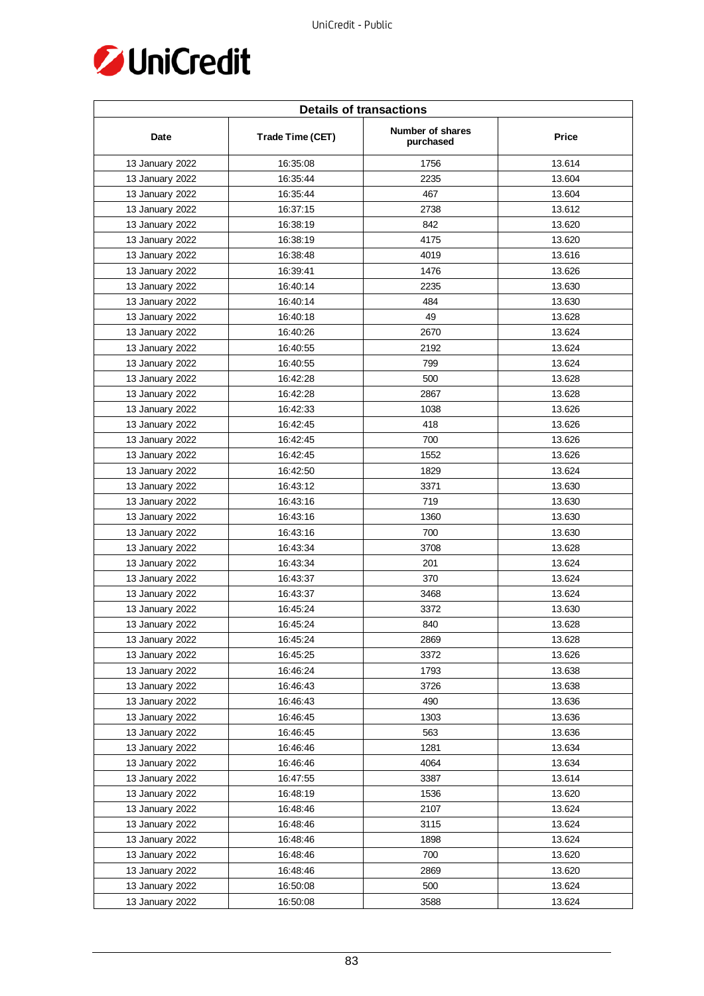

| <b>Details of transactions</b> |                  |                               |        |  |
|--------------------------------|------------------|-------------------------------|--------|--|
| Date                           | Trade Time (CET) | Number of shares<br>purchased | Price  |  |
| 13 January 2022                | 16:35:08         | 1756                          | 13.614 |  |
| 13 January 2022                | 16:35:44         | 2235                          | 13.604 |  |
| 13 January 2022                | 16:35:44         | 467                           | 13.604 |  |
| 13 January 2022                | 16:37:15         | 2738                          | 13.612 |  |
| 13 January 2022                | 16:38:19         | 842                           | 13.620 |  |
| 13 January 2022                | 16:38:19         | 4175                          | 13.620 |  |
| 13 January 2022                | 16:38:48         | 4019                          | 13.616 |  |
| 13 January 2022                | 16:39:41         | 1476                          | 13.626 |  |
| 13 January 2022                | 16:40:14         | 2235                          | 13.630 |  |
| 13 January 2022                | 16:40:14         | 484                           | 13.630 |  |
| 13 January 2022                | 16:40:18         | 49                            | 13.628 |  |
| 13 January 2022                | 16:40:26         | 2670                          | 13.624 |  |
| 13 January 2022                | 16:40:55         | 2192                          | 13.624 |  |
| 13 January 2022                | 16:40:55         | 799                           | 13.624 |  |
| 13 January 2022                | 16:42:28         | 500                           | 13.628 |  |
| 13 January 2022                | 16:42:28         | 2867                          | 13.628 |  |
| 13 January 2022                | 16:42:33         | 1038                          | 13.626 |  |
| 13 January 2022                | 16:42:45         | 418                           | 13.626 |  |
| 13 January 2022                | 16:42:45         | 700                           | 13.626 |  |
| 13 January 2022                | 16:42:45         | 1552                          | 13.626 |  |
| 13 January 2022                | 16:42:50         | 1829                          | 13.624 |  |
| 13 January 2022                | 16:43:12         | 3371                          | 13.630 |  |
| 13 January 2022                | 16:43:16         | 719                           | 13.630 |  |
| 13 January 2022                | 16:43:16         | 1360                          | 13.630 |  |
| 13 January 2022                | 16:43:16         | 700                           | 13.630 |  |
| 13 January 2022                | 16:43:34         | 3708                          | 13.628 |  |
| 13 January 2022                | 16:43:34         | 201                           | 13.624 |  |
| 13 January 2022                | 16:43:37         | 370                           | 13.624 |  |
| 13 January 2022                | 16:43:37         | 3468                          | 13.624 |  |
| 13 January 2022                | 16:45:24         | 3372                          | 13.630 |  |
| 13 January 2022                | 16:45:24         | 840                           | 13.628 |  |
| 13 January 2022                | 16:45:24         | 2869                          | 13.628 |  |
| 13 January 2022                | 16:45:25         | 3372                          | 13.626 |  |
| 13 January 2022                | 16:46:24         | 1793                          | 13.638 |  |
| 13 January 2022                | 16:46:43         | 3726                          | 13.638 |  |
| 13 January 2022                | 16:46:43         | 490                           | 13.636 |  |
| 13 January 2022                | 16:46:45         | 1303                          | 13.636 |  |
| 13 January 2022                | 16:46:45         | 563                           | 13.636 |  |
| 13 January 2022                | 16:46:46         | 1281                          | 13.634 |  |
| 13 January 2022                | 16:46:46         | 4064                          | 13.634 |  |
| 13 January 2022                | 16:47:55         | 3387                          | 13.614 |  |
| 13 January 2022                | 16:48:19         | 1536                          | 13.620 |  |
| 13 January 2022                | 16:48:46         | 2107                          | 13.624 |  |
| 13 January 2022                | 16:48:46         | 3115                          | 13.624 |  |
| 13 January 2022                | 16:48:46         | 1898                          | 13.624 |  |
| 13 January 2022                | 16:48:46         | 700                           | 13.620 |  |
| 13 January 2022                | 16:48:46         | 2869                          | 13.620 |  |
| 13 January 2022                | 16:50:08         | 500                           | 13.624 |  |
| 13 January 2022                | 16:50:08         | 3588                          | 13.624 |  |
|                                |                  |                               |        |  |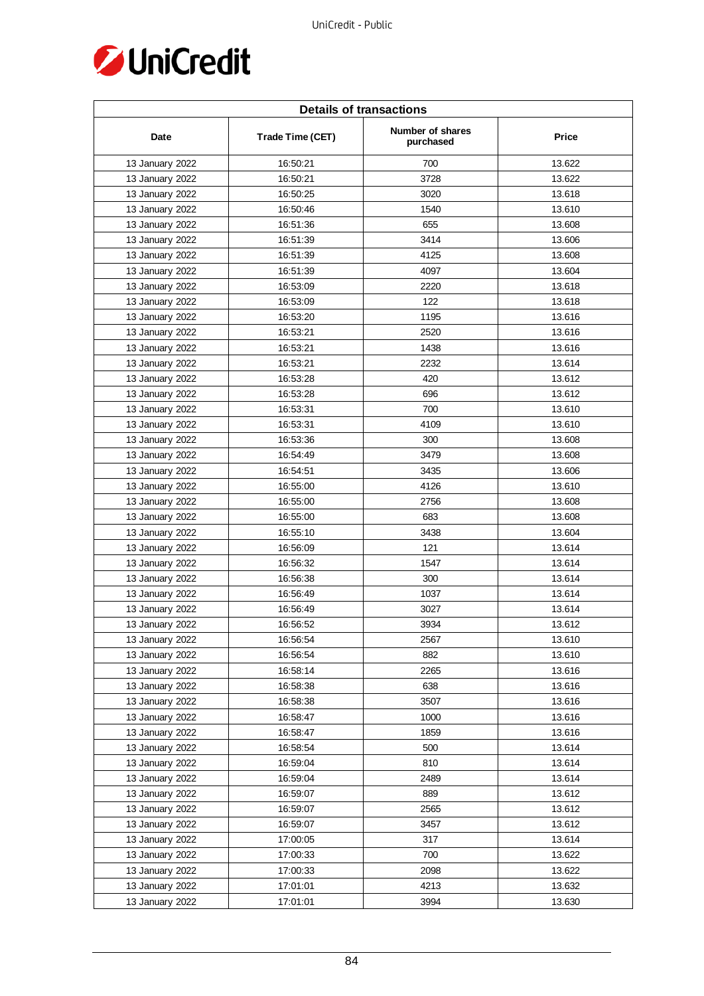

| <b>Details of transactions</b> |                  |                               |        |  |
|--------------------------------|------------------|-------------------------------|--------|--|
| Date                           | Trade Time (CET) | Number of shares<br>purchased | Price  |  |
| 13 January 2022                | 16:50:21         | 700                           | 13.622 |  |
| 13 January 2022                | 16:50:21         | 3728                          | 13.622 |  |
| 13 January 2022                | 16:50:25         | 3020                          | 13.618 |  |
| 13 January 2022                | 16:50:46         | 1540                          | 13.610 |  |
| 13 January 2022                | 16:51:36         | 655                           | 13.608 |  |
| 13 January 2022                | 16:51:39         | 3414                          | 13.606 |  |
| 13 January 2022                | 16:51:39         | 4125                          | 13.608 |  |
| 13 January 2022                | 16:51:39         | 4097                          | 13.604 |  |
| 13 January 2022                | 16:53:09         | 2220                          | 13.618 |  |
| 13 January 2022                | 16:53:09         | 122                           | 13.618 |  |
| 13 January 2022                | 16:53:20         | 1195                          | 13.616 |  |
| 13 January 2022                | 16:53:21         | 2520                          | 13.616 |  |
| 13 January 2022                | 16:53:21         | 1438                          | 13.616 |  |
| 13 January 2022                | 16:53:21         | 2232                          | 13.614 |  |
| 13 January 2022                | 16:53:28         | 420                           | 13.612 |  |
| 13 January 2022                | 16:53:28         | 696                           | 13.612 |  |
| 13 January 2022                | 16:53:31         | 700                           | 13.610 |  |
| 13 January 2022                | 16:53:31         | 4109                          | 13.610 |  |
| 13 January 2022                | 16:53:36         | 300                           | 13.608 |  |
| 13 January 2022                | 16:54:49         | 3479                          | 13.608 |  |
| 13 January 2022                | 16:54:51         | 3435                          | 13.606 |  |
| 13 January 2022                | 16:55:00         | 4126                          | 13.610 |  |
| 13 January 2022                | 16:55:00         | 2756                          | 13.608 |  |
| 13 January 2022                | 16:55:00         | 683                           | 13.608 |  |
| 13 January 2022                | 16:55:10         | 3438                          | 13.604 |  |
| 13 January 2022                | 16:56:09         | 121                           | 13.614 |  |
| 13 January 2022                | 16:56:32         | 1547                          | 13.614 |  |
| 13 January 2022                | 16:56:38         | 300                           | 13.614 |  |
| 13 January 2022                | 16:56:49         | 1037                          | 13.614 |  |
| 13 January 2022                | 16:56:49         | 3027                          | 13.614 |  |
| 13 January 2022                | 16:56:52         | 3934                          | 13.612 |  |
| 13 January 2022                | 16:56:54         | 2567                          | 13.610 |  |
| 13 January 2022                | 16:56:54         | 882                           | 13.610 |  |
| 13 January 2022                | 16:58:14         | 2265                          | 13.616 |  |
| 13 January 2022                | 16:58:38         | 638                           | 13.616 |  |
| 13 January 2022                | 16:58:38         | 3507                          | 13.616 |  |
| 13 January 2022                | 16:58:47         | 1000                          | 13.616 |  |
| 13 January 2022                | 16:58:47         | 1859                          | 13.616 |  |
| 13 January 2022                | 16:58:54         | 500                           | 13.614 |  |
| 13 January 2022                | 16:59:04         | 810                           | 13.614 |  |
| 13 January 2022                | 16:59:04         | 2489                          | 13.614 |  |
| 13 January 2022                | 16:59:07         | 889                           | 13.612 |  |
| 13 January 2022                | 16:59:07         | 2565                          | 13.612 |  |
| 13 January 2022                | 16:59:07         | 3457                          | 13.612 |  |
| 13 January 2022                | 17:00:05         | 317                           | 13.614 |  |
| 13 January 2022                | 17:00:33         | 700                           | 13.622 |  |
| 13 January 2022                | 17:00:33         | 2098                          | 13.622 |  |
| 13 January 2022                | 17:01:01         | 4213                          | 13.632 |  |
| 13 January 2022                | 17:01:01         | 3994                          | 13.630 |  |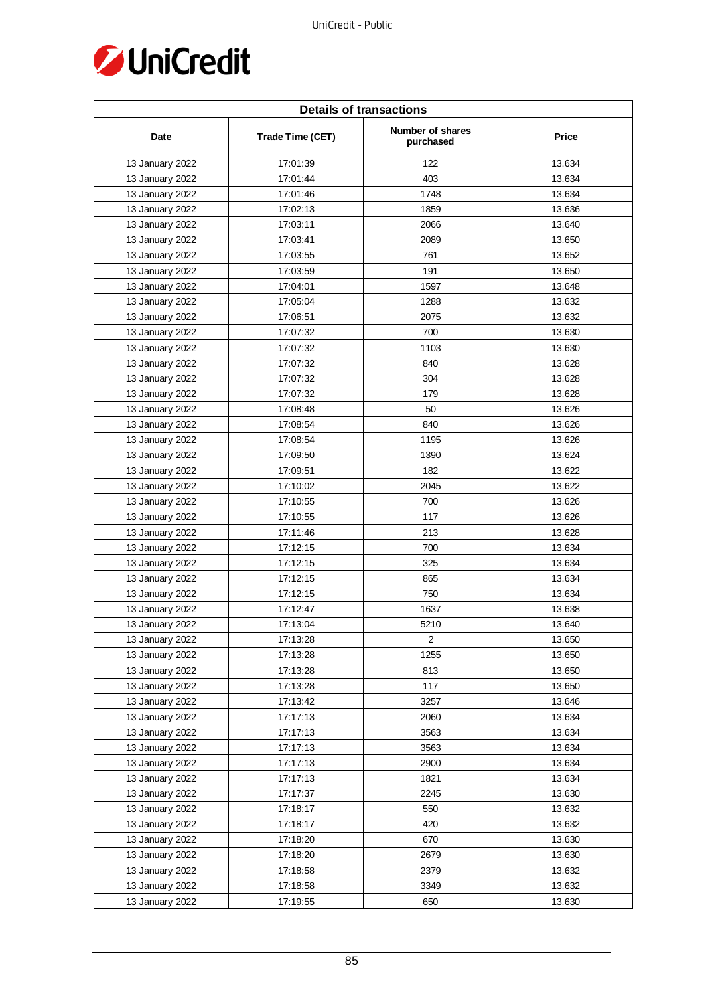

| <b>Details of transactions</b> |                  |                               |        |  |
|--------------------------------|------------------|-------------------------------|--------|--|
| Date                           | Trade Time (CET) | Number of shares<br>purchased | Price  |  |
| 13 January 2022                | 17:01:39         | 122                           | 13.634 |  |
| 13 January 2022                | 17:01:44         | 403                           | 13.634 |  |
| 13 January 2022                | 17:01:46         | 1748                          | 13.634 |  |
| 13 January 2022                | 17:02:13         | 1859                          | 13.636 |  |
| 13 January 2022                | 17:03:11         | 2066                          | 13.640 |  |
| 13 January 2022                | 17:03:41         | 2089                          | 13.650 |  |
| 13 January 2022                | 17:03:55         | 761                           | 13.652 |  |
| 13 January 2022                | 17:03:59         | 191                           | 13.650 |  |
| 13 January 2022                | 17:04:01         | 1597                          | 13.648 |  |
| 13 January 2022                | 17:05:04         | 1288                          | 13.632 |  |
| 13 January 2022                | 17:06:51         | 2075                          | 13.632 |  |
| 13 January 2022                | 17:07:32         | 700                           | 13.630 |  |
| 13 January 2022                | 17:07:32         | 1103                          | 13.630 |  |
| 13 January 2022                | 17:07:32         | 840                           | 13.628 |  |
| 13 January 2022                | 17:07:32         | 304                           | 13.628 |  |
| 13 January 2022                | 17:07:32         | 179                           | 13.628 |  |
| 13 January 2022                | 17:08:48         | 50                            | 13.626 |  |
| 13 January 2022                | 17:08:54         | 840                           | 13.626 |  |
| 13 January 2022                | 17:08:54         | 1195                          | 13.626 |  |
| 13 January 2022                | 17:09:50         | 1390                          | 13.624 |  |
| 13 January 2022                | 17:09:51         | 182                           | 13.622 |  |
| 13 January 2022                | 17:10:02         | 2045                          | 13.622 |  |
| 13 January 2022                | 17:10:55         | 700                           | 13.626 |  |
| 13 January 2022                | 17:10:55         | 117                           | 13.626 |  |
| 13 January 2022                | 17:11:46         | 213                           | 13.628 |  |
| 13 January 2022                | 17:12:15         | 700                           | 13.634 |  |
| 13 January 2022                | 17:12:15         | 325                           | 13.634 |  |
| 13 January 2022                | 17:12:15         | 865                           | 13.634 |  |
| 13 January 2022                | 17:12:15         | 750                           | 13.634 |  |
| 13 January 2022                | 17:12:47         | 1637                          | 13.638 |  |
| 13 January 2022                | 17:13:04         | 5210                          | 13.640 |  |
| 13 January 2022                | 17:13:28         | 2                             | 13.650 |  |
| 13 January 2022                | 17:13:28         | 1255                          | 13.650 |  |
| 13 January 2022                | 17:13:28         | 813                           | 13.650 |  |
| 13 January 2022                | 17:13:28         | 117                           | 13.650 |  |
| 13 January 2022                | 17:13:42         | 3257                          | 13.646 |  |
| 13 January 2022                | 17:17:13         | 2060                          | 13.634 |  |
| 13 January 2022                | 17:17:13         | 3563                          | 13.634 |  |
| 13 January 2022                | 17:17:13         | 3563                          | 13.634 |  |
| 13 January 2022                | 17:17:13         | 2900                          | 13.634 |  |
| 13 January 2022                | 17:17:13         | 1821                          | 13.634 |  |
| 13 January 2022                | 17:17:37         | 2245                          | 13.630 |  |
| 13 January 2022                | 17:18:17         | 550                           | 13.632 |  |
| 13 January 2022                | 17:18:17         | 420                           | 13.632 |  |
| 13 January 2022                | 17:18:20         | 670                           | 13.630 |  |
| 13 January 2022                | 17:18:20         | 2679                          | 13.630 |  |
| 13 January 2022                | 17:18:58         | 2379                          | 13.632 |  |
| 13 January 2022                | 17:18:58         | 3349                          | 13.632 |  |
| 13 January 2022                | 17:19:55         | 650                           | 13.630 |  |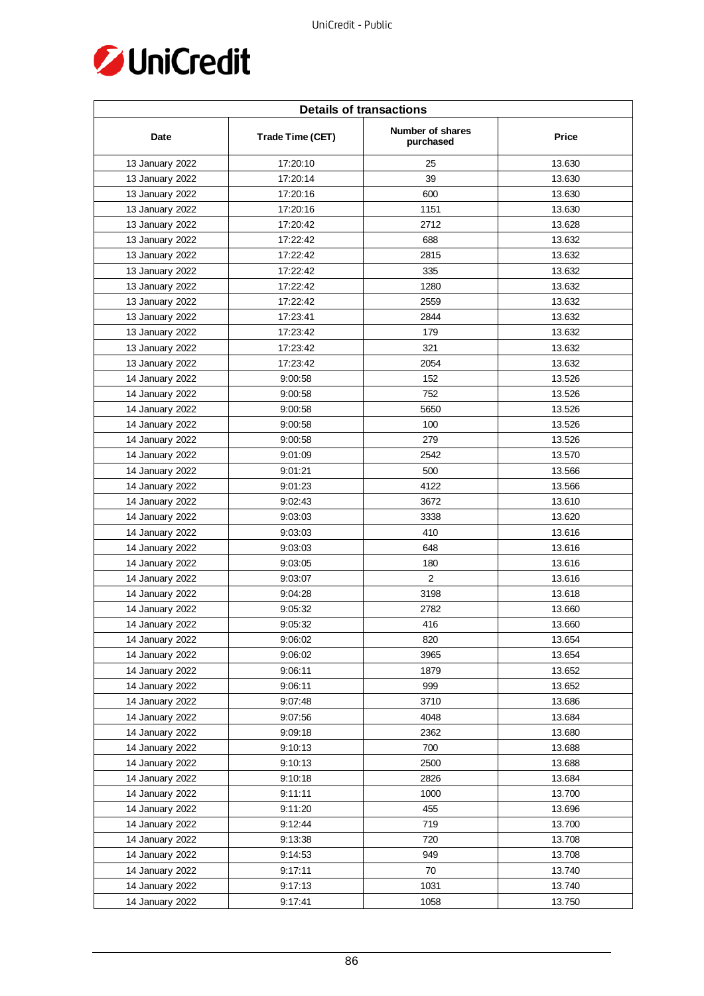

| <b>Details of transactions</b> |                  |                               |        |  |
|--------------------------------|------------------|-------------------------------|--------|--|
| Date                           | Trade Time (CET) | Number of shares<br>purchased | Price  |  |
| 13 January 2022                | 17:20:10         | 25                            | 13.630 |  |
| 13 January 2022                | 17:20:14         | 39                            | 13.630 |  |
| 13 January 2022                | 17:20:16         | 600                           | 13.630 |  |
| 13 January 2022                | 17:20:16         | 1151                          | 13.630 |  |
| 13 January 2022                | 17:20:42         | 2712                          | 13.628 |  |
| 13 January 2022                | 17:22:42         | 688                           | 13.632 |  |
| 13 January 2022                | 17:22:42         | 2815                          | 13.632 |  |
| 13 January 2022                | 17:22:42         | 335                           | 13.632 |  |
| 13 January 2022                | 17:22:42         | 1280                          | 13.632 |  |
| 13 January 2022                | 17:22:42         | 2559                          | 13.632 |  |
| 13 January 2022                | 17:23:41         | 2844                          | 13.632 |  |
| 13 January 2022                | 17:23:42         | 179                           | 13.632 |  |
| 13 January 2022                | 17:23:42         | 321                           | 13.632 |  |
| 13 January 2022                | 17:23:42         | 2054                          | 13.632 |  |
| 14 January 2022                | 9:00:58          | 152                           | 13.526 |  |
| 14 January 2022                | 9:00:58          | 752                           | 13.526 |  |
| 14 January 2022                | 9:00:58          | 5650                          | 13.526 |  |
| 14 January 2022                | 9:00:58          | 100                           | 13.526 |  |
| 14 January 2022                | 9:00:58          | 279                           | 13.526 |  |
| 14 January 2022                | 9:01:09          | 2542                          | 13.570 |  |
| 14 January 2022                | 9:01:21          | 500                           | 13.566 |  |
| 14 January 2022                | 9:01:23          | 4122                          | 13.566 |  |
| 14 January 2022                | 9:02:43          | 3672                          | 13.610 |  |
| 14 January 2022                | 9:03:03          | 3338                          | 13.620 |  |
| 14 January 2022                | 9:03:03          | 410                           | 13.616 |  |
| 14 January 2022                | 9:03:03          | 648                           | 13.616 |  |
| 14 January 2022                | 9:03:05          | 180                           | 13.616 |  |
| 14 January 2022                | 9:03:07          | 2                             | 13.616 |  |
| 14 January 2022                | 9:04:28          | 3198                          | 13.618 |  |
| 14 January 2022                | 9:05:32          | 2782                          | 13.660 |  |
| 14 January 2022                | 9:05:32          | 416                           | 13.660 |  |
| 14 January 2022                | 9:06:02          | 820                           | 13.654 |  |
| 14 January 2022                | 9:06:02          | 3965                          | 13.654 |  |
| 14 January 2022                | 9:06:11          | 1879                          | 13.652 |  |
| 14 January 2022                | 9:06:11          | 999                           | 13.652 |  |
| 14 January 2022                | 9:07:48          | 3710                          | 13.686 |  |
| 14 January 2022                | 9:07:56          | 4048                          | 13.684 |  |
| 14 January 2022                | 9:09:18          | 2362                          | 13.680 |  |
| 14 January 2022                | 9:10:13          | 700                           | 13.688 |  |
| 14 January 2022                | 9:10:13          | 2500                          | 13.688 |  |
| 14 January 2022                | 9:10:18          | 2826                          | 13.684 |  |
| 14 January 2022                | 9:11:11          | 1000                          | 13.700 |  |
| 14 January 2022                | 9:11:20          | 455                           | 13.696 |  |
| 14 January 2022                | 9:12:44          | 719                           | 13.700 |  |
| 14 January 2022                | 9:13:38          | 720                           | 13.708 |  |
| 14 January 2022                | 9:14:53          | 949                           | 13.708 |  |
| 14 January 2022                | 9:17:11          | 70                            | 13.740 |  |
| 14 January 2022                | 9:17:13          | 1031                          | 13.740 |  |
|                                |                  |                               |        |  |
| 14 January 2022                | 9:17:41          | 1058                          | 13.750 |  |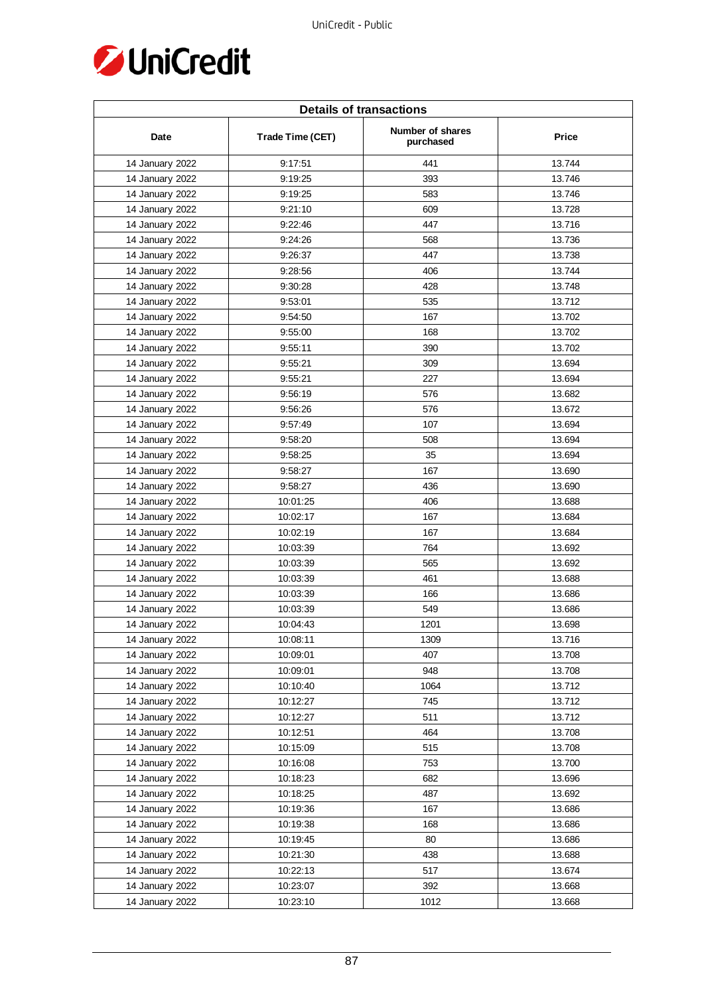

| <b>Details of transactions</b> |                  |                                      |              |  |
|--------------------------------|------------------|--------------------------------------|--------------|--|
| Date                           | Trade Time (CET) | <b>Number of shares</b><br>purchased | <b>Price</b> |  |
| 14 January 2022                | 9:17:51          | 441                                  | 13.744       |  |
| 14 January 2022                | 9:19:25          | 393                                  | 13.746       |  |
| 14 January 2022                | 9:19:25          | 583                                  | 13.746       |  |
| 14 January 2022                | 9:21:10          | 609                                  | 13.728       |  |
| 14 January 2022                | 9:22:46          | 447                                  | 13.716       |  |
| 14 January 2022                | 9:24:26          | 568                                  | 13.736       |  |
| 14 January 2022                | 9:26:37          | 447                                  | 13.738       |  |
| 14 January 2022                | 9:28:56          | 406                                  | 13.744       |  |
| 14 January 2022                | 9:30:28          | 428                                  | 13.748       |  |
| 14 January 2022                | 9:53:01          | 535                                  | 13.712       |  |
| 14 January 2022                | 9:54:50          | 167                                  | 13.702       |  |
| 14 January 2022                | 9:55:00          | 168                                  | 13.702       |  |
| 14 January 2022                | 9:55:11          | 390                                  | 13.702       |  |
| 14 January 2022                | 9:55:21          | 309                                  | 13.694       |  |
| 14 January 2022                | 9:55:21          | 227                                  | 13.694       |  |
| 14 January 2022                | 9:56:19          | 576                                  | 13.682       |  |
| 14 January 2022                | 9:56:26          | 576                                  | 13.672       |  |
| 14 January 2022                | 9:57:49          | 107                                  | 13.694       |  |
| 14 January 2022                | 9:58:20          | 508                                  | 13.694       |  |
| 14 January 2022                | 9:58:25          | 35                                   | 13.694       |  |
| 14 January 2022                | 9:58:27          | 167                                  | 13.690       |  |
| 14 January 2022                | 9:58:27          | 436                                  | 13.690       |  |
| 14 January 2022                | 10:01:25         | 406                                  | 13.688       |  |
| 14 January 2022                | 10:02:17         | 167                                  | 13.684       |  |
| 14 January 2022                | 10:02:19         | 167                                  | 13.684       |  |
| 14 January 2022                | 10:03:39         | 764                                  | 13.692       |  |
| 14 January 2022                | 10:03:39         | 565                                  | 13.692       |  |
| 14 January 2022                | 10:03:39         | 461                                  | 13.688       |  |
| 14 January 2022                | 10:03:39         | 166                                  | 13.686       |  |
| 14 January 2022                | 10:03:39         | 549                                  | 13.686       |  |
| 14 January 2022                | 10:04:43         | 1201                                 | 13.698       |  |
| 14 January 2022                | 10:08:11         | 1309                                 | 13.716       |  |
| 14 January 2022                | 10:09:01         | 407                                  | 13.708       |  |
| 14 January 2022                | 10:09:01         | 948                                  | 13.708       |  |
| 14 January 2022                | 10:10:40         | 1064                                 | 13.712       |  |
| 14 January 2022                | 10:12:27         | 745                                  | 13.712       |  |
| 14 January 2022                | 10:12:27         | 511                                  | 13.712       |  |
| 14 January 2022                | 10:12:51         | 464                                  | 13.708       |  |
| 14 January 2022                | 10:15:09         | 515                                  | 13.708       |  |
| 14 January 2022                | 10:16:08         | 753                                  | 13.700       |  |
| 14 January 2022                | 10:18:23         | 682                                  | 13.696       |  |
| 14 January 2022                | 10:18:25         | 487                                  | 13.692       |  |
| 14 January 2022                | 10:19:36         | 167                                  | 13.686       |  |
| 14 January 2022                | 10:19:38         | 168                                  | 13.686       |  |
| 14 January 2022                | 10:19:45         | 80                                   | 13.686       |  |
| 14 January 2022                | 10:21:30         | 438                                  | 13.688       |  |
| 14 January 2022                | 10:22:13         | 517                                  | 13.674       |  |
| 14 January 2022                | 10:23:07         | 392                                  | 13.668       |  |
| 14 January 2022                | 10:23:10         | 1012                                 | 13.668       |  |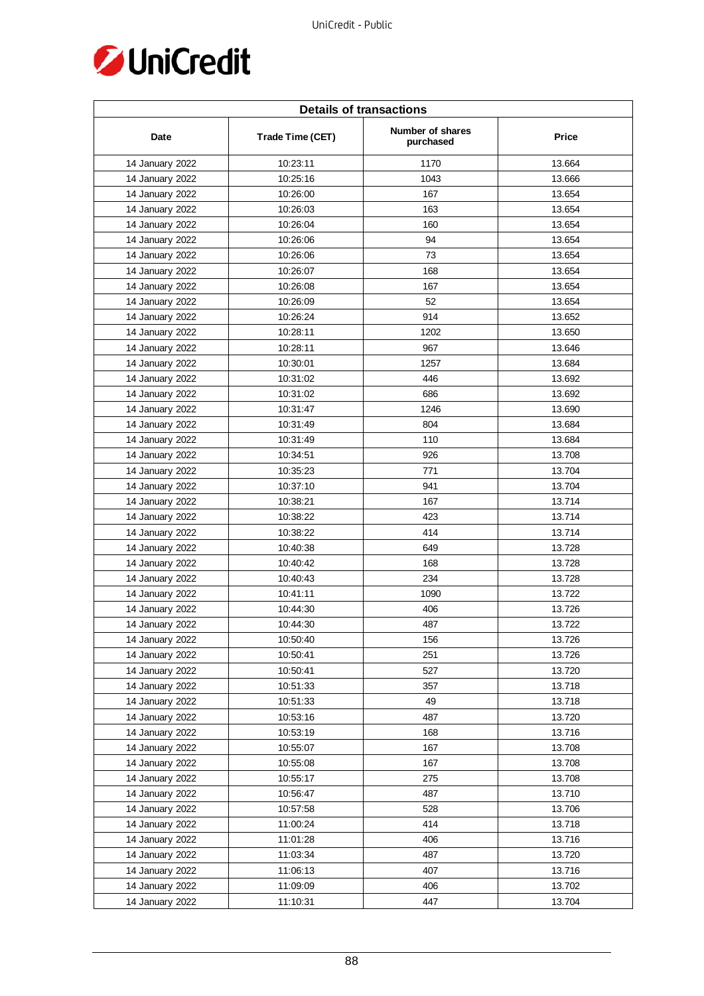

| <b>Details of transactions</b> |                  |                               |        |  |
|--------------------------------|------------------|-------------------------------|--------|--|
| Date                           | Trade Time (CET) | Number of shares<br>purchased | Price  |  |
| 14 January 2022                | 10:23:11         | 1170                          | 13.664 |  |
| 14 January 2022                | 10:25:16         | 1043                          | 13.666 |  |
| 14 January 2022                | 10:26:00         | 167                           | 13.654 |  |
| 14 January 2022                | 10:26:03         | 163                           | 13.654 |  |
| 14 January 2022                | 10:26:04         | 160                           | 13.654 |  |
| 14 January 2022                | 10:26:06         | 94                            | 13.654 |  |
| 14 January 2022                | 10:26:06         | 73                            | 13.654 |  |
| 14 January 2022                | 10:26:07         | 168                           | 13.654 |  |
| 14 January 2022                | 10:26:08         | 167                           | 13.654 |  |
| 14 January 2022                | 10:26:09         | 52                            | 13.654 |  |
| 14 January 2022                | 10:26:24         | 914                           | 13.652 |  |
| 14 January 2022                | 10:28:11         | 1202                          | 13.650 |  |
| 14 January 2022                | 10:28:11         | 967                           | 13.646 |  |
| 14 January 2022                | 10:30:01         | 1257                          | 13.684 |  |
| 14 January 2022                | 10:31:02         | 446                           | 13.692 |  |
| 14 January 2022                | 10:31:02         | 686                           | 13.692 |  |
| 14 January 2022                | 10:31:47         | 1246                          | 13.690 |  |
| 14 January 2022                | 10:31:49         | 804                           | 13.684 |  |
| 14 January 2022                | 10:31:49         | 110                           | 13.684 |  |
| 14 January 2022                | 10:34:51         | 926                           | 13.708 |  |
| 14 January 2022                | 10:35:23         | 771                           | 13.704 |  |
| 14 January 2022                | 10:37:10         | 941                           | 13.704 |  |
| 14 January 2022                | 10:38:21         | 167                           | 13.714 |  |
| 14 January 2022                | 10:38:22         | 423                           | 13.714 |  |
| 14 January 2022                | 10:38:22         | 414                           | 13.714 |  |
| 14 January 2022                | 10:40:38         | 649                           | 13.728 |  |
| 14 January 2022                | 10:40:42         | 168                           | 13.728 |  |
| 14 January 2022                | 10:40:43         | 234                           | 13.728 |  |
| 14 January 2022                | 10:41:11         | 1090                          | 13.722 |  |
| 14 January 2022                | 10:44:30         | 406                           | 13.726 |  |
| 14 January 2022                | 10:44:30         | 487                           | 13.722 |  |
| 14 January 2022                | 10:50:40         | 156                           | 13.726 |  |
| 14 January 2022                | 10:50:41         | 251                           | 13.726 |  |
| 14 January 2022                | 10:50:41         | 527                           | 13.720 |  |
| 14 January 2022                | 10:51:33         | 357                           | 13.718 |  |
| 14 January 2022                | 10:51:33         | 49                            | 13.718 |  |
| 14 January 2022                | 10:53:16         | 487                           | 13.720 |  |
| 14 January 2022                | 10:53:19         | 168                           | 13.716 |  |
| 14 January 2022                | 10:55:07         | 167                           | 13.708 |  |
| 14 January 2022                | 10:55:08         | 167                           | 13.708 |  |
| 14 January 2022                | 10:55:17         | 275                           | 13.708 |  |
| 14 January 2022                | 10:56:47         | 487                           | 13.710 |  |
| 14 January 2022                | 10:57:58         | 528                           | 13.706 |  |
| 14 January 2022                | 11:00:24         | 414                           | 13.718 |  |
| 14 January 2022                | 11:01:28         | 406                           | 13.716 |  |
| 14 January 2022                | 11:03:34         | 487                           | 13.720 |  |
| 14 January 2022                | 11:06:13         | 407                           | 13.716 |  |
| 14 January 2022                | 11:09:09         | 406                           | 13.702 |  |
| 14 January 2022                | 11:10:31         | 447                           | 13.704 |  |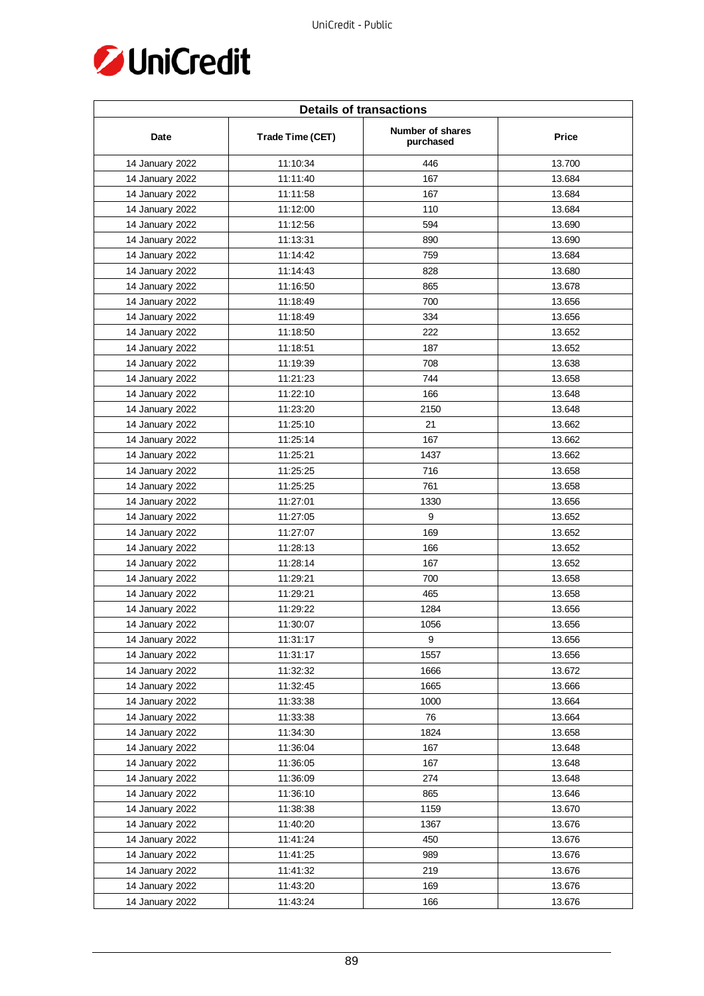

| <b>Details of transactions</b> |                  |                               |        |  |
|--------------------------------|------------------|-------------------------------|--------|--|
| Date                           | Trade Time (CET) | Number of shares<br>purchased | Price  |  |
| 14 January 2022                | 11:10:34         | 446                           | 13.700 |  |
| 14 January 2022                | 11:11:40         | 167                           | 13.684 |  |
| 14 January 2022                | 11:11:58         | 167                           | 13.684 |  |
| 14 January 2022                | 11:12:00         | 110                           | 13.684 |  |
| 14 January 2022                | 11:12:56         | 594                           | 13.690 |  |
| 14 January 2022                | 11:13:31         | 890                           | 13.690 |  |
| 14 January 2022                | 11:14:42         | 759                           | 13.684 |  |
| 14 January 2022                | 11:14:43         | 828                           | 13.680 |  |
| 14 January 2022                | 11:16:50         | 865                           | 13.678 |  |
| 14 January 2022                | 11:18:49         | 700                           | 13.656 |  |
| 14 January 2022                | 11:18:49         | 334                           | 13.656 |  |
| 14 January 2022                | 11:18:50         | 222                           | 13.652 |  |
| 14 January 2022                | 11:18:51         | 187                           | 13.652 |  |
| 14 January 2022                | 11:19:39         | 708                           | 13.638 |  |
| 14 January 2022                | 11:21:23         | 744                           | 13.658 |  |
| 14 January 2022                | 11:22:10         | 166                           | 13.648 |  |
| 14 January 2022                | 11:23:20         | 2150                          | 13.648 |  |
| 14 January 2022                | 11:25:10         | 21                            | 13.662 |  |
| 14 January 2022                | 11:25:14         | 167                           | 13.662 |  |
| 14 January 2022                | 11:25:21         | 1437                          | 13.662 |  |
| 14 January 2022                | 11:25:25         | 716                           | 13.658 |  |
| 14 January 2022                | 11:25:25         | 761                           | 13.658 |  |
| 14 January 2022                | 11:27:01         | 1330                          | 13.656 |  |
| 14 January 2022                | 11:27:05         | 9                             | 13.652 |  |
| 14 January 2022                | 11:27:07         | 169                           | 13.652 |  |
| 14 January 2022                | 11:28:13         | 166                           | 13.652 |  |
| 14 January 2022                | 11:28:14         | 167                           | 13.652 |  |
| 14 January 2022                | 11:29:21         | 700                           | 13.658 |  |
| 14 January 2022                | 11:29:21         | 465                           | 13.658 |  |
| 14 January 2022                | 11:29:22         | 1284                          | 13.656 |  |
| 14 January 2022                | 11:30:07         | 1056                          | 13.656 |  |
| 14 January 2022                | 11:31:17         | 9                             | 13.656 |  |
| 14 January 2022                | 11:31:17         | 1557                          | 13.656 |  |
| 14 January 2022                | 11:32:32         | 1666                          | 13.672 |  |
| 14 January 2022                | 11:32:45         | 1665                          | 13.666 |  |
| 14 January 2022                | 11:33:38         | 1000                          | 13.664 |  |
| 14 January 2022                | 11:33:38         | 76                            | 13.664 |  |
| 14 January 2022                | 11:34:30         | 1824                          | 13.658 |  |
| 14 January 2022                | 11:36:04         | 167                           | 13.648 |  |
| 14 January 2022                | 11:36:05         | 167                           | 13.648 |  |
| 14 January 2022                | 11:36:09         | 274                           | 13.648 |  |
| 14 January 2022                | 11:36:10         | 865                           | 13.646 |  |
| 14 January 2022                | 11:38:38         | 1159                          | 13.670 |  |
| 14 January 2022                | 11:40:20         | 1367                          | 13.676 |  |
| 14 January 2022                | 11:41:24         | 450                           | 13.676 |  |
| 14 January 2022                | 11:41:25         | 989                           | 13.676 |  |
| 14 January 2022                | 11:41:32         | 219                           | 13.676 |  |
| 14 January 2022                | 11:43:20         | 169                           | 13.676 |  |
| 14 January 2022                | 11:43:24         | 166                           | 13.676 |  |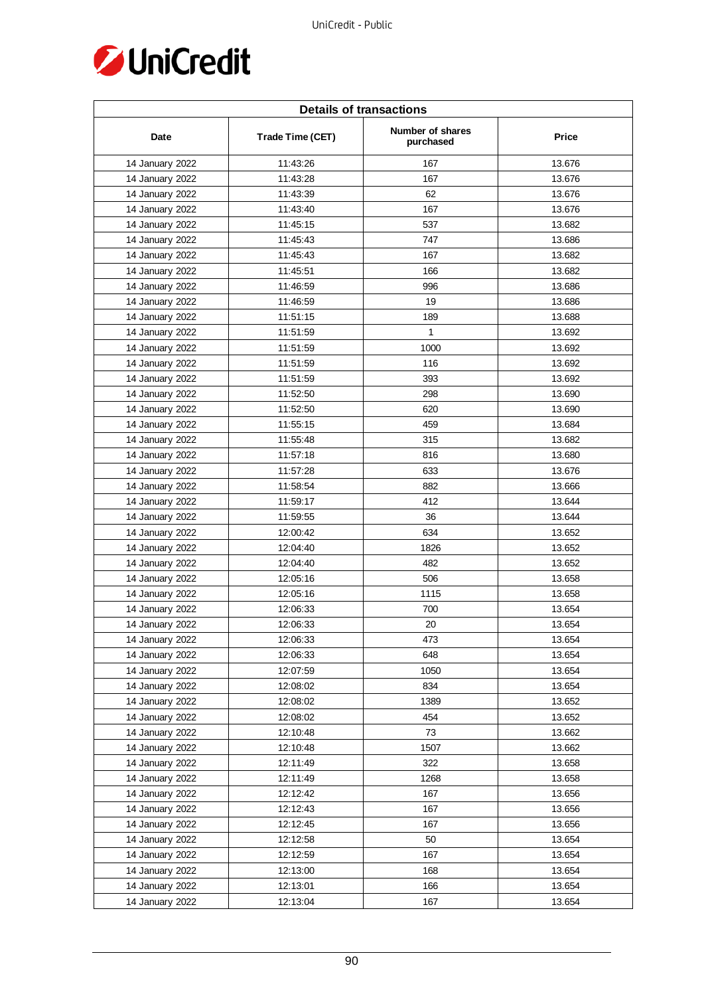

| <b>Details of transactions</b> |                  |                               |        |  |
|--------------------------------|------------------|-------------------------------|--------|--|
| Date                           | Trade Time (CET) | Number of shares<br>purchased | Price  |  |
| 14 January 2022                | 11:43:26         | 167                           | 13.676 |  |
| 14 January 2022                | 11:43:28         | 167                           | 13.676 |  |
| 14 January 2022                | 11:43:39         | 62                            | 13.676 |  |
| 14 January 2022                | 11:43:40         | 167                           | 13.676 |  |
| 14 January 2022                | 11:45:15         | 537                           | 13.682 |  |
| 14 January 2022                | 11:45:43         | 747                           | 13.686 |  |
| 14 January 2022                | 11:45:43         | 167                           | 13.682 |  |
| 14 January 2022                | 11:45:51         | 166                           | 13.682 |  |
| 14 January 2022                | 11:46:59         | 996                           | 13.686 |  |
| 14 January 2022                | 11:46:59         | 19                            | 13.686 |  |
| 14 January 2022                | 11:51:15         | 189                           | 13.688 |  |
| 14 January 2022                | 11:51:59         | 1                             | 13.692 |  |
| 14 January 2022                | 11:51:59         | 1000                          | 13.692 |  |
| 14 January 2022                | 11:51:59         | 116                           | 13.692 |  |
| 14 January 2022                | 11:51:59         | 393                           | 13.692 |  |
| 14 January 2022                | 11:52:50         | 298                           | 13.690 |  |
| 14 January 2022                | 11:52:50         | 620                           | 13.690 |  |
| 14 January 2022                | 11:55:15         | 459                           | 13.684 |  |
| 14 January 2022                | 11:55:48         | 315                           | 13.682 |  |
| 14 January 2022                | 11:57:18         | 816                           | 13.680 |  |
| 14 January 2022                | 11:57:28         | 633                           | 13.676 |  |
| 14 January 2022                | 11:58:54         | 882                           | 13.666 |  |
| 14 January 2022                | 11:59:17         | 412                           | 13.644 |  |
| 14 January 2022                | 11:59:55         | 36                            | 13.644 |  |
| 14 January 2022                | 12:00:42         | 634                           | 13.652 |  |
| 14 January 2022                | 12:04:40         | 1826                          | 13.652 |  |
| 14 January 2022                | 12:04:40         | 482                           | 13.652 |  |
| 14 January 2022                | 12:05:16         | 506                           | 13.658 |  |
| 14 January 2022                | 12:05:16         | 1115                          | 13.658 |  |
| 14 January 2022                | 12:06:33         | 700                           | 13.654 |  |
| 14 January 2022                | 12:06:33         | 20                            | 13.654 |  |
| 14 January 2022                | 12:06:33         | 473                           | 13.654 |  |
| 14 January 2022                | 12:06:33         | 648                           | 13.654 |  |
| 14 January 2022                | 12:07:59         | 1050                          | 13.654 |  |
| 14 January 2022                | 12:08:02         | 834                           | 13.654 |  |
| 14 January 2022                | 12:08:02         | 1389                          | 13.652 |  |
| 14 January 2022                | 12:08:02         | 454                           | 13.652 |  |
| 14 January 2022                | 12:10:48         | 73                            | 13.662 |  |
| 14 January 2022                | 12:10:48         | 1507                          | 13.662 |  |
| 14 January 2022                | 12:11:49         | 322                           | 13.658 |  |
| 14 January 2022                | 12:11:49         | 1268                          | 13.658 |  |
| 14 January 2022                | 12:12:42         | 167                           | 13.656 |  |
| 14 January 2022                | 12:12:43         | 167                           | 13.656 |  |
| 14 January 2022                | 12:12:45         | 167                           | 13.656 |  |
| 14 January 2022                | 12:12:58         | 50                            | 13.654 |  |
| 14 January 2022                | 12:12:59         | 167                           | 13.654 |  |
| 14 January 2022                | 12:13:00         | 168                           | 13.654 |  |
| 14 January 2022                | 12:13:01         | 166                           | 13.654 |  |
| 14 January 2022                | 12:13:04         | 167                           | 13.654 |  |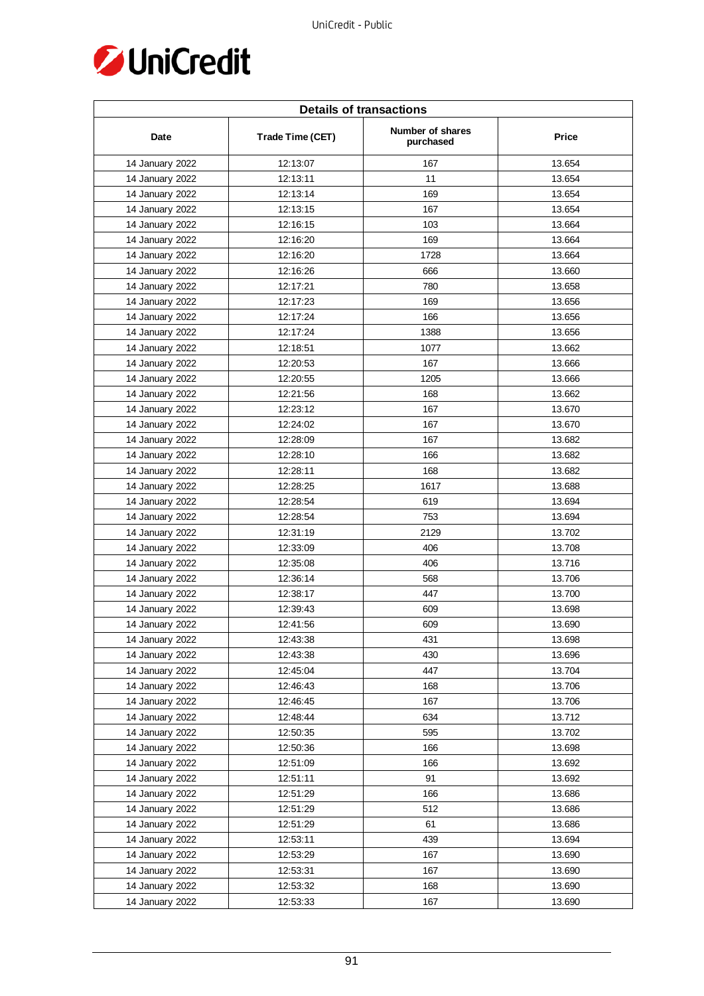

| <b>Details of transactions</b> |                  |                               |        |  |
|--------------------------------|------------------|-------------------------------|--------|--|
| Date                           | Trade Time (CET) | Number of shares<br>purchased | Price  |  |
| 14 January 2022                | 12:13:07         | 167                           | 13.654 |  |
| 14 January 2022                | 12:13:11         | 11                            | 13.654 |  |
| 14 January 2022                | 12:13:14         | 169                           | 13.654 |  |
| 14 January 2022                | 12:13:15         | 167                           | 13.654 |  |
| 14 January 2022                | 12:16:15         | 103                           | 13.664 |  |
| 14 January 2022                | 12:16:20         | 169                           | 13.664 |  |
| 14 January 2022                | 12:16:20         | 1728                          | 13.664 |  |
| 14 January 2022                | 12:16:26         | 666                           | 13.660 |  |
| 14 January 2022                | 12:17:21         | 780                           | 13.658 |  |
| 14 January 2022                | 12:17:23         | 169                           | 13.656 |  |
| 14 January 2022                | 12:17:24         | 166                           | 13.656 |  |
| 14 January 2022                | 12:17:24         | 1388                          | 13.656 |  |
| 14 January 2022                | 12:18:51         | 1077                          | 13.662 |  |
| 14 January 2022                | 12:20:53         | 167                           | 13.666 |  |
| 14 January 2022                | 12:20:55         | 1205                          | 13.666 |  |
| 14 January 2022                | 12:21:56         | 168                           | 13.662 |  |
| 14 January 2022                | 12:23:12         | 167                           | 13.670 |  |
| 14 January 2022                | 12:24:02         | 167                           | 13.670 |  |
| 14 January 2022                | 12:28:09         | 167                           | 13.682 |  |
| 14 January 2022                | 12:28:10         | 166                           | 13.682 |  |
| 14 January 2022                | 12:28:11         | 168                           | 13.682 |  |
| 14 January 2022                | 12:28:25         | 1617                          | 13.688 |  |
| 14 January 2022                | 12:28:54         | 619                           | 13.694 |  |
| 14 January 2022                | 12:28:54         | 753                           | 13.694 |  |
| 14 January 2022                | 12:31:19         | 2129                          | 13.702 |  |
| 14 January 2022                | 12:33:09         | 406                           | 13.708 |  |
| 14 January 2022                | 12:35:08         | 406                           | 13.716 |  |
| 14 January 2022                | 12:36:14         | 568                           | 13.706 |  |
| 14 January 2022                | 12:38:17         | 447                           | 13.700 |  |
| 14 January 2022                | 12:39:43         | 609                           | 13.698 |  |
| 14 January 2022                | 12:41:56         | 609                           | 13.690 |  |
| 14 January 2022                | 12:43:38         | 431                           | 13.698 |  |
| 14 January 2022                | 12:43:38         | 430                           | 13.696 |  |
| 14 January 2022                | 12:45:04         | 447                           | 13.704 |  |
| 14 January 2022                | 12:46:43         | 168                           | 13.706 |  |
| 14 January 2022                | 12:46:45         | 167                           | 13.706 |  |
| 14 January 2022                | 12:48:44         | 634                           | 13.712 |  |
| 14 January 2022                | 12:50:35         | 595                           | 13.702 |  |
| 14 January 2022                | 12:50:36         | 166                           | 13.698 |  |
| 14 January 2022                | 12:51:09         | 166                           | 13.692 |  |
| 14 January 2022                | 12:51:11         | 91                            | 13.692 |  |
| 14 January 2022                | 12:51:29         | 166                           | 13.686 |  |
| 14 January 2022                | 12:51:29         | 512                           | 13.686 |  |
| 14 January 2022                | 12:51:29         | 61                            | 13.686 |  |
| 14 January 2022                | 12:53:11         | 439                           | 13.694 |  |
| 14 January 2022                | 12:53:29         | 167                           | 13.690 |  |
| 14 January 2022                | 12:53:31         | 167                           | 13.690 |  |
| 14 January 2022                | 12:53:32         | 168                           | 13.690 |  |
| 14 January 2022                | 12:53:33         | 167                           | 13.690 |  |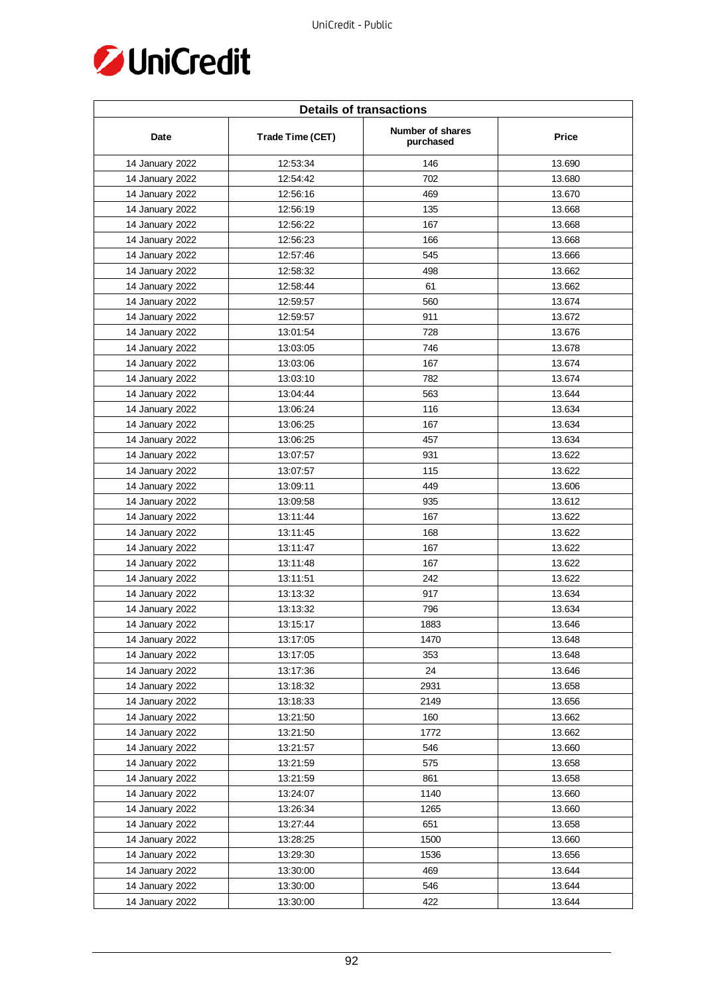

| <b>Details of transactions</b> |                  |                               |        |  |
|--------------------------------|------------------|-------------------------------|--------|--|
| Date                           | Trade Time (CET) | Number of shares<br>purchased | Price  |  |
| 14 January 2022                | 12:53:34         | 146                           | 13.690 |  |
| 14 January 2022                | 12:54:42         | 702                           | 13.680 |  |
| 14 January 2022                | 12:56:16         | 469                           | 13.670 |  |
| 14 January 2022                | 12:56:19         | 135                           | 13.668 |  |
| 14 January 2022                | 12:56:22         | 167                           | 13.668 |  |
| 14 January 2022                | 12:56:23         | 166                           | 13.668 |  |
| 14 January 2022                | 12:57:46         | 545                           | 13.666 |  |
| 14 January 2022                | 12:58:32         | 498                           | 13.662 |  |
| 14 January 2022                | 12:58:44         | 61                            | 13.662 |  |
| 14 January 2022                | 12:59:57         | 560                           | 13.674 |  |
| 14 January 2022                | 12:59:57         | 911                           | 13.672 |  |
| 14 January 2022                | 13:01:54         | 728                           | 13.676 |  |
| 14 January 2022                | 13:03:05         | 746                           | 13.678 |  |
| 14 January 2022                | 13:03:06         | 167                           | 13.674 |  |
| 14 January 2022                | 13:03:10         | 782                           | 13.674 |  |
| 14 January 2022                | 13:04:44         | 563                           | 13.644 |  |
| 14 January 2022                | 13:06:24         | 116                           | 13.634 |  |
| 14 January 2022                | 13:06:25         | 167                           | 13.634 |  |
| 14 January 2022                | 13:06:25         | 457                           | 13.634 |  |
| 14 January 2022                | 13:07:57         | 931                           | 13.622 |  |
| 14 January 2022                | 13:07:57         | 115                           | 13.622 |  |
| 14 January 2022                | 13:09:11         | 449                           | 13.606 |  |
| 14 January 2022                | 13:09:58         | 935                           | 13.612 |  |
| 14 January 2022                | 13:11:44         | 167                           | 13.622 |  |
| 14 January 2022                | 13:11:45         | 168                           | 13.622 |  |
| 14 January 2022                | 13:11:47         | 167                           | 13.622 |  |
| 14 January 2022                | 13:11:48         | 167                           | 13.622 |  |
| 14 January 2022                | 13:11:51         | 242                           | 13.622 |  |
| 14 January 2022                | 13:13:32         | 917                           | 13.634 |  |
| 14 January 2022                | 13:13:32         | 796                           | 13.634 |  |
| 14 January 2022                | 13:15:17         | 1883                          | 13.646 |  |
| 14 January 2022                | 13:17:05         | 1470                          | 13.648 |  |
| 14 January 2022                | 13:17:05         | 353                           | 13.648 |  |
| 14 January 2022                | 13:17:36         | 24                            | 13.646 |  |
| 14 January 2022                | 13:18:32         | 2931                          | 13.658 |  |
| 14 January 2022                | 13:18:33         | 2149                          | 13.656 |  |
| 14 January 2022                | 13:21:50         | 160                           | 13.662 |  |
| 14 January 2022                | 13:21:50         | 1772                          | 13.662 |  |
| 14 January 2022                | 13:21:57         | 546                           | 13.660 |  |
| 14 January 2022                | 13:21:59         | 575                           | 13.658 |  |
| 14 January 2022                | 13:21:59         | 861                           | 13.658 |  |
| 14 January 2022                | 13:24:07         | 1140                          | 13.660 |  |
| 14 January 2022                | 13:26:34         | 1265                          | 13.660 |  |
| 14 January 2022                | 13:27:44         | 651                           | 13.658 |  |
| 14 January 2022                | 13:28:25         | 1500                          | 13.660 |  |
| 14 January 2022                | 13:29:30         | 1536                          | 13.656 |  |
| 14 January 2022                | 13:30:00         | 469                           | 13.644 |  |
| 14 January 2022                | 13:30:00         | 546                           | 13.644 |  |
| 14 January 2022                | 13:30:00         | 422                           | 13.644 |  |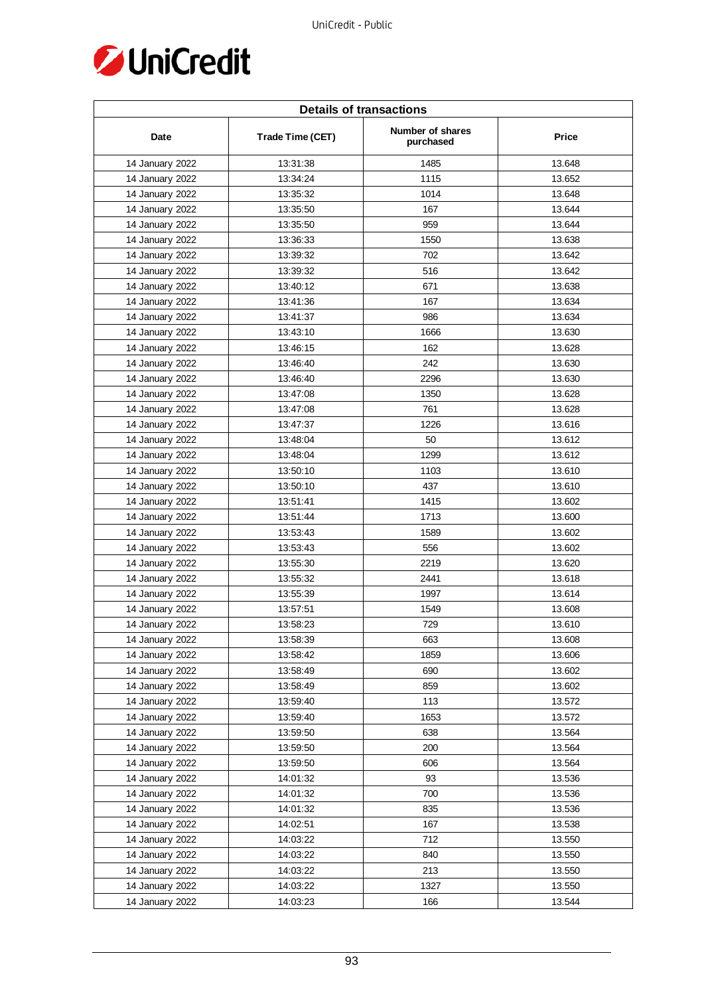

| <b>Details of transactions</b> |                  |                               |        |  |
|--------------------------------|------------------|-------------------------------|--------|--|
| Date                           | Trade Time (CET) | Number of shares<br>purchased | Price  |  |
| 14 January 2022                | 13:31:38         | 1485                          | 13.648 |  |
| 14 January 2022                | 13:34:24         | 1115                          | 13.652 |  |
| 14 January 2022                | 13:35:32         | 1014                          | 13.648 |  |
| 14 January 2022                | 13:35:50         | 167                           | 13.644 |  |
| 14 January 2022                | 13:35:50         | 959                           | 13.644 |  |
| 14 January 2022                | 13:36:33         | 1550                          | 13.638 |  |
| 14 January 2022                | 13:39:32         | 702                           | 13.642 |  |
| 14 January 2022                | 13:39:32         | 516                           | 13.642 |  |
| 14 January 2022                | 13:40:12         | 671                           | 13.638 |  |
| 14 January 2022                | 13:41:36         | 167                           | 13.634 |  |
| 14 January 2022                | 13:41:37         | 986                           | 13.634 |  |
| 14 January 2022                | 13:43:10         | 1666                          | 13.630 |  |
| 14 January 2022                | 13:46:15         | 162                           | 13.628 |  |
| 14 January 2022                | 13:46:40         | 242                           | 13.630 |  |
| 14 January 2022                | 13:46:40         | 2296                          | 13.630 |  |
| 14 January 2022                | 13:47:08         | 1350                          | 13.628 |  |
| 14 January 2022                | 13:47:08         | 761                           | 13.628 |  |
| 14 January 2022                | 13:47:37         | 1226                          | 13.616 |  |
| 14 January 2022                | 13:48:04         | 50                            | 13.612 |  |
| 14 January 2022                | 13:48:04         | 1299                          | 13.612 |  |
| 14 January 2022                | 13:50:10         | 1103                          | 13.610 |  |
| 14 January 2022                | 13:50:10         | 437                           | 13.610 |  |
| 14 January 2022                | 13:51:41         | 1415                          | 13.602 |  |
| 14 January 2022                | 13:51:44         | 1713                          | 13.600 |  |
| 14 January 2022                | 13:53:43         | 1589                          | 13.602 |  |
| 14 January 2022                | 13:53:43         | 556                           | 13.602 |  |
| 14 January 2022                | 13:55:30         | 2219                          | 13.620 |  |
| 14 January 2022                | 13:55:32         | 2441                          | 13.618 |  |
| 14 January 2022                | 13:55:39         | 1997                          | 13.614 |  |
| 14 January 2022                | 13:57:51         | 1549                          | 13.608 |  |
| 14 January 2022                | 13:58:23         | 729                           | 13.610 |  |
| 14 January 2022                | 13:58:39         | 663                           | 13.608 |  |
| 14 January 2022                | 13:58:42         | 1859                          | 13.606 |  |
| 14 January 2022                | 13:58:49         | 690                           | 13.602 |  |
| 14 January 2022                | 13:58:49         | 859                           | 13.602 |  |
| 14 January 2022                | 13:59:40         | 113                           | 13.572 |  |
| 14 January 2022                | 13:59:40         | 1653                          | 13.572 |  |
| 14 January 2022                | 13:59:50         | 638                           | 13.564 |  |
| 14 January 2022                | 13:59:50         | 200                           | 13.564 |  |
| 14 January 2022                | 13:59:50         | 606                           | 13.564 |  |
| 14 January 2022                | 14:01:32         | 93                            | 13.536 |  |
| 14 January 2022                | 14:01:32         | 700                           | 13.536 |  |
| 14 January 2022                | 14:01:32         | 835                           | 13.536 |  |
| 14 January 2022                | 14:02:51         | 167                           | 13.538 |  |
| 14 January 2022                | 14:03:22         | 712                           | 13.550 |  |
|                                | 14:03:22         | 840                           | 13.550 |  |
| 14 January 2022                |                  |                               |        |  |
| 14 January 2022                | 14:03:22         | 213<br>1327                   | 13.550 |  |
| 14 January 2022                | 14:03:22         |                               | 13.550 |  |
| 14 January 2022                | 14:03:23         | 166                           | 13.544 |  |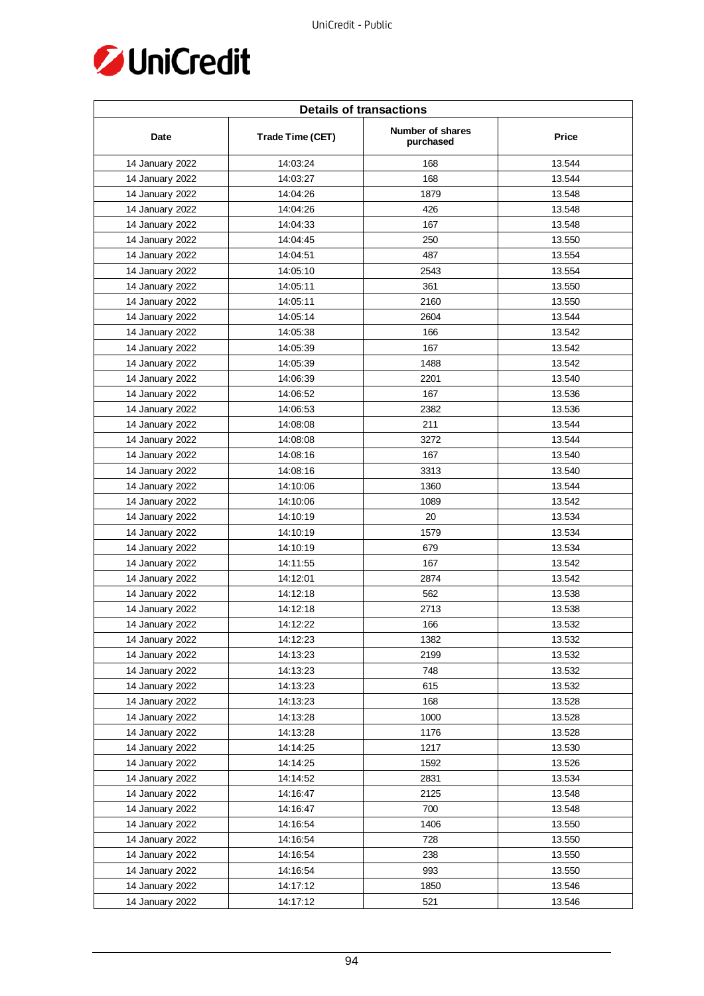

| <b>Details of transactions</b> |                  |                               |              |  |
|--------------------------------|------------------|-------------------------------|--------------|--|
| Date                           | Trade Time (CET) | Number of shares<br>purchased | <b>Price</b> |  |
| 14 January 2022                | 14:03:24         | 168                           | 13.544       |  |
| 14 January 2022                | 14:03:27         | 168                           | 13.544       |  |
| 14 January 2022                | 14:04:26         | 1879                          | 13.548       |  |
| 14 January 2022                | 14:04:26         | 426                           | 13.548       |  |
| 14 January 2022                | 14:04:33         | 167                           | 13.548       |  |
| 14 January 2022                | 14:04:45         | 250                           | 13.550       |  |
| 14 January 2022                | 14:04:51         | 487                           | 13.554       |  |
| 14 January 2022                | 14:05:10         | 2543                          | 13.554       |  |
| 14 January 2022                | 14:05:11         | 361                           | 13.550       |  |
| 14 January 2022                | 14:05:11         | 2160                          | 13.550       |  |
| 14 January 2022                | 14:05:14         | 2604                          | 13.544       |  |
| 14 January 2022                | 14:05:38         | 166                           | 13.542       |  |
| 14 January 2022                | 14:05:39         | 167                           | 13.542       |  |
| 14 January 2022                | 14:05:39         | 1488                          | 13.542       |  |
| 14 January 2022                | 14:06:39         | 2201                          | 13.540       |  |
| 14 January 2022                | 14:06:52         | 167                           | 13.536       |  |
| 14 January 2022                | 14:06:53         | 2382                          | 13.536       |  |
| 14 January 2022                | 14:08:08         | 211                           | 13.544       |  |
| 14 January 2022                | 14:08:08         | 3272                          | 13.544       |  |
| 14 January 2022                | 14:08:16         | 167                           | 13.540       |  |
| 14 January 2022                | 14:08:16         | 3313                          | 13.540       |  |
| 14 January 2022                | 14:10:06         | 1360                          | 13.544       |  |
| 14 January 2022                | 14:10:06         | 1089                          | 13.542       |  |
| 14 January 2022                | 14:10:19         | 20                            | 13.534       |  |
| 14 January 2022                | 14:10:19         | 1579                          | 13.534       |  |
| 14 January 2022                | 14:10:19         | 679                           | 13.534       |  |
| 14 January 2022                | 14:11:55         | 167                           | 13.542       |  |
| 14 January 2022                | 14:12:01         | 2874                          | 13.542       |  |
| 14 January 2022                | 14:12:18         | 562                           | 13.538       |  |
| 14 January 2022                | 14:12:18         | 2713                          | 13.538       |  |
| 14 January 2022                | 14:12:22         | 166                           | 13.532       |  |
| 14 January 2022                | 14:12:23         | 1382                          | 13.532       |  |
| 14 January 2022                | 14:13:23         | 2199                          | 13.532       |  |
| 14 January 2022                | 14:13:23         | 748                           | 13.532       |  |
| 14 January 2022                | 14:13:23         | 615                           | 13.532       |  |
| 14 January 2022                | 14:13:23         | 168                           | 13.528       |  |
| 14 January 2022                | 14:13:28         | 1000                          | 13.528       |  |
| 14 January 2022                | 14:13:28         | 1176                          | 13.528       |  |
| 14 January 2022                | 14:14:25         | 1217                          | 13.530       |  |
| 14 January 2022                | 14:14:25         | 1592                          | 13.526       |  |
| 14 January 2022                | 14:14:52         | 2831                          | 13.534       |  |
| 14 January 2022                | 14:16:47         | 2125                          | 13.548       |  |
| 14 January 2022                | 14:16:47         | 700                           | 13.548       |  |
| 14 January 2022                | 14:16:54         | 1406                          | 13.550       |  |
| 14 January 2022                | 14:16:54         | 728                           | 13.550       |  |
| 14 January 2022                | 14:16:54         | 238                           | 13.550       |  |
| 14 January 2022                | 14:16:54         | 993                           | 13.550       |  |
| 14 January 2022                | 14:17:12         | 1850                          | 13.546       |  |
| 14 January 2022                | 14:17:12         | 521                           | 13.546       |  |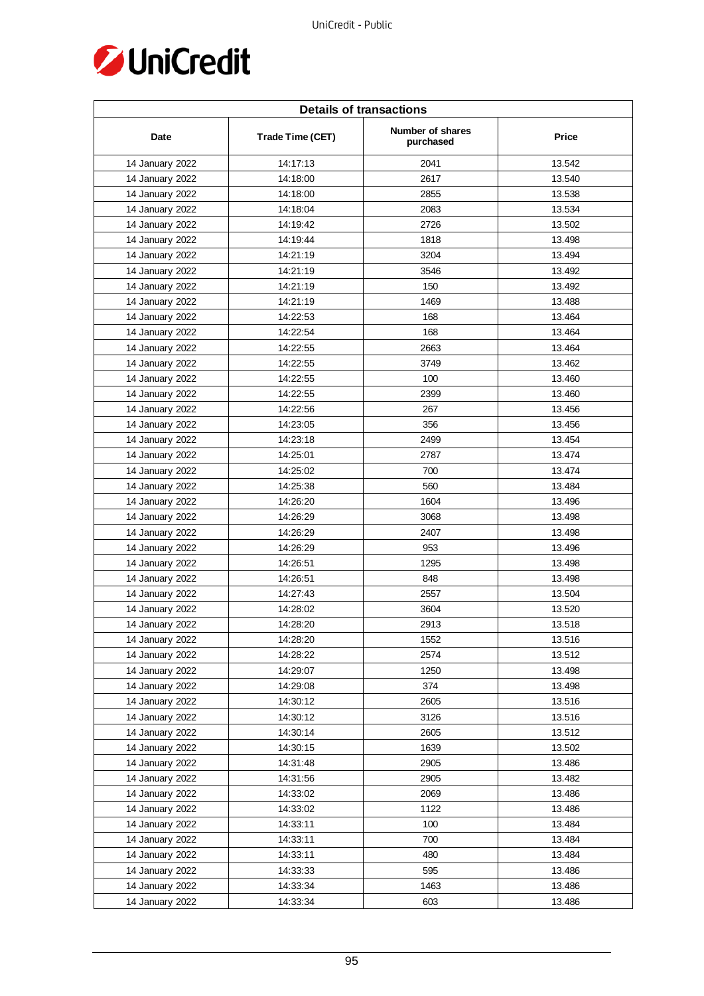

| <b>Details of transactions</b> |                  |                               |        |  |
|--------------------------------|------------------|-------------------------------|--------|--|
| Date                           | Trade Time (CET) | Number of shares<br>purchased | Price  |  |
| 14 January 2022                | 14:17:13         | 2041                          | 13.542 |  |
| 14 January 2022                | 14:18:00         | 2617                          | 13.540 |  |
| 14 January 2022                | 14:18:00         | 2855                          | 13.538 |  |
| 14 January 2022                | 14:18:04         | 2083                          | 13.534 |  |
| 14 January 2022                | 14:19:42         | 2726                          | 13.502 |  |
| 14 January 2022                | 14:19:44         | 1818                          | 13.498 |  |
| 14 January 2022                | 14:21:19         | 3204                          | 13.494 |  |
| 14 January 2022                | 14:21:19         | 3546                          | 13.492 |  |
| 14 January 2022                | 14:21:19         | 150                           | 13.492 |  |
| 14 January 2022                | 14:21:19         | 1469                          | 13.488 |  |
| 14 January 2022                | 14:22:53         | 168                           | 13.464 |  |
| 14 January 2022                | 14:22:54         | 168                           | 13.464 |  |
| 14 January 2022                | 14:22:55         | 2663                          | 13.464 |  |
| 14 January 2022                | 14:22:55         | 3749                          | 13.462 |  |
| 14 January 2022                | 14:22:55         | 100                           | 13.460 |  |
| 14 January 2022                | 14:22:55         | 2399                          | 13.460 |  |
| 14 January 2022                | 14:22:56         | 267                           | 13.456 |  |
| 14 January 2022                | 14:23:05         | 356                           | 13.456 |  |
| 14 January 2022                | 14:23:18         | 2499                          | 13.454 |  |
| 14 January 2022                | 14:25:01         | 2787                          | 13.474 |  |
| 14 January 2022                | 14:25:02         | 700                           | 13.474 |  |
| 14 January 2022                | 14:25:38         | 560                           | 13.484 |  |
| 14 January 2022                | 14:26:20         | 1604                          | 13.496 |  |
| 14 January 2022                | 14:26:29         | 3068                          | 13.498 |  |
| 14 January 2022                | 14:26:29         | 2407                          | 13.498 |  |
| 14 January 2022                | 14:26:29         | 953                           | 13.496 |  |
| 14 January 2022                | 14:26:51         | 1295                          | 13.498 |  |
| 14 January 2022                | 14:26:51         | 848                           | 13.498 |  |
| 14 January 2022                | 14:27:43         | 2557                          | 13.504 |  |
| 14 January 2022                | 14:28:02         | 3604                          | 13.520 |  |
| 14 January 2022                | 14:28:20         | 2913                          | 13.518 |  |
| 14 January 2022                | 14:28:20         | 1552                          | 13.516 |  |
| 14 January 2022                | 14:28:22         | 2574                          | 13.512 |  |
| 14 January 2022                | 14:29:07         | 1250                          | 13.498 |  |
| 14 January 2022                | 14:29:08         | 374                           | 13.498 |  |
| 14 January 2022                | 14:30:12         | 2605                          | 13.516 |  |
| 14 January 2022                | 14:30:12         | 3126                          | 13.516 |  |
| 14 January 2022                | 14:30:14         | 2605                          | 13.512 |  |
| 14 January 2022                | 14:30:15         | 1639                          | 13.502 |  |
| 14 January 2022                | 14:31:48         | 2905                          | 13.486 |  |
| 14 January 2022                | 14:31:56         | 2905                          | 13.482 |  |
| 14 January 2022                | 14:33:02         | 2069                          | 13.486 |  |
| 14 January 2022                | 14:33:02         | 1122                          | 13.486 |  |
| 14 January 2022                | 14:33:11         | 100                           | 13.484 |  |
| 14 January 2022                | 14:33:11         | 700                           | 13.484 |  |
| 14 January 2022                | 14:33:11         | 480                           | 13.484 |  |
| 14 January 2022                | 14:33:33         | 595                           | 13.486 |  |
| 14 January 2022                | 14:33:34         | 1463                          | 13.486 |  |
| 14 January 2022                | 14:33:34         | 603                           | 13.486 |  |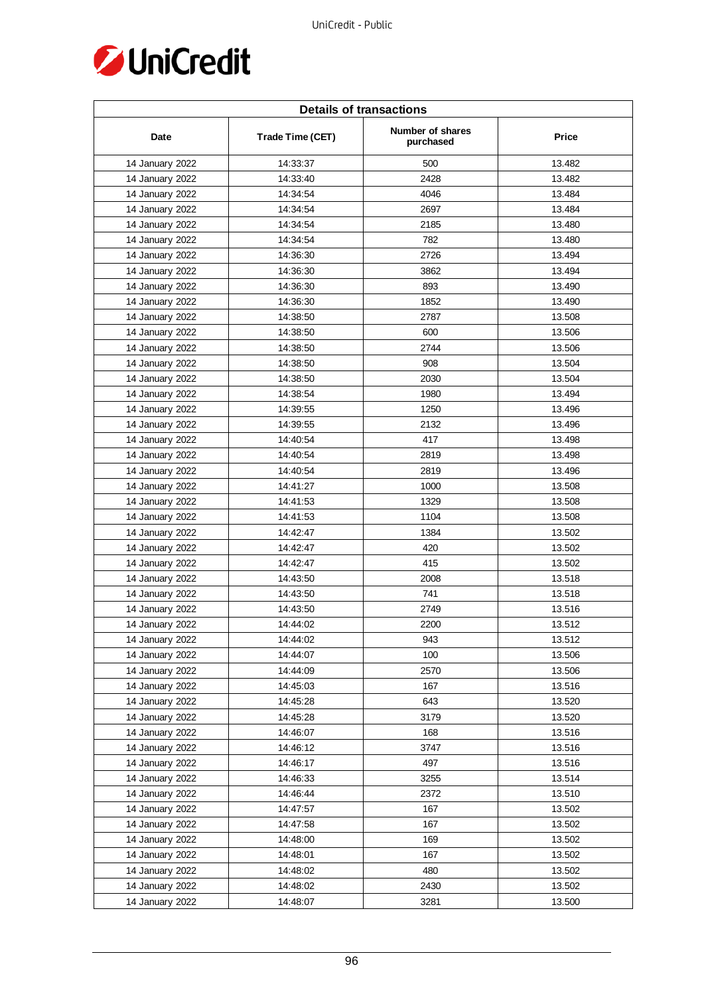

| <b>Details of transactions</b> |                  |                               |        |  |
|--------------------------------|------------------|-------------------------------|--------|--|
| Date                           | Trade Time (CET) | Number of shares<br>purchased | Price  |  |
| 14 January 2022                | 14:33:37         | 500                           | 13.482 |  |
| 14 January 2022                | 14:33:40         | 2428                          | 13.482 |  |
| 14 January 2022                | 14:34:54         | 4046                          | 13.484 |  |
| 14 January 2022                | 14:34:54         | 2697                          | 13.484 |  |
| 14 January 2022                | 14:34:54         | 2185                          | 13.480 |  |
| 14 January 2022                | 14:34:54         | 782                           | 13.480 |  |
| 14 January 2022                | 14:36:30         | 2726                          | 13.494 |  |
| 14 January 2022                | 14:36:30         | 3862                          | 13.494 |  |
| 14 January 2022                | 14:36:30         | 893                           | 13.490 |  |
| 14 January 2022                | 14:36:30         | 1852                          | 13.490 |  |
| 14 January 2022                | 14:38:50         | 2787                          | 13.508 |  |
| 14 January 2022                | 14:38:50         | 600                           | 13.506 |  |
| 14 January 2022                | 14:38:50         | 2744                          | 13.506 |  |
| 14 January 2022                | 14:38:50         | 908                           | 13.504 |  |
| 14 January 2022                | 14:38:50         | 2030                          | 13.504 |  |
| 14 January 2022                | 14:38:54         | 1980                          | 13.494 |  |
| 14 January 2022                | 14:39:55         | 1250                          | 13.496 |  |
| 14 January 2022                | 14:39:55         | 2132                          | 13.496 |  |
| 14 January 2022                | 14:40:54         | 417                           | 13.498 |  |
| 14 January 2022                | 14:40:54         | 2819                          | 13.498 |  |
| 14 January 2022                | 14:40:54         | 2819                          | 13.496 |  |
| 14 January 2022                | 14:41:27         | 1000                          | 13.508 |  |
| 14 January 2022                | 14:41:53         | 1329                          | 13.508 |  |
| 14 January 2022                | 14:41:53         | 1104                          | 13.508 |  |
| 14 January 2022                | 14:42:47         | 1384                          | 13.502 |  |
| 14 January 2022                | 14:42:47         | 420                           | 13.502 |  |
| 14 January 2022                | 14:42:47         | 415                           | 13.502 |  |
| 14 January 2022                | 14:43:50         | 2008                          | 13.518 |  |
| 14 January 2022                | 14:43:50         | 741                           | 13.518 |  |
| 14 January 2022                | 14:43:50         | 2749                          | 13.516 |  |
| 14 January 2022                | 14:44:02         | 2200                          | 13.512 |  |
| 14 January 2022                | 14:44:02         | 943                           | 13.512 |  |
| 14 January 2022                | 14:44:07         | 100                           | 13.506 |  |
| 14 January 2022                | 14:44:09         | 2570                          | 13.506 |  |
| 14 January 2022                | 14:45:03         | 167                           | 13.516 |  |
| 14 January 2022                | 14:45:28         | 643                           | 13.520 |  |
| 14 January 2022                | 14:45:28         | 3179                          | 13.520 |  |
| 14 January 2022                | 14:46:07         | 168                           | 13.516 |  |
| 14 January 2022                | 14:46:12         | 3747                          | 13.516 |  |
| 14 January 2022                | 14:46:17         | 497                           | 13.516 |  |
| 14 January 2022                | 14:46:33         | 3255                          | 13.514 |  |
| 14 January 2022                | 14:46:44         | 2372                          | 13.510 |  |
| 14 January 2022                | 14:47:57         | 167                           | 13.502 |  |
| 14 January 2022                | 14:47:58         | 167                           | 13.502 |  |
| 14 January 2022                | 14:48:00         | 169                           | 13.502 |  |
| 14 January 2022                | 14:48:01         | 167                           | 13.502 |  |
| 14 January 2022                | 14:48:02         | 480                           | 13.502 |  |
| 14 January 2022                | 14:48:02         | 2430                          | 13.502 |  |
| 14 January 2022                | 14:48:07         | 3281                          | 13.500 |  |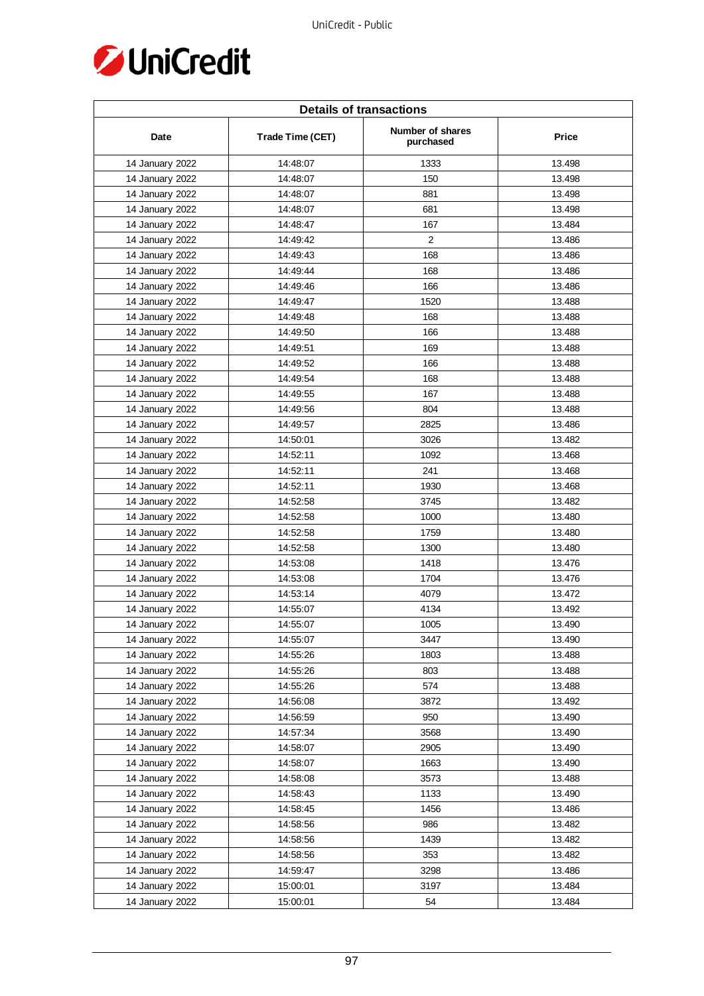

| <b>Details of transactions</b> |                  |                               |              |  |
|--------------------------------|------------------|-------------------------------|--------------|--|
| Date                           | Trade Time (CET) | Number of shares<br>purchased | <b>Price</b> |  |
| 14 January 2022                | 14:48:07         | 1333                          | 13.498       |  |
| 14 January 2022                | 14:48:07         | 150                           | 13.498       |  |
| 14 January 2022                | 14:48:07         | 881                           | 13.498       |  |
| 14 January 2022                | 14:48:07         | 681                           | 13.498       |  |
| 14 January 2022                | 14:48:47         | 167                           | 13.484       |  |
| 14 January 2022                | 14:49:42         | $\overline{2}$                | 13.486       |  |
| 14 January 2022                | 14:49:43         | 168                           | 13.486       |  |
| 14 January 2022                | 14:49:44         | 168                           | 13.486       |  |
| 14 January 2022                | 14:49:46         | 166                           | 13.486       |  |
| 14 January 2022                | 14:49:47         | 1520                          | 13.488       |  |
| 14 January 2022                | 14:49:48         | 168                           | 13.488       |  |
| 14 January 2022                | 14:49:50         | 166                           | 13.488       |  |
| 14 January 2022                | 14:49:51         | 169                           | 13.488       |  |
| 14 January 2022                | 14:49:52         | 166                           | 13.488       |  |
| 14 January 2022                | 14:49:54         | 168                           | 13.488       |  |
| 14 January 2022                | 14:49:55         | 167                           | 13.488       |  |
| 14 January 2022                | 14:49:56         | 804                           | 13.488       |  |
| 14 January 2022                | 14:49:57         | 2825                          | 13.486       |  |
| 14 January 2022                | 14:50:01         | 3026                          | 13.482       |  |
| 14 January 2022                | 14:52:11         | 1092                          | 13.468       |  |
| 14 January 2022                | 14:52:11         | 241                           | 13.468       |  |
| 14 January 2022                | 14:52:11         | 1930                          | 13.468       |  |
| 14 January 2022                | 14:52:58         | 3745                          | 13.482       |  |
| 14 January 2022                | 14:52:58         | 1000                          | 13.480       |  |
| 14 January 2022                | 14:52:58         | 1759                          | 13.480       |  |
| 14 January 2022                | 14:52:58         | 1300                          | 13.480       |  |
| 14 January 2022                | 14:53:08         | 1418                          | 13.476       |  |
| 14 January 2022                | 14:53:08         | 1704                          | 13.476       |  |
| 14 January 2022                | 14:53:14         | 4079                          | 13.472       |  |
| 14 January 2022                | 14:55:07         | 4134                          | 13.492       |  |
| 14 January 2022                | 14:55:07         | 1005                          | 13.490       |  |
| 14 January 2022                | 14:55:07         | 3447                          | 13.490       |  |
| 14 January 2022                | 14:55:26         | 1803                          | 13.488       |  |
| 14 January 2022                | 14:55:26         | 803                           | 13.488       |  |
| 14 January 2022                | 14:55:26         | 574                           | 13.488       |  |
| 14 January 2022                | 14:56:08         | 3872                          | 13.492       |  |
| 14 January 2022                | 14:56:59         | 950                           | 13.490       |  |
| 14 January 2022                | 14:57:34         | 3568                          | 13.490       |  |
| 14 January 2022                | 14:58:07         | 2905                          | 13.490       |  |
| 14 January 2022                | 14:58:07         | 1663                          | 13.490       |  |
| 14 January 2022                | 14:58:08         | 3573                          | 13.488       |  |
| 14 January 2022                | 14:58:43         | 1133                          | 13.490       |  |
| 14 January 2022                | 14:58:45         | 1456                          | 13.486       |  |
| 14 January 2022                | 14:58:56         | 986                           | 13.482       |  |
| 14 January 2022                | 14:58:56         | 1439                          | 13.482       |  |
| 14 January 2022                | 14:58:56         | 353                           | 13.482       |  |
| 14 January 2022                | 14:59:47         | 3298                          | 13.486       |  |
| 14 January 2022                | 15:00:01         | 3197                          | 13.484       |  |
| 14 January 2022                | 15:00:01         | 54                            | 13.484       |  |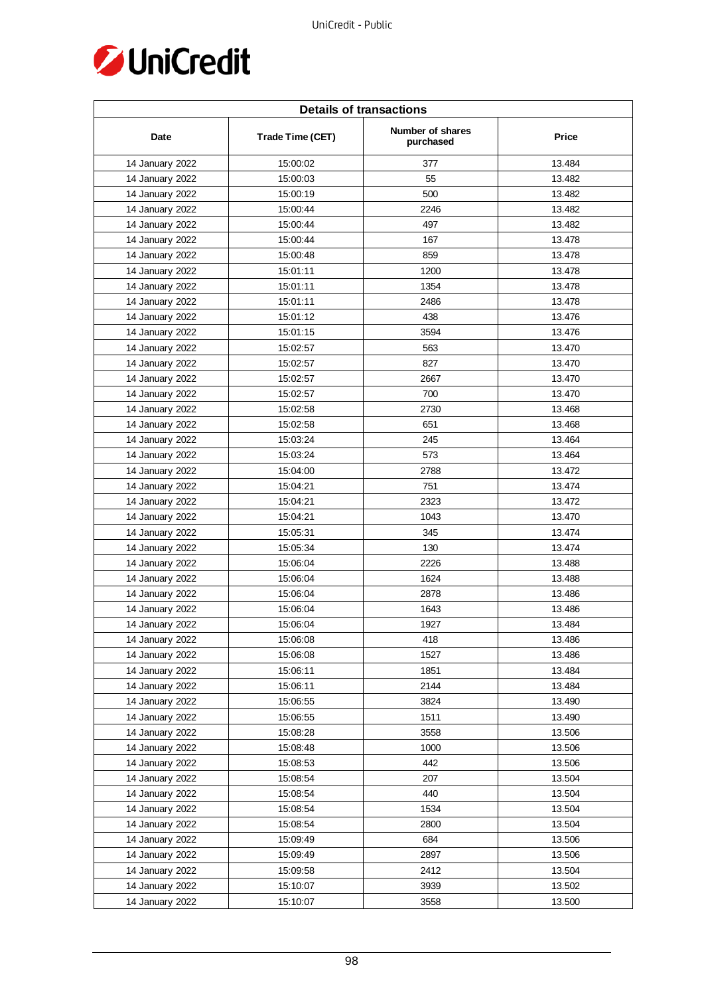

| <b>Details of transactions</b> |                  |                                      |              |  |
|--------------------------------|------------------|--------------------------------------|--------------|--|
| Date                           | Trade Time (CET) | <b>Number of shares</b><br>purchased | <b>Price</b> |  |
| 14 January 2022                | 15:00:02         | 377                                  | 13.484       |  |
| 14 January 2022                | 15:00:03         | 55                                   | 13.482       |  |
| 14 January 2022                | 15:00:19         | 500                                  | 13.482       |  |
| 14 January 2022                | 15:00:44         | 2246                                 | 13.482       |  |
| 14 January 2022                | 15:00:44         | 497                                  | 13.482       |  |
| 14 January 2022                | 15:00:44         | 167                                  | 13.478       |  |
| 14 January 2022                | 15:00:48         | 859                                  | 13.478       |  |
| 14 January 2022                | 15:01:11         | 1200                                 | 13.478       |  |
| 14 January 2022                | 15:01:11         | 1354                                 | 13.478       |  |
| 14 January 2022                | 15:01:11         | 2486                                 | 13.478       |  |
| 14 January 2022                | 15:01:12         | 438                                  | 13.476       |  |
| 14 January 2022                | 15:01:15         | 3594                                 | 13.476       |  |
| 14 January 2022                | 15:02:57         | 563                                  | 13.470       |  |
| 14 January 2022                | 15:02:57         | 827                                  | 13.470       |  |
| 14 January 2022                | 15:02:57         | 2667                                 | 13.470       |  |
| 14 January 2022                | 15:02:57         | 700                                  | 13.470       |  |
| 14 January 2022                | 15:02:58         | 2730                                 | 13.468       |  |
| 14 January 2022                | 15:02:58         | 651                                  | 13.468       |  |
| 14 January 2022                | 15:03:24         | 245                                  | 13.464       |  |
| 14 January 2022                | 15:03:24         | 573                                  | 13.464       |  |
| 14 January 2022                | 15:04:00         | 2788                                 | 13.472       |  |
| 14 January 2022                | 15:04:21         | 751                                  | 13.474       |  |
| 14 January 2022                | 15:04:21         | 2323                                 | 13.472       |  |
| 14 January 2022                | 15:04:21         | 1043                                 | 13.470       |  |
| 14 January 2022                | 15:05:31         | 345                                  | 13.474       |  |
| 14 January 2022                | 15:05:34         | 130                                  | 13.474       |  |
| 14 January 2022                | 15:06:04         | 2226                                 | 13.488       |  |
| 14 January 2022                | 15:06:04         | 1624                                 | 13.488       |  |
| 14 January 2022                | 15:06:04         | 2878                                 | 13.486       |  |
| 14 January 2022                | 15:06:04         | 1643                                 | 13.486       |  |
| 14 January 2022                | 15:06:04         | 1927                                 | 13.484       |  |
| 14 January 2022                | 15:06:08         | 418                                  | 13.486       |  |
| 14 January 2022                | 15:06:08         | 1527                                 | 13.486       |  |
| 14 January 2022                | 15:06:11         | 1851                                 | 13.484       |  |
| 14 January 2022                | 15:06:11         | 2144                                 | 13.484       |  |
| 14 January 2022                | 15:06:55         | 3824                                 | 13.490       |  |
| 14 January 2022                | 15:06:55         | 1511                                 | 13.490       |  |
| 14 January 2022                | 15:08:28         | 3558                                 | 13.506       |  |
| 14 January 2022                | 15:08:48         | 1000                                 | 13.506       |  |
| 14 January 2022                | 15:08:53         | 442                                  | 13.506       |  |
| 14 January 2022                | 15:08:54         | 207                                  | 13.504       |  |
| 14 January 2022                | 15:08:54         | 440                                  | 13.504       |  |
| 14 January 2022                | 15:08:54         | 1534                                 | 13.504       |  |
| 14 January 2022                | 15:08:54         | 2800                                 | 13.504       |  |
| 14 January 2022                | 15:09:49         | 684                                  | 13.506       |  |
| 14 January 2022                | 15:09:49         | 2897                                 | 13.506       |  |
| 14 January 2022                | 15:09:58         | 2412                                 | 13.504       |  |
| 14 January 2022                | 15:10:07         | 3939                                 | 13.502       |  |
| 14 January 2022                | 15:10:07         | 3558                                 | 13.500       |  |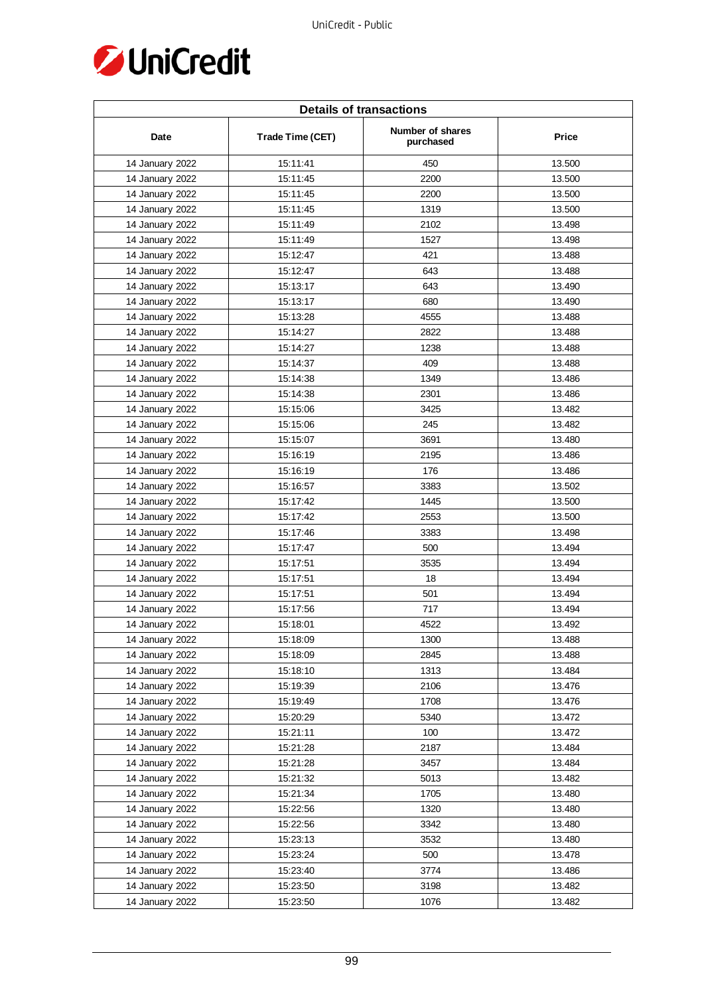

| <b>Details of transactions</b> |                  |                               |        |  |
|--------------------------------|------------------|-------------------------------|--------|--|
| Date                           | Trade Time (CET) | Number of shares<br>purchased | Price  |  |
| 14 January 2022                | 15:11:41         | 450                           | 13.500 |  |
| 14 January 2022                | 15:11:45         | 2200                          | 13.500 |  |
| 14 January 2022                | 15:11:45         | 2200                          | 13.500 |  |
| 14 January 2022                | 15:11:45         | 1319                          | 13.500 |  |
| 14 January 2022                | 15:11:49         | 2102                          | 13.498 |  |
| 14 January 2022                | 15:11:49         | 1527                          | 13.498 |  |
| 14 January 2022                | 15:12:47         | 421                           | 13.488 |  |
| 14 January 2022                | 15:12:47         | 643                           | 13.488 |  |
| 14 January 2022                | 15:13:17         | 643                           | 13.490 |  |
| 14 January 2022                | 15:13:17         | 680                           | 13.490 |  |
| 14 January 2022                | 15:13:28         | 4555                          | 13.488 |  |
| 14 January 2022                | 15:14:27         | 2822                          | 13.488 |  |
| 14 January 2022                | 15:14:27         | 1238                          | 13.488 |  |
| 14 January 2022                | 15:14:37         | 409                           | 13.488 |  |
| 14 January 2022                | 15:14:38         | 1349                          | 13.486 |  |
| 14 January 2022                | 15:14:38         | 2301                          | 13.486 |  |
| 14 January 2022                | 15:15:06         | 3425                          | 13.482 |  |
| 14 January 2022                | 15:15:06         | 245                           | 13.482 |  |
| 14 January 2022                | 15:15:07         | 3691                          | 13.480 |  |
| 14 January 2022                | 15:16:19         | 2195                          | 13.486 |  |
| 14 January 2022                | 15:16:19         | 176                           | 13.486 |  |
| 14 January 2022                | 15:16:57         | 3383                          | 13.502 |  |
| 14 January 2022                | 15:17:42         | 1445                          | 13.500 |  |
| 14 January 2022                | 15:17:42         | 2553                          | 13.500 |  |
| 14 January 2022                | 15:17:46         | 3383                          | 13.498 |  |
| 14 January 2022                | 15:17:47         | 500                           | 13.494 |  |
| 14 January 2022                | 15:17:51         | 3535                          | 13.494 |  |
| 14 January 2022                | 15:17:51         | 18                            | 13.494 |  |
| 14 January 2022                | 15:17:51         | 501                           | 13.494 |  |
| 14 January 2022                | 15:17:56         | 717                           | 13.494 |  |
| 14 January 2022                | 15:18:01         | 4522                          | 13.492 |  |
| 14 January 2022                | 15:18:09         | 1300                          | 13.488 |  |
| 14 January 2022                | 15:18:09         | 2845                          | 13.488 |  |
| 14 January 2022                | 15:18:10         | 1313                          | 13.484 |  |
| 14 January 2022                | 15:19:39         | 2106                          | 13.476 |  |
| 14 January 2022                | 15:19:49         | 1708                          | 13.476 |  |
| 14 January 2022                | 15:20:29         | 5340                          | 13.472 |  |
| 14 January 2022                | 15:21:11         | 100                           | 13.472 |  |
| 14 January 2022                | 15:21:28         | 2187                          | 13.484 |  |
| 14 January 2022                | 15:21:28         | 3457                          | 13.484 |  |
| 14 January 2022                | 15:21:32         | 5013                          | 13.482 |  |
| 14 January 2022                | 15:21:34         | 1705                          | 13.480 |  |
| 14 January 2022                | 15:22:56         | 1320                          | 13.480 |  |
| 14 January 2022                | 15:22:56         | 3342                          | 13.480 |  |
| 14 January 2022                | 15:23:13         | 3532                          | 13.480 |  |
| 14 January 2022                | 15:23:24         | 500                           | 13.478 |  |
| 14 January 2022                | 15:23:40         | 3774                          | 13.486 |  |
| 14 January 2022                | 15:23:50         | 3198                          | 13.482 |  |
| 14 January 2022                | 15:23:50         | 1076                          | 13.482 |  |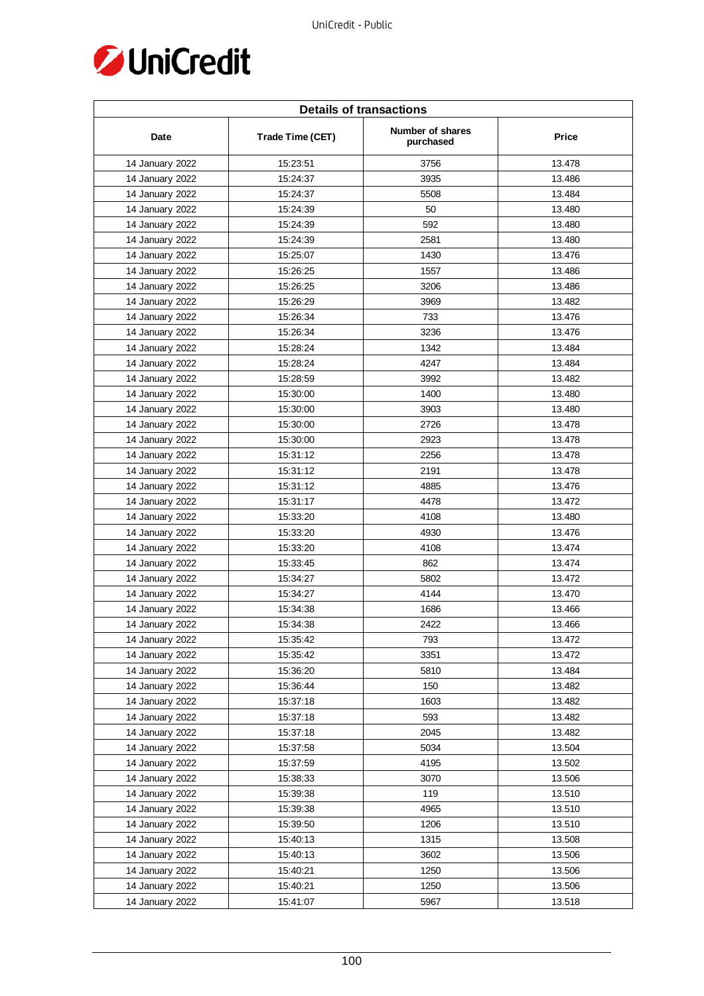

| <b>Details of transactions</b> |                  |                               |        |  |
|--------------------------------|------------------|-------------------------------|--------|--|
| Date                           | Trade Time (CET) | Number of shares<br>purchased | Price  |  |
| 14 January 2022                | 15:23:51         | 3756                          | 13.478 |  |
| 14 January 2022                | 15:24:37         | 3935                          | 13.486 |  |
| 14 January 2022                | 15:24:37         | 5508                          | 13.484 |  |
| 14 January 2022                | 15:24:39         | 50                            | 13.480 |  |
| 14 January 2022                | 15:24:39         | 592                           | 13.480 |  |
| 14 January 2022                | 15:24:39         | 2581                          | 13.480 |  |
| 14 January 2022                | 15:25:07         | 1430                          | 13.476 |  |
| 14 January 2022                | 15:26:25         | 1557                          | 13.486 |  |
| 14 January 2022                | 15:26:25         | 3206                          | 13.486 |  |
| 14 January 2022                | 15:26:29         | 3969                          | 13.482 |  |
| 14 January 2022                | 15:26:34         | 733                           | 13.476 |  |
| 14 January 2022                | 15:26:34         | 3236                          | 13.476 |  |
| 14 January 2022                | 15:28:24         | 1342                          | 13.484 |  |
| 14 January 2022                | 15:28:24         | 4247                          | 13.484 |  |
| 14 January 2022                | 15:28:59         | 3992                          | 13.482 |  |
| 14 January 2022                | 15:30:00         | 1400                          | 13.480 |  |
| 14 January 2022                | 15:30:00         | 3903                          | 13.480 |  |
| 14 January 2022                | 15:30:00         | 2726                          | 13.478 |  |
| 14 January 2022                | 15:30:00         | 2923                          | 13.478 |  |
| 14 January 2022                | 15:31:12         | 2256                          | 13.478 |  |
| 14 January 2022                | 15:31:12         | 2191                          | 13.478 |  |
| 14 January 2022                | 15:31:12         | 4885                          | 13.476 |  |
| 14 January 2022                | 15:31:17         | 4478                          | 13.472 |  |
| 14 January 2022                | 15:33:20         | 4108                          | 13.480 |  |
| 14 January 2022                | 15:33:20         | 4930                          | 13.476 |  |
| 14 January 2022                | 15:33:20         | 4108                          | 13.474 |  |
| 14 January 2022                | 15:33:45         | 862                           | 13.474 |  |
| 14 January 2022                | 15:34:27         | 5802                          | 13.472 |  |
| 14 January 2022                | 15:34:27         | 4144                          | 13.470 |  |
| 14 January 2022                | 15:34:38         | 1686                          | 13.466 |  |
| 14 January 2022                | 15:34:38         | 2422                          | 13.466 |  |
| 14 January 2022                | 15:35:42         | 793                           | 13.472 |  |
| 14 January 2022                | 15:35:42         | 3351                          | 13.472 |  |
| 14 January 2022                | 15:36:20         | 5810                          | 13.484 |  |
| 14 January 2022                | 15:36:44         | 150                           | 13.482 |  |
| 14 January 2022                | 15:37:18         | 1603                          | 13.482 |  |
| 14 January 2022                | 15:37:18         | 593                           | 13.482 |  |
| 14 January 2022                | 15:37:18         | 2045                          | 13.482 |  |
| 14 January 2022                | 15:37:58         | 5034                          | 13.504 |  |
| 14 January 2022                | 15:37:59         | 4195                          | 13.502 |  |
| 14 January 2022                | 15:38:33         | 3070                          | 13.506 |  |
| 14 January 2022                | 15:39:38         | 119                           | 13.510 |  |
| 14 January 2022                | 15:39:38         | 4965                          | 13.510 |  |
| 14 January 2022                | 15:39:50         | 1206                          | 13.510 |  |
| 14 January 2022                | 15:40:13         | 1315                          | 13.508 |  |
| 14 January 2022                | 15:40:13         | 3602                          | 13.506 |  |
| 14 January 2022                | 15:40:21         | 1250                          | 13.506 |  |
| 14 January 2022                | 15:40:21         | 1250                          | 13.506 |  |
| 14 January 2022                | 15:41:07         | 5967                          | 13.518 |  |
|                                |                  |                               |        |  |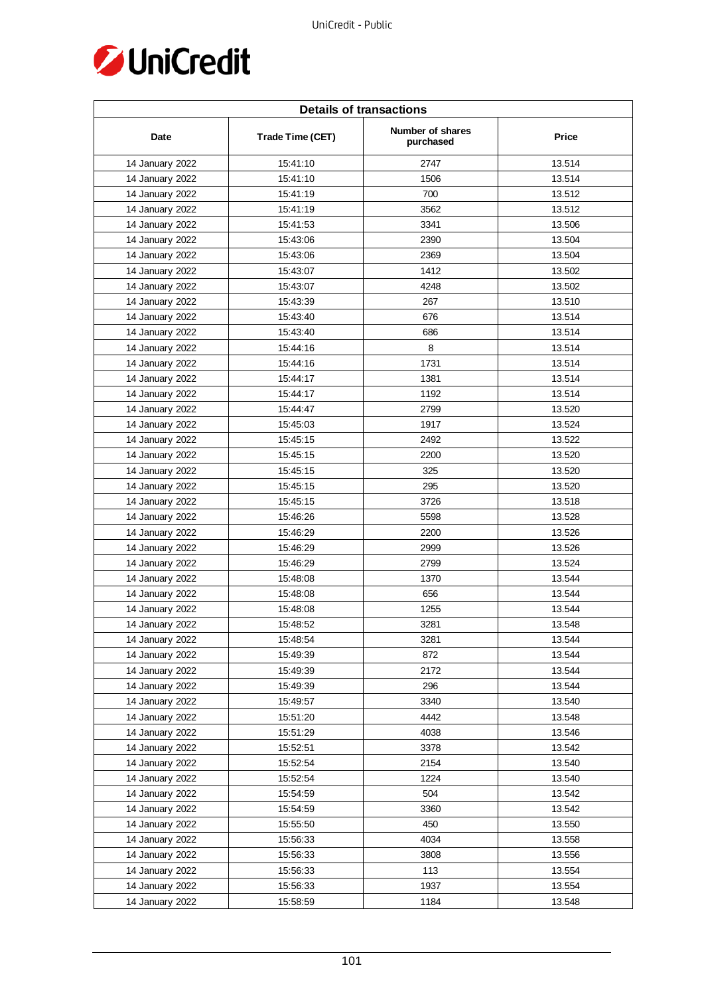

| <b>Details of transactions</b> |                  |                               |        |  |
|--------------------------------|------------------|-------------------------------|--------|--|
| Date                           | Trade Time (CET) | Number of shares<br>purchased | Price  |  |
| 14 January 2022                | 15:41:10         | 2747                          | 13.514 |  |
| 14 January 2022                | 15:41:10         | 1506                          | 13.514 |  |
| 14 January 2022                | 15:41:19         | 700                           | 13.512 |  |
| 14 January 2022                | 15:41:19         | 3562                          | 13.512 |  |
| 14 January 2022                | 15:41:53         | 3341                          | 13.506 |  |
| 14 January 2022                | 15:43:06         | 2390                          | 13.504 |  |
| 14 January 2022                | 15:43:06         | 2369                          | 13.504 |  |
| 14 January 2022                | 15:43:07         | 1412                          | 13.502 |  |
| 14 January 2022                | 15:43:07         | 4248                          | 13.502 |  |
| 14 January 2022                | 15:43:39         | 267                           | 13.510 |  |
| 14 January 2022                | 15:43:40         | 676                           | 13.514 |  |
| 14 January 2022                | 15:43:40         | 686                           | 13.514 |  |
| 14 January 2022                | 15:44:16         | 8                             | 13.514 |  |
| 14 January 2022                | 15:44:16         | 1731                          | 13.514 |  |
| 14 January 2022                | 15:44:17         | 1381                          | 13.514 |  |
| 14 January 2022                | 15:44:17         | 1192                          | 13.514 |  |
| 14 January 2022                | 15:44:47         | 2799                          | 13.520 |  |
| 14 January 2022                | 15:45:03         | 1917                          | 13.524 |  |
| 14 January 2022                | 15:45:15         | 2492                          | 13.522 |  |
| 14 January 2022                | 15:45:15         | 2200                          | 13.520 |  |
| 14 January 2022                | 15:45:15         | 325                           | 13.520 |  |
| 14 January 2022                | 15:45:15         | 295                           | 13.520 |  |
| 14 January 2022                | 15:45:15         | 3726                          | 13.518 |  |
| 14 January 2022                | 15:46:26         | 5598                          | 13.528 |  |
| 14 January 2022                | 15:46:29         | 2200                          | 13.526 |  |
| 14 January 2022                | 15:46:29         | 2999                          | 13.526 |  |
| 14 January 2022                | 15:46:29         | 2799                          | 13.524 |  |
| 14 January 2022                | 15:48:08         | 1370                          | 13.544 |  |
| 14 January 2022                | 15:48:08         | 656                           | 13.544 |  |
| 14 January 2022                | 15:48:08         | 1255                          | 13.544 |  |
| 14 January 2022                | 15:48:52         | 3281                          | 13.548 |  |
| 14 January 2022                | 15:48:54         | 3281                          | 13.544 |  |
| 14 January 2022                | 15:49:39         | 872                           | 13.544 |  |
| 14 January 2022                | 15:49:39         | 2172                          | 13.544 |  |
| 14 January 2022                | 15:49:39         | 296                           | 13.544 |  |
| 14 January 2022                | 15:49:57         | 3340                          | 13.540 |  |
| 14 January 2022                | 15:51:20         | 4442                          | 13.548 |  |
| 14 January 2022                | 15:51:29         | 4038                          | 13.546 |  |
| 14 January 2022                | 15:52:51         | 3378                          | 13.542 |  |
| 14 January 2022                | 15:52:54         | 2154                          | 13.540 |  |
| 14 January 2022                | 15:52:54         | 1224                          | 13.540 |  |
| 14 January 2022                | 15:54:59         | 504                           | 13.542 |  |
| 14 January 2022                | 15:54:59         | 3360                          | 13.542 |  |
| 14 January 2022                | 15:55:50         | 450                           | 13.550 |  |
| 14 January 2022                | 15:56:33         | 4034                          | 13.558 |  |
| 14 January 2022                | 15:56:33         | 3808                          | 13.556 |  |
| 14 January 2022                | 15:56:33         | 113                           | 13.554 |  |
| 14 January 2022                | 15:56:33         | 1937                          | 13.554 |  |
| 14 January 2022                | 15:58:59         | 1184                          | 13.548 |  |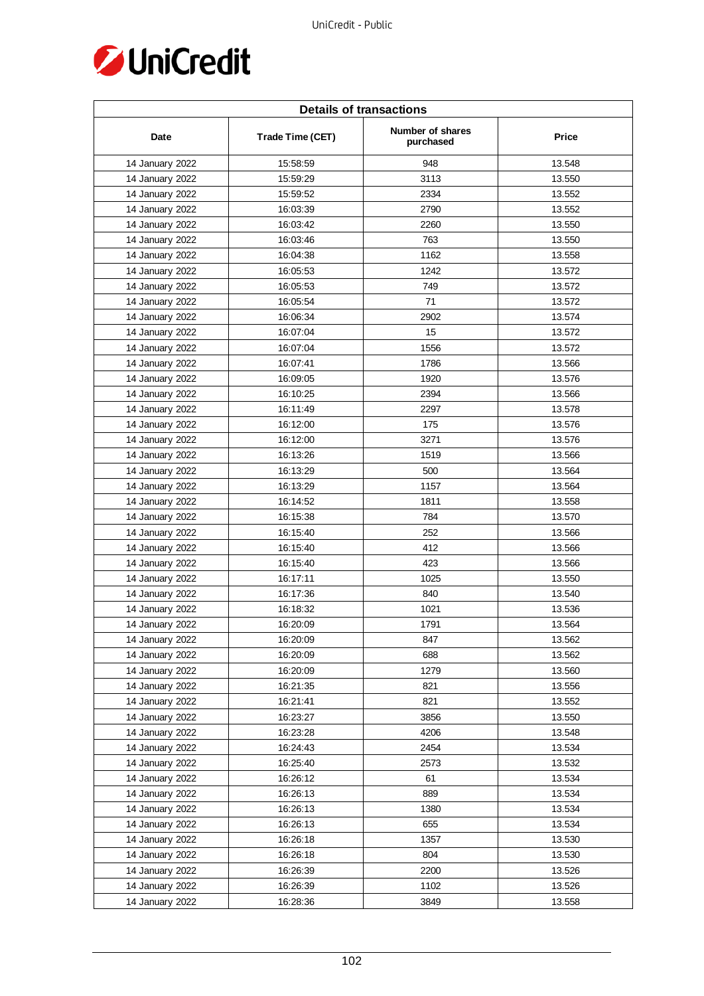

| <b>Details of transactions</b> |                  |                               |        |
|--------------------------------|------------------|-------------------------------|--------|
| Date                           | Trade Time (CET) | Number of shares<br>purchased | Price  |
| 14 January 2022                | 15:58:59         | 948                           | 13.548 |
| 14 January 2022                | 15:59:29         | 3113                          | 13.550 |
| 14 January 2022                | 15:59:52         | 2334                          | 13.552 |
| 14 January 2022                | 16:03:39         | 2790                          | 13.552 |
| 14 January 2022                | 16:03:42         | 2260                          | 13.550 |
| 14 January 2022                | 16:03:46         | 763                           | 13.550 |
| 14 January 2022                | 16:04:38         | 1162                          | 13.558 |
| 14 January 2022                | 16:05:53         | 1242                          | 13.572 |
| 14 January 2022                | 16:05:53         | 749                           | 13.572 |
| 14 January 2022                | 16:05:54         | 71                            | 13.572 |
| 14 January 2022                | 16:06:34         | 2902                          | 13.574 |
| 14 January 2022                | 16:07:04         | 15                            | 13.572 |
| 14 January 2022                | 16:07:04         | 1556                          | 13.572 |
| 14 January 2022                | 16:07:41         | 1786                          | 13.566 |
| 14 January 2022                | 16:09:05         | 1920                          | 13.576 |
| 14 January 2022                | 16:10:25         | 2394                          | 13.566 |
| 14 January 2022                | 16:11:49         | 2297                          | 13.578 |
| 14 January 2022                | 16:12:00         | 175                           | 13.576 |
| 14 January 2022                | 16:12:00         | 3271                          | 13.576 |
| 14 January 2022                | 16:13:26         | 1519                          | 13.566 |
| 14 January 2022                | 16:13:29         | 500                           | 13.564 |
| 14 January 2022                | 16:13:29         | 1157                          | 13.564 |
| 14 January 2022                | 16:14:52         | 1811                          | 13.558 |
| 14 January 2022                | 16:15:38         | 784                           | 13.570 |
| 14 January 2022                | 16:15:40         | 252                           | 13.566 |
| 14 January 2022                | 16:15:40         | 412                           | 13.566 |
| 14 January 2022                | 16:15:40         | 423                           | 13.566 |
| 14 January 2022                | 16:17:11         | 1025                          | 13.550 |
| 14 January 2022                | 16:17:36         | 840                           | 13.540 |
| 14 January 2022                | 16:18:32         | 1021                          | 13.536 |
| 14 January 2022                | 16:20:09         | 1791                          | 13.564 |
| 14 January 2022                | 16:20:09         | 847                           | 13.562 |
| 14 January 2022                | 16:20:09         | 688                           | 13.562 |
| 14 January 2022                | 16:20:09         | 1279                          | 13.560 |
| 14 January 2022                | 16:21:35         | 821                           | 13.556 |
| 14 January 2022                | 16:21:41         | 821                           | 13.552 |
| 14 January 2022                | 16:23:27         | 3856                          | 13.550 |
| 14 January 2022                | 16:23:28         | 4206                          | 13.548 |
| 14 January 2022                | 16:24:43         | 2454                          | 13.534 |
| 14 January 2022                | 16:25:40         | 2573                          | 13.532 |
| 14 January 2022                | 16:26:12         | 61                            | 13.534 |
| 14 January 2022                | 16:26:13         | 889                           | 13.534 |
| 14 January 2022                | 16:26:13         | 1380                          | 13.534 |
| 14 January 2022                | 16:26:13         | 655                           | 13.534 |
| 14 January 2022                | 16:26:18         | 1357                          | 13.530 |
| 14 January 2022                | 16:26:18         | 804                           | 13.530 |
| 14 January 2022                | 16:26:39         | 2200                          | 13.526 |
| 14 January 2022                | 16:26:39         | 1102                          | 13.526 |
| 14 January 2022                | 16:28:36         | 3849                          | 13.558 |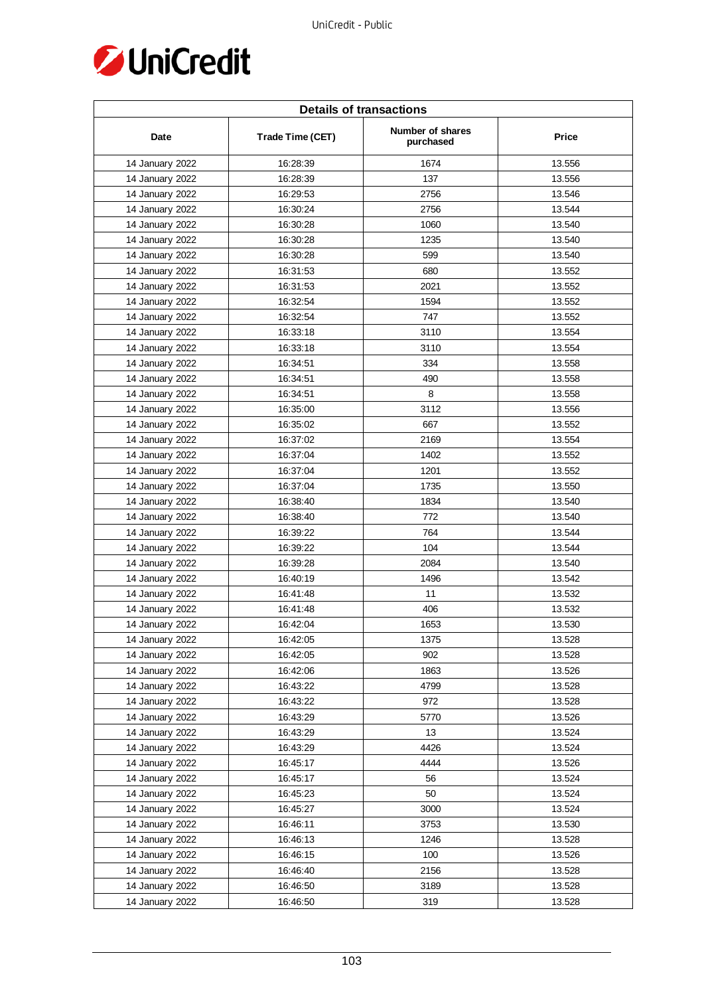

| <b>Details of transactions</b> |                  |                               |        |  |
|--------------------------------|------------------|-------------------------------|--------|--|
| Date                           | Trade Time (CET) | Number of shares<br>purchased | Price  |  |
| 14 January 2022                | 16:28:39         | 1674                          | 13.556 |  |
| 14 January 2022                | 16:28:39         | 137                           | 13.556 |  |
| 14 January 2022                | 16:29:53         | 2756                          | 13.546 |  |
| 14 January 2022                | 16:30:24         | 2756                          | 13.544 |  |
| 14 January 2022                | 16:30:28         | 1060                          | 13.540 |  |
| 14 January 2022                | 16:30:28         | 1235                          | 13.540 |  |
| 14 January 2022                | 16:30:28         | 599                           | 13.540 |  |
| 14 January 2022                | 16:31:53         | 680                           | 13.552 |  |
| 14 January 2022                | 16:31:53         | 2021                          | 13.552 |  |
| 14 January 2022                | 16:32:54         | 1594                          | 13.552 |  |
| 14 January 2022                | 16:32:54         | 747                           | 13.552 |  |
| 14 January 2022                | 16:33:18         | 3110                          | 13.554 |  |
| 14 January 2022                | 16:33:18         | 3110                          | 13.554 |  |
| 14 January 2022                | 16:34:51         | 334                           | 13.558 |  |
| 14 January 2022                | 16:34:51         | 490                           | 13.558 |  |
| 14 January 2022                | 16:34:51         | 8                             | 13.558 |  |
| 14 January 2022                | 16:35:00         | 3112                          | 13.556 |  |
| 14 January 2022                | 16:35:02         | 667                           | 13.552 |  |
| 14 January 2022                | 16:37:02         | 2169                          | 13.554 |  |
| 14 January 2022                | 16:37:04         | 1402                          | 13.552 |  |
| 14 January 2022                | 16:37:04         | 1201                          | 13.552 |  |
| 14 January 2022                | 16:37:04         | 1735                          | 13.550 |  |
| 14 January 2022                | 16:38:40         | 1834                          | 13.540 |  |
| 14 January 2022                | 16:38:40         | 772                           | 13.540 |  |
| 14 January 2022                | 16:39:22         | 764                           | 13.544 |  |
| 14 January 2022                | 16:39:22         | 104                           | 13.544 |  |
| 14 January 2022                | 16:39:28         | 2084                          | 13.540 |  |
| 14 January 2022                | 16:40:19         | 1496                          | 13.542 |  |
| 14 January 2022                | 16:41:48         | 11                            | 13.532 |  |
| 14 January 2022                | 16:41:48         | 406                           | 13.532 |  |
| 14 January 2022                | 16:42:04         | 1653                          | 13.530 |  |
| 14 January 2022                | 16:42:05         | 1375                          | 13.528 |  |
| 14 January 2022                | 16:42:05         | 902                           | 13.528 |  |
| 14 January 2022                | 16:42:06         | 1863                          | 13.526 |  |
| 14 January 2022                | 16:43:22         | 4799                          | 13.528 |  |
| 14 January 2022                | 16:43:22         | 972                           | 13.528 |  |
| 14 January 2022                | 16:43:29         | 5770                          | 13.526 |  |
| 14 January 2022                | 16:43:29         | 13                            | 13.524 |  |
| 14 January 2022                | 16:43:29         | 4426                          | 13.524 |  |
| 14 January 2022                | 16:45:17         | 4444                          | 13.526 |  |
| 14 January 2022                | 16:45:17         | 56                            | 13.524 |  |
| 14 January 2022                | 16:45:23         | 50                            | 13.524 |  |
| 14 January 2022                | 16:45:27         | 3000                          | 13.524 |  |
| 14 January 2022                | 16:46:11         | 3753                          | 13.530 |  |
| 14 January 2022                | 16:46:13         | 1246                          | 13.528 |  |
| 14 January 2022                | 16:46:15         | 100                           | 13.526 |  |
| 14 January 2022                | 16:46:40         | 2156                          | 13.528 |  |
| 14 January 2022                | 16:46:50         | 3189                          | 13.528 |  |
| 14 January 2022                | 16:46:50         | 319                           | 13.528 |  |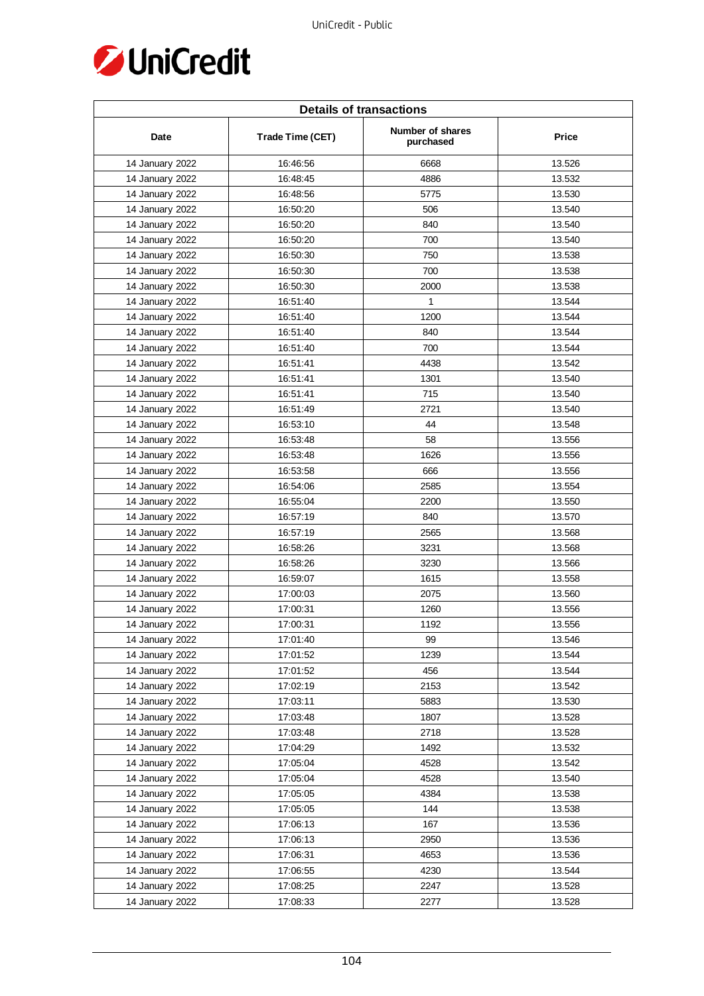

| <b>Details of transactions</b> |                  |                               |        |
|--------------------------------|------------------|-------------------------------|--------|
| Date                           | Trade Time (CET) | Number of shares<br>purchased | Price  |
| 14 January 2022                | 16:46:56         | 6668                          | 13.526 |
| 14 January 2022                | 16:48:45         | 4886                          | 13.532 |
| 14 January 2022                | 16:48:56         | 5775                          | 13.530 |
| 14 January 2022                | 16:50:20         | 506                           | 13.540 |
| 14 January 2022                | 16:50:20         | 840                           | 13.540 |
| 14 January 2022                | 16:50:20         | 700                           | 13.540 |
| 14 January 2022                | 16:50:30         | 750                           | 13.538 |
| 14 January 2022                | 16:50:30         | 700                           | 13.538 |
| 14 January 2022                | 16:50:30         | 2000                          | 13.538 |
| 14 January 2022                | 16:51:40         | $\mathbf{1}$                  | 13.544 |
| 14 January 2022                | 16:51:40         | 1200                          | 13.544 |
| 14 January 2022                | 16:51:40         | 840                           | 13.544 |
| 14 January 2022                | 16:51:40         | 700                           | 13.544 |
| 14 January 2022                | 16:51:41         | 4438                          | 13.542 |
| 14 January 2022                | 16:51:41         | 1301                          | 13.540 |
| 14 January 2022                | 16:51:41         | 715                           | 13.540 |
| 14 January 2022                | 16:51:49         | 2721                          | 13.540 |
| 14 January 2022                | 16:53:10         | 44                            | 13.548 |
| 14 January 2022                | 16:53:48         | 58                            | 13.556 |
| 14 January 2022                | 16:53:48         | 1626                          | 13.556 |
| 14 January 2022                | 16:53:58         | 666                           | 13.556 |
| 14 January 2022                | 16:54:06         | 2585                          | 13.554 |
| 14 January 2022                | 16:55:04         | 2200                          | 13.550 |
| 14 January 2022                | 16:57:19         | 840                           | 13.570 |
| 14 January 2022                | 16:57:19         | 2565                          | 13.568 |
| 14 January 2022                | 16:58:26         | 3231                          | 13.568 |
| 14 January 2022                | 16:58:26         | 3230                          | 13.566 |
| 14 January 2022                | 16:59:07         | 1615                          | 13.558 |
| 14 January 2022                | 17:00:03         | 2075                          | 13.560 |
| 14 January 2022                | 17:00:31         | 1260                          | 13.556 |
| 14 January 2022                | 17:00:31         | 1192                          | 13.556 |
| 14 January 2022                | 17:01:40         | 99                            | 13.546 |
| 14 January 2022                | 17:01:52         | 1239                          | 13.544 |
| 14 January 2022                | 17:01:52         | 456                           | 13.544 |
| 14 January 2022                | 17:02:19         | 2153                          | 13.542 |
| 14 January 2022                | 17:03:11         | 5883                          | 13.530 |
| 14 January 2022                | 17:03:48         | 1807                          | 13.528 |
| 14 January 2022                | 17:03:48         | 2718                          | 13.528 |
| 14 January 2022                | 17:04:29         | 1492                          | 13.532 |
| 14 January 2022                | 17:05:04         | 4528                          | 13.542 |
| 14 January 2022                | 17:05:04         | 4528                          | 13.540 |
| 14 January 2022                | 17:05:05         | 4384                          | 13.538 |
| 14 January 2022                | 17:05:05         | 144                           | 13.538 |
| 14 January 2022                | 17:06:13         | 167                           | 13.536 |
| 14 January 2022                | 17:06:13         | 2950                          | 13.536 |
| 14 January 2022                | 17:06:31         | 4653                          | 13.536 |
| 14 January 2022                | 17:06:55         | 4230                          | 13.544 |
| 14 January 2022                | 17:08:25         | 2247                          | 13.528 |
| 14 January 2022                | 17:08:33         | 2277                          | 13.528 |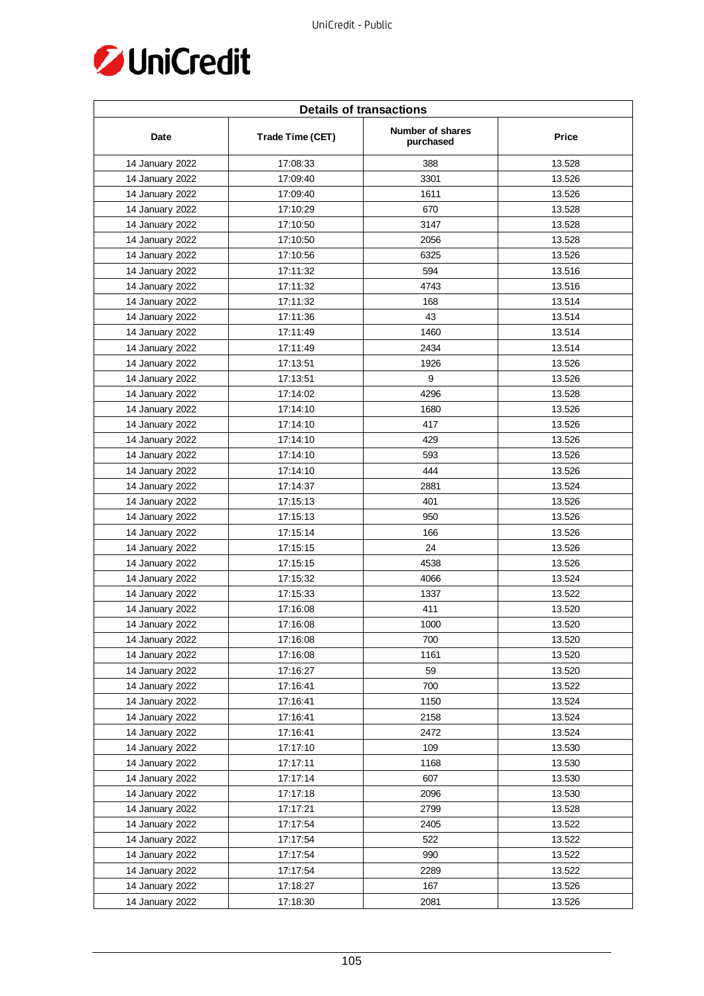

| <b>Details of transactions</b> |                  |                               |        |
|--------------------------------|------------------|-------------------------------|--------|
| Date                           | Trade Time (CET) | Number of shares<br>purchased | Price  |
| 14 January 2022                | 17:08:33         | 388                           | 13.528 |
| 14 January 2022                | 17:09:40         | 3301                          | 13.526 |
| 14 January 2022                | 17:09:40         | 1611                          | 13.526 |
| 14 January 2022                | 17:10:29         | 670                           | 13.528 |
| 14 January 2022                | 17:10:50         | 3147                          | 13.528 |
| 14 January 2022                | 17:10:50         | 2056                          | 13.528 |
| 14 January 2022                | 17:10:56         | 6325                          | 13.526 |
| 14 January 2022                | 17:11:32         | 594                           | 13.516 |
| 14 January 2022                | 17:11:32         | 4743                          | 13.516 |
| 14 January 2022                | 17:11:32         | 168                           | 13.514 |
| 14 January 2022                | 17:11:36         | 43                            | 13.514 |
| 14 January 2022                | 17:11:49         | 1460                          | 13.514 |
| 14 January 2022                | 17:11:49         | 2434                          | 13.514 |
| 14 January 2022                | 17:13:51         | 1926                          | 13.526 |
| 14 January 2022                | 17:13:51         | 9                             | 13.526 |
| 14 January 2022                | 17:14:02         | 4296                          | 13.528 |
| 14 January 2022                | 17:14:10         | 1680                          | 13.526 |
| 14 January 2022                | 17:14:10         | 417                           | 13.526 |
| 14 January 2022                | 17:14:10         | 429                           | 13.526 |
| 14 January 2022                | 17:14:10         | 593                           | 13.526 |
| 14 January 2022                | 17:14:10         | 444                           | 13.526 |
| 14 January 2022                | 17:14:37         | 2881                          | 13.524 |
| 14 January 2022                | 17:15:13         | 401                           | 13.526 |
| 14 January 2022                | 17:15:13         | 950                           | 13.526 |
| 14 January 2022                | 17:15:14         | 166                           | 13.526 |
| 14 January 2022                | 17:15:15         | 24                            | 13.526 |
| 14 January 2022                | 17:15:15         | 4538                          | 13.526 |
| 14 January 2022                | 17:15:32         | 4066                          | 13.524 |
| 14 January 2022                | 17:15:33         | 1337                          | 13.522 |
| 14 January 2022                | 17:16:08         | 411                           | 13.520 |
| 14 January 2022                | 17:16:08         | 1000                          | 13.520 |
| 14 January 2022                | 17:16:08         | 700                           | 13.520 |
| 14 January 2022                | 17:16:08         | 1161                          | 13.520 |
| 14 January 2022                | 17:16:27         | 59                            | 13.520 |
| 14 January 2022                | 17:16:41         | 700                           | 13.522 |
| 14 January 2022                | 17:16:41         | 1150                          | 13.524 |
| 14 January 2022                | 17:16:41         | 2158                          | 13.524 |
| 14 January 2022                | 17:16:41         | 2472                          | 13.524 |
| 14 January 2022                | 17:17:10         | 109                           | 13.530 |
| 14 January 2022                | 17:17:11         | 1168                          | 13.530 |
| 14 January 2022                | 17:17:14         | 607                           | 13.530 |
| 14 January 2022                | 17:17:18         | 2096                          | 13.530 |
| 14 January 2022                | 17:17:21         | 2799                          | 13.528 |
| 14 January 2022                | 17:17:54         | 2405                          | 13.522 |
| 14 January 2022                | 17:17:54         | 522                           | 13.522 |
| 14 January 2022                | 17:17:54         | 990                           | 13.522 |
| 14 January 2022                | 17:17:54         | 2289                          | 13.522 |
| 14 January 2022                | 17:18:27         | 167                           | 13.526 |
| 14 January 2022                | 17:18:30         | 2081                          | 13.526 |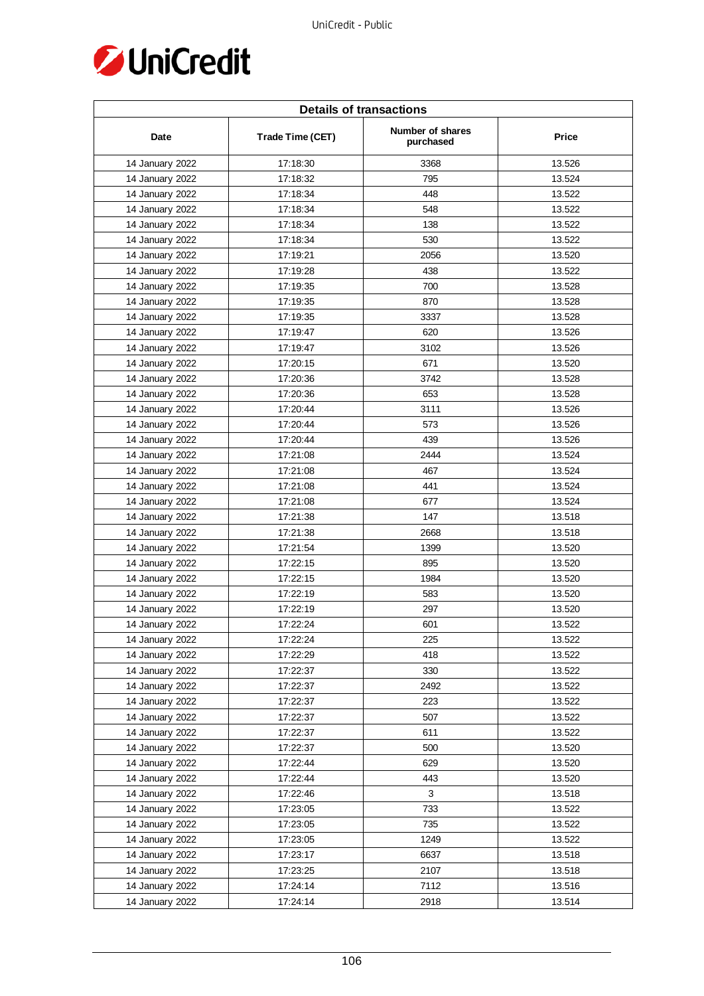

| <b>Details of transactions</b> |                  |                               |        |  |
|--------------------------------|------------------|-------------------------------|--------|--|
| Date                           | Trade Time (CET) | Number of shares<br>purchased | Price  |  |
| 14 January 2022                | 17:18:30         | 3368                          | 13.526 |  |
| 14 January 2022                | 17:18:32         | 795                           | 13.524 |  |
| 14 January 2022                | 17:18:34         | 448                           | 13.522 |  |
| 14 January 2022                | 17:18:34         | 548                           | 13.522 |  |
| 14 January 2022                | 17:18:34         | 138                           | 13.522 |  |
| 14 January 2022                | 17:18:34         | 530                           | 13.522 |  |
| 14 January 2022                | 17:19:21         | 2056                          | 13.520 |  |
| 14 January 2022                | 17:19:28         | 438                           | 13.522 |  |
| 14 January 2022                | 17:19:35         | 700                           | 13.528 |  |
| 14 January 2022                | 17:19:35         | 870                           | 13.528 |  |
| 14 January 2022                | 17:19:35         | 3337                          | 13.528 |  |
| 14 January 2022                | 17:19:47         | 620                           | 13.526 |  |
| 14 January 2022                | 17:19:47         | 3102                          | 13.526 |  |
| 14 January 2022                | 17:20:15         | 671                           | 13.520 |  |
| 14 January 2022                | 17:20:36         | 3742                          | 13.528 |  |
| 14 January 2022                | 17:20:36         | 653                           | 13.528 |  |
| 14 January 2022                | 17:20:44         | 3111                          | 13.526 |  |
| 14 January 2022                | 17:20:44         | 573                           | 13.526 |  |
| 14 January 2022                | 17:20:44         | 439                           | 13.526 |  |
| 14 January 2022                | 17:21:08         | 2444                          | 13.524 |  |
| 14 January 2022                | 17:21:08         | 467                           | 13.524 |  |
| 14 January 2022                | 17:21:08         | 441                           | 13.524 |  |
| 14 January 2022                | 17:21:08         | 677                           | 13.524 |  |
| 14 January 2022                | 17:21:38         | 147                           | 13.518 |  |
| 14 January 2022                | 17:21:38         | 2668                          | 13.518 |  |
| 14 January 2022                | 17:21:54         | 1399                          | 13.520 |  |
| 14 January 2022                | 17:22:15         | 895                           | 13.520 |  |
| 14 January 2022                | 17:22:15         | 1984                          | 13.520 |  |
| 14 January 2022                | 17:22:19         | 583                           | 13.520 |  |
| 14 January 2022                | 17:22:19         | 297                           | 13.520 |  |
| 14 January 2022                | 17:22:24         | 601                           | 13.522 |  |
| 14 January 2022                | 17:22:24         | 225                           | 13.522 |  |
| 14 January 2022                | 17:22:29         | 418                           | 13.522 |  |
| 14 January 2022                | 17:22:37         | 330                           | 13.522 |  |
| 14 January 2022                | 17:22:37         | 2492                          | 13.522 |  |
| 14 January 2022                | 17:22:37         | 223                           | 13.522 |  |
| 14 January 2022                | 17:22:37         | 507                           | 13.522 |  |
| 14 January 2022                | 17:22:37         | 611                           | 13.522 |  |
| 14 January 2022                | 17:22:37         | 500                           | 13.520 |  |
| 14 January 2022                | 17:22:44         | 629                           | 13.520 |  |
| 14 January 2022                | 17:22:44         | 443                           | 13.520 |  |
| 14 January 2022                | 17:22:46         | $\mathbf{3}$                  | 13.518 |  |
| 14 January 2022                | 17:23:05         | 733                           | 13.522 |  |
| 14 January 2022                | 17:23:05         | 735                           | 13.522 |  |
| 14 January 2022                | 17:23:05         | 1249                          | 13.522 |  |
| 14 January 2022                | 17:23:17         | 6637                          | 13.518 |  |
| 14 January 2022                | 17:23:25         | 2107                          | 13.518 |  |
| 14 January 2022                | 17:24:14         | 7112                          | 13.516 |  |
| 14 January 2022                | 17:24:14         | 2918                          | 13.514 |  |